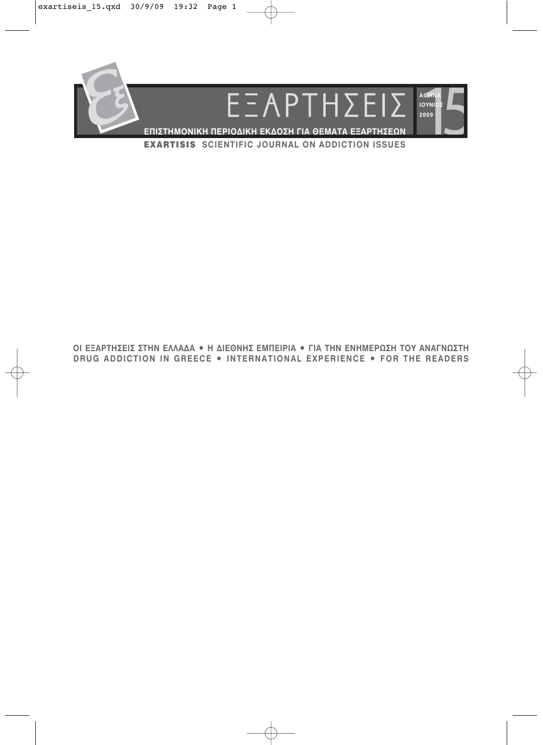

exartiseis\_15.qxd 30/9/09 19:32 Page 1

ΟΙ ΕΞΑΡΤΗΣΕΙΣ ΣΤΗΝ ΕΛΛΑΔΑ • Η ΔΙΕΘΝΗΣ ΕΜΠΕΙΡΙΑ • ΓΙΑ ΤΗΝ ΕΝΗΜΕΡΩΣΗ ΤΟΥ ΑΝΑΓΝΩΣΤΗ DRUG ADDICTION IN GREECE . INTERNATIONAL EXPERIENCE . FOR THE READERS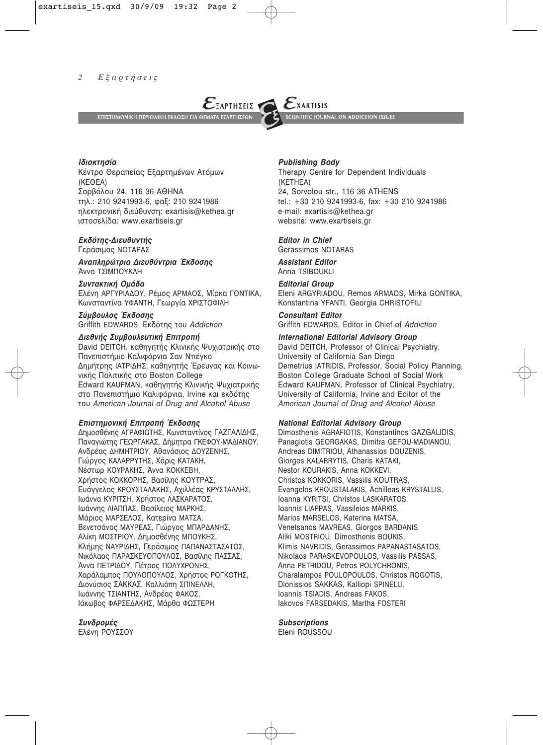

**XARTISIS NTIFIC JOURNAL ON ADDICTION ISSUES** 

#### *Ιδιοκτησία*

Κέντρο Θεραπείας Εξαρτημένων Ατόμων (∫∂£∂∞) Σορβόλου 24, 116 36 ΑΘΗΝΑ τηλ.: 210 9241993-6, φαξ: 210 9241986 ηλεκτρονική διεύθυνση: exartisis@kethea.gr ιστοσελίδα: www.exartiseis.gr

## *<i>Εκδότης-Διευθυντής*

Γεράσιμος ΝΟΤΑΡΑΣ

*Αναπληρώτρια Διευθύντρια Έκδοσης* Άννα ΤΣΙΜΠΟΥΚΛΗ

#### Συντακτική Ομάδα

Ελένη ΑΡΓΥΡΙΑΔΟΥ, Ρέμος ΑΡΜΑΟΣ, Μίρκα ΓΟΝΤΙΚΑ, Κωνσταντίνα ΥΦΑΝΤΗ, Γεωργία ΧΡΙΣΤΟΦΙΛΗ

*Σύμβουλος Έκδοσης* Griffith EDWARDS, Εκδότης του Addiction

### **Διεθνής Συμβουλευτική Επιτροπή**

David DEITCH, καθηγητής Κλινικής Ψυχιατρικής στο Πανεπιστήμιο Καλιφόρνια Σαν Ντιέγκο Δημήτρης ΙΑΤΡΙΔΗΣ, καθηγητής Έρευνας και Κοινωνικής Πολιτικής στο Boston College Edward KAUFMAN, καθηγητής Κλινικής Ψυχιατρικής στο Πανεπιστήμιο Καλιφόρνια, Irvine και εκδότης ÙÔ˘ *∞merican Journal of Drug and Alcohol Abuse*

#### *<i>Ēπιστημονική Επιτροπή Έκδοσης*

Δημοσθένης ΑΓΡΑΦΙΩΤΗΣ, Κωνσταντίνος ΓΑΖΓΑΛΙΔΗΣ, Παναγιώτης ΓΕΩΡΓΑΚΑΣ, Δήμητρα ΓΚΕΦΟΥ-ΜΑΔΙΑΝΟΥ, Ανδρέας ΔΗΜΗΤΡΙΟΥ, Αθανάσιος ΔΟΥΖΕΝΗΣ, Γιώργος ΚΑΛΑΡΡΥΤΗΣ, Χάρις ΚΑΤΑΚΗ, Νέστωρ ΚΟΥΡΑΚΗΣ, Άννα ΚΟΚΚΕΒΗ. Χρήστος ΚΟΚΚΟΡΗΣ, Βασίλης ΚΟΥΤΡΑΣ, Ευάγγελος ΚΡΟΥΣΤΑΛΑΚΗΣ, Αχιλλέας ΚΡΥΣΤΑΛΛΗΣ, Ιωάννα ΚΥΡΙΤΣΗ, Χρήστος ΛΑΣΚΑΡΑΤΟΣ, Ιωάννης ΛΙΑΠΠΑΣ, Βασίλειος ΜΑΡΚΗΣ, Μάριος ΜΑΡΣΕΛΟΣ, Κατερίνα ΜΑΤΣΑ, Βενετσάνος ΜΑΥΡΕΑΣ, Γιώργος ΜΠΑΡΔΑΝΗΣ, Αλίκη ΜΟΣΤΡΙΟΥ, Δημοσθένης ΜΠΟΥΚΗΣ, Κλήμης ΝΑΥΡΙΔΗΣ, Γεράσιμος ΠΑΠΑΝΑΣΤΑΣΑΤΟΣ, Νικόλαος ΠΑΡΑΣΚΕΥΟΠΟΥΛΟΣ, Βασίλης ΠΑΣΣΑΣ, Άννα ΠΕΤΡΙΔΟΥ, Πέτρος ΠΟΛΥΧΡΟΝΗΣ, Χαράλαμπος ΠΟΥΛΟΠΟΥΛΟΣ, Χρήστος ΡΟΓΚΟΤΗΣ, Διονύσιος ΣΑΚΚΑΣ, Καλλιόπη ΣΠΙΝΕΛΛΗ, Ιωάννης ΤΣΙΑΝΤΗΣ, Ανδρέας ΦΑΚΟΣ, Ιάκωβος ΦΑΡΣΕΔΑΚΗΣ, Μάρθα ΦΩΣΤΕΡΗ

#### Συνδρομές

Ελένη ΡΟΥΣΣΟΥ

#### *Publishing Body*

Therapy Centre for Dependent Individuals (KETHEA) 24, Sorvolou str., 116 36 ATHENS tel.: +30 210 9241993-6, fax: +30 210 9241986 e-mail: exartisis@kethea.gr website: www.exartiseis.gr

#### *Editor in Chief*

Gerassimos NOTARAS

*Assistant Editor* Anna TSIBOUKLI

# *Editorial Group*

Eleni ARGYRIADOU, Remos ARMAOS, Mirka GONTIKA, Konstantina YFANTI, Georgia CHRISTOFILI

*Consultant Editor*  Griffith EDWARDS, Editor in Chief of *Addiction* 

# *International Editorial Advisory Group*

David DEITCH, Professor of Clinical Psychiatry, University of California San Diego Demetrius IATRIDIS, Professor, Social Policy Planning, Boston College Graduate School of Social Work Edward KAUFMAN, Professor of Clinical Psychiatry, University of California, Irvine and Editor of the *∞merican Journal of Drug and Alcohol Abuse*

#### *National Editorial Advisory Group*

Dimosthenis AGRAFIOTIS, Konstantinos GAZGALIDIS, Panagiotis GEORGAKAS, Dimitra GEFOU-MADIANOU, Andreas DIMITRIOU, Athanassios DOUZENIS, Giorgos KALARRYTIS, Charis KATAKI, Nestor KOURAKIS, Anna KOKKEVI, Christos KOKKORIS, Vassilis KOUTRAS, Evangelos KROUSTALAKIS, Achilleas KRYSTALLIS, Ioanna KYRITSI, Christos LASKARATOS, Ioannis LIAPPAS, Vassileios MARKIS, Marios MARSELOS, Katerina MATSA, Venetsanos MAVREAS, Giorgos BARDANIS, Aliki MOSTRIOU, Dimosthenis BOUKIS, Klimis NAVRIDIS, Gerassimos PAPANASTASATOS, Nikolaos PARASKEVOPOULOS, Vassilis PASSAS, Anna PETRIDOU, Petros POLYCHRONIS, Charalampos POULOPOULOS, Christos ROGOTIS, Dionissios SAKKAS, Kalliopi SPINELLI, Ioannis TSIADIS, Andreas FAKOS, Iakovos FARSEDAKIS, Martha FOSTERI

# *Subscriptions*

Eleni ROUSSOU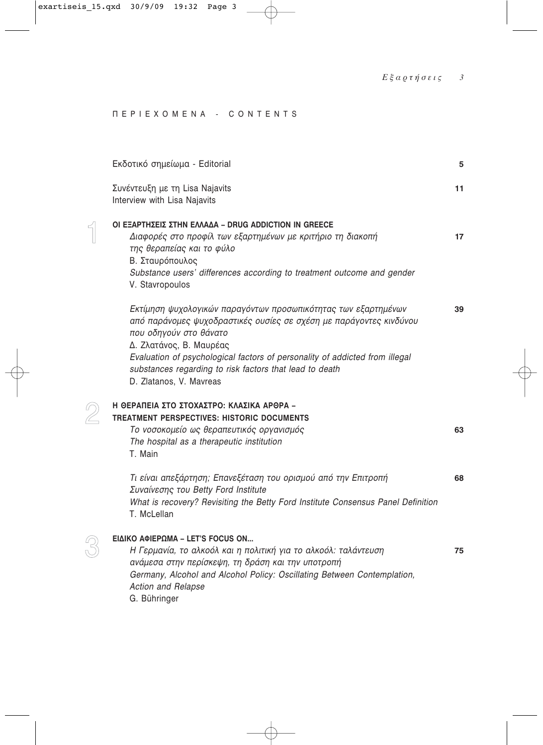# $E \xi a \varrho \tau \eta \sigma \varepsilon \iota \varsigma$  3

# $\vert$ exartiseis\_15.qxd 30/9/09 19:32 Page 3

# **ΠΕΡΙΕΧΟΜΕΝΑ - CONTENTS**

| Εκδοτικό σημείωμα - Editorial                                                                                                                                                                                                                                                                                                                                  | 5  |
|----------------------------------------------------------------------------------------------------------------------------------------------------------------------------------------------------------------------------------------------------------------------------------------------------------------------------------------------------------------|----|
| Συνέντευξη με τη Lisa Najavits<br>Interview with Lisa Najavits                                                                                                                                                                                                                                                                                                 | 11 |
| ΟΙ ΕΞΑΡΤΗΣΕΙΣ ΣΤΗΝ ΕΛΛΑΔΑ - DRUG ADDICTION IN GREECE<br>Διαφορές στο προφίλ των εξαρτημένων με κριτήριο τη διακοπή<br>της θεραπείας και το φύλο<br>Β. Σταυρόπουλος<br>Substance users' differences according to treatment outcome and gender<br>V. Stavropoulos                                                                                                | 17 |
| Εκτίμηση ψυχολογικών παραγόντων προσωπικότητας των εξαρτημένων<br>από παράνομες ψυχοδραστικές ουσίες σε σχέση με παράγοντες κινδύνου<br>που οδηγούν στο θάνατο<br>Δ. Ζλατάνος, Β. Μαυρέας<br>Evaluation of psychological factors of personality of addicted from illegal<br>substances regarding to risk factors that lead to death<br>D. Zlatanos, V. Mavreas | 39 |
| Η ΘΕΡΑΠΕΙΑ ΣΤΟ ΣΤΟΧΑΣΤΡΟ: ΚΛΑΣΙΚΑ ΑΡΘΡΑ -<br>TREATMENT PERSPECTIVES: HISTORIC DOCUMENTS<br>Το νοσοκομείο ως θεραπευτικός οργανισμός<br>The hospital as a therapeutic institution<br>T. Main                                                                                                                                                                    | 63 |
| Τι είναι απεξάρτηση; Επανεξέταση του ορισμού από την Επιτροπή<br>Συναίνεσης του Betty Ford Institute<br>What is recovery? Revisiting the Betty Ford Institute Consensus Panel Definition<br>T. McLellan                                                                                                                                                        | 68 |
| ΕΙΔΙΚΟ ΑΦΙΕΡΩΜΑ – LET'S FOCUS ON<br>Η Γερμανία, το αλκοόλ και η πολιτική για το αλκοόλ: ταλάντευση<br>ανάμεσα στην περίσκεψη, τη δράση και την υποτροπή<br>Germany, Alcohol and Alcohol Policy: Oscillating Between Contemplation,<br>Action and Relanse                                                                                                       | 75 |

G. Bühringer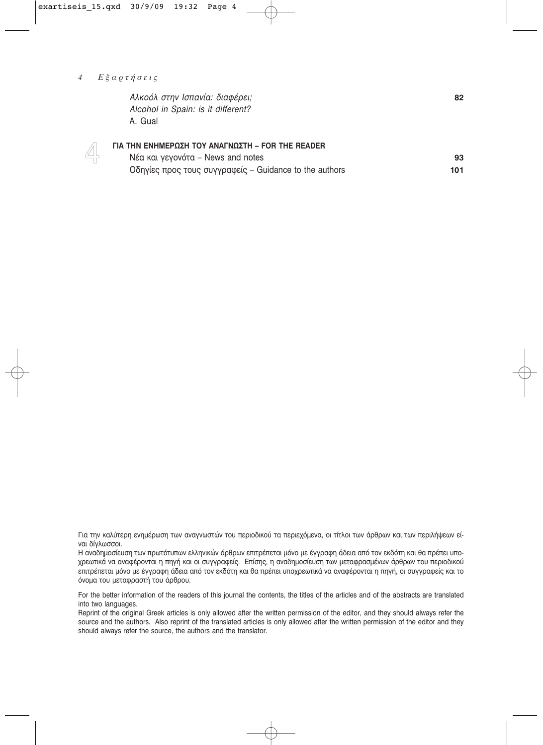#### $\overline{4}$ Εξαρτήσεις

Αλκοόλ στην Ισπανία: διαφέρει; Alcohol in Spain: is it different? A. Gual



#### ΓΙΑ ΤΗΝ ΕΝΗΜΕΡΩΣΗ ΤΟΥ ΑΝΑΓΝΩΣΤΗ - FOR THE READER

| Νέα και γεγονότα – News and notes                      | 93  |
|--------------------------------------------------------|-----|
| Οδηγίες προς τους συγγραφείς – Guidance to the authors | 101 |

82

Για την καλύτερη ενημέρωση των αναγνωστών του περιοδικού τα περιεχόμενα, οι τίτλοι των άρθρων και των περιλήψεων είναι δίγλωσσοι.

Η αναδημοσίευση των πρωτότυπων ελληνικών άρθρων επιτρέπεται μόνο με έγγραφη άδεια από τον εκδότη και θα πρέπει υποχρεωτικά να αναφέρονται η πηγή και οι συγγραφείς. Επίσης, η αναδημοσίευση των μεταφρασμένων άρθρων του περιοδικού επιτρέπεται μόνο με έγγραφη άδεια από τον εκδότη και θα πρέπει υποχρεωτικά να αναφέρονται η πηγή, οι συγγραφείς και το όνομα του μεταφραστή του άρθρου.

For the better information of the readers of this journal the contents, the titles of the articles and of the abstracts are translated into two languages.

Reprint of the original Greek articles is only allowed after the written permission of the editor, and they should always refer the source and the authors. Also reprint of the translated articles is only allowed after the written permission of the editor and they should always refer the source, the authors and the translator.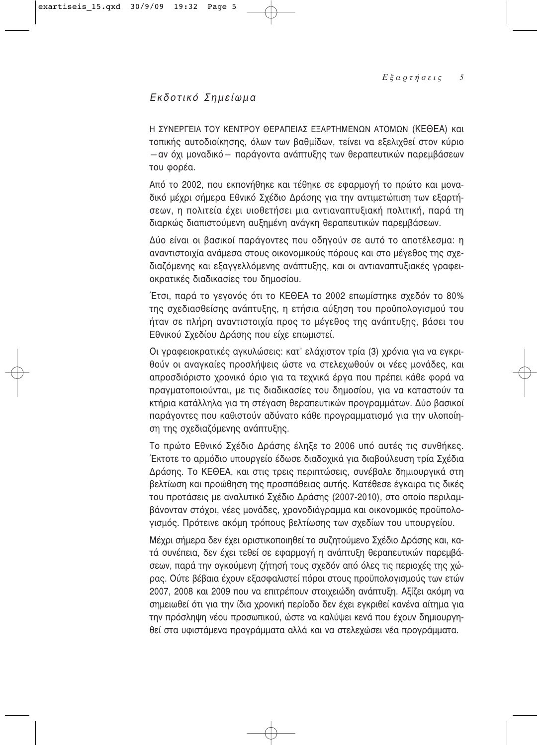# Εκδοτικό Σημείωμα

Η ΣΥΝΕΡΓΕΙΑ ΤΟΥ ΚΕΝΤΡΟΥ ΘΕΡΑΠΕΙΑΣ ΕΞΑΡΤΗΜΕΝΩΝ ΑΤΟΜΩΝ (ΚΕΘΕΑ) και τοπικής αυτοδιοίκησης, όλων των βαθμίδων, τείνει να εξελιχθεί στον κύριο - αν όχι μοναδικό - παράνοντα ανάπτυξης των θεραπευτικών παρεμβάσεων του φορέα.

Από το 2002, που εκπονήθηκε και τέθηκε σε εφαρμογή το πρώτο και μοναδικό μέχρι σήμερα Εθνικό Σχέδιο Δράσης για την αντιμετώπιση των εξαρτήσεων, η πολιτεία έχει υιοθετήσει μια αντιαναπτυξιακή πολιτική, παρά τη διαρκώς διαπιστούμενη αυξημένη ανάγκη θεραπευτικών παρεμβάσεων.

Δύο είναι οι βασικοί παράγοντες που οδηγούν σε αυτό το αποτέλεσμα: η αναντιστοιχία ανάμεσα στους οικονομικούς πόρους και στο μέγεθος της σχεδιαζόμενης και εξαγγελλόμενης ανάπτυξης, και οι αντιαναπτυξιακές γραφειοκρατικές διαδικασίες του δημοσίου.

Έτσι, παρά το γεγονός ότι το ΚΕΘΕΑ το 2002 επωμίστηκε σχεδόν το 80% της σχεδιασθείσης ανάπτυξης, η ετήσια αύξηση του προϋπολογισμού του ήταν σε πλήρη αναντιστοιχία προς το μέγεθος της ανάπτυξης, βάσει του Εθνικού Σχεδίου Δράσης που είχε επωμιστεί.

Οι γραφειοκρατικές αγκυλώσεις: κατ' ελάχιστον τρία (3) χρόνια για να εγκριθούν οι αναγκαίες προσλήψεις ώστε να στελεχωθούν οι νέες μονάδες, και απροσδιόριστο χρονικό όριο για τα τεχνικά έργα που πρέπει κάθε φορά να πραγματοποιούνται, με τις διαδικασίες του δημοσίου, για να καταστούν τα κτήρια κατάλληλα για τη στέγαση θεραπευτικών προγραμμάτων. Δύο βασικοί παράγοντες που καθιστούν αδύνατο κάθε προγραμματισμό για την υλοποίηση της σχεδιαζόμενης ανάπτυξης.

Το πρώτο Εθνικό Σχέδιο Δράσης έληξε το 2006 υπό αυτές τις συνθήκες. Έκτοτε το αρμόδιο υπουργείο έδωσε διαδοχικά για διαβούλευση τρία Σχέδια Δράσης. Το ΚΕΘΕΑ, και στις τρεις περιπτώσεις, συνέβαλε δημιουργικά στη βελτίωση και προώθηση της προσπάθειας αυτής. Κατέθεσε έγκαιρα τις δικές του προτάσεις με αναλυτικό Σχέδιο Δράσης (2007-2010), στο οποίο περιλαμβάνονταν στόχοι, νέες μονάδες, χρονοδιάγραμμα και οικονομικός προϋπολογισμός. Πρότεινε ακόμη τρόπους βελτίωσης των σχεδίων του υπουργείου.

Μέχρι σήμερα δεν έχει οριστικοποιηθεί το συζητούμενο Σχέδιο Δράσης και, κατά συνέπεια, δεν έχει τεθεί σε εφαρμογή η ανάπτυξη θεραπευτικών παρεμβάσεων, παρά την ογκούμενη ζήτησή τους σχεδόν από όλες τις περιοχές της χώρας. Ούτε βέβαια έχουν εξασφαλιστεί πόροι στους προϋπολογισμούς των ετών 2007, 2008 και 2009 που να επιτρέπουν στοιχειώδη ανάπτυξη. Αξίζει ακόμη να σημειωθεί ότι για την ίδια χρονική περίοδο δεν έχει εγκριθεί κανένα αίτημα για την πρόσληψη νέου προσωπικού, ώστε να καλύψει κενά που έχουν δημιουργηθεί στα υφιστάμενα προγράμματα αλλά και να στελεχώσει νέα προγράμματα.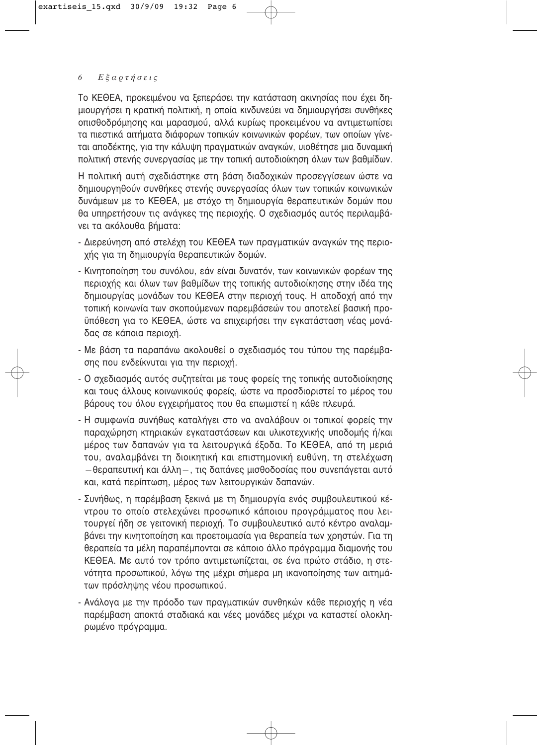Το ΚΕΘΕΑ, προκειμένου να ξεπεράσει την κατάσταση ακινησίας που έχει δημιουργήσει η κρατική πολιτική, η οποία κινδυνεύει να δημιουργήσει συνθήκες οπισθοδρόμησης και μαρασμού, αλλά κυρίως προκειμένου να αντιμετωπίσει τα πιεστικά αιτήματα διάφορων τοπικών κοινωνικών φορέων, των οποίων γίνεται αποδέκτης, για την κάλυψη πραγματικών αναγκών, υιοθέτησε μια δυναμική πολιτική στενής συνεργασίας με την τοπική αυτοδιοίκηση όλων των βαθμίδων.

Η πολιτική αυτή σχεδιάστηκε στη βάση διαδοχικών προσεγγίσεων ώστε να δημιουργηθούν συνθήκες στενής συνεργασίας όλων των τοπικών κοινωνικών δυνάμεων με το KEΘEA, με στόχο τη δημιουργία θεραπευτικών δομών που θα υπηρετήσουν τις ανάγκες της περιοχής. Ο σχεδιασμός αυτός περιλαμβάνει τα ακόλουθα βήματα:

- Διερεύνηση από στελέχη του ΚΕΘΕΑ των πραγματικών αναγκών της περιοχής για τη δημιουργία θεραπευτικών δομών.
- Κινητοποίηση του συνόλου, εάν είναι δυνατόν, των κοινωνικών φορέων της περιοχής και όλων των βαθμίδων της τοπικής αυτοδιοίκησης στην ιδέα της δημιουργίας μονάδων του ΚΕΘΕΑ στην περιοχή τους. Η αποδοχή από την τοπική κοινωνία των σκοπούμενων παρεμβάσεών του αποτελεί βασική προϋπόθεση για το ΚΕΘΕΑ, ώστε να επιχειρήσει την εγκατάσταση νέας μονάδας σε κάποια περιοχή.
- Με βάση τα παραπάνω ακολουθεί ο σχεδιασμός του τύπου της παρέμβασης που ενδείκνυται για την περιοχή.
- Ο σχεδιασμός αυτός συζητείται με τους φορείς της τοπικής αυτοδιοίκησης και τους άλλους κοινωνικούς φορείς, ώστε να προσδιοριστεί το μέρος του βάρους του όλου εγχειρήματος που θα επωμιστεί η κάθε πλευρά.
- Η συμφωνία συνήθως καταλήγει στο να αναλάβουν οι τοπικοί φορείς την παραχώρηση κτηριακών εγκαταστάσεων και υλικοτεχνικής υποδομής ή/και μέρος των δαπανών για τα λειτουργικά έξοδα. Το ΚΕΘΕΑ, από τη μεριά του, αναλαμβάνει τη διοικητική και επιστημονική ευθύνη, τη στελέχωση — θεραπευτική και άλλη —, τις δαπάνες μισθοδοσίας που συνεπάγεται αυτό και, κατά περίπτωση, μέρος των λειτουργικών δαπανών.
- Συνήθως, η παρέμβαση ξεκινά με τη δημιουργία ενός συμβουλευτικού κέ-Vτρου το οποίο στελεχώνει προσωπικό κάποιου προγράμματος που λειτουργεί ήδη σε γειτονική περιοχή. Το συμβουλευτικό αυτό κέντρο αναλαμβάνει την κινητοποίηση και προετοιμασία για θεραπεία των χρηστών. Για τη θεραπεία τα μέλη παραπέμπονται σε κάποιο άλλο πρόγραμμα διαμονής του ΚΕΘΕΑ. Με αυτό τον τρόπο αντιμετωπίζεται, σε ένα πρώτο στάδιο, η στενότητα προσωπικού, λόγω της μέχρι σήμερα μη ικανοποίησης των αιτημάτων πρόσληψης νέου προσωπικού.
- Ανάλογα με την πρόοδο των πραγματικών συνθηκών κάθε περιοχής η νέα παρέμβαση αποκτά σταδιακά και νέες μονάδες μέχρι να καταστεί ολοκληρωμένο πρόγραμμα.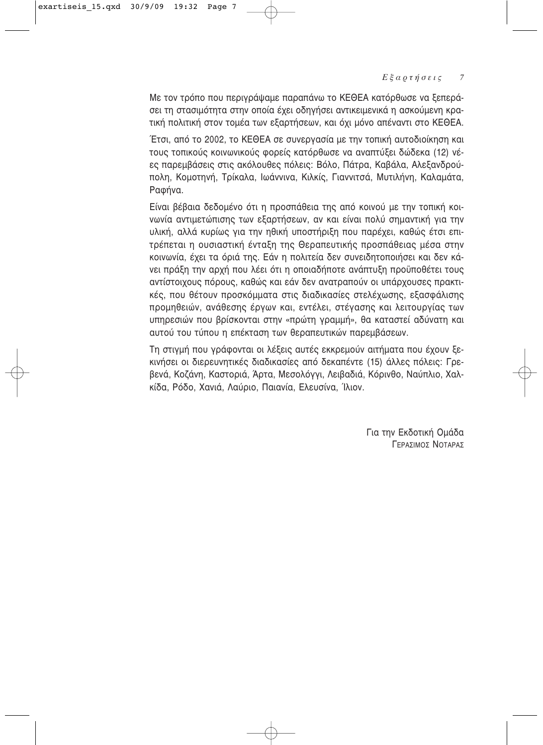exartiseis 15.qxd  $30/9/09$  $19:32$ 

> Με τον τρόπο που περιγράψαμε παραπάνω το ΚΕΘΕΑ κατόρθωσε να ξεπεράσει τη στασιμότητα στην οποία έχει οδηγήσει αντικειμενικά η ασκούμενη κρατική πολιτική στον τομέα των εξαρτήσεων, και όχι μόνο απέναντι στο ΚΕΘΕΑ.

> Έτσι, από το 2002, το ΚΕΘΕΑ σε συνεργασία με την τοπική αυτοδιοίκηση και τους τοπικούς κοινωνικούς φορείς κατόρθωσε να αναπτύξει δώδεκα (12) νέες παρεμβάσεις στις ακόλουθες πόλεις: Βόλο, Πάτρα, Καβάλα, Αλεξανδρούπολη, Κομοτηνή, Τρίκαλα, Ιωάννινα, Κιλκίς, Γιαννιτσά, Μυτιλήνη, Καλαμάτα, Ραφήνα.

> Είναι βέβαια δεδομένο ότι η προσπάθεια της από κοινού με την τοπική κοινωνία αντιμετώπισης των εξαρτήσεων, αν και είναι πολύ σημαντική για την υλική, αλλά κυρίως για την ηθική υποστήριξη που παρέχει, καθώς έτσι επιτρέπεται η ουσιαστική ένταξη της Θεραπευτικής προσπάθειας μέσα στην κοινωνία, έχει τα όριά της. Εάν η πολιτεία δεν συνειδητοποιήσει και δεν κάνει πράξη την αρχή που λέει ότι η οποιαδήποτε ανάπτυξη προϋποθέτει τους αντίστοιχους πόρους, καθώς και εάν δεν ανατραπούν οι υπάρχουσες πρακτικές, που θέτουν προσκόμματα στις διαδικασίες στελέχωσης, εξασφάλισης προμηθειών, ανάθεσης έργων και, εντέλει, στέγασης και λειτουργίας των υπηρεσιών που βρίσκονται στην «πρώτη γραμμή», θα καταστεί αδύνατη και αυτού του τύπου η επέκταση των θεραπευτικών παρεμβάσεων.

> Τη στιγμή που γράφονται οι λέξεις αυτές εκκρεμούν αιτήματα που έχουν ξεκινήσει οι διερευνητικές διαδικασίες από δεκαπέντε (15) άλλες πόλεις: Γρεβενά, Κοζάνη, Καστοριά, Άρτα, Μεσολόγγι, Λειβαδιά, Κόρινθο, Ναύπλιο, Χαλκίδα, Ρόδο, Χανιά, Λαύριο, Παιανία, Ελευσίνα, Ίλιον.

> > Για την Εκδοτική Ομάδα ΓΕΡΑΣΙΜΟΣ ΝΟΤΑΡΑΣ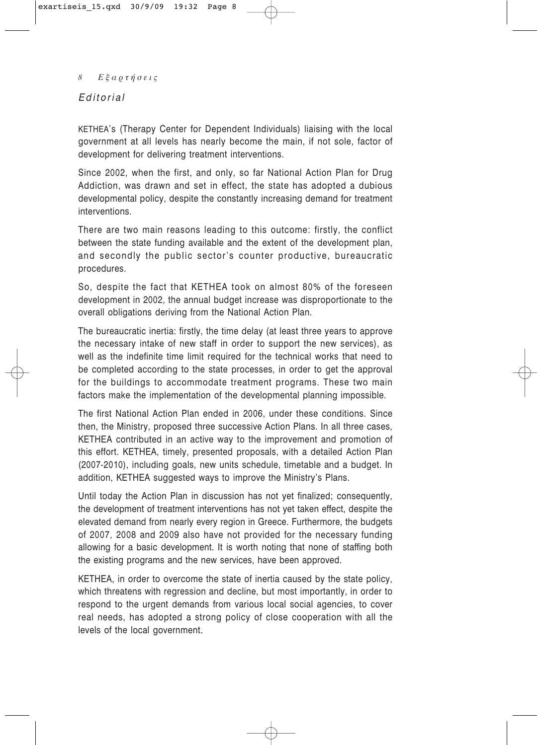*Editorial*

KETHEA's (Therapy Center for Dependent Individuals) liaising with the local government at all levels has nearly become the main, if not sole, factor of development for delivering treatment interventions.

Since 2002, when the first, and only, so far National Action Plan for Drug Addiction, was drawn and set in effect, the state has adopted a dubious developmental policy, despite the constantly increasing demand for treatment interventions.

There are two main reasons leading to this outcome: firstly, the conflict between the state funding available and the extent of the development plan, and secondly the public sector's counter productive, bureaucratic procedures.

So, despite the fact that KETHEA took on almost 80% of the foreseen development in 2002, the annual budget increase was disproportionate to the overall obligations deriving from the National Action Plan.

The bureaucratic inertia: firstly, the time delay (at least three years to approve the necessary intake of new staff in order to support the new services), as well as the indefinite time limit required for the technical works that need to be completed according to the state processes, in order to get the approval for the buildings to accommodate treatment programs. These two main factors make the implementation of the developmental planning impossible.

The first National Action Plan ended in 2006, under these conditions. Since then, the Ministry, proposed three successive Action Plans. In all three cases, KETHEA contributed in an active way to the improvement and promotion of this effort. KETHEA, timely, presented proposals, with a detailed Action Plan (2007-2010), including goals, new units schedule, timetable and a budget. In addition, KETHEA suggested ways to improve the Ministry's Plans.

Until today the Action Plan in discussion has not yet finalized; consequently, the development of treatment interventions has not yet taken effect, despite the elevated demand from nearly every region in Greece. Furthermore, the budgets of 2007, 2008 and 2009 also have not provided for the necessary funding allowing for a basic development. It is worth noting that none of staffing both the existing programs and the new services, have been approved.

KETHEA, in order to overcome the state of inertia caused by the state policy, which threatens with regression and decline, but most importantly, in order to respond to the urgent demands from various local social agencies, to cover real needs, has adopted a strong policy of close cooperation with all the levels of the local government.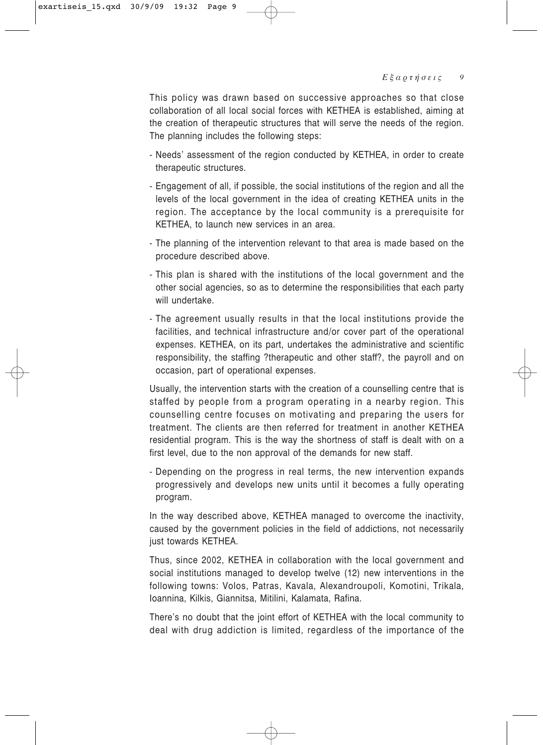This policy was drawn based on successive approaches so that close collaboration of all local social forces with KETHEA is established, aiming at the creation of therapeutic structures that will serve the needs of the region. The planning includes the following steps:

- Needs' assessment of the region conducted by KETHEA, in order to create therapeutic structures.
- Engagement of all, if possible, the social institutions of the region and all the levels of the local government in the idea of creating KETHEA units in the region. The acceptance by the local community is a prerequisite for KETHEA, to launch new services in an area.
- The planning of the intervention relevant to that area is made based on the procedure described above.
- This plan is shared with the institutions of the local government and the other social agencies, so as to determine the responsibilities that each party will undertake.
- The agreement usually results in that the local institutions provide the facilities, and technical infrastructure and/or cover part of the operational expenses. KETHEA, on its part, undertakes the administrative and scientific responsibility, the staffing ?therapeutic and other staff?, the payroll and on occasion, part of operational expenses.

Usually, the intervention starts with the creation of a counselling centre that is staffed by people from a program operating in a nearby region. This counselling centre focuses on motivating and preparing the users for treatment. The clients are then referred for treatment in another KETHEA residential program. This is the way the shortness of staff is dealt with on a first level, due to the non approval of the demands for new staff.

- Depending on the progress in real terms, the new intervention expands progressively and develops new units until it becomes a fully operating program.

In the way described above, KETHEA managed to overcome the inactivity, caused by the government policies in the field of addictions, not necessarily just towards KETHEA.

Thus, since 2002, KETHEA in collaboration with the local government and social institutions managed to develop twelve (12) new interventions in the following towns: Volos, Patras, Kavala, Alexandroupoli, Komotini, Trikala, Ioannina, Kilkis, Giannitsa, Mitilini, Kalamata, Rafina.

There's no doubt that the joint effort of KETHEA with the local community to deal with drug addiction is limited, regardless of the importance of the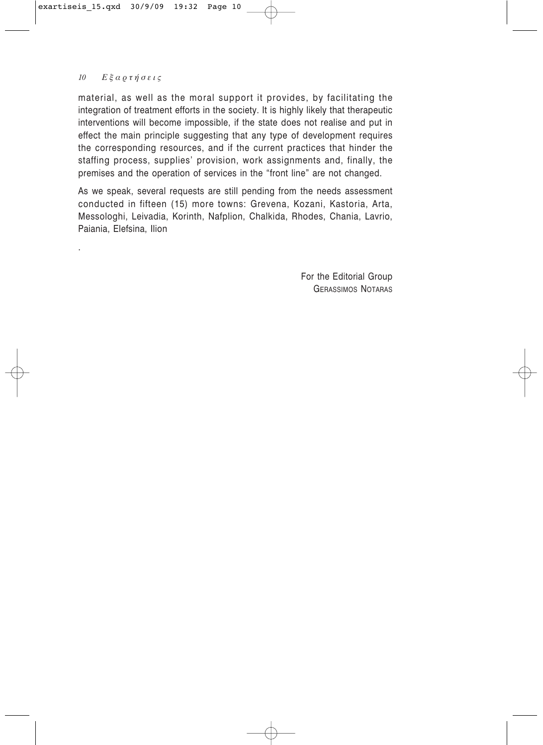.

material, as well as the moral support it provides, by facilitating the integration of treatment efforts in the society. It is highly likely that therapeutic interventions will become impossible, if the state does not realise and put in effect the main principle suggesting that any type of development requires the corresponding resources, and if the current practices that hinder the staffing process, supplies' provision, work assignments and, finally, the premises and the operation of services in the "front line" are not changed.

As we speak, several requests are still pending from the needs assessment conducted in fifteen (15) more towns: Grevena, Kozani, Kastoria, Arta, Messologhi, Leivadia, Korinth, Nafplion, Chalkida, Rhodes, Chania, Lavrio, Paiania, Elefsina, Ilion

> For the Editorial Group GERASSIMOS NOTARAS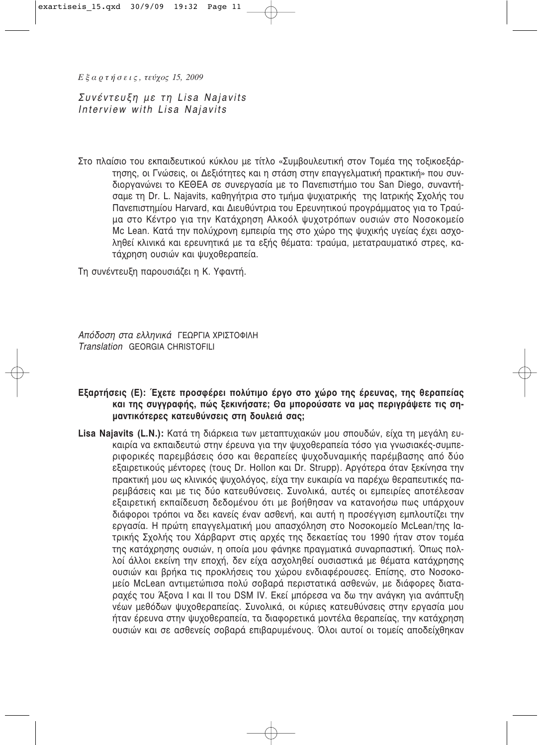*Ε ξ α ρ τ ή σ ε ι ς , τεύχος 15, 2009*

 $\Sigma$ υνέντευξη με τη Lisa Najavits *Interview with Lisa Najavits* 

Στο πλαίσιο του εκπαιδευτικού κύκλου με τίτλο «Συμβουλευτική στον Τομέα της τοξικοεξάρτησης, οι Γνώσεις, οι Δεξιότητες και η στάση στην επαγγελματική πρακτική» που συνδιοργανώνει το KEΘEA σε συνεργασία με το Πανεπιστήμιο του San Diego, συναντήσαμε τη Dr. L. Najavits, καθηγήτρια στο τμήμα ψυχιατρικής της Ιατρικής Σχολής του Πανεπιστημίου Harvard, και Διευθύντρια του Ερευνητικού προγράμματος για το Τραύμα στο Κέντρο για την Κατάχρηση Αλκοόλ ψυχοτρόπων ουσιών στο Νοσοκομείο Mc Lean. Κατά την πολύχρονη εμπειρία της στο χώρο της ψυχικής υγείας έχει ασχοληθεί κλινικά και ερευνητικά με τα εξής θέματα: τραύμα, μετατραυματικό στρες, κατάχρηση ουσιών και ψυχοθεραπεία.

Τη συνέντευξη παρουσιάζει η Κ. Υφαντή.

Απόδοση στα ελληνικά ΓΕΩΡΓΙΑ ΧΡΙΣΤΟΦΙΛΗ *Translation* GEORGIA CHRISTOFILI

# **Εξαρτήσεις (Ε): Έχετε προσφέρει πολύτιμο έργο στο χώρο της έρευνας, της θεραπείας και της συγγραφής, πώς ξεκινήσατε; Θα μπορούσατε να μας περιγράψετε τις σημαντικότερες κατευθύνσεις στη δουλειά σας;**

Lisa Najavits (L.N.): Κατά τη διάρκεια των μεταπτυχιακών μου σπουδών, είχα τη μεγάλη ευκαιρία να εκπαιδευτώ στην έρευνα για την ψυχοθεραπεία τόσο για γνωσιακές-συμπεριφορικές παρεμβάσεις όσο και θεραπείες ψυχοδυναμικής παρέμβασης από δύο εξαιρετικούς μέντορες (τους Dr. Hollon και Dr. Strupp). Αργότερα όταν ξεκίνησα την πρακτική μου ως κλινικός ψυχολόγος, είχα την ευκαιρία να παρέχω θεραπευτικές παρεμβάσεις και με τις δύο κατευθύνσεις. Συνολικά, αυτές οι εμπειρίες αποτέλεσαν εξαιρετική εκπαίδευση δεδομένου ότι με βοήθησαν να κατανοήσω πως υπάρχουν διάφοροι τρόποι να δει κανείς έναν ασθενή, και αυτή η προσέγγιση εμπλουτίζει την εργασία. Η πρώτη επαγγελματική μου απασχόληση στο Νοσοκομείο McLean/της laτρικής Σχολής του Χάρβαρντ στις αρχές της δεκαετίας του 1990 ήταν στον τομέα της κατάχρησης ουσιών, η οποία μου φάνηκε πραγματικά συναρπαστική. Όπως πολλοί άλλοι εκείνη την εποχή, δεν είχα ασχοληθεί ουσιαστικά με θέματα κατάχρησης ουσιών και βρήκα τις προκλήσεις του χώρου ενδιαφέρουσες. Επίσης, στο Νοσοκομείο McLean αντιμετώπισα πολύ σοβαρά περιστατικά ασθενών, με διάφορες διαταραχές του Άξονα Ι και ΙΙ του DSM IV. Εκεί μπόρεσα να δω την ανάγκη για ανάπτυξη νέων μεθόδων ψυχοθεραπείας. Συνολικά, οι κύριες κατευθύνσεις στην εργασία μου ήταν έρευνα στην ψυχοθεραπεία, τα διαφορετικά μοντέλα θεραπείας, την κατάχρηση ουσιών και σε ασθενείς σοβαρά επιβαρυμένους. Όλοι αυτοί οι τομείς αποδείχθηκαν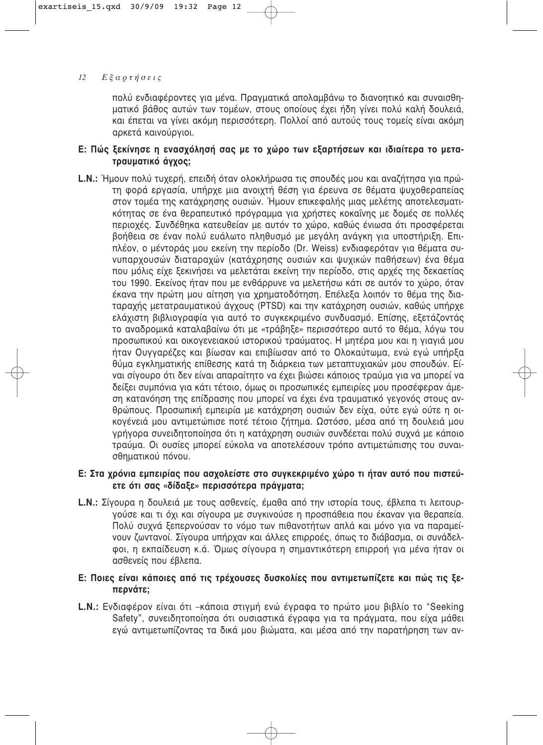πολύ ενδιαφέροντες για μένα. Πραγματικά απολαμβάνω το διανοητικό και συναισθηματικό βάθος αυτών των τομέων, στους οποίους έχει ήδη γίνει πολύ καλή δουλειά, και έπεται να γίνει ακόμη περισσότερη. Πολλοί από αυτούς τους τομείς είναι ακόμη αρκετά καινούργιοι.

# E: Πώς ξεκίνησε η ενασχόλησή σας με το χώρο των εξαρτήσεων και ιδιαίτερα το μετα**τραυματικό άγχος;**

**L.N.:** Ήμουν πολύ τυχερή, επειδή όταν ολοκλήρωσα τις σπουδές μου και αναζήτησα για πρώτη φορά εργασία, υπήρχε μια ανοιχτή θέση για έρευνα σε θέματα ψυχοθεραπείας στον τομέα της κατάχρησης ουσιών. Ήμουν επικεφαλής μιας μελέτης αποτελεσματι-Κότητας σε ένα θεραπευτικό πρόγραμμα για χρήστες κοκαΐνης με δομές σε πολλές περιοχές. Συνδέθηκα κατευθείαν με αυτόν το χώρο, καθώς ένιωσα ότι προσφέρεται βοήθεια σε έναν πολύ ευάλωτο πληθυσμό με μεγάλη ανάγκη για υποστήριξη. Επιπλέον, ο μέντοράς μου εκείνη την περίοδο (Dr. Weiss) ενδιαφερόταν για θέματα συνυπαρχουσών διαταραχών (κατάχρησης ουσιών και ψυχικών παθήσεων) ένα θέμα που μόλις είχε ξεκινήσει να μελετάται εκείνη την περίοδο, στις αρχές της δεκαετίας του 1990. Εκείνος ήταν που με ενθάρρυνε να μελετήσω κάτι σε αυτόν το χώρο, όταν έκανα την πρώτη μου αίτηση για χρηματοδότηση. Επέλεξα λοιπόν το θέμα της διαταραχής μετατραυματικού άγχους (PTSD) και την κατάχρηση ουσιών, καθώς υπήρχε ελάχιστη βιβλιονραφία για αυτό το συνκεκριμένο συνδυασμό. Επίσης, εξετάζοντάς το αναδρομικά καταλαβαίνω ότι με «τράβηξε» περισσότερο αυτό το θέμα, λόγω του προσωπικού και οικογενειακού ιστορικού τραύματος. Η μητέρα μου και η γιαγιά μου ήταν Ουνναρέζες και βίωσαν και επιβίωσαν από το Ολοκαύτωμα, ενώ ενώ υπήρξα θύμα εγκληματικής επίθεσης κατά τη διάρκεια των μεταπτυχιακών μου σπουδών. Είναι σίγουρο ότι δεν είναι απαραίτητο να έχει βιώσει κάποιος τραύμα για να μπορεί να δείξει συμπόνια για κάτι τέτοιο, όμως οι προσωπικές εμπειρίες μου προσέφεραν άμεση κατανόηση της επίδρασης που μπορεί να έχει ένα τραυματικό γεγονός στους ανθρώπους. Προσωπική εμπειρία με κατάχρηση ουσιών δεν είχα, ούτε εγώ ούτε η οι-Κογένειά μου αντιμετώπισε ποτέ τέτοιο ζήτημα. Ωστόσο, μέσα από τη δουλειά μου γρήγορα συνειδητοποίησα ότι η κατάχρηση ουσιών συνδέεται πολύ συχνά με κάποιο τραύμα. Οι ουσίες μπορεί εύκολα να αποτελέσουν τρόπο αντιμετώπισης του συναισθηματικού πόνου.

# E: Στα χρόνια εμπειρίας που ασχολείστε στο συνκεκριμένο χώρο τι ήταν αυτό που πιστεύ*ετε ότι σας «δίδαξε» περισσότερα πράγματα;*

- L.N.: Σίγουρα η δουλειά με τους ασθενείς, έμαθα από την ιστορία τους, έβλεπα τι λειτουργούσε και τι όχι και σίγουρα με συγκινούσε η προσπάθεια που έκαναν για θεραπεία. Πολύ συχνά ξεπερνούσαν το νόμο των πιθανοτήτων απλά και μόνο για να παραμείνουν ζωντανοί. Σίγουρα υπήρχαν και άλλες επιρροές, όπως το διάβασμα, οι συνάδελφοι, η εκπαίδευση κ.ά. Όμως σίγουρα η σημαντικότερη επιρροή για μένα ήταν οι ασθενείς που έβλεπα.
- E: Ποιες είναι κάποιες από τις τρέχουσες δυσκολίες που αντιμετωπίζετε και πώς τις ξε-**Περνάτε;**
- L.Ν.: Ενδιαφέρον είναι ότι –κάποια στιγμή ενώ έγραφα το πρώτο μου βιβλίο το "Seeking Safety", συνειδητοποίησα ότι ουσιαστικά έγραφα για τα πράγματα, που είχα μάθει εγώ αντιμετωπίζοντας τα δικά μου βιώματα, και μέσα από την παρατήρηση των αν-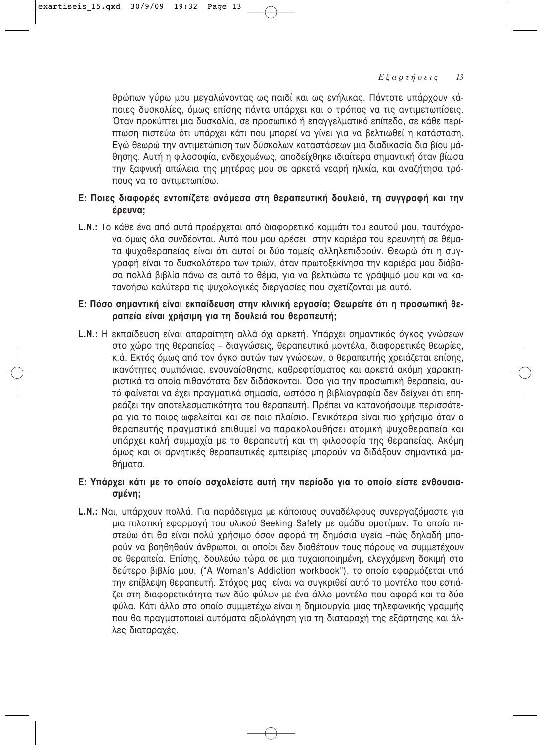exartiseis 15.qxd 30/9/09 Page 13  $19:32$ 

> θρώπων γύρω μου μεγαλώνοντας ως παιδί και ως ενήλικας. Πάντοτε υπάρχουν κάποιες δυσκολίες, όμως επίσης πάντα υπάρχει και ο τρόπος να τις αντιμετωπίσεις. Όταν προκύπτει μια δυσκολία, σε προσωπικό ή επαγγελματικό επίπεδο, σε κάθε περίπτωση πιστεύω ότι υπάρχει κάτι που μπορεί να γίνει για να βελτιωθεί η κατάσταση. Εγώ θεωρώ την αντιμετώπιση των δύσκολων καταστάσεων μια διαδικασία δια βίου μάθησης. Αυτή η φιλοσοφία, ενδεχομένως, αποδείχθηκε ιδιαίτερα σημαντική όταν βίωσα την ξαφνική απώλεια της μητέρας μου σε αρκετά νεαρή ηλικία, και αναζήτησα τρόπους να το αντιμετωπίσω.

# Ε: Ποιες διαφορές εντοπίζετε ανάμεσα στη θεραπευτική δουλειά, τη συγγραφή και την έρευνα;

L.N.: Το κάθε ένα από αυτά προέρχεται από διαφορετικό κομμάτι του εαυτού μου, ταυτόχρονα όμως όλα συνδέονται. Αυτό που μου αρέσει στην καριέρα του ερευνητή σε θέματα ψυχοθεραπείας είναι ότι αυτοί οι δύο τομείς αλληλεπιδρούν. Θεωρώ ότι η συγγραφή είναι το δυσκολότερο των τριών, όταν πρωτοξεκίνησα την καριέρα μου διάβασα πολλά βιβλία πάνω σε αυτό το θέμα, για να βελτιώσω το γράψιμό μου και να κατανοήσω καλύτερα τις ψυχολογικές διεργασίες που σχετίζονται με αυτό.

# Ε: Πόσο σημαντική είναι εκπαίδευση στην κλινική εργασία; Θεωρείτε ότι η προσωπική θεραπεία είναι χρήσιμη για τη δουλειά του θεραπευτή;

L.N.: Η εκπαίδευση είναι απαραίτητη αλλά όχι αρκετή. Υπάρχει σημαντικός όγκος γνώσεων στο χώρο της θεραπείας – διαγνώσεις, θεραπευτικά μοντέλα, διαφορετικές θεωρίες, κ.ά. Εκτός όμως από τον όγκο αυτών των γνώσεων, ο θεραπευτής χρειάζεται επίσης, ικανότητες συμπόνιας, ενσυναίσθησης, καθρεφτίσματος και αρκετά ακόμη χαρακτηριστικά τα οποία πιθανότατα δεν διδάσκονται. Όσο για την προσωπική θεραπεία, αυτό φαίνεται να έχει πραγματικά σημασία, ωστόσο η βιβλιογραφία δεν δείχνει ότι επηρεάζει την αποτελεσματικότητα του θεραπευτή. Πρέπει να κατανοήσουμε περισσότερα για το ποιος ωφελείται και σε ποιο πλαίσιο. Γενικότερα είναι πιο χρήσιμο όταν ο θεραπευτής πραγματικά επιθυμεί να παρακολουθήσει ατομική ψυχοθεραπεία και υπάρχει καλή συμμαχία με το θεραπευτή και τη φιλοσοφία της θεραπείας. Ακόμη όμως και οι αρνητικές θεραπευτικές εμπειρίες μπορούν να διδάξουν σημαντικά μαθήματα.

# Ε: Υπάρχει κάτι με το οποίο ασχολείστε αυτή την περίοδο για το οποίο είστε ενθουσιασμένη;

L.N.: Ναι, υπάρχουν πολλά. Για παράδειγμα με κάποιους συναδέλφους συνεργαζόμαστε για μια πιλοτική εφαρμογή του υλικού Seeking Safety με ομάδα ομοτίμων. Το οποίο πιστεύω ότι θα είναι πολύ χρήσιμο όσον αφορά τη δημόσια υγεία –πώς δηλαδή μπορούν να βοηθηθούν άνθρωποι, οι οποίοι δεν διαθέτουν τους πόρους να συμμετέχουν σε θεραπεία. Επίσης, δουλεύω τώρα σε μια τυχαιοποιημένη, ελεγχόμενη δοκιμή στο δεύτερο βιβλίο μου, ("A Woman's Addiction workbook"), το οποίο εφαρμόζεται υπό την επίβλεψη θεραπευτή. Στόχος μας είναι να συγκριθεί αυτό το μοντέλο που εστιάζει στη διαφορετικότητα των δύο φύλων με ένα άλλο μοντέλο που αφορά και τα δύο φύλα. Κάτι άλλο στο οποίο συμμετέχω είναι η δημιουργία μιας τηλεφωνικής γραμμής που θα πραγματοποιεί αυτόματα αξιολόγηση για τη διαταραχή της εξάρτησης και άλλες διαταραχές.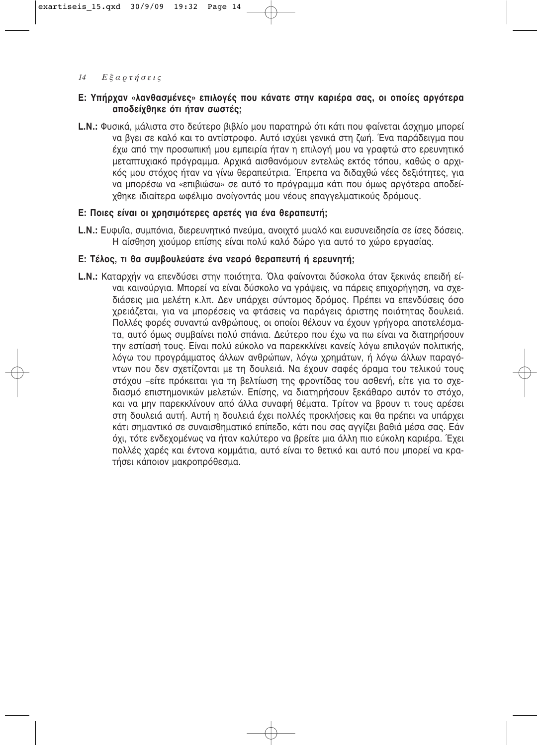# Ε: Υπήρχαν «λανθασμένες» επιλογές που κάνατε στην καριέρα σας, οι οποίες αργότερα αποδείχθηκε ότι ήταν σωστές;

L.N.: Φυσικά, μάλιστα στο δεύτερο βιβλίο μου παρατηρώ ότι κάτι που φαίνεται άσχημο μπορεί να βγει σε καλό και το αντίστροφο. Αυτό ισχύει γενικά στη ζωή. Ένα παράδειγμα που έχω από την προσωπική μου εμπειρία ήταν η επιλογή μου να γραφτώ στο ερευνητικό μεταπτυχιακό πρόγραμμα. Αρχικά αισθανόμουν εντελώς εκτός τόπου, καθώς ο αρχικός μου στόχος ήταν να γίνω θεραπεύτρια. Έπρεπα να διδαχθώ νέες δεξιότητες, για να μπορέσω να «επιβιώσω» σε αυτό το πρόγραμμα κάτι που όμως αργότερα αποδείχθηκε ιδιαίτερα ωφέλιμο ανοίγοντάς μου νέους επαγγελματικούς δρόμους.

# Ε: Ποιες είναι οι χρησιμότερες αρετές για ένα θεραπευτή;

L.N.: Ευφυΐα, συμπόνια, διερευνητικό πνεύμα, ανοιχτό μυαλό και ευσυνειδησία σε ίσες δόσεις. Η αίσθηση χιούμορ επίσης είναι πολύ καλό δώρο για αυτό το χώρο εργασίας.

# Ε: Τέλος, τι θα συμβουλεύατε ένα νεαρό θεραπευτή ή ερευνητή;

L.N.: Καταρχήν να επενδύσει στην ποιότητα. Όλα φαίνονται δύσκολα όταν ξεκινάς επειδή είναι καινούργια. Μπορεί να είναι δύσκολο να γράψεις, να πάρεις επιχορήγηση, να σχεδιάσεις μια μελέτη κ.λπ. Δεν υπάρχει σύντομος δρόμος. Πρέπει να επενδύσεις όσο χρειάζεται, για να μπορέσεις να φτάσεις να παράγεις άριστης ποιότητας δουλειά. Πολλές φορές συναντώ ανθρώπους, οι οποίοι θέλουν να έχουν νρήνορα αποτελέσματα, αυτό όμως συμβαίνει πολύ σπάνια. Δεύτερο που έχω να πω είναι να διατηρήσουν την εστίασή τους. Είναι πολύ εύκολο να παρεκκλίνει κανείς λόγω επιλογών πολιτικής, λόγω του προγράμματος άλλων ανθρώπων, λόγω χρημάτων, ή λόγω άλλων παραγόντων που δεν σχετίζονται με τη δουλειά. Να έχουν σαφές όραμα του τελικού τους στόχου - είτε πρόκειται για τη βελτίωση της φροντίδας του ασθενή, είτε για το σχεδιασμό επιστημονικών μελετών. Επίσης, να διατηρήσουν ξεκάθαρο αυτόν το στόχο, και να μην παρεκκλίνουν από άλλα συναφή θέματα. Τρίτον να βρουν τι τους αρέσει στη δουλειά αυτή. Αυτή η δουλειά έχει πολλές προκλήσεις και θα πρέπει να υπάρχει κάτι σημαντικό σε συναισθηματικό επίπεδο, κάτι που σας αγγίζει βαθιά μέσα σας. Εάν όχι, τότε ενδεχομένως να ήταν καλύτερο να βρείτε μια άλλη πιο εύκολη καριέρα. Έχει πολλές χαρές και έντονα κομμάτια, αυτό είναι το θετικό και αυτό που μπορεί να κρατήσει κάποιον μακροπρόθεσμα.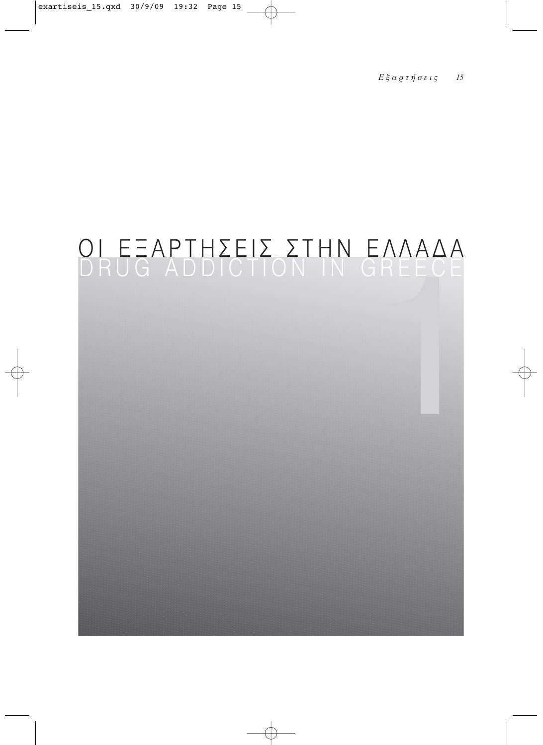$E \xi \alpha \varrho \tau \eta \sigma \varepsilon \iota \varsigma$  15

# <u>ΟΙ ΕΞΑΡΤΗΣΕΙΣ ΣΤΗΝ ΕΛΛΑΔΑ</u><br>Drug addiction in greece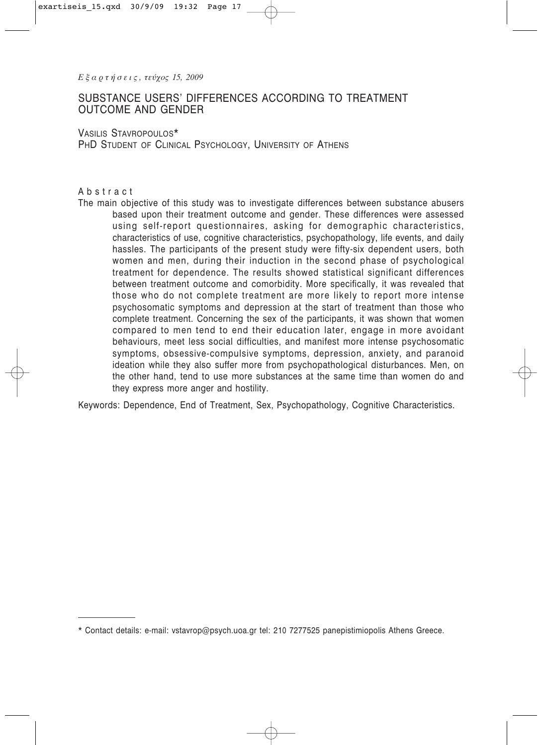*Ε ξ α ρ τ ή σ ε ι ς , τεύχος 15, 2009*

# SUBSTANCE USERS' DIFFERENCES ACCORDING TO TREATMENT OUTCOME AND GENDER

VASILIS STAVROPOULOS<sup>\*</sup> PHD STUDENT OF CLINICAL PSYCHOLOGY, UNIVERSITY OF ATHENS

Abstract

The main objective of this study was to investigate differences between substance abusers based upon their treatment outcome and gender. These differences were assessed using self-report questionnaires, asking for demographic characteristics, characteristics of use, cognitive characteristics, psychopathology, life events, and daily hassles. The participants of the present study were fifty-six dependent users, both women and men, during their induction in the second phase of psychological treatment for dependence. The results showed statistical significant differences between treatment outcome and comorbidity. More specifically, it was revealed that those who do not complete treatment are more likely to report more intense psychosomatic symptoms and depression at the start of treatment than those who complete treatment. Concerning the sex of the participants, it was shown that women compared to men tend to end their education later, engage in more avoidant behaviours, meet less social difficulties, and manifest more intense psychosomatic symptoms, obsessive-compulsive symptoms, depression, anxiety, and paranoid ideation while they also suffer more from psychopathological disturbances. Men, on the other hand, tend to use more substances at the same time than women do and they express more anger and hostility.

Keywords: Dependence, End of Treatment, Sex, Psychopathology, Cognitive Characteristics.

<sup>\*</sup> Contact details: e-mail: vstavrop@psych.uoa.gr tel: 210 7277525 panepistimiopolis Athens Greece.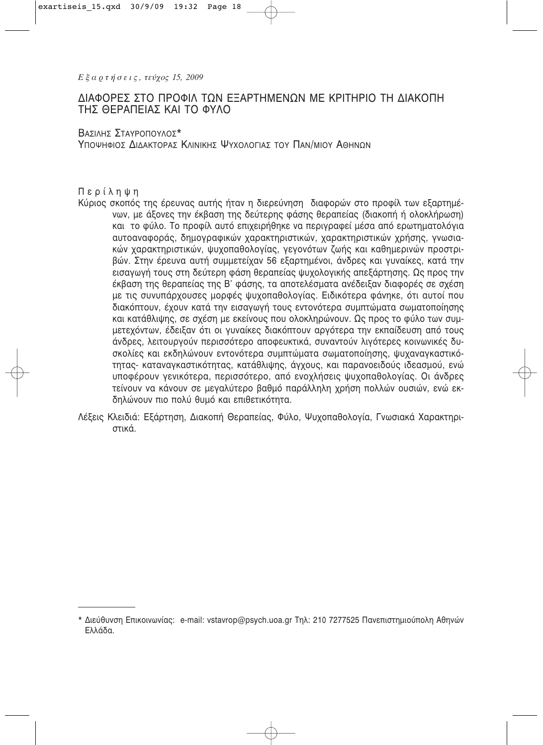Εξαρτήσεις, τεύχος 15, 2009

ΔΙΑΦΟΡΕΣ ΣΤΟ ΠΡΟΦΙΛ ΤΩΝ ΕΞΑΡΤΗΜΕΝΩΝ ΜΕ ΚΡΙΤΗΡΙΟ ΤΗ ΔΙΑΚΟΠΗ ΤΗΣ ΘΕΡΑΠΕΙΑΣ ΚΑΙ ΤΟ ΦΥΛΟ

ΒΑΣΙΛΗΣ ΣΤΑΥΡΟΠΟΥΛΟΣ\*

ΥΠΟΨΗΦΙΟΣ ΔΙΔΑΚΤΟΡΑΣ ΚΛΙΝΙΚΗΣ ΨΥΧΟΛΟΓΙΑΣ ΤΟΥ ΠΑΝ/ΜΙΟΥ ΑΘΗΝΩΝ

# Περίληψη

- Κύριος σκοπός της έρευνας αυτής ήταν η διερεύνηση διαφορών στο προφίλ των εξαρτημένων, με άξονες την έκβαση της δεύτερης φάσης θεραπείας (διακοπή ή ολοκλήρωση) και το φύλο. Το προφίλ αυτό επιχειρήθηκε να περιγραφεί μέσα από ερωτηματολόγια αυτοαναφοράς, δημογραφικών χαρακτηριστικών, χαρακτηριστικών χρήσης, γνωσιακών χαρακτηριστικών, ψυχοπαθολογίας, γεγονότων ζωής και καθημερινών προστριβών. Στην έρευνα αυτή συμμετείχαν 56 εξαρτημένοι, άνδρες και γυναίκες, κατά την εισαγωγή τους στη δεύτερη φάση θεραπείας ψυχολογικής απεξάρτησης. Ως προς την έκβαση της θεραπείας της Β' φάσης, τα αποτελέσματα ανέδειξαν διαφορές σε σχέση με τις συνυπάρχουσες μορφές ψυχοπαθολογίας. Ειδικότερα φάνηκε, ότι αυτοί που διακόπτουν, έχουν κατά την εισαγωγή τους εντονότερα συμπτώματα σωματοποίησης και κατάθλιψης, σε σχέση με εκείνους που ολοκληρώνουν. Ως προς το φύλο των συμμετεχόντων, έδειξαν ότι οι γυναίκες διακόπτουν αργότερα την εκπαίδευση από τους άνδρες, λειτουργούν περισσότερο αποφευκτικά, συναντούν λιγότερες κοινωνικές δυσκολίες και εκδηλώνουν εντονότερα συμπτώματα σωματοποίησης, ψυχαναγκαστικότητας- καταναγκαστικότητας, κατάθλιψης, άγχους, και παρανοειδούς ιδεασμού, ενώ υποφέρουν γενικότερα, περισσότερο, από ενοχλήσεις ψυχοπαθολογίας. Οι άνδρες τείνουν να κάνουν σε μεγαλύτερο βαθμό παράλληλη χρήση πολλών ουσιών, ενώ εκδηλώνουν πιο πολύ θυμό και επιθετικότητα.
- Λέξεις Κλειδιά: Εξάρτηση, Διακοπή Θεραπείας, Φύλο, Ψυχοπαθολογία, Γνωσιακά Χαρακτηριστικά.

<sup>\*</sup> Διεύθυνση Επικοινωνίας: e-mail: vstavrop@psych.uoa.gr Τηλ: 210 7277525 Πανεπιστημιούπολη Αθηνών Ελλάδα.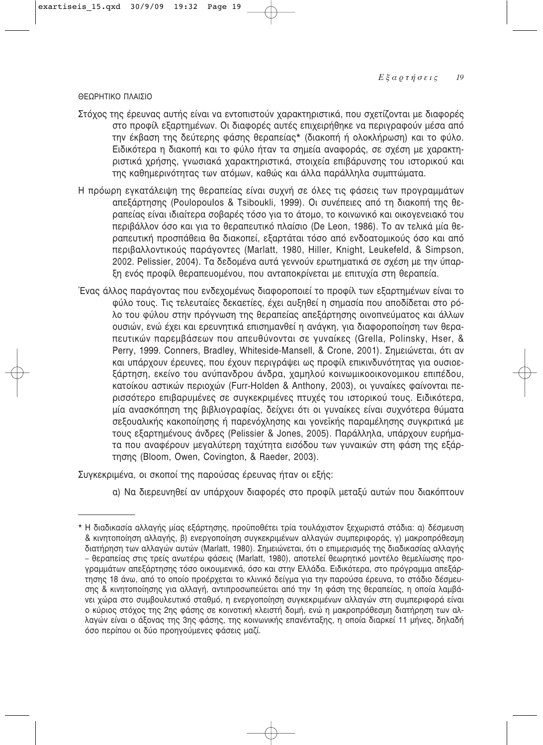#### ΘΕΩΡΗΤΙΚΟ ΠΛΑΙΣΙΟ

- Στόχος της έρευνας αυτής είναι να εντοπιστούν χαρακτηριστικά, που σχετίζονται με διαφορές στο προφίλ εξαρτημένων. Οι διαφορές αυτές επιχειρήθηκε να περιγραφούν μέσα από την έκβαση της δεύτερης φάσης θεραπείας\* (διακοπή ή ολοκλήρωση) και το φύλο. Ειδικότερα η διακοπή και το φύλο ήταν τα σημεία αναφοράς, σε σχέση με χαρακτηριστικά χρήσης, γνωσιακά χαρακτηριστικά, στοιχεία επιβάρυνσης του ιστορικού και της καθημερινότητας των ατόμων, καθώς και άλλα παράλληλα συμπτώματα.
- Η πρόωρη εγκατάλειψη της θεραπείας είναι συχνή σε όλες τις φάσεις των προγραμμάτων απεξάρτησης (Poulopoulos & Tsiboukli, 1999). Οι συνέπειες από τη διακοπή της θεραπείας είναι ιδιαίτερα σοβαρές τόσο για το άτομο, το κοινωνικό και οικογενειακό του περιβάλλον όσο και νια το θεραπευτικό πλαίσιο (De Leon, 1986). Το αν τελικά μία θεραπευτική προσπάθεια θα διακοπεί, εξαρτάται τόσο από ενδοατομικούς όσο και από περιβαλλοντικούς παράγοντες (Marlatt, 1980, Hiller, Knight, Leukefeld, & Simpson, 2002. Pelissier, 2004). Τα δεδομένα αυτά γεννούν ερωτηματικά σε σχέση με την ύπαρξη ενός προφίλ θεραπευομένου, που ανταποκρίνεται με επιτυχία στη θεραπεία.
- Ένας άλλος παράγοντας που ενδεχομένως διαφοροποιεί το προφίλ των εξαρτημένων είναι το φύλο τους. Τις τελευταίες δεκαετίες, έχει αυξηθεί η σημασία που αποδίδεται στο ρόλο του φύλου στην πρόγνωση της θεραπείας απεξάρτησης οινοπνεύματος και άλλων ουσιών, ενώ έχει και ερευνητικά επισημανθεί η ανάγκη, για διαφοροποίηση των θεραπευτικών παρεμβάσεων που απευθύνονται σε γυναίκες (Grella, Polinsky, Hser, & Perry, 1999. Conners, Bradley, Whiteside-Mansell, & Crone, 2001). Σημειώνεται, ότι αν και υπάρχουν έρευνες, που έχουν περιγράψει ως προφίλ επικινδυνότητας για ουσιοεξάρτηση, εκείνο του ανύπανδρου άνδρα, χαμηλού κοινωμικοοικονομικου επιπέδου, κατοίκου αστικών περιοχών (Furr-Holden & Anthony, 2003), οι γυναίκες φαίνονται περισσότερο επιβαρυμένες σε συγκεκριμένες πτυχές του ιστορικού τους. Ειδικότερα, μία ανασκόπηση της βιβλιογραφίας, δείχνει ότι οι γυναίκες είναι συχνότερα θύματα σεξουαλικής κακοποίησης ή παρενόχλησης και γονεϊκής παραμέλησης συγκριτικά με τους εξαρτημένους άνδρες (Pelissier & Jones, 2005). Παράλληλα, υπάρχουν ευρήματα που αναφέρουν μεγαλύτερη ταχύτητα εισόδου των γυναικών στη φάση της εξάρτησης (Bloom, Owen, Covington, & Raeder, 2003).

Συγκεκριμένα, οι σκοποί της παρούσας έρευνας ήταν οι εξής:

α) Να διερευνηθεί αν υπάρχουν διαφορές στο προφίλ μεταξύ αυτών που διακόπτουν

<sup>\*</sup> Η διαδικασία αλλαγής μίας εξάρτησης, προϋποθέτει τρία τουλάχιστον ξεχωριστά στάδια: α) δέσμευση & κινητοποίηση αλλαγής, β) ενεργοποίηση συγκεκριμένων αλλαγών συμπεριφοράς, γ) μακροπρόθεσμη διατήρηση των αλλαγών αυτών (Marlatt, 1980). Σημειώνεται, ότι ο επιμερισμός της διαδικασίας αλλαγής – θεραπείας στις τρείς ανωτέρω φάσεις (Marlatt, 1980), αποτελεί θεωρητικό μοντέλο θεμελίωσης προγραμμάτων απεξάρτησης τόσο οικουμενικά, όσο και στην Ελλάδα. Ειδικότερα, στο πρόγραμμα απεξάρτησης 18 άνω, από το οποίο προέρχεται το κλινικό δείγμα για την παρούσα έρευνα, το στάδιο δέσμευσης & κινητοποίησης για αλλαγή, αντιπροσωπεύεται από την 1η φάση της θεραπείας, η οποία λαμβάνει χώρα στο συμβουλευτικό σταθμό, η ενεργοποίηση συγκεκριμένων αλλαγών στη συμπεριφορά είναι ο κύριος στόχος της 2ης φάσης σε κοινοτική κλειστή δομή, ενώ η μακροπρόθεσμη διατήρηση των αλλαγών είναι ο άξονας της 3ης φάσης, της κοινωνικής επανένταξης, η οποία διαρκεί 11 μήνες, δηλαδή όσο περίπου οι δύο προηγούμενες φάσεις μαζί.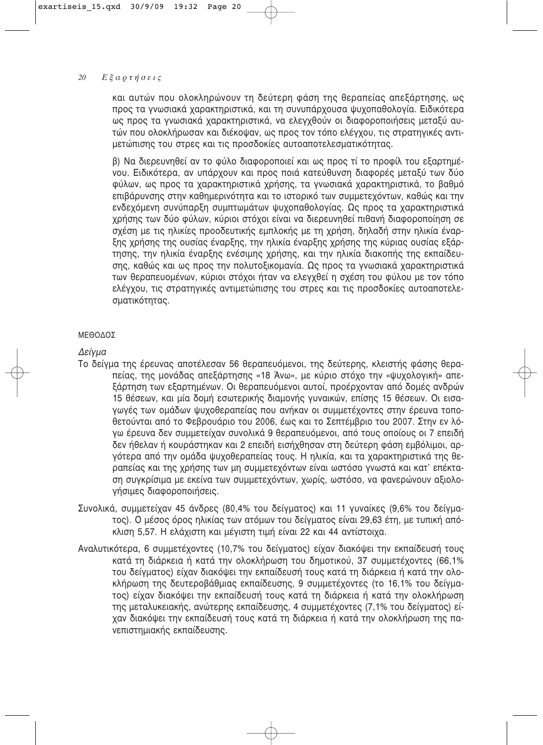και αυτών που ολοκληρώνουν τη δεύτερη φάση της θεραπείας απεξάρτησης, ως προς τα γνωσιακά χαρακτηριστικά, και τη συνυπάρχουσα ψυχοπαθολογία. Ειδικότερα ως προς τα γνωσιακά χαρακτηριστικά, να ελεγχθούν οι διαφοροποιήσεις μεταξύ αυτών που ολοκλήρωσαν και διέκοψαν, ως προς τον τόπο ελέγχου, τις στρατηγικές αντιμετώπισης του στρες και τις προσδοκίες αυτοαποτελεσματικότητας.

β) Να διερευνηθεί αν το φύλο διαφοροποιεί και ως προς τί το προφίλ του εξαρτημένου. Ειδικότερα, αν υπάρχουν και προς ποιά κατεύθυνση διαφορές μεταξύ των δύο φύλων, ως προς τα χαρακτηριστικά χρήσης, τα γνωσιακά χαρακτηριστικά, το βαθμό επιβάρυνσης στην καθημερινότητα και το ιστορικό των συμμετεχόντων, καθώς και την ενδεχόμενη συνύπαρξη συμπτωμάτων ψυχοπαθολογίας. Ως προς τα χαρακτηριστικά χρήσης των δύο φύλων, κύριοι στόχοι είναι να διερευνηθεί πιθανή διαφοροποίηση σε σχέση με τις ηλικίες προοδευτικής εμπλοκής με τη χρήση, δηλαδή στην ηλικία έναρξης χρήσης της ουσίας έναρξης, την ηλικία έναρξης χρήσης της κύριας ουσίας εξάρτησης, την ηλικία έναρξης ενέσιμης χρήσης, και την ηλικία διακοπής της εκπαίδευσης, καθώς και ως προς την πολυτοξικομανία. Ως προς τα γνωσιακά χαρακτηριστικά των θεραπευομένων, κύριοι στόχοι ήταν να ελεγχθεί η σχέση του φύλου με τον τόπο ελέγχου, τις στρατηγικές αντιμετώπισης του στρες και τις προσδοκίες αυτοαποτελεσματικότητας.

#### ΜΕΘΟΔΟΣ

 $\Delta$ είνμα

- Το δείγμα της έρευνας αποτέλεσαν 56 θεραπευόμενοι, της δεύτερης, κλειστής φάσης θεραπείας, της μονάδας απεξάρτησης «18 Άνω», με κύριο στόχο την «ψυχολογική» απεξάρτηση των εξαρτημένων. Οι θεραπευόμενοι αυτοί, προέρχονταν από δομές ανδρών 15 θέσεων, και μία δομή εσωτερικής διαμονής γυναικών, επίσης 15 θέσεων. Οι εισαγωγές των ομάδων ψυχοθεραπείας που ανήκαν οι συμμετέχοντες στην έρευνα τοποθετούνται από το Φεβρουάριο του 2006, έως και το Σεπτέμβριο του 2007. Στην εν λόγω έρευνα δεν συμμετείχαν συνολικά 9 θεραπευόμενοι, από τους οποίους οι 7 επειδή δεν ήθελαν ή κουράστηκαν και 2 επειδή εισήχθησαν στη δεύτερη φάση εμβόλιμοι, αργότερα από την ομάδα ψυχοθεραπείας τους. Η ηλικία, και τα χαρακτηριστικά της θεραπείας και της χρήσης των μη συμμετεχόντων είναι ωστόσο γνωστά και κατ' επέκταση συγκρίσιμα με εκείνα των συμμετεχόντων, χωρίς, ωστόσο, να φανερώνουν αξιολογήσιμες διαφοροποιήσεις.
- Συνολικά, συμμετείχαν 45 άνδρες (80,4% του δείγματος) και 11 γυναίκες (9,6% του δείγματος). Ο μέσος όρος ηλικίας των ατόμων του δείγματος είναι 29,63 έτη, με τυπική απόκλιση 5,57. Η ελάχιστη και μέγιστη τιμή είναι 22 και 44 αντίστοιχα.
- Αναλυτικότερα, 6 συμμετέχοντες (10,7% του δείγματος) είχαν διακόψει την εκπαίδευσή τους κατά τη διάρκεια ή κατά την ολοκλήρωση του δημοτικού, 37 συμμετέχοντες (66,1% του δείγματος) είχαν διακόψει την εκπαίδευσή τους κατά τη διάρκεια ή κατά την ολοκλήρωση της δευτεροβάθμιας εκπαίδευσης, 9 συμμετέχοντες (το 16,1% του δείγματος) είχαν διακόψει την εκπαίδευσή τους κατά τη διάρκεια ή κατά την ολοκλήρωση της μεταλυκειακής, ανώτερης εκπαίδευσης, 4 συμμετέχοντες (7,1% του δείγματος) είχαν διακόψει την εκπαίδευσή τους κατά τη διάρκεια ή κατά την ολοκλήρωση της πανεπιστημιακής εκπαίδευσης.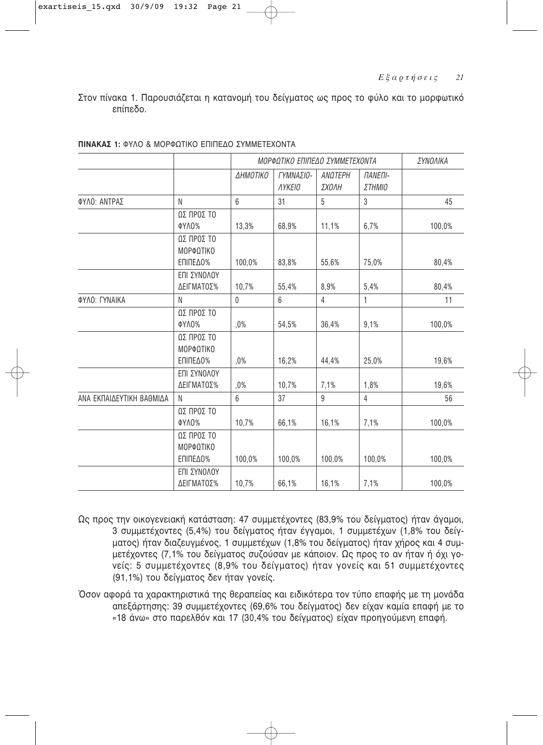|                          |                                     |              | ΜΟΡΦΩΤΙΚΟ ΕΠΙΠΕΔΟ ΣΥΜΜΕΤΕΧΟΝΤΑ |                  |                   | ΣΥΝΟΛΙΚΑ |
|--------------------------|-------------------------------------|--------------|--------------------------------|------------------|-------------------|----------|
|                          |                                     | ΔΗΜΟΤΙΚΟ     | ΓΥΜΝΑΣΙΟ-<br><b>AYKEIO</b>     | ANOTEPH<br>ΣΧΟΛΗ | ПАЛЕПІ-<br>ΣΤΗΜΙΟ |          |
| ΦΥΛΟ: ΑΝΤΡΑΣ             | N                                   | 6            | 31                             | $\overline{5}$   | 3                 | 45       |
|                          | ΩΣ ΠΡΟΣ ΤΟ<br>ΦΥΛ0%                 | 13,3%        | 68,9%                          | 11,1%            | 6,7%              | 100,0%   |
|                          | ΩΣ ΠΡΟΣ ΤΟ<br>ΜΟΡΦΩΤΙΚΟ<br>ΕΠΙΠΕΔΟ% | 100.0%       | 83,8%                          | 55,6%            | 75,0%             | 80,4%    |
|                          | ΕΠΙ ΣΥΝΟΛΟΥ<br>ΔΕΙΓΜΑΤΟΣ%           | 10,7%        | 55,4%                          | 8,9%             | 5,4%              | 80,4%    |
| ΦΥΛΟ: ΓΥΝΑΙΚΑ            | N                                   | $\mathbf{0}$ | 6                              | $\overline{4}$   | $\mathbf{1}$      | 11       |
|                          | ΩΣ ΠΡΟΣ ΤΟ<br><b>ΦΥΛΟ%</b>          | ,0%          | 54,5%                          | 36,4%            | 9,1%              | 100,0%   |
|                          | ΩΣ ΠΡΟΣ ΤΟ<br>ΜΟΡΦΩΤΙΚΟ<br>ΕΠΙΠΕΔΟ% | .0%          | 16,2%                          | 44,4%            | 25,0%             | 19,6%    |
|                          | ΕΠΙ ΣΥΝΟΛΟΥ<br>ΔΕΙΓΜΑΤΟΣ%           | ,0%          | 10,7%                          | 7,1%             | 1,8%              | 19,6%    |
| ΑΝΑ ΕΚΠΑΙΔΕΥΤΙΚΗ ΒΑΘΜΙΔΑ | N                                   | 6            | 37                             | 9                | 4                 | 56       |
|                          | ΩΣ ΠΡΟΣ ΤΟ<br><b>ΦΥΛΟ%</b>          | 10,7%        | 66,1%                          | 16,1%            | 7,1%              | 100,0%   |
|                          | ΩΣ ΠΡΟΣ ΤΟ<br>ΜΟΡΦΩΤΙΚΟ<br>ΕΠΙΠΕΔΟ% | 100.0%       | 100,0%                         | 100,0%           | 100,0%            | 100,0%   |
|                          | ΕΠΙ ΣΥΝΟΛΟΥ<br>ΔΕΙΓΜΑΤΟΣ%           | 10,7%        | 66,1%                          | 16,1%            | 7,1%              | 100,0%   |

Στον πίνακα 1. Παρουσιάζεται η κατανομή του δείγματος ως προς το φύλο και το μορφωτικό επίπεδο.

| ΠΙΝΑΚΑΣ 1: ΦΥΛΟ & ΜΟΡΦΩΤΙΚΟ ΕΠΙΠΕΔΟ ΣΥΜΜΕΤΕΧΟΝΤΑ |
|--------------------------------------------------|
|                                                  |

Ως προς την οικογενειακή κατάσταση: 47 συμμετέχοντες (83,9% του δείγματος) ήταν άγαμοι, 3 συμμετέχοντες (5,4%) του δείγματος ήταν έγγαμοι, 1 συμμετέχων (1,8% του δείγματος) ήταν διαζευγμένος, 1 συμμετέχων (1,8% του δείγματος) ήταν χήρος και 4 συμμετέχοντες (7,1% του δείγματος συζούσαν με κάποιον. Ως προς το αν ήταν ή όχι γοvείς: 5 συμμετέχοντες (8,9% του δείγματος) ήταν γονείς και 51 συμμετέχοντες (91,1%) του δείγματος δεν ήταν γονείς.

Όσον αφορά τα χαρακτηριστικά της θεραπείας και ειδικότερα τον τύπο επαφής με τη μονάδα απεξάρτησης: 39 συμμετέχοντες (69,6% του δείγματος) δεν είχαν καμία επαφή με το «18 άνω» στο παρελθόν και 17 (30,4% του δείγματος) είχαν προηγούμενη επαφή.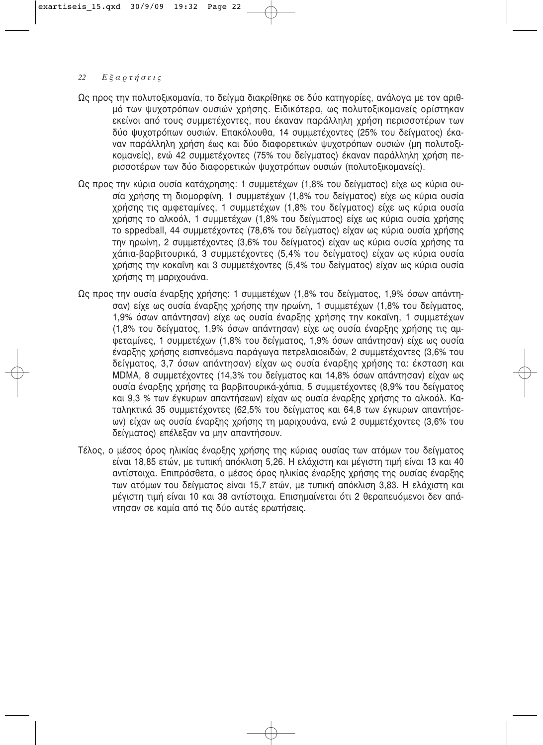- Ως προς την πολυτοξικομανία, το δείγμα διακρίθηκε σε δύο κατηγορίες, ανάλογα με τον αριθμό των ψυχοτρόπων ουσιών χρήσης. Ειδικότερα, ως πολυτοξικομανείς ορίστηκαν εκείνοι από τους συμμετέχοντες, που έκαναν παράλληλη χρήση περισσοτέρων των δύο ψυχοτρόπων ουσιών. Επακόλουθα, 14 συμμετέχοντες (25% του δείγματος) έκαναν παράλληλη χρήση έως και δύο διαφορετικών ψυχοτρόπων ουσιών (μη πολυτοξι-Κομανείς), ενώ 42 συμμετέχοντες (75% του δείγματος) έκαναν παράλληλη χρήση περισσοτέρων των δύο διαφορετικών ψυχοτρόπων ουσιών (πολυτοξικομανείς).
- Ως προς την κύρια ουσία κατάχρησης: 1 συμμετέχων (1,8% του δείγματος) είχε ως κύρια ουσία χρήσης τη διομορφίνη, 1 συμμετέχων (1,8% του δείγματος) είχε ως κύρια ουσία χρήσης τις αμφεταμίνες, 1 συμμετέχων (1,8% του δείγματος) είχε ως κύρια ουσία χρήσης το αλκοόλ, 1 συμμετέχων (1,8% του δείγματος) είχε ως κύρια ουσία χρήσης το sppedball, 44 συμμετέχοντες (78,6% του δείγματος) είχαν ως κύρια ουσία χρήσης την ηρωίνη, 2 συμμετέχοντες (3,6% του δείγματος) είχαν ως κύρια ουσία χρήσης τα χάπια-βαρβιτουρικά, 3 συμμετέχοντες (5,4% του δείγματος) είχαν ως κύρια ουσία χρήσης την κοκαΐνη και 3 συμμετέχοντες (5,4% του δείγματος) είχαν ως κύρια ουσία χρήσης τη μαριχουάνα.
- Ως προς την ουσία έναρξης χρήσης: 1 συμμετέχων (1,8% του δείγματος, 1,9% όσων απάντησαν) είχε ως ουσία έναρξης χρήσης την ηρωίνη, 1 συμμετέχων (1,8% του δείγματος, 1,9% όσων απάντησαν) είχε ως ουσία έναρξης χρήσης την κοκαΐνη, 1 συμμετέχων (1,8% του δείγματος, 1,9% όσων απάντησαν) είχε ως ουσία έναρξης χρήσης τις αμφεταμίνες, 1 συμμετέχων (1,8% του δείγματος, 1,9% όσων απάντησαν) είχε ως ουσία έναρξης χρήσης εισπνεόμενα παράγωγα πετρελαιοειδών, 2 συμμετέχοντες (3,6% του δείγματος, 3,7 όσων απάντησαν) είχαν ως ουσία έναρξης χρήσης τα: έκσταση και MDMA, 8 συμμετέχοντες (14,3% του δείγματος και 14,8% όσων απάντησαν) είχαν ως ουσία έναρξης χρήσης τα βαρβιτουρικά-χάπια, 5 συμμετέχοντες (8,9% του δείγματος και 9,3 % των έγκυρων απαντήσεων) είχαν ως ουσία έναρξης χρήσης το αλκοόλ. Καταληκτικά 35 συμμετέχοντες (62,5% του δείγματος και 64,8 των έγκυρων απαντήσεων) είχαν ως ουσία έναρξης χρήσης τη μαριχουάνα, ενώ 2 συμμετέχοντες (3,6% του δείγματος) επέλεξαν να μην απαντήσουν.
- Τέλος, ο μέσος όρος ηλικίας έναρξης χρήσης της κύριας ουσίας των ατόμων του δείγματος είναι 18,85 ετών, με τυπική απόκλιση 5,26. Η ελάχιστη και μέγιστη τιμή είναι 13 και 40 αντίστοιχα. Επιπρόσθετα, ο μέσος όρος ηλικίας έναρξης χρήσης της ουσίας έναρξης των ατόμων του δείγματος είναι 15,7 ετών, με τυπική απόκλιση 3,83. Η ελάχιστη και μέγιστη τιμή είναι 10 και 38 αντίστοιχα. Επισημαίνεται ότι 2 θεραπευόμενοι δεν απάντησαν σε καμία από τις δύο αυτές ερωτήσεις.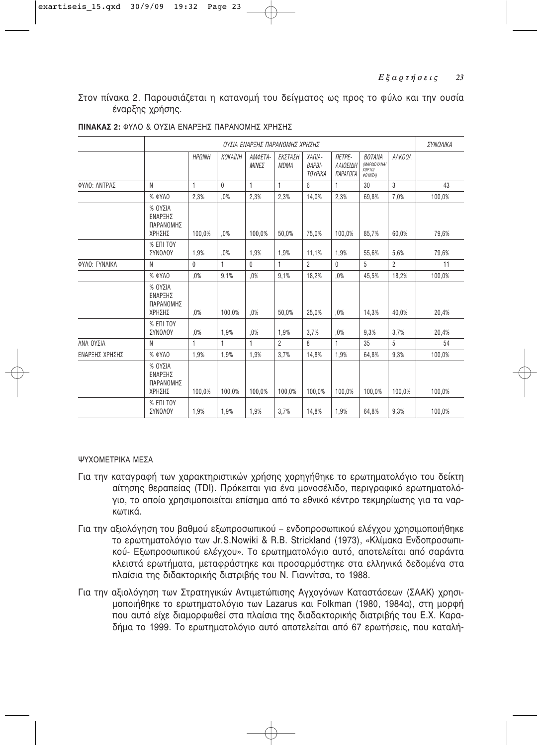|                |                                           | ΟΥΣΙΑ ΕΝΑΡΞΗΣ ΠΑΡΑΝΟΜΗΣ ΧΡΗΣΗΣ |         |                         |                 |                                    |                                       |                                                    |                | ΣΥΝΟΛΙΚΑ |
|----------------|-------------------------------------------|--------------------------------|---------|-------------------------|-----------------|------------------------------------|---------------------------------------|----------------------------------------------------|----------------|----------|
|                |                                           | <b>HPQINH</b>                  | KOKAÏNH | АМФЕТА-<br>$MINE\Sigma$ | ΕΚΣΤΑΣΗ<br>MDMA | ХАПІА-<br><b>BAPBI-</b><br>ТОҮРІКА | <b>ΠΕΤΡΕ-</b><br>ΛΑΙΟΕΙΔΗ<br>ПАРАГОГА | <b>BOTANA</b><br>(MAPIXOYANA/<br>XOPTO/<br>@OYNTA) | AAKOOA         |          |
| ΦΥΛΟ: ΑΝΤΡΑΣ   | N                                         | 1                              | 0       | 1                       | 1               | 6                                  | 1                                     | 30                                                 | 3              | 43       |
|                | % <b>OYAO</b>                             | 2,3%                           | ,0%     | 2,3%                    | 2,3%            | 14,0%                              | 2,3%                                  | 69,8%                                              | 7,0%           | 100,0%   |
|                | % OY∑IA<br>ΕΝΑΡΞΗΣ<br>ΠΑΡΑΝΟΜΗΣ<br>ΧΡΗΣΗΣ | 100.0%                         | ,0%     | 100.0%                  | 50.0%           | 75,0%                              | 100,0%                                | 85.7%                                              | 60.0%          | 79.6%    |
|                | % ENI TOY<br>ΣΥΝΟΛΟΥ                      | 1,9%                           | .0%     | 1,9%                    | 1,9%            | 11,1%                              | 1.9%                                  | 55,6%                                              | 5,6%           | 79,6%    |
| ΦΥΛΟ: ΓΥΝΑΙΚΑ  | N                                         | 0                              | 1       | 0                       | 1               | $\overline{2}$                     | 0                                     | 5                                                  | $\overline{2}$ | 11       |
|                | % <b>OYAO</b>                             | .0%                            | 9,1%    | 0%                      | 9,1%            | 18,2%                              | .0%                                   | 45,5%                                              | 18,2%          | 100,0%   |
|                | % OYEIA<br>ΕΝΑΡΞΗΣ<br>ΠΑΡΑΝΟΜΗΣ<br>ΧΡΗΣΗΣ | .0%                            | 100.0%  | .0%                     | 50.0%           | 25.0%                              | .0%                                   | 14.3%                                              | 40.0%          | 20.4%    |
|                | % ENI TOY<br>ΣΥΝΟΛΟΥ                      | .0%                            | 1.9%    | .0%                     | 1.9%            | 3,7%                               | .0%                                   | 9,3%                                               | 3,7%           | 20,4%    |
| ΑΝΑ ΟΥΣΙΑ      | N                                         | 1                              | 1       | 1                       | $\overline{2}$  | 8                                  | 1                                     | 35                                                 | 5              | 54       |
| ΕΝΑΡΞΗΣ ΧΡΗΣΗΣ | % <b>OYAO</b>                             | 1.9%                           | 1.9%    | 1.9%                    | 3.7%            | 14.8%                              | 1.9%                                  | 64.8%                                              | 9.3%           | 100.0%   |
|                | % OYEIA<br>ΕΝΑΡΞΗΣ<br>ΠΑΡΑΝΟΜΗΣ<br>ΧΡΗΣΗΣ | 100.0%                         | 100.0%  | 100.0%                  | 100,0%          | 100.0%                             | 100.0%                                | 100.0%                                             | 100.0%         | 100.0%   |
|                | % ENI TOY<br>ΣΥΝΟΛΟΥ                      | 1.9%                           | 1.9%    | 1.9%                    | 3.7%            | 14.8%                              | 1.9%                                  | 64.8%                                              | 9,3%           | 100,0%   |

# Στον πίνακα 2. Παρουσιάζεται η κατανομή του δείγματος ως προς το φύλο και την ουσία έναρξης χρήσης.

#### **ΠΙΝΑΚΑΣ 2:** ΦΥΛΟ & ΟΥΣΙΑ ΕΝΑΡΞΗΣ ΠΑΡΑΝΟΜΗΣ ΧΡΗΣΗΣ

#### ΨΥΧΟΜΕΤΡΙΚΑ ΜΕΣΑ

- Για την καταγραφή των χαρακτηριστικών χρήσης χορηγήθηκε το ερωτηματολόγιο του δείκτη αίτησης θεραπείας (TDI). Πρόκειται για ένα μονοσέλιδο, περιγραφικό ερωτηματολόγιο, το οποίο χρησιμοποιείται επίσημα από το εθνικό κέντρο τεκμηρίωσης για τα ναρκωτικά.
- Για την αξιολόγηση του βαθμού εξωπροσωπικού ενδοπροσωπικού ελέγχου χρησιμοποιήθηκε το ερωτηματολόγιο των Jr.S.Nowiki & R.B. Strickland (1973), «Κλίμακα Ενδοπροσωπι-Κού- Εξωπροσωπικού ελέγχου». Το ερωτηματολόγιο αυτό, αποτελείται από σαράντα κλειστά ερωτήματα, μεταφράστηκε και προσαρμόστηκε στα ελληνικά δεδομένα στα πλαίσια της διδακτορικής διατριβής του Ν. Γιαννίτσα, το 1988.
- Για την αξιολόγηση των Στρατηγικών Αντιμετώπισης Αγχογόνων Καταστάσεων (ΣΑΑΚ) χρησιμοποιήθηκε το ερωτηματολόγιο των Lazarus και Folkman (1980, 1984α), στη μορφή που αυτό είχε διαμορφωθεί στα πλαίσια της διαδακτορικής διατριβής του Ε.Χ. Καραδήμα το 1999. Το ερωτηματολόγιο αυτό αποτελείται από 67 ερωτήσεις, που καταλή-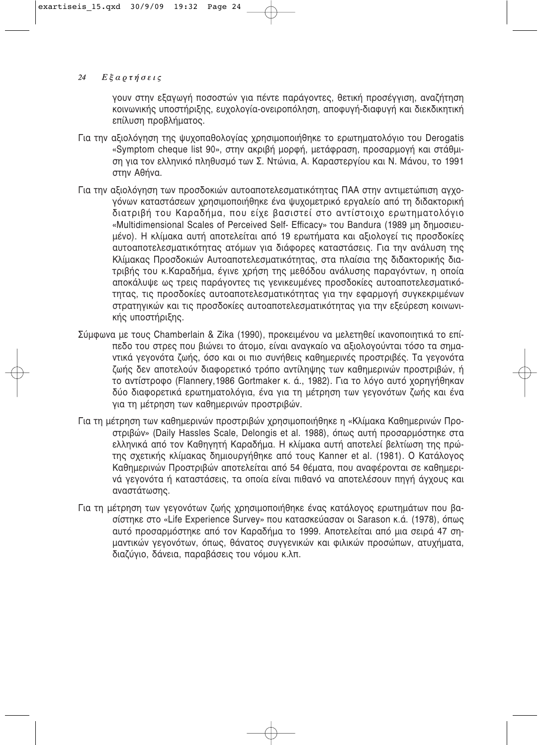γουν στην εξαγωγή ποσοστών για πέντε παράγοντες, θετική προσέγγιση, αναζήτηση κοινωνικής υποστήριξης, ευχολογία-ονειροπόληση, αποφυγή-διαφυγή και διεκδικητική επίλυση προβλήματος.

- Για την αξιολόγηση της ψυχοπαθολογίας χρησιμοποιήθηκε το ερωτηματολόγιο του Derogatis «Symptom cheque list 90», στην ακριβή μορφή, μετάφραση, προσαρμογή και στάθμιση για τον ελληνικό πληθυσμό των Σ. Ντώνια, Α. Καραστεργίου και Ν. Μάνου, το 1991 στην Αθήνα.
- Για την αξιολόγηση των προσδοκιών αυτοαποτελεσματικότητας ΠΑΑ στην αντιμετώπιση ανχογόνων καταστάσεων χρησιμοποιήθηκε ένα ψυχομετρικό εργαλείο από τη διδακτορική διατριβή του Καραδήμα, που είχε βασιστεί στο αντίστοιχο ερωτηματολόγιο «Multidimensional Scales of Perceived Self- Efficacy» του Bandura (1989 μη δημοσιευμένο). Η κλίμακα αυτή αποτελείται από 19 ερωτήματα και αξιολογεί τις προσδοκίες αυτοαποτελεσματικότητας ατόμων για διάφορες καταστάσεις. Για την ανάλυση της Κλίμακας Προσδοκιών Αυτοαποτελεσματικότητας, στα πλαίσια της διδακτορικής διατριβής του κ.Καραδήμα, έγινε χρήση της μεθόδου ανάλυσης παραγόντων, η οποία αποκάλυψε ως τρεις παράγοντες τις γενικευμένες προσδοκίες αυτοαποτελεσματικότητας, τις προσδοκίες αυτοαποτελεσματικότητας για την εφαρμογή συγκεκριμένων στρατηγικών και τις προσδοκίες αυτοαποτελεσματικότητας για την εξεύρεση κοινωνικής υποστήριξης.
- Σύμφωνα με τους Chamberlain & Zika (1990), προκειμένου να μελετηθεί ικανοποιητικά το επίπεδο του στρες που βιώνει το άτομο, είναι αναγκαίο να αξιολογούνται τόσο τα σημαντικά γεγονότα ζωής, όσο και οι πιο συνήθεις καθημερινές προστριβές. Τα γεγονότα ζωής δεν αποτελούν διαφορετικό τρόπο αντίληψης των καθημερινών προστριβών, ή το αντίστροφο (Flannery, 1986 Gortmaker κ. ά., 1982). Για το λόγο αυτό χορηγήθηκαν δύο διαφορετικά ερωτηματολόγια, ένα για τη μέτρηση των γεγονότων ζωής και ένα για τη μέτρηση των καθημερινών προστριβών.
- Για τη μέτρηση των καθημερινών προστριβών χρησιμοποιήθηκε η «Κλίμακα Καθημερινών Προστριβών» (Daily Hassles Scale, Delongis et al. 1988), όπως αυτή προσαρμόστηκε στα ελληνικά από τον Καθηγητή Καραδήμα. Η κλίμακα αυτή αποτελεί βελτίωση της πρώτης σχετικής κλίμακας δημιουργήθηκε από τους Kanner et al. (1981). Ο Κατάλογος Καθημερινών Προστριβών αποτελείται από 54 θέματα, που αναφέρονται σε καθημερινά γεγονότα ή καταστάσεις, τα οποία είναι πιθανό να αποτελέσουν πηγή άγχους και αναστάτωσης.
- Για τη μέτρηση των γεγονότων ζωής χρησιμοποιήθηκε ένας κατάλογος ερωτημάτων που βασίστηκε στο «Life Experience Survey» που κατασκεύασαν οι Sarason κ.ά. (1978), όπως αυτό προσαρμόστηκε από τον Καραδήμα το 1999. Αποτελείται από μια σειρά 47 σημαντικών γεγονότων, όπως, θάνατος συγγενικών και φιλικών προσώπων, ατυχήματα, διαζύγιο, δάνεια, παραβάσεις του νόμου κ.λπ.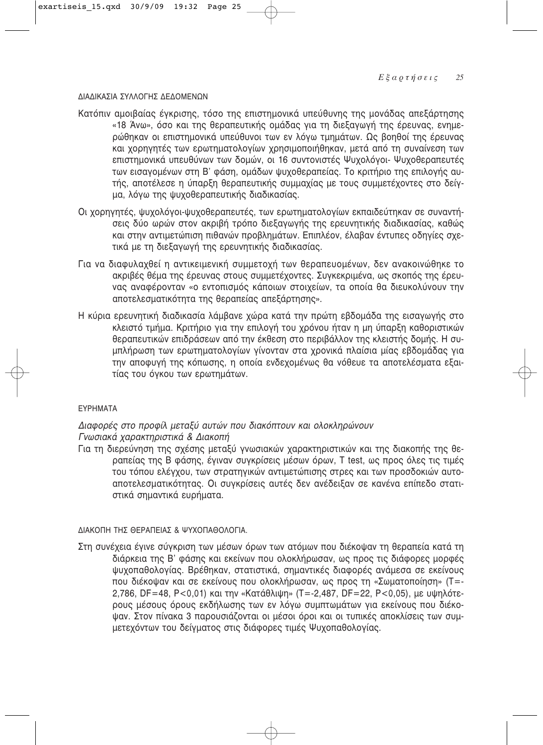#### ΔΙΑΔΙΚΑΣΙΑ ΣΥΛΛΟΓΗΣ ΔΕΔΟΜΕΝΩΝ

- Κατόπιν αμοιβαίας έγκρισης, τόσο της επιστημονικά υπεύθυνης της μονάδας απεξάρτησης «18 Άνω», όσο και της θεραπευτικής ομάδας για τη διεξαγωγή της έρευνας, ενημερώθηκαν οι επιστημονικά υπεύθυνοι των εν λόνω τμημάτων. Ως βοηθοί της έρευνας και χορηγητές των ερωτηματολογίων χρησιμοποιήθηκαν, μετά από τη συναίνεση των επιστημονικά υπευθύνων των δομών, οι 16 συντονιστές Ψυχολόγοι- Ψυχοθεραπευτές των εισαγομένων στη Β' φάση, ομάδων ψυχοθεραπείας. Το κριτήριο της επιλογής αυτής, αποτέλεσε η ύπαρξη θεραπευτικής συμμαχίας με τους συμμετέχοντες στο δείγμα, λόγω της ψυχοθεραπευτικής διαδικασίας.
- Οι χορηγητές, ψυχολόγοι-ψυχοθεραπευτές, των ερωτηματολογίων εκπαιδεύτηκαν σε συναντήσεις δύο ωρών στον ακριβή τρόπο διεξαγωγής της ερευνητικής διαδικασίας, καθώς και στην αντιμετώπιση πιθανών προβλημάτων. Επιπλέον, έλαβαν έντυπες οδηγίες σχετικά με τη διεξαγωγή της ερευνητικής διαδικασίας.
- Για να διαφυλαχθεί η αντικειμενική συμμετοχή των θεραπευομένων, δεν ανακοινώθηκε το ακριβές θέμα της έρευνας στους συμμετέχοντες. Συγκεκριμένα, ως σκοπός της έρευνας αναφέρονταν «ο εντοπισμός κάποιων στοιχείων, τα οποία θα διευκολύνουν την αποτελεσματικότητα της θεραπείας απεξάρτησης».
- Η κύρια ερευνητική διαδικασία λάμβανε χώρα κατά την πρώτη εβδομάδα της εισαγωγής στο κλειστό τμήμα. Κριτήριο για την επιλογή του χρόνου ήταν η μη ύπαρξη καθοριστικών θεραπευτικών επιδράσεων από την έκθεση στο περιβάλλον της κλειστής δομής. Η συμπλήρωση των ερωτηματολογίων γίνονταν στα χρονικά πλαίσια μίας εβδομάδας για την αποφυνή της κόπωσης, η οποία ενδεχομένως θα νόθευε τα αποτελέσματα εξαιτίας του όγκου των ερωτημάτων.

#### **EYPHMATA**

Διαφορές στο προφίλ μεταξύ αυτών που διακόπτουν και ολοκληρώνουν Γνωσιακά χαρακτηριστικά & Διακοπή

Για τη διερεύνηση της σχέσης μεταξύ γνωσιακών χαρακτηριστικών και της διακοπής της θεραπείας της Β φάσης, έγιναν συγκρίσεις μέσων όρων, T test, ως προς όλες τις τιμές του τόπου ελέγχου, των στρατηγικών αντιμετώπισης στρες και των προσδοκιών αυτοαποτελεσματικότητας. Οι συγκρίσεις αυτές δεν ανέδειξαν σε κανένα επίπεδο στατιστικά σημαντικά ευρήματα.

### ΔΙΑΚΟΠΗ ΤΗΣ ΘΕΡΑΠΕΙΑΣ & ΨΥΧΟΠΑΘΟΛΟΓΙΑ.

Στη συνέχεια έγινε σύγκριση των μέσων όρων των ατόμων που διέκοψαν τη θεραπεία κατά τη διάρκεια της Β' φάσης και εκείνων που ολοκλήρωσαν, ως προς τις διάφορες μορφές ψυχοπαθολογίας. Βρέθηκαν, στατιστικά, σημαντικές διαφορές ανάμεσα σε εκείνους που διέκοψαν και σε εκείνους που ολοκλήρωσαν, ως προς τη «Σωματοποίηση» (T=-2,786, DF=48, P<0,01) και την «Κατάθλιψη» (T=-2,487, DF=22, P<0,05), με υψηλότερους μέσους όρους εκδήλωσης των εν λόγω συμπτωμάτων για εκείνους που διέκοψαν. Στον πίνακα 3 παρουσιάζονται οι μέσοι όροι και οι τυπικές αποκλίσεις των συμμετεχόντων του δείγματος στις διάφορες τιμές Ψυχοπαθολογίας.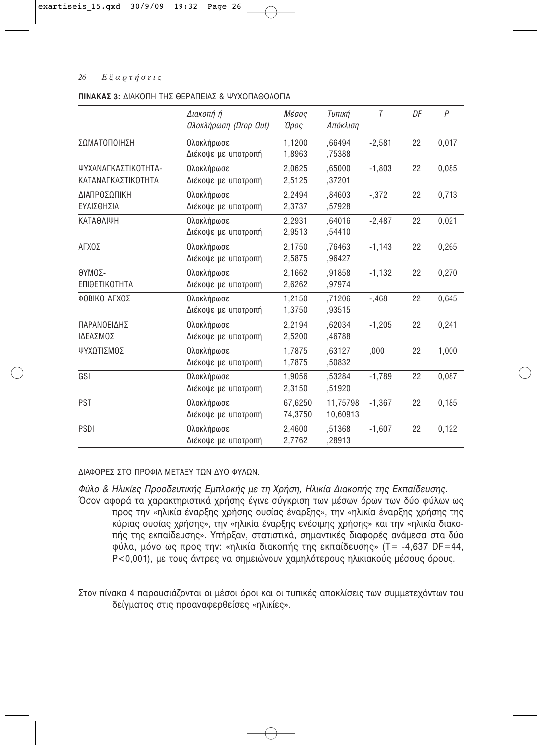#### **ΠΙΝΑΚΑΣ 3: ΔΙΑΚΟΠΗ ΤΗΣ ΘΕΡΑΠΕΙΑΣ & ΨΥΧΟΠΑΘΟΛΟΓΙΑ**

|                     | Διακοπή ή             | Μέσος   | Τυπική   | $\tau$   | DF | $\overline{P}$ |
|---------------------|-----------------------|---------|----------|----------|----|----------------|
|                     | Ολοκλήρωση (Drop Out) | Όρος    | Απόκλιση |          |    |                |
| ΣΩΜΑΤΟΠΟΙΗΣΗ        | Ολοκλήρωσε            | 1,1200  | .66494   | $-2,581$ | 22 | 0,017          |
|                     | Διέκοψε με υποτροπή   | 1,8963  | .75388   |          |    |                |
| ΨΥΧΑΝΑΓΚΑΣΤΙΚΟΤΗΤΑ- | Ολοκλήρωσε            | 2.0625  | .65000   | $-1,803$ | 22 | 0,085          |
| ΚΑΤΑΝΑΓΚΑΣΤΙΚΟΤΗΤΑ  | Διέκοψε με υποτροπή   | 2,5125  | ,37201   |          |    |                |
| ΔΙΑΠΡΟΣΩΠΙΚΗ        | Ολοκλήρωσε            | 2,2494  | .84603   | $-.372$  | 22 | 0,713          |
| ΕΥΑΙΣΘΗΣΙΑ          | Διέκοψε με υποτροπή   | 2,3737  | ,57928   |          |    |                |
| ΚΑΤΑΘΛΙΨΗ           | Ολοκλήρωσε            | 2.2931  | .64016   | $-2,487$ | 22 | 0,021          |
|                     | Διέκοψε με υποτροπή   | 2,9513  | ,54410   |          |    |                |
| ΑΓΧΟΣ               | Ολοκλήρωσε            | 2.1750  | .76463   | $-1,143$ | 22 | 0,265          |
|                     | Διέκοψε με υποτροπή   | 2,5875  | ,96427   |          |    |                |
| ΘΥΜΟΣ-              | Ολοκλήρωσε            | 2,1662  | .91858   | $-1,132$ | 22 | 0,270          |
| ΕΠΙΘΕΤΙΚΟΤΗΤΑ       | Διέκοψε με υποτροπή   | 2,6262  | ,97974   |          |    |                |
| ΦΟΒΙΚΟ ΑΓΧΟΣ        | Ολοκλήρωσε            | 1,2150  | ,71206   | $-.468$  | 22 | 0,645          |
|                     | Διέκοψε με υποτροπή   | 1,3750  | ,93515   |          |    |                |
| ΠΑΡΑΝΟΕΙΔΗΣ         | Ολοκλήρωσε            | 2.2194  | .62034   | $-1.205$ | 22 | 0,241          |
| ΙΔΕΑΣΜΟΣ            | Διέκοψε με υποτροπή   | 2,5200  | ,46788   |          |    |                |
| ΨΥΧΩΤΙΣΜΟΣ          | Ολοκλήρωσε            | 1.7875  | .63127   | ,000     | 22 | 1,000          |
|                     | Διέκοψε με υποτροπή   | 1,7875  | ,50832   |          |    |                |
| GSI                 | Ολοκλήρωσε            | 1,9056  | .53284   | $-1,789$ | 22 | 0,087          |
|                     | Διέκοψε με υποτροπή   | 2,3150  | .51920   |          |    |                |
| <b>PST</b>          | Ολοκλήρωσε            | 67.6250 | 11.75798 | $-1,367$ | 22 | 0,185          |
|                     | Διέκοψε με υποτροπή   | 74,3750 | 10,60913 |          |    |                |
| <b>PSDI</b>         | Ολοκλήρωσε            | 2,4600  | .51368   | $-1,607$ | 22 | 0,122          |
|                     | Διέκοψε με υποτροπή   | 2,7762  | .28913   |          |    |                |

## ΔΙΑΦΟΡΕΣ ΣΤΟ ΠΡΟΦΙΛ ΜΕΤΑΞΥ ΤΩΝ ΔΥΟ ΦΥΛΩΝ.

Φύλο & Ηλικίες Προοδευτικής Εμπλοκής με τη Χρήση, Ηλικία Διακοπής της Εκπαίδευσης. Όσον αφορά τα χαρακτηριστικά χρήσης έγινε σύγκριση των μέσων όρων των δύο φύλων ως προς την «ηλικία έναρξης χρήσης ουσίας έναρξης», την «ηλικία έναρξης χρήσης της κύριας ουσίας χρήσης», την «ηλικία έναρξης ενέσιμης χρήσης» και την «ηλικία διακοπής της εκπαίδευσης». Υπήρξαν, στατιστικά, σημαντικές διαφορές ανάμεσα στα δύο φύλα, μόνο ως προς την: «ηλικία διακοπής της εκπαίδευσης» (Τ= -4,637 DF=44, P<0,001), με τους άντρες να σημειώνουν χαμηλότερους ηλικιακούς μέσους όρους.

Στον πίνακα 4 παρουσιάζονται οι μέσοι όροι και οι τυπικές αποκλίσεις των συμμετεχόντων του δείγματος στις προαναφερθείσες «ηλικίες».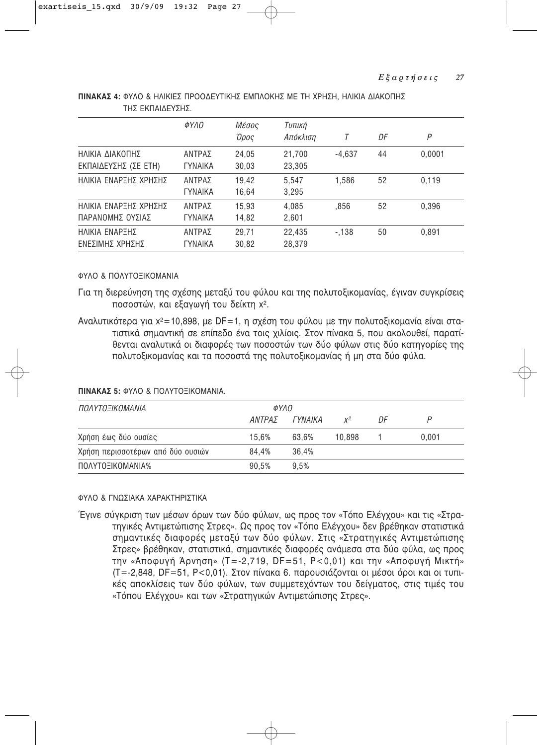|                       | ΦΥΛΟ                  | Μέσος<br>Όρος | Τυπική<br>Απόκλιση |          | DF | P      |
|-----------------------|-----------------------|---------------|--------------------|----------|----|--------|
| ΗΛΙΚΙΑ ΔΙΑΚΟΠΗΣ       | ΑΝΤΡΑΣ                | 24,05         | 21,700             | $-4.637$ | 44 | 0,0001 |
| ΕΚΠΑΙΔΕΥΣΗΣ (ΣΕ ΕΤΗ)  | <b><i>TYNAIKA</i></b> | 30,03         | 23,305             |          |    |        |
| ΗΛΙΚΙΑ ΕΝΑΡΞΗΣ ΧΡΗΣΗΣ | ΑΝΤΡΑΣ                | 19.42         | 5.547              | 1.586    | 52 | 0,119  |
|                       | <b><i>TYNAIKA</i></b> | 16,64         | 3,295              |          |    |        |
| НЛІКІА ЕЛАРЕНУ ХРНУНУ | ΑΝΤΡΑΣ                | 15.93         | 4.085              | .856     | 52 | 0.396  |
| ΠΑΡΑΝΟΜΗΣ ΟΥΣΙΑΣ      | <b><i>TYNAIKA</i></b> | 14,82         | 2,601              |          |    |        |
| ΗΛΙΚΙΑ ΕΝΑΡΞΗΣ        | ΑΝΤΡΑΣ                | 29.71         | 22,435             | $-138$   | 50 | 0,891  |
| ΕΝΕΣΙΜΗΣ ΧΡΗΣΗΣ       | <b><i>TYNAIKA</i></b> | 30,82         | 28,379             |          |    |        |
|                       |                       |               |                    |          |    |        |

# **ΠΙΝΑΚΑΣ 4:** ΦΥΛΟ & ΗΛΙΚΙΕΣ ΠΡΟΟΔΕΥΤΙΚΗΣ ΕΜΠΛΟΚΗΣ ΜΕ ΤΗ ΧΡΗΣΗ, ΗΛΙΚΙΑ ΔΙΑΚΟΠΗΣ ΤΗΣ ΕΚΠΑΙΔΕΥΣΗΣ.

## **ΦΥΛΟ & ΠΟΛΥΤΟΞΙΚΟΜΑΝΙΑ**

- Για τη διερεύνηση της σχέσης μεταξύ του φύλου και της πολυτοξικομανίας, έγιναν συγκρίσεις ποσοστών, και εξαγωγή του δείκτη χ<sup>2</sup>.
- Aναλυτικότερα για x<sup>2</sup>=10,898, με DF=1, η σχέση του φύλου με την πολυτοξικομανία είναι στατιστικά σημαντική σε επίπεδο ένα τοις χιλίοις. Στον πίνακα 5, που ακολουθεί, παρατίθενται αναλυτικά οι διαφορές των ποσοστών των δύο φύλων στις δύο κατηγορίες της πολυτοξικομανίας και τα ποσοστά της πολυτοξικομανίας ή μη στα δύο φύλα.

#### **ΠΙΝΑΚΑΣ** 5: ΦΥΛΟ & ΠΟΛΥΤΟΞΙΚΟΜΑΝΙΑ.

| ΠΟΛΥΤΟΞΙΚΟΜΑΝΙΑ                   | ΦΥΛΟ   |                       |        |    |       |
|-----------------------------------|--------|-----------------------|--------|----|-------|
|                                   | ANTPAΣ | <i><b>TYNAIKA</b></i> | $x^2$  | DΕ |       |
| Χρήση έως δύο ουσίες              | 15.6%  | 63.6%                 | 10.898 |    | 0.001 |
| Χρήση περισσοτέρων από δύο ουσιών | 84.4%  | 36.4%                 |        |    |       |
| <b>NOAYTOEIKOMANIA%</b>           | 90.5%  | 9.5%                  |        |    |       |

## ΦΥΛΟ & ΓΝΩΣΙΑΚΑ ΧΑΡΑΚΤΗΡΙΣΤΙΚΑ

Έγινε σύγκριση των μέσων όρων των δύο φύλων, ως προς τον «Τόπο Ελέγχου» και τις «Στρατηγικές Αντιμετώπισης Στρες». Ως προς τον «Τόπο Ελέγχου» δεν βρέθηκαν στατιστικά σημαντικές διαφορές μεταξύ των δύο φύλων. Στις «Στρατηγικές Αντιμετώπισης Στρες» βρέθηκαν, στατιστικά, σημαντικές διαφορές ανάμεσα στα δύο φύλα, ως προς την «Αποφυγή Άρνηση» (T=-2,719, DF=51, P<0,01) και την «Αποφυγή Μικτή» (T=-2,848, DF=51, P<0,01). Στον πίνακα 6. παρουσιάζονται οι μέσοι όροι και οι τυπικές αποκλίσεις των δύο φύλων, των συμμετεχόντων του δείγματος, στις τιμές του «Τόπου Ελέγχου» και των «Στρατηγικών Αντιμετώπισης Στρες».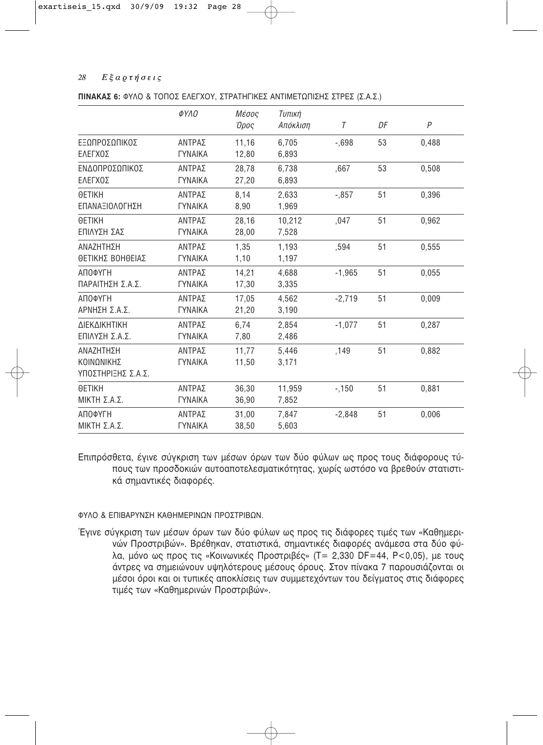#### **ΠΙΝΑΚΑΣ 6:** ΦΥΛΟ & ΤΟΠΟΣ ΕΛΕΓΧΟΥ, ΣΤΡΑΤΗΓΙΚΕΣ ΑΝΤΙΜΕΤΩΠΙΣΗΣ ΣΤΡΕΣ (Σ.Α.Σ.)

|                                               | ΦΥΛΟ                            | Μέσος<br>Όρος  | Τυπική<br>Απόκλιση | Τ        | DF | $\boldsymbol{P}$ |
|-----------------------------------------------|---------------------------------|----------------|--------------------|----------|----|------------------|
| ΕΞΩΠΡΟΣΩΠΙΚΟΣ<br>ΕΛΕΓΧΟΣ                      | ΑΝΤΡΑΣ<br><b><i>TYNAIKA</i></b> | 11,16<br>12,80 | 6,705<br>6,893     | $-.698$  | 53 | 0,488            |
| ΕΝΔΟΠΡΟΣΩΠΙΚΟΣ<br>ΕΛΕΓΧΟΣ                     | ΑΝΤΡΑΣ<br><b><i>TYNAIKA</i></b> | 28,78<br>27,20 | 6,738<br>6,893     | .667     | 53 | 0,508            |
| <b>OETIKH</b><br>ΕΠΑΝΑΞΙΟΛΟΓΗΣΗ               | ΑΝΤΡΑΣ<br><b><i>TYNAIKA</i></b> | 8,14<br>8,90   | 2,633<br>1,969     | $-.857$  | 51 | 0.396            |
| <b>OETIKH</b><br>ΕΠΙΛΥΣΗ ΣΑΣ                  | ΑΝΤΡΑΣ<br><b><i>TYNAIKA</i></b> | 28,16<br>28,00 | 10,212<br>7,528    | ,047     | 51 | 0,962            |
| ΑΝΑΖΗΤΗΣΗ<br>ΘΕΤΙΚΗΣ ΒΟΗΘΕΙΑΣ                 | ΑΝΤΡΑΣ<br><b><i>TYNAIKA</i></b> | 1.35<br>1,10   | 1.193<br>1,197     | .594     | 51 | 0,555            |
| ΑΠΟΦΥΓΗ<br>ΠΑΡΑΙΤΗΣΗ Σ.Α.Σ.                   | ΑΝΤΡΑΣ<br><b><i>TYNAIKA</i></b> | 14,21<br>17,30 | 4.688<br>3,335     | $-1,965$ | 51 | 0,055            |
| ΑΠΟΦΥΓΗ<br>ΑΡΝΗΣΗ Σ.Α.Σ.                      | ΑΝΤΡΑΣ<br><b><i>TYNAIKA</i></b> | 17,05<br>21,20 | 4,562<br>3,190     | $-2,719$ | 51 | 0,009            |
| ΔΙΕΚΔΙΚΗΤΙΚΗ<br>ΕΠΙΛΥΣΗ Σ.Α.Σ.                | ΑΝΤΡΑΣ<br><b><i>TYNAIKA</i></b> | 6,74<br>7,80   | 2,854<br>2,486     | $-1,077$ | 51 | 0,287            |
| ΑΝΑΖΗΤΗΣΗ<br>ΚΟΙΝΩΝΙΚΗΣ<br>ΥΠΟΣΤΗΡΙΞΗΣ Σ.Α.Σ. | ΑΝΤΡΑΣ<br><b><i>TYNAIKA</i></b> | 11,77<br>11,50 | 5,446<br>3,171     | ,149     | 51 | 0,882            |
| <b>OETIKH</b><br>ΜΙΚΤΗ Σ.Α.Σ.                 | ΑΝΤΡΑΣ<br><b><i>TYNAIKA</i></b> | 36,30<br>36,90 | 11,959<br>7,852    | $-.150$  | 51 | 0,881            |
| ΑΠΟΦΥΓΗ<br>ΜΙΚΤΗ Σ.Α.Σ.                       | ΑΝΤΡΑΣ<br><b><i>TYNAIKA</i></b> | 31,00<br>38,50 | 7,847<br>5,603     | $-2,848$ | 51 | 0,006            |
|                                               |                                 |                |                    |          |    |                  |

Επιπρόσθετα, έγινε σύγκριση των μέσων όρων των δύο φύλων ως προς τους διάφορους τύπους των προσδοκιών αυτοαποτελεσματικότητας, χωρίς ωστόσο να βρεθούν στατιστικά σημαντικές διαφορές.

# ΦΥΛΟ & ΕΠΙΒΑΡΥΝΣΗ ΚΑΘΗΜΕΡΙΝΩΝ ΠΡΟΣΤΡΙΒΩΝ.

Έγινε σύγκριση των μέσων όρων των δύο φύλων ως προς τις διάφορες τιμές των «Καθημερινών Προστριβών». Βρέθηκαν, στατιστικά, σημαντικές διαφορές ανάμεσα στα δύο φύλα, μόνο ως προς τις «Κοινωνικές Προστριβές» (T= 2,330 DF=44, P<0,05), με τους άντρες να σημειώνουν υψηλότερους μέσους όρους. Στον πίνακα 7 παρουσιάζονται οι μέσοι όροι και οι τυπικές αποκλίσεις των συμμετεχόντων του δείγματος στις διάφορες τιμές των «Καθημερινών Προστριβών».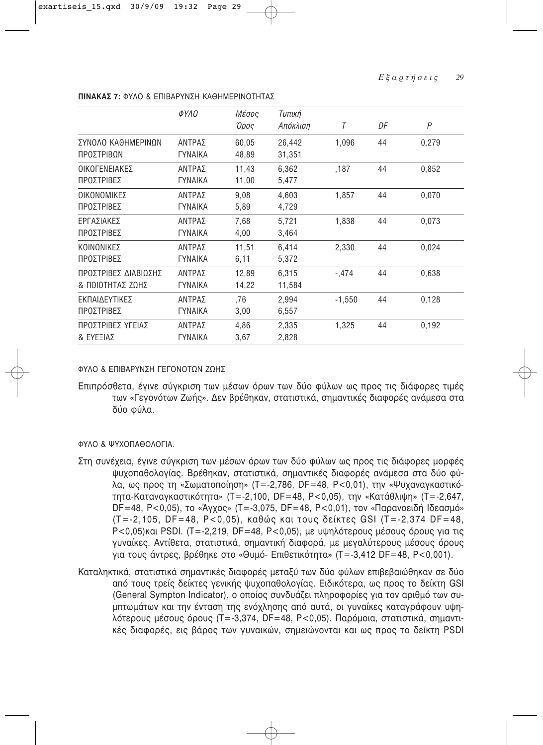|                                          | ΦΥΛΟ                            | Μέσος<br>Όρος  | Τυπική<br>Απόκλιση | Τ        | DF | $\overline{P}$ |
|------------------------------------------|---------------------------------|----------------|--------------------|----------|----|----------------|
| ΣΥΝΟΛΟ ΚΑΘΗΜΕΡΙΝΩΝ<br>ΠΡΟΣΤΡΙΒΩΝ         | ΑΝΤΡΑΣ<br><b><i>TYNAIKA</i></b> | 60,05<br>48,89 | 26,442<br>31,351   | 1,096    | 44 | 0,279          |
| ΟΙΚΟΓΕΝΕΙΑΚΕΣ<br>ΠΡΟΣΤΡΙΒΕΣ              | ΑΝΤΡΑΣ<br><b><i>TYNAIKA</i></b> | 11,43<br>11,00 | 6,362<br>5,477     | .187     | 44 | 0,852          |
| ΟΙΚΟΝΟΜΙΚΕΣ<br>ΠΡΟΣΤΡΙΒΕΣ                | ΑΝΤΡΑΣ<br><b><i>TYNAIKA</i></b> | 9,08<br>5,89   | 4,603<br>4,729     | 1,857    | 44 | 0,070          |
| ΕΡΓΑΣΙΑΚΕΣ<br>ΠΡΟΣΤΡΙΒΕΣ                 | ΑΝΤΡΑΣ<br><b><i>TYNAIKA</i></b> | 7,68<br>4,00   | 5,721<br>3,464     | 1,838    | 44 | 0.073          |
| ΚΟΙΝΩΝΙΚΕΣ<br>ΠΡΟΣΤΡΙΒΕΣ                 | ΑΝΤΡΑΣ<br><b><i>TYNAIKA</i></b> | 11,51<br>6,11  | 6,414<br>5,372     | 2,330    | 44 | 0.024          |
| ΠΡΟΣΤΡΙΒΕΣ ΔΙΑΒΙΩΣΗΣ<br>& ΠΟΙΟΤΗΤΑΣ ΖΩΗΣ | ΑΝΤΡΑΣ<br><b><i>TYNAIKA</i></b> | 12,89<br>14,22 | 6,315<br>11,584    | $-.474$  | 44 | 0.638          |
| ΕΚΠΑΙΔΕΥΤΙΚΕΣ<br>ΠΡΟΣΤΡΙΒΕΣ              | ΑΝΤΡΑΣ<br><b><i>LYNAIKA</i></b> | .76<br>3,00    | 2,994<br>6,557     | $-1,550$ | 44 | 0,128          |
| ΠΡΟΣΤΡΙΒΕΣ ΥΓΕΙΑΣ<br>& EYEΞIΑΣ           | ΑΝΤΡΑΣ<br><b><i>FYNAIKA</i></b> | 4,86<br>3,67   | 2,335<br>2,828     | 1,325    | 44 | 0.192          |

#### **ΠΙΝΑΚΑΣ 7:** ΦΥΛΟ & ΕΠΙΒΑΡΥΝΣΗ ΚΑΘΗΜΕΡΙΝΟΤΗΤΑΣ

#### ΦΥΛΟ & ΕΠΙΒΑΡΥΝΣΗ ΓΕΓΟΝΟΤΩΝ ΖΩΗΣ

Επιπρόσθετα, έγινε σύγκριση των μέσων όρων των δύο φύλων ως προς τις διάφορες τιμές των «Γεγονότων Ζωής». Δεν βρέθηκαν, στατιστικά, σημαντικές διαφορές ανάμεσα στα δύο φύλα.

#### **ΦΥΛΟ & ΨΥΧΟΠΑΘΟΛΟΓΙΑ.**

- Στη συνέχεια, έγινε σύγκριση των μέσων όρων των δύο φύλων ως προς τις διάφορες μορφές ψυχοπαθολογίας. Βρέθηκαν, στατιστικά, σημαντικές διαφορές ανάμεσα στα δύο φύλα, ως προς τη «Σωματοποίηση» (T=-2,786, DF=48, P<0,01), την «Ψυχαναγκαστικότητα-Καταναγκαστικότητα» (T=-2,100, DF=48, P<0,05), την «Κατάθλιψη» (T=-2,647, DF=48, P<0,05), το «Άγχος» (T=-3,075, DF=48, P<0,01), τον «Παρανοειδή Ιδεασμό» (T=-2,105, DF=48, P<0,05), καθώς και τους δείκτες GSI (T=-2,374 DF=48,  $P$ <0,05) και PSDI. (T=-2,219, DF=48, P<0,05), με υψηλότερους μέσους όρους για τις γυναίκες. Αντίθετα, στατιστικά, σημαντική διαφορά, με μεγαλύτερους μέσους όρους για τους άντρες, βρέθηκε στο «Θυμό- Επιθετικότητα» (T=-3,412 DF=48, P<0,001).
- Καταληκτικά, στατιστικά σημαντικές διαφορές μεταξύ των δύο φύλων επιβεβαιώθηκαν σε δύο από τους τρείς δείκτες γενικής ψυχοπαθολογίας. Ειδικότερα, ως προς το δείκτη GSI (General Sympton Indicator), ο οποίος συνδυάζει πληροφορίες για τον αριθμό των συμπτωμάτων και την ένταση της ενόχλησης από αυτά, οι γυναίκες καταγράφουν υψη- $\lambda$ ότερους μέσους όρους (T=-3,374, DF=48, P<0,05). Παρόμοια, στατιστικά, σημαντικές διαφορές, εις βάρος των γυναικών, σημειώνονται και ως προς το δείκτη PSDI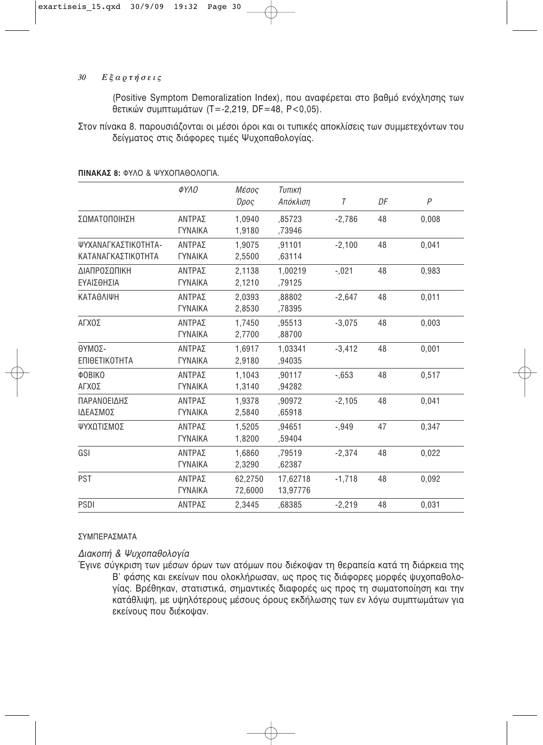(Positive Symptom Demoralization Index), που αναφέρεται στο βαθμό ενόχλησης των θετικών συμπτωμάτων (Τ=-2,219, DF=48, P<0,05).

Στον πίνακα 8. παρουσιάζονται οι μέσοι όροι και οι τυπικές αποκλίσεις των συμμετεχόντων του δείγματος στις διάφορες τιμές Ψυχοπαθολογίας.

|                     | ΦΥΛΟ                  | Μέσος   | Τυπική   |          |    |                |
|---------------------|-----------------------|---------|----------|----------|----|----------------|
|                     |                       | Όρος    | Απόκλιση | T        | DF | $\overline{P}$ |
| ΣΩΜΑΤΟΠΟΙΗΣΗ        | ΑΝΤΡΑΣ                | 1,0940  | .85723   | $-2,786$ | 48 | 0,008          |
|                     | <b><i>TYNAIKA</i></b> | 1,9180  | ,73946   |          |    |                |
| ΨΥΧΑΝΑΓΚΑΣΤΙΚΟΤΗΤΑ- | ΑΝΤΡΑΣ                | 1,9075  | .91101   | $-2,100$ | 48 | 0,041          |
| ΚΑΤΑΝΑΓΚΑΣΤΙΚΟΤΗΤΑ  | <b><i>TYNAIKA</i></b> | 2,5500  | .63114   |          |    |                |
| ΔΙΑΠΡΟΣΩΠΙΚΗ        | ΑΝΤΡΑΣ                | 2.1138  | 1,00219  | $-.021$  | 48 | 0.983          |
| ΕΥΑΙΣΘΗΣΙΑ          | <b><i>TYNAIKA</i></b> | 2,1210  | ,79125   |          |    |                |
| ΚΑΤΑΘΛΙΨΗ           | ΑΝΤΡΑΣ                | 2,0393  | .88802   | $-2,647$ | 48 | 0,011          |
|                     | <b><i>TYNAIKA</i></b> | 2,8530  | ,78395   |          |    |                |
| ΑΓΧΟΣ               | ΑΝΤΡΑΣ                | 1,7450  | .95513   | $-3,075$ | 48 | 0,003          |
|                     | <b><i>TYNAIKA</i></b> | 2,7700  | ,88700   |          |    |                |
| ΘΥΜΟΣ-              | ΑΝΤΡΑΣ                | 1,6917  | 1,03341  | $-3,412$ | 48 | 0,001          |
| ΕΠΙΘΕΤΙΚΟΤΗΤΑ       | <b><i>TYNAIKA</i></b> | 2,9180  | .94035   |          |    |                |
| <b>¢OBIKO</b>       | ΑΝΤΡΑΣ                | 1,1043  | ,90117   | $-0.653$ | 48 | 0,517          |
| ΑΓΧΟΣ               | <b><i>TYNAIKA</i></b> | 1,3140  | .94282   |          |    |                |
| ΠΑΡΑΝΟΕΙΔΗΣ         | ΑΝΤΡΑΣ                | 1.9378  | .90972   | $-2,105$ | 48 | 0,041          |
| ΙΔΕΑΣΜΟΣ            | <b><i>TYNAIKA</i></b> | 2,5840  | .65918   |          |    |                |
| ΨΥΧΩΤΙΣΜΟΣ          | ΑΝΤΡΑΣ                | 1,5205  | .94651   | $-0.949$ | 47 | 0,347          |
|                     | <b><i>TYNAIKA</i></b> | 1,8200  | ,59404   |          |    |                |
| GSI                 | ΑΝΤΡΑΣ                | 1,6860  | .79519   | $-2,374$ | 48 | 0,022          |
|                     | <b><i>TYNAIKA</i></b> | 2,3290  | .62387   |          |    |                |
| <b>PST</b>          | ΑΝΤΡΑΣ                | 62,2750 | 17,62718 | $-1,718$ | 48 | 0,092          |
|                     | <b><i>TYNAIKA</i></b> | 72,6000 | 13,97776 |          |    |                |
| <b>PSDI</b>         | ΑΝΤΡΑΣ                | 2,3445  | .68385   | $-2,219$ | 48 | 0.031          |

**ΠΙΝΑΚΑΣ 8: ΦΥΛΟ & ΨΥΧΟΠΑΘΟΛΟΓΙΑ.** 

#### ΣΥΜΠΕΡΑΣΜΑΤΑ

# $\Delta$ ιακοπή & Ψυχοπαθολογία

Έγινε σύγκριση των μέσων όρων των ατόμων που διέκοψαν τη θεραπεία κατά τη διάρκεια της Β' φάσης και εκείνων που ολοκλήρωσαν, ως προς τις διάφορες μορφές ψυχοπαθολογίας. Βρέθηκαν, στατιστικά, σημαντικές διαφορές ως προς τη σωματοποίηση και την κατάθλιψη, με υψηλότερους μέσους όρους εκδήλωσης των εν λόγω συμπτωμάτων για εκείνους που διέκοψαν.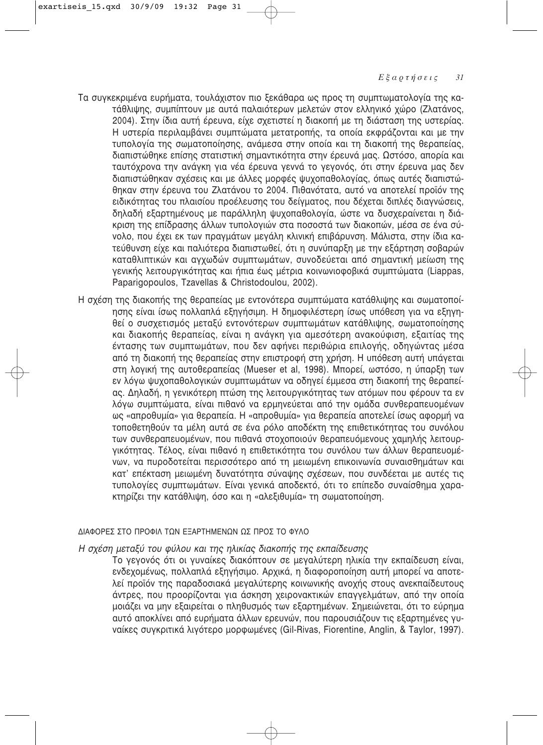- Τα συγκεκριμένα ευρήματα, τουλάχιστον πιο ξεκάθαρα ως προς τη συμπτωματολογία της κατάθλιψης, συμπίπτουν με αυτά παλαιότερων μελετών στον ελληνικό χώρο (Ζλατάνος, 2004). Στην ίδια αυτή έρευνα, είχε σχετιστεί η διακοπή με τη διάσταση της υστερίας. Η υστερία περιλαμβάνει συμπτώματα μετατροπής, τα οποία εκφράζονται και με την τυπολογία της σωματοποίησης, ανάμεσα στην οποία και τη διακοπή της θεραπείας, διαπιστώθηκε επίσης στατιστική σημαντικότητα στην έρευνά μας. Ωστόσο, απορία και ταυτόχρονα την ανάγκη για νέα έρευνα γεννά το γεγονός, ότι στην έρευνα μας δεν διαπιστώθηκαν σχέσεις και με άλλες μορφές ψυχοπαθολογίας, όπως αυτές διαπιστώθηκαν στην έρευνα του Ζλατάνου το 2004. Πιθανότατα, αυτό να αποτελεί προϊόν της ειδικότητας του πλαισίου προέλευσης του δείγματος, που δέχεται διπλές διαγνώσεις, δηλαδή εξαρτημένους με παράλληλη ψυχοπαθολογία, ώστε να δυσχεραίνεται η διάκριση της επίδρασης άλλων τυπολογιών στα ποσοστά των διακοπών, μέσα σε ένα σύνολο, που έχει εκ των πραγμάτων μεγάλη κλινική επιβάρυνση. Μάλιστα, στην ίδια κατεύθυνση είχε και παλιότερα διαπιστωθεί, ότι η συνύπαρξη με την εξάρτηση σοβαρών καταθλιπτικών και αγχωδών συμπτωμάτων, συνοδεύεται από σημαντική μείωση της γενικής λειτουργικότητας και ήπια έως μέτρια κοινωνιοφοβικά συμπτώματα (Liappas, Paparigopoulos, Tzavellas & Christodoulou, 2002).
- Η σχέση της διακοπής της θεραπείας με εντονότερα συμπτώματα κατάθλιψης και σωματοποίησης είναι ίσως πολλαπλά εξηγήσιμη. Η δημοφιλέστερη ίσως υπόθεση για να εξηγηθεί ο συσχετισμός μεταξύ εντονότερων συμπτωμάτων κατάθλιψης, σωματοποίησης και διακοπής θεραπείας, είναι η ανάγκη για αμεσότερη ανακούφιση, εξαιτίας της έντασης των συμπτωμάτων, που δεν αφήνει περιθώρια επιλογής, οδηγώντας μέσα από τη διακοπή της θεραπείας στην επιστροφή στη χρήση. Η υπόθεση αυτή υπάγεται στη λογική της αυτοθεραπείας (Mueser et al, 1998). Μπορεί, ωστόσο, η ύπαρξη των εν λόγω ψυχοπαθολογικών συμπτωμάτων να οδηγεί έμμεσα στη διακοπή της θεραπείας. Δηλαδή, η γενικότερη πτώση της λειτουργικότητας των ατόμων που φέρουν τα εν λόγω συμπτώματα, είναι πιθανό να ερμηνεύεται από την ομάδα συνθεραπευομένων ως «απροθυμία» για θεραπεία. Η «απροθυμία» για θεραπεία αποτελεί ίσως αφορμή να τοποθετηθούν τα μέλη αυτά σε ένα ρόλο αποδέκτη της επιθετικότητας του συνόλου των συνθεραπευομένων, που πιθανά στοχοποιούν θεραπευόμενους χαμηλής λειτουργικότητας. Τέλος, είναι πιθανό η επιθετικότητα του συνόλου των άλλων θεραπευομένων, να πυροδοτείται περισσότερο από τη μειωμένη επικοινωνία συναισθημάτων και κατ' επέκταση μειωμένη δυνατότητα σύναψης σχέσεων, που συνδέεται με αυτές τις τυπολογίες συμπτωμάτων. Είναι γενικά αποδεκτό, ότι το επίπεδο συναίσθημα χαρακτηρίζει την κατάθλιψη, όσο και η «αλεξιθυμία» τη σωματοποίηση.

#### ΔΙΑΦΟΡΕΣ ΣΤΟ ΠΡΟΦΙΛ ΤΩΝ ΕΞΑΡΤΗΜΕΝΩΝ ΩΣ ΠΡΟΣ ΤΟ ΦΥΛΟ

exartiseis 15.qxd

 $30/9/09$ 

Page 31

## Η σχέση μεταξύ του φύλου και της ηλικίας διακοπής της εκπαίδευσης

Το γεγονός ότι οι γυναίκες διακόπτουν σε μεγαλύτερη ηλικία την εκπαίδευση είναι, ενδεχομένως, πολλαπλά εξηγήσιμο. Αρχικά, η διαφοροποίηση αυτή μπορεί να αποτελεί προϊόν της παραδοσιακά μεγαλύτερης κοινωνικής ανοχής στους ανεκπαίδευτους άντρες, που προορίζονται για άσκηση χειρονακτικών επαγγελμάτων, από την οποία μοιάζει να μην εξαιρείται ο πληθυσμός των εξαρτημένων. Σημειώνεται, ότι το εύρημα αυτό αποκλίνει από ευρήματα άλλων ερευνών, που παρουσιάζουν τις εξαρτημένες γυναίκες συγκριτικά λιγότερο μορφωμένες (Gil-Rivas, Fiorentine, Anglin, & Taylor, 1997).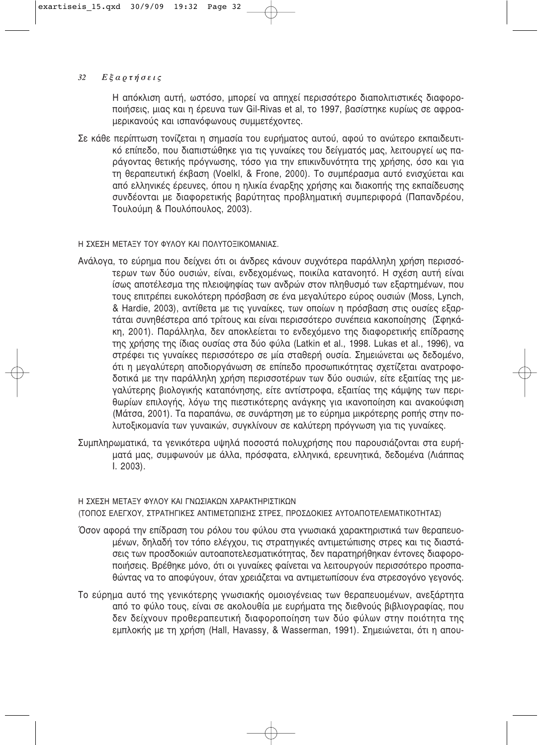Η απόκλιση αυτή, ωστόσο, μπορεί να απηχεί περισσότερο διαπολιτιστικές διαφοροποιήσεις, μιας και η έρευνα των Gil-Rivas et al, το 1997, βασίστηκε κυρίως σε αφροαμερικανούς και ισπανόφωνους συμμετέχοντες.

Σε κάθε περίπτωση τονίζεται η σημασία του ευρήματος αυτού, αφού το ανώτερο εκπαιδευτι-Κό επίπεδο, που διαπιστώθηκε για τις γυναίκες του δείγματός μας, λειτουργεί ως παράγοντας θετικής πρόγνωσης, τόσο για την επικινδυνότητα της χρήσης, όσο και για τη θεραπευτική έκβαση (Voelkl, & Frone, 2000). Το συμπέρασμα αυτό ενισχύεται και από ελληνικές έρευνες, όπου η ηλικία έναρξης χρήσης και διακοπής της εκπαίδευσης συνδέονται με διαφορετικής βαρύτητας προβληματική συμπεριφορά (Παπανδρέου, Τουλούμη & Πουλόπουλος, 2003).

### Η ΣΧΕΣΗ ΜΕΤΑΞΥ ΤΟΥ ΦΥΛΟΥ ΚΑΙ ΠΟΛΥΤΟΞΙΚΟΜΑΝΙΑΣ.

- Ανάλογα, το εύρημα που δείχνει ότι οι άνδρες κάνουν συχνότερα παράλληλη χρήση περισσότερων των δύο ουσιών, είναι, ενδεχομένως, ποικίλα κατανοητό. Η σχέση αυτή είναι ίσως αποτέλεσμα της πλειοψηφίας των ανδρών στον πληθυσμό των εξαρτημένων, που τους επιτρέπει ευκολότερη πρόσβαση σε ένα μεγαλύτερο εύρος ουσιών (Moss, Lynch, & Hardie, 2003), αντίθετα με τις γυναίκες, των οποίων η πρόσβαση στις ουσίες εξαρτάται συνηθέστερα από τρίτους και είναι περισσότερο συνέπεια κακοποίησης (Σφηκάκη, 2001). Παράλληλα, δεν αποκλείεται το ενδεχόμενο της διαφορετικής επίδρασης της χρήσης της ίδιας ουσίας στα δύο φύλα (Latkin et al., 1998. Lukas et al., 1996), να στρέφει τις γυναίκες περισσότερο σε μία σταθερή ουσία. Σημειώνεται ως δεδομένο, ότι η μεγαλύτερη αποδιοργάνωση σε επίπεδο προσωπικότητας σχετίζεται ανατροφοδοτικά με την παράλληλη χρήση περισσοτέρων των δύο ουσιών, είτε εξαιτίας της μεγαλύτερης βιολογικής καταπόνησης, είτε αντίστροφα, εξαιτίας της κάμψης των περιθωρίων επιλογής, λόγω της πιεστικότερης ανάγκης για ικανοποίηση και ανακούφιση (Μάτσα, 2001). Τα παραπάνω, σε συνάρτηση με το εύρημα μικρότερης ροπής στην πολυτοξικομανία των γυναικών, συγκλίνουν σε καλύτερη πρόγνωση για τις γυναίκες.
- Συμπληρωματικά, τα γενικότερα υψηλά ποσοστά πολυχρήσης που παρουσιάζονται στα ευρήματά μας, συμφωνούν με άλλα, πρόσφατα, ελληνικά, ερευνητικά, δεδομένα (Λιάππας π. 2003).

#### Η ΣΧΕΣΗ ΜΕΤΑΞΥ ΦΥΛΟΥ ΚΑΙ ΓΝΩΣΙΑΚΩΝ ΧΑΡΑΚΤΗΡΙΣΤΙΚΩΝ

(ΤΟΠΟΣ ΕΛΕΓΧΟΥ, ΣΤΡΑΤΗΓΙΚΕΣ ΑΝΤΙΜΕΤΩΠΙΣΗΣ ΣΤΡΕΣ, ΠΡΟΣΔΟΚΙΕΣ ΑΥΤΟΑΠΟΤΕΛΕΜΑΤΙΚΟΤΗΤΑΣ)

- Όσον αφορά την επίδραση του ρόλου του φύλου στα γνωσιακά χαρακτηριστικά των θεραπευομένων, δηλαδή τον τόπο ελέγχου, τις στρατηγικές αντιμετώπισης στρες και τις διαστάσεις των προσδοκιών αυτοαποτελεσματικότητας, δεν παρατηρήθηκαν έντονες διαφοροποιήσεις. Βρέθηκε μόνο, ότι οι γυναίκες φαίνεται να λειτουργούν περισσότερο προσπαθώντας να το αποφύγουν, όταν χρειάζεται να αντιμετωπίσουν ένα στρεσογόνο γεγονός.
- Το εύρημα αυτό της γενικότερης γνωσιακής ομοιογένειας των θεραπευομένων, ανεξάρτητα από το φύλο τους, είναι σε ακολουθία με ευρήματα της διεθνούς βιβλιογραφίας, που δεν δείχνουν προθεραπευτική διαφοροποίηση των δύο φύλων στην ποιότητα της εμπλοκής με τη χρήση (Hall, Havassy, & Wasserman, 1991). Σημειώνεται, ότι η απου-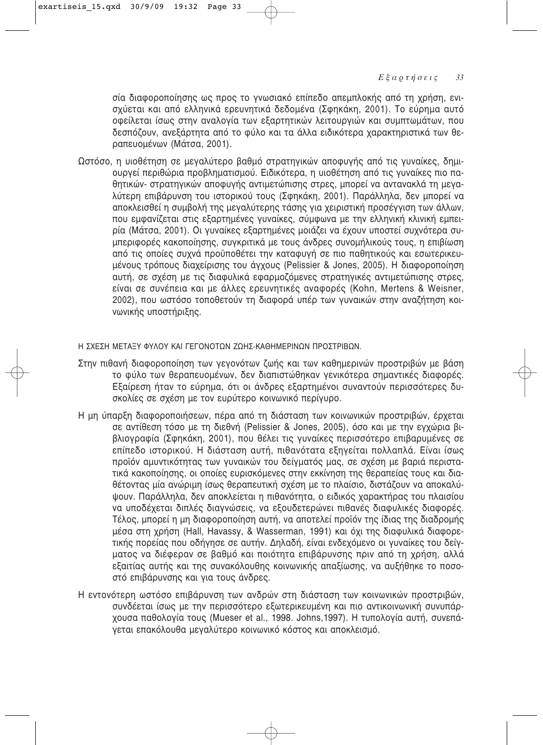exartiseis\_15.qxd 30/9/09 19:32 Page 33

σία διαφοροποίησης ως προς το γνωσιακό επίπεδο απεμπλοκής από τη χρήση, ενισχύεται και από ελληνικά ερευνητικά δεδομένα (Σφηκάκη, 2001). Το εύρημα αυτό οφείλεται ίσως στην αναλογία των εξαρτητικών λειτουργιών και συμπτωμάτων, που δεσπόζουν, ανεξάρτητα από το φύλο και τα άλλα ειδικότερα χαρακτηριστικά των θεοαπευομένων (Μάτσα, 2001).

Ωστόσο, η υιοθέτηση σε μεγαλύτερο βαθμό στρατηγικών αποφυγής από τις γυναίκες, δημιουργεί περιθώρια προβληματισμού. Ειδικότερα, η υιοθέτηση από τις γυναίκες πιο παθητικών- στρατηγικών αποφυγής αντιμετώπισης στρες, μπορεί να αντανακλά τη μεγαλύτερη επιβάρυνση του ιστορικού τους (Σφηκάκη, 2001). Παράλληλα, δεν μπορεί να αποκλεισθεί η συμβολή της μεγαλύτερης τάσης για χειριστική προσέγγιση των άλλων, που εμφανίζεται στις εξαρτημένες γυναίκες, σύμφωνα με την ελληνική κλινική εμπειρία (Μάτσα, 2001). Οι γυναίκες εξαρτημένες μοιάζει να έχουν υποστεί συχνότερα συμπεριφορές κακοποίησης, συγκριτικά με τους άνδρες συνομήλικούς τους, η επιβίωση από τις οποίες συχνά προϋποθέτει την καταφυγή σε πιο παθητικούς και εσωτερικευμένους τρόπους διαχείρισης του άγχους (Pelissier & Jones, 2005). Η διαφοροποίηση αυτή, σε σχέση με τις διαφυλικά εφαρμοζόμενες στρατηγικές αντιμετώπισης στρες, είναι σε συνέπεια και με άλλες ερευνητικές αναφορές (Kohn, Mertens & Weisner, 2002), που ωστόσο τοποθετούν τη διαφορά υπέρ των γυναικών στην αναζήτηση κοινωνικής υποστήριξης.

#### Η ΣΧΕΣΗ ΜΕΤΑΞΥ ΦΥΛΟΥ ΚΑΙ ΓΕΓΟΝΟΤΟΝ ΖΟΗΣ-ΚΑΘΗΜΕΡΙΝΟΝ ΠΡΟΣΤΡΙΒΟΝ

- Στην πιθανή διαφοροποίηση των γεγονότων ζωής και των καθημερινών προστριβών με βάση το φύλο των θεραπευομένων, δεν διαπιστώθηκαν γενικότερα σημαντικές διαφορές. Εξαίρεση ήταν το εύρημα, ότι οι άνδρες εξαρτημένοι συναντούν περισσότερες δυσκολίες σε σχέση με τον ευρύτερο κοινωνικό περίγυρο.
- Η μη ύπαρξη διαφοροποιήσεων, πέρα από τη διάσταση των κοινωνικών προστριβών, έρχεται σε αντίθεση τόσο με τη διεθνή (Pelissier & Jones, 2005), όσο και με την εγχώρια βιβλιογραφία (Σφηκάκη, 2001), που θέλει τις γυναίκες περισσότερο επιβαρυμένες σε επίπεδο ιστορικού. Η διάσταση αυτή, πιθανότατα εξηγείται πολλαπλά. Είναι ίσως προϊόν αμυντικότητας των γυναικών του δείγματός μας, σε σχέση με βαριά περιστατικά κακοποίησης, οι οποίες ευρισκόμενες στην εκκίνηση της θεραπείας τους και διαθέτοντας μία ανώριμη ίσως θεραπευτική σχέση με το πλαίσιο, διστάζουν να αποκαλύψουν. Παράλληλα, δεν αποκλείεται η πιθανότητα, ο ειδικός χαρακτήρας του πλαισίου να υποδέχεται διπλές διαγνώσεις, να εξουδετερώνει πιθανές διαφυλικές διαφορές. Τέλος, μπορεί η μη διαφοροποίηση αυτή, να αποτελεί προϊόν της ίδιας της διαδρομής μέσα στη χρήση (Hall, Havassy, & Wasserman, 1991) και όχι της διαφυλικά διαφορετικής πορείας που οδήγησε σε αυτήν. Δηλαδή, είναι ενδεχόμενο οι γυναίκες του δείγματος να διέφεραν σε βαθμό και ποιότητα επιβάρυνσης πριν από τη χρήση, αλλά εξαιτίας αυτής και της συνακόλουθης κοινωνικής απαξίωσης, να αυξήθηκε το ποσοστό επιβάρυνσης και για τους άνδρες.
- Η εντονότερη ωστόσο επιβάρυνση των ανδρών στη διάσταση των κοινωνικών προστριβών, συνδέεται ίσως με την περισσότερο εξωτερικευμένη και πιο αντικοινωνική συνυπάργουσα παθολονία τους (Mueser et al., 1998. Johns,1997). Η τυπολονία αυτή, συνεπάγεται επακόλουθα μεγαλύτερο κοινωνικό κόστος και αποκλεισμό.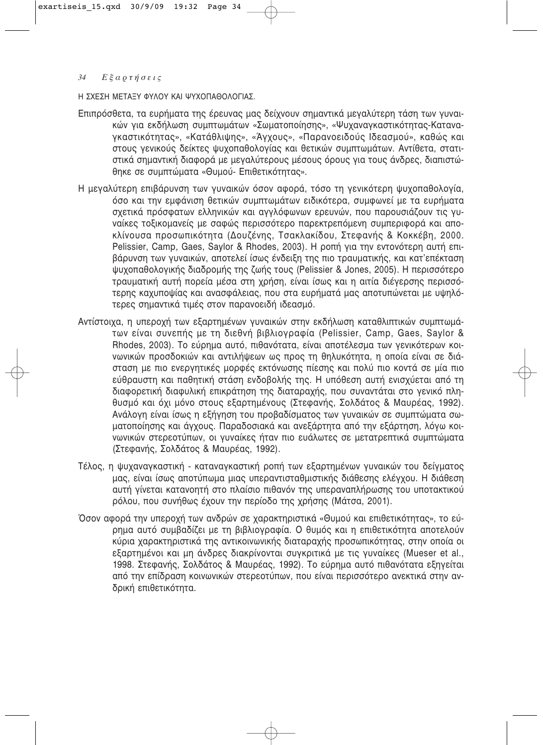Η ΣΧΕΣΗ ΜΕΤΑΞΥ ΦΥΛΟΥ ΚΑΙ ΨΥΧΟΠΑΘΟΛΟΓΙΑΣ.

- Επιπρόσθετα, τα ευρήματα της έρευνας μας δείχνουν σημαντικά μεγαλύτερη τάση των γυναι-Κών για εκδήλωση συμπτωμάτων «Σωματοποίησης», «Ψυχαναγκαστικότητας-Καταναγκαστικότητας», «Κατάθλιψης», «Άγχους», «Παρανοειδούς Ιδεασμού», καθώς και στους γενικούς δείκτες ψυχοπαθολογίας και θετικών συμπτωμάτων. Αντίθετα, στατιστικά σημαντική διαφορά με μεγαλύτερους μέσους όρους για τους άνδρες, διαπιστώθηκε σε συμπτώματα «Θυμού- Επιθετικότητας».
- Η μεγαλύτερη επιβάρυνση των γυναικών όσον αφορά, τόσο τη γενικότερη ψυχοπαθολογία, όσο και την εμφάνιση θετικών συμπτωμάτων ειδικότερα, συμφωνεί με τα ευρήματα σχετικά πρόσφατων ελληνικών και αγγλόφωνων ερευνών, που παρουσιάζουν τις γυναίκες τοξικομανείς με σαφώς περισσότερο παρεκτρεπόμενη συμπεριφορά και αποκλίνουσα προσωπικότητα (Δουζένης, Τσακλακίδου, Στεφανής & Κοκκέβη, 2000. Pelissier, Camp, Gaes, Saylor & Rhodes, 2003). Η ροπή για την εντονότερη αυτή επιβάρυνση των γυναικών, αποτελεί ίσως ένδειξη της πιο τραυματικής, και κατ'επέκταση ψυχοπαθολογικής διαδρομής της ζωής τους (Pelissier & Jones, 2005). Η περισσότερο τραυματική αυτή πορεία μέσα στη χρήση, είναι ίσως και η αιτία διέγερσης περισσότερης καχυποψίας και ανασφάλειας, που στα ευρήματά μας αποτυπώνεται με υψηλότερες σημαντικά τιμές στον παρανοειδή ιδεασμό.
- Αντίστοιχα, η υπεροχή των εξαρτημένων γυναικών στην εκδήλωση καταθλιπτικών συμπτωμάτων είναι συνεπής με τη διεθνή βιβλιογραφία (Pelissier, Camp, Gaes, Saylor & Rhodes, 2003). Το εύρημα αυτό, πιθανότατα, είναι αποτέλεσμα των νενικότερων κοινωνικών προσδοκιών και αντιλήψεων ως προς τη θηλυκότητα, η οποία είναι σε διάσταση με πιο ενεργητικές μορφές εκτόνωσης πίεσης και πολύ πιο κοντά σε μία πιο εύθραυστη και παθητική στάση ενδοβολής της. Η υπόθεση αυτή ενισχύεται από τη διαφορετική διαφυλική επικράτηση της διαταραχής, που συναντάται στο γενικό πληθυσμό και όχι μόνο στους εξαρτημένους (Στεφανής, Σολδάτος & Μαυρέας, 1992). Aνάλονη είναι ίσως η εξήνηση του προβαδίσματος των γυναικών σε συμπτώματα σωματοποίησης και άγχους. Παραδοσιακά και ανεξάρτητα από την εξάρτηση, λόγω κοινωνικών στερεοτύπων, οι γυναίκες ήταν πιο ευάλωτες σε μετατρεπτικά συμπτώματα (Στεφανής, Σολδάτος & Μαυρέας, 1992).
- Τέλος, η ψυχαναγκαστική καταναγκαστική ροπή των εξαρτημένων γυναικών του δείγματος μας, είναι ίσως αποτύπωμα μιας υπεραντισταθμιστικής διάθεσης ελέγχου. Η διάθεση αυτή γίνεται κατανοητή στο πλαίσιο πιθανόν της υπεραναπλήρωσης του υποτακτικού ρόλου, που συνήθως έχουν την περίοδο της χρήσης (Μάτσα, 2001).
- Όσον αφορά την υπεροχή των ανδρών σε χαρακτηριστικά «Θυμού και επιθετικότητας», το εύρημα αυτό συμβαδίζει με τη βιβλιογραφία. Ο θυμός και η επιθετικότητα αποτελούν κύρια χαρακτηριστικά της αντικοινωνικής διαταραχής προσωπικότητας, στην οποία οι εξαρτημένοι και μη άνδρες διακρίνονται συγκριτικά με τις γυναίκες (Mueser et al., 1998. Στεφανής, Σολδάτος & Μαυρέας, 1992). Το εύρημα αυτό πιθανότατα εξηγείται από την επίδραση κοινωνικών στερεοτύπων, που είναι περισσότερο ανεκτικά στην ανδρική επιθετικότητα.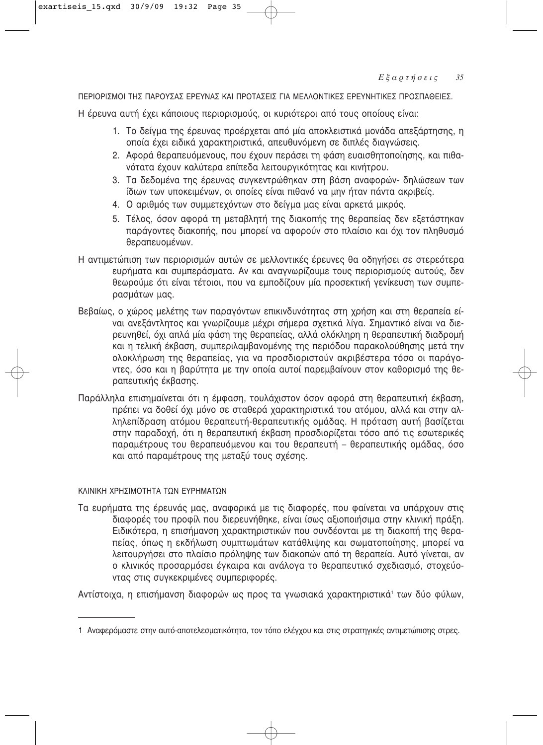#### exartiseis\_15.qxd 30/9/09 19:32 Page 35

ΠΕΡΙΟΡΙΣΜΟΙ ΤΗΣ ΠΑΡΟΥΣΑΣ ΕΡΕΥΝΑΣ ΚΑΙ ΠΡΟΤΑΣΕΙΣ ΓΙΑ ΜΕΛΛΟΝΤΙΚΕΣ ΕΡΕΥΝΗΤΙΚΕΣ ΠΡΟΣΠΑΘΕΙΕΣ.

Η έρευνα αυτή έχει κάποιους περιορισμούς, οι κυριότεροι από τους οποίους είναι:

- 1. Το δείγμα της έρευνας προέρχεται από μία αποκλειστικά μονάδα απεξάρτησης, η οποία έχει ειδικά χαρακτηριστικά, απευθυνόμενη σε διπλές διαγνώσεις.
- 2. Αφορά θεραπευόμενους, που έχουν περάσει τη φάση ευαισθητοποίησης, και πιθανότατα έχουν καλύτερα επίπεδα λειτουργικότητας και κινήτρου.
- 3. Τα δεδομένα της έρευνας συγκεντρώθηκαν στη βάση αναφορών- δηλώσεων των ίδιων των υποκειμένων, οι οποίες είναι πιθανό να μην ήταν πάντα ακριβείς.
- 4. Ο αριθμός των συμμετεχόντων στο δείγμα μας είναι αρκετά μικρός.
- 5. Τέλος, όσον αφορά τη μεταβλητή της διακοπής της θεραπείας δεν εξετάστηκαν παράγοντες διακοπής, που μπορεί να αφορούν στο πλαίσιο και όχι τον πληθυσμό θεραπευομένων.
- Η αντιμετώπιση των περιορισμών αυτών σε μελλοντικές έρευνες θα οδηγήσει σε στερεότερα ευρήματα και συμπεράσματα. Αν και αναγνωρίζουμε τους περιορισμούς αυτούς, δεν θεωρούμε ότι είναι τέτοιοι, που να εμποδίζουν μία προσεκτική γενίκευση των συμπερασμάτων μας.
- Βεβαίως, ο χώρος μελέτης των παραγόντων επικινδυνότητας στη χρήση και στη θεραπεία είναι ανεξάντλητος και γνωρίζουμε μέχρι σήμερα σχετικά λίγα. Σημαντικό είναι να διερευνηθεί, όχι απλά μία φάση της θεραπείας, αλλά ολόκληρη η θεραπευτική διαδρομή και η τελική έκβαση, συμπεριλαμβανομένης της περιόδου παρακολούθησης μετά την ολοκλήρωση της θεραπείας, για να προσδιοριστούν ακριβέστερα τόσο οι παράγο-VΤες, όσο και η βαρύτητα με την οποία αυτοί παρεμβαίνουν στον καθορισμό της θεραπευτικής έκβασης.
- Παράλληλα επισημαίνεται ότι η έμφαση, τουλάχιστον όσον αφορά στη θεραπευτική έκβαση, πρέπει να δοθεί όχι μόνο σε σταθερά χαρακτηριστικά του ατόμου, αλλά και στην αλληλεπίδραση ατόμου θεραπευτή-θεραπευτικής ομάδας. Η πρόταση αυτή βασίζεται στην παραδοχή, ότι η θεραπευτική έκβαση προσδιορίζεται τόσο από τις εσωτερικές παραμέτρους του θεραπευόμενου και του θεραπευτή – θεραπευτικής ομάδας, όσο και από παραμέτρους της μεταξύ τους σχέσης.

#### ΚΛΙΝΙΚΗ ΧΡΗΣΙΜΟΤΗΤΑ ΤΩΝ ΕΥΡΗΜΑΤΩΝ

Τα ευρήματα της έρευνάς μας, αναφορικά με τις διαφορές, που φαίνεται να υπάρχουν στις διαφορές του προφίλ που διερευνήθηκε, είναι ίσως αξιοποιήσιμα στην κλινική πράξη. Ειδικότερα, η επισήμανση χαρακτηριστικών που συνδέονται με τη διακοπή της θεραπείας, όπως η εκδήλωση συμπτωμάτων κατάθλιψης και σωματοποίησης, μπορεί να λειτουργήσει στο πλαίσιο πρόληψης των διακοπών από τη θεραπεία. Αυτό γίνεται, αν ο κλινικός προσαρμόσει έγκαιρα και ανάλογα το θεραπευτικό σχεδιασμό, στοχεύοντας στις συγκεκριμένες συμπεριφορές.

Αντίστοιχα, η επισήμανση διαφορών ως προς τα γνωσιακά χαρακτηριστικά<sup>·</sup> των δύο φύλων,

<sup>1</sup> Αναφερόμαστε στην αυτό-αποτελεσματικότητα, τον τόπο ελέγχου και στις στρατηγικές αντιμετώπισης στρες.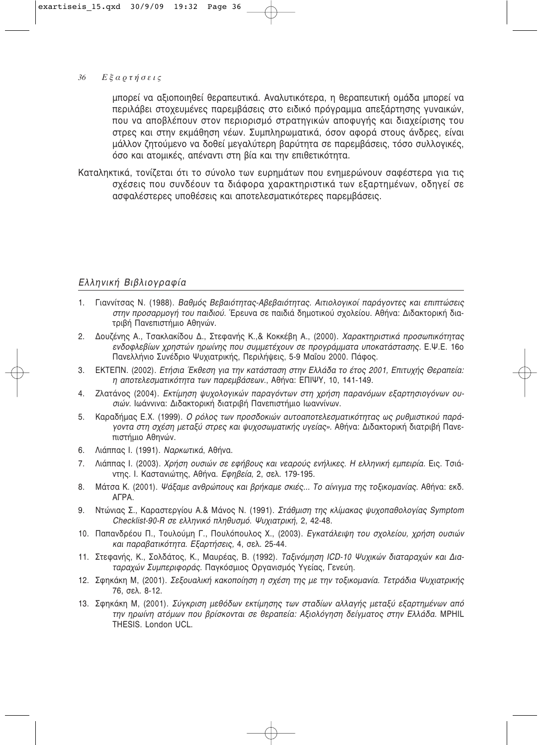μπορεί να αξιοποιηθεί θεραπευτικά. Αναλυτικότερα, η θεραπευτική ομάδα μπορεί να περιλάβει στοχευμένες παρεμβάσεις στο ειδικό πρόγραμμα απεξάρτησης γυναικών, που να αποβλέπουν στον περιορισμό στρατηγικών αποφυγής και διαχείρισης του στρες και στην εκμάθηση νέων. Συμπληρωματικά, όσον αφορά στους άνδρες, είναι μάλλον ζητούμενο να δοθεί μεγαλύτερη βαρύτητα σε παρεμβάσεις, τόσο συλλογικές, όσο και ατομικές, απέναντι στη βία και την επιθετικότητα.

Καταληκτικά, τονίζεται ότι το σύνολο των ευρημάτων που ενημερώνουν σαφέστερα για τις σχέσεις που συνδέουν τα διάφορα χαρακτηριστικά των εξαρτημένων, οδηγεί σε ασφαλέστερες υποθέσεις και αποτελεσματικότερες παρεμβάσεις.

### *Eλληνική Βιβλιογραφία*

- 1. Γιαννίτσας Ν. (1988). *Βαθμός Βεβαιότητας-Αβεβαιότητας, Αιτιολονικοί παράνοντες και επιπτώσεις στην προσαρμογή του παιδιού.* Έρευνα σε παιδιά δημοτικού σχολείου. Αθήνα: Διδακτορική διατριβή Πανεπιστήμιο Αθηνών.
- 2. Δουζένης Α., Τσακλακίδου Δ., Στεφανής Κ.,& Κοκκέβη Α., (2000). Χαρακτηριστικά προσωπικότητας ενδοφλεβίων χρηστών ηρωίνης που συμμετέχουν σε προγράμματα υποκατάστασης. Ε.Ψ.Ε. 16ο Πανελλήνιο Συνέδριο Ψυχιατρικής, Περιλήψεις, 5-9 Μαΐου 2000. Πάφος.
- 3. EKTEΠΝ. (2002). *Ετήσια Έκθεση για την κατάσταση στην Ελλάδα το έτος 2001*, Επιτυχής Θεραπεία: η αποτελεσματικότητα των παρεμβάσεων., Αθήνα: ΕΠΙΨΥ, 10, 141-149.
- 4. Ζλατάνος (2004). *Εκτίμηση ψυχολογικών παραγόντων στη χρήση παρανόμων εξαρτησιογόνων ουσιών.* Ιωάννινα: Διδακτορική διατριβή Πανεπιστήμιο Ιωαννίνων.
- 5. Καραδήμας Ε.Χ. (1999). *Ο ρόλος των προσδοκιών αυτοαποτελεσματικότητας ως ρυθμιστικού παρά*γοντα στη σχέση μεταξύ στρες και ψυχοσωματικής υγείας». Αθήνα: Διδακτορική διατριβή Πανεπιστήμιο Αθηνών.
- 6. Λιάππας Ι. (1991). *Ναρκωτικά*, Αθήνα.
- 7. Διάππας Ι. (2003). *Χρήση ουσιών σε εφήβους και νεαρούς ενήλικες. Η ελληνική εμπειρία.* Εις. Τσιά-Vτης. Ι. Καστανιώτης, Αθήνα. *Εφηβεία*, 2, σελ. 179-195.
- 8. Μάτσα Κ. (2001). Ψάξαμε ανθρώπους και βρήκαμε σκιές... Το αίνιγμα της τοξικομανίας. Αθήνα: εκδ. АГРА.
- 9. Ντώνιας Σ., Καραστεργίου Α.& Μάνος Ν. (1991). *Στάθμιση της κλίμακας ψυχοπαθολογίας Symptom Checklist-90-R σε ελληνικό πληθυσμό. Ψυχιατρική, 2, 42-48.*
- 10. Παπανδρέου Π., Τουλούμη Γ., Πουλόπουλος Χ., (2003). *Εγκατάλειψη του σχολείου, χρήση ουσιών και παραβατικότητα. Εξαρτήσεις, 4, σελ. 25-44.*
- 11. Στεφανής, Κ., Σολδάτος, Κ., Μαυρέας, Β. (1992). *Ταξινόμηση ICD-10 Ψυχικών διαταραχών και Δια*ταραχών Συμπεριφοράς. Παγκόσμιος Οργανισμός Υγείας, Γενεύη.
- 12. Σφηκάκη Μ, (2001). *Σεξουαλική κακοποίηση η σχέση της με την τοξικομανία. Τετράδια Ψυχιατρικής* 76, σελ. 8-12.
- 13. Σφηκάκη Μ, (2001). *Σύγκριση μεθόδων εκτίμησης των σταδίων αλλαγής μεταξύ εξαρτημένων από* την ηρωίνη ατόμων που βρίσκονται σε θεραπεία: Αξιολόγηση δείγματος στην Ελλάδα. MPHIL THESIS. London UCL.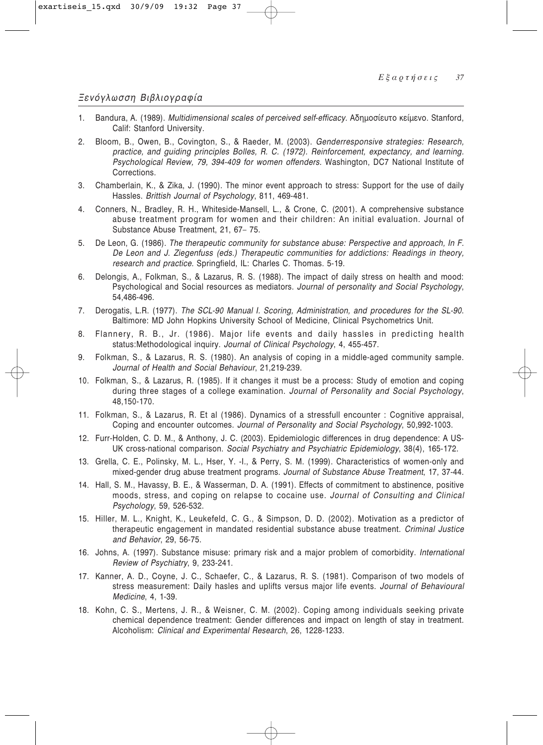#### exartiseis 15.qxd  $30/9/09$  $19:32$ Page 37

#### Ξενόγλωσση Βιβλιογραφία

- Bandura, A. (1989). Multidimensional scales of perceived self-efficacy. Αδημοσίευτο κείμενο. Stanford, 1. Calif: Stanford University.
- Bloom, B., Owen, B., Covington, S., & Raeder, M. (2003). Genderresponsive strategies: Research,  $2.$ practice, and quiding principles Bolles, R. C. (1972). Reinforcement, expectancy, and learning. Psychological Review, 79, 394-409 for women offenders. Washington, DC7 National Institute of Corrections.
- $\mathcal{R}$ Chamberlain, K., & Zika, J. (1990). The minor event approach to stress: Support for the use of daily Hassles. Brittish Journal of Psychology, 811, 469-481.
- $4.$ Conners, N., Bradley, R. H., Whiteside-Mansell, L., & Crone, C. (2001). A comprehensive substance abuse treatment program for women and their children: An initial evaluation. Journal of Substance Abuse Treatment, 21, 67-75.
- De Leon, G. (1986). The therapeutic community for substance abuse: Perspective and approach, In F. 5. De Leon and J. Ziegenfuss (eds.) Therapeutic communities for addictions: Readings in theory, research and practice. Springfield, IL: Charles C. Thomas. 5-19.
- Delongis, A., Folkman, S., & Lazarus, R. S. (1988). The impact of daily stress on health and mood: 6. Psychological and Social resources as mediators. Journal of personality and Social Psychology, 54,486-496.
- Derogatis, L.R. (1977). The SCL-90 Manual I. Scoring, Administration, and procedures for the SL-90. 7. Baltimore: MD John Hopkins University School of Medicine, Clinical Psychometrics Unit.
- 8. Flannery, R. B., Jr. (1986). Major life events and daily hassles in predicting health status:Methodological inquiry. Journal of Clinical Psychology, 4, 455-457.
- Folkman, S., & Lazarus, R. S. (1980). An analysis of coping in a middle-aged community sample. 9 Journal of Health and Social Behaviour, 21,219-239.
- 10. Folkman, S., & Lazarus, R. (1985). If it changes it must be a process: Study of emotion and coping during three stages of a college examination. Journal of Personality and Social Psychology, 48, 150-170.
- 11. Folkman, S., & Lazarus, R. Et al (1986). Dynamics of a stressfull encounter : Cognitive appraisal, Coping and encounter outcomes. Journal of Personality and Social Psychology, 50,992-1003.
- 12. Furr-Holden, C. D. M., & Anthony, J. C. (2003). Epidemiologic differences in drug dependence: A US-UK cross-national comparison. Social Psychiatry and Psychiatric Epidemiology, 38(4), 165-172.
- 13. Grella, C. E., Polinsky, M. L., Hser, Y. -I., & Perry, S. M. (1999). Characteristics of women-only and mixed-gender drug abuse treatment programs. Journal of Substance Abuse Treatment, 17, 37-44.
- 14. Hall, S. M., Havassy, B. E., & Wasserman, D. A. (1991). Effects of commitment to abstinence, positive moods, stress, and coping on relapse to cocaine use. Journal of Consulting and Clinical Psychology, 59, 526-532.
- 15. Hiller, M. L., Knight, K., Leukefeld, C. G., & Simpson, D. D. (2002). Motivation as a predictor of therapeutic engagement in mandated residential substance abuse treatment. Criminal Justice and Behavior, 29, 56-75.
- 16. Johns, A. (1997). Substance misuse: primary risk and a major problem of comorbidity. International Review of Psychiatry, 9, 233-241.
- 17. Kanner, A. D., Coyne, J. C., Schaefer, C., & Lazarus, R. S. (1981). Comparison of two models of stress measurement: Daily hasles and uplifts versus major life events. Journal of Behavioural Medicine, 4, 1-39.
- 18. Kohn, C. S., Mertens, J. R., & Weisner, C. M. (2002). Coping among individuals seeking private chemical dependence treatment: Gender differences and impact on length of stay in treatment. Alcoholism: Clinical and Experimental Research, 26, 1228-1233.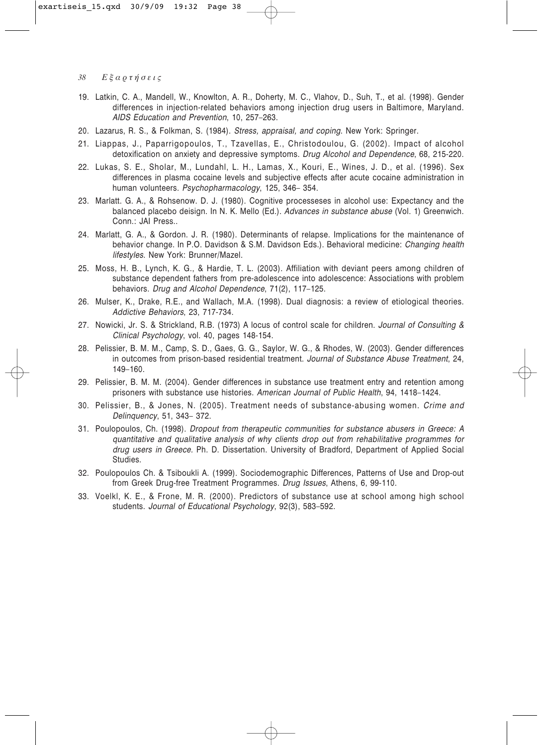- *38 Εξαρτήσεις*
- 19. Latkin, C. A., Mandell, W., Knowlton, A. R., Doherty, M. C., Vlahov, D., Suh, T., et al. (1998). Gender differences in injection-related behaviors among injection drug users in Baltimore, Maryland. *AIDS Education and Prevention*, 10, 257–263.
- 20. Lazarus, R. S., & Folkman, S. (1984). *Stress, appraisal, and coping*. New York: Springer.
- 21. Liappas, J., Paparrigopoulos, T., Tzavellas, E., Christodoulou, G. (2002). Impact of alcohol detoxification on anxiety and depressive symptoms. *Drug Alcohol and Dependence*, 68, 215-220.
- 22. Lukas, S. E., Sholar, M., Lundahl, L. H., Lamas, X., Kouri, E., Wines, J. D., et al. (1996). Sex differences in plasma cocaine levels and subjective effects after acute cocaine administration in human volunteers. *Psychopharmacology*, 125, 346– 354.
- 23. Marlatt. G. A., & Rohsenow. D. J. (1980). Cognitive processeses in alcohol use: Expectancy and the balanced placebo deisign. In N. K. Mello (Ed.). *Advances in substance abuse* (Vol. 1) Greenwich. Conn.: JAI Press..
- 24. Marlatt, G. A., & Gordon. J. R. (1980). Determinants of relapse. Implications for the maintenance of behavior change. In P.O. Davidson & S.M. Davidson Eds.). Behavioral medicine: *Changing health lifestyles*. New York: Brunner/Mazel.
- 25. Moss, H. B., Lynch, K. G., & Hardie, T. L. (2003). Affiliation with deviant peers among children of substance dependent fathers from pre-adolescence into adolescence: Associations with problem behaviors. *Drug and Alcohol Dependence*, 71(2), 117–125.
- 26. Mulser, K., Drake, R.E., and Wallach, M.A. (1998). Dual diagnosis: a review of etiological theories. *Addictive Behaviors*, 23, 717-734.
- 27. Nowicki, Jr. S. & Strickland, R.B. (1973) A locus of control scale for children. *Journal of Consulting & Clinical Psychology*, vol. 40, pages 148-154.
- 28. Pelissier, B. M. M., Camp, S. D., Gaes, G. G., Saylor, W. G., & Rhodes, W. (2003). Gender differences in outcomes from prison-based residential treatment. *Journal of Substance Abuse Treatment*, 24, 149–160.
- 29. Pelissier, B. M. M. (2004). Gender differences in substance use treatment entry and retention among prisoners with substance use histories. *American Journal of Public Health*, 94, 1418–1424.
- 30. Pelissier, B., & Jones, N. (2005). Treatment needs of substance-abusing women. *Crime and Delinquency*, 51, 343– 372.
- 31. Poulopoulos, Ch. (1998). *Dropout from therapeutic communities for substance abusers in Greece: A quantitative and qualitative analysis of why clients drop out from rehabilitative programmes for drug users in Greece.* Ph. D. Dissertation. University of Bradford, Department of Applied Social Studies.
- 32. Poulopoulos Ch. & Tsiboukli A. (1999). Sociodemographic Differences, Patterns of Use and Drop-out from Greek Drug-free Treatment Programmes. *Drug Issues*, Athens, 6, 99-110.
- 33. Voelkl, K. E., & Frone, M. R. (2000). Predictors of substance use at school among high school students. *Journal of Educational Psychology*, 92(3), 583–592.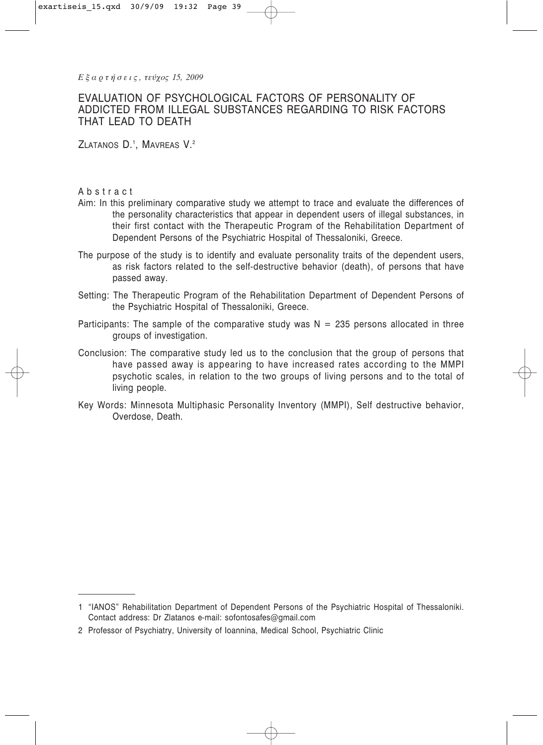*Ε ξ α ρ τ ή σ ε ι ς , τεύχος 15, 2009*

# EVALUATION OF PSYCHOLOGICAL FACTORS OF PERSONALITY OF ADDICTED FROM ILLEGAL SUBSTANCES REGARDING TO RISK FACTORS THAT LEAD TO DEATH

 $Z$ latanos D.', Mavreas V. $^{2}$ 

Abstract

- Aim: In this preliminary comparative study we attempt to trace and evaluate the differences of the personality characteristics that appear in dependent users of illegal substances, in their first contact with the Therapeutic Program of the Rehabilitation Department of Dependent Persons of the Psychiatric Hospital of Thessaloniki, Greece.
- The purpose of the study is to identify and evaluate personality traits of the dependent users, as risk factors related to the self-destructive behavior (death), of persons that have passed away.
- Setting: The Therapeutic Program of the Rehabilitation Department of Dependent Persons of the Psychiatric Hospital of Thessaloniki, Greece.
- Participants: The sample of the comparative study was  $N = 235$  persons allocated in three groups of investigation.
- Conclusion: The comparative study led us to the conclusion that the group of persons that have passed away is appearing to have increased rates according to the MMPI psychotic scales, in relation to the two groups of living persons and to the total of living people.
- Key Words: Minnesota Multiphasic Personality Inventory (MMPI), Self destructive behavior, Overdose, Death.

<sup>1 &</sup>quot;IANOS" Rehabilitation Department of Dependent Persons of the Psychiatric Hospital of Thessaloniki. Contact address: Dr Zlatanos e-mail: sofontosafes@gmail.com

<sup>2</sup> Professor of Psychiatry, University of Ioannina, Medical School, Psychiatric Clinic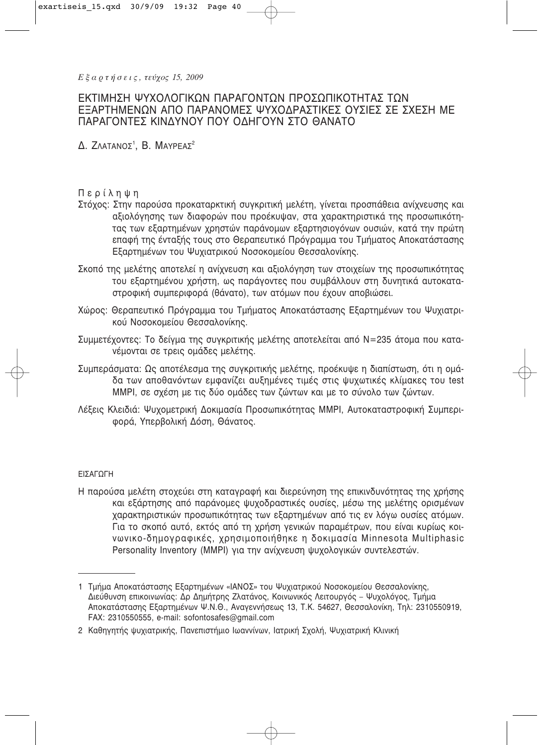*Ε ξ α ρ τ ή σ ε ι ς , τεύχος 15, 2009*

# ΕΚΤΙΜΗΣΗ ΨΥΧΟΛΟΓΙΚΩΝ ΠΑΡΑΓΟΝΤΩΝ ΠΡΟΣΩΠΙΚΟΤΗΤΑΣ ΤΩΝ ΕΞΑΡΤΗΜΕΝΩΝ ΑΠΟ ΠΑΡΑΝΟΜΕΣ ΨΥΧΟΔΡΑΣΤΙΚΕΣ ΟΥΣΙΕΣ ΣΕ ΣΧΕΣΗ ΜΕ ΠΑΡΑΓΟΝΤΕΣ ΚΙΝΔΥΝΟΥ ΠΟΥ ΟΔΗΓΟΥΝ ΣΤΟ ΘΑΝΑΤΟ

 $\Delta$ . Zaatano $\Sigma^{\scriptscriptstyle{1}}$ , B. Maypea $\Sigma^{\scriptscriptstyle{2}}$ 

Περίληψη

- Στόχος: Στην παρούσα προκαταρκτική συγκριτική μελέτη, γίνεται προσπάθεια ανίχνευσης και αξιολόγησης των διαφορών που προέκυψαν, στα χαρακτηριστικά της προσωπικότητας των εξαρτημένων χρηστών παράνομων εξαρτησιογόνων ουσιών, κατά την πρώτη επαφή της ένταξής τους στο Θεραπευτικό Πρόγραμμα του Τμήματος Αποκατάστασης Εξαρτημένων του Ψυχιατρικού Νοσοκομείου Θεσσαλονίκης.
- Σκοπό της μελέτης αποτελεί η ανίχνευση και αξιολόγηση των στοιχείων της προσωπικότητας του εξαρτημένου χρήστη, ως παράγοντες που συμβάλλουν στη δυνητικά αυτοκαταστροφική συμπεριφορά (θάνατο), των ατόμων που έχουν αποβιώσει.
- Χώρος: Θεραπευτικό Πρόγραμμα του Τμήματος Αποκατάστασης Εξαρτημένων του Ψυχιατρικού Νοσοκομείου Θεσσαλονίκης.
- Συμμετέχοντες: Το δείγμα της συγκριτικής μελέτης αποτελείται από N=235 άτομα που κατανέμονται σε τρεις ομάδες μελέτης.
- Συμπεράσματα: Ως αποτέλεσμα της συγκριτικής μελέτης, προέκυψε η διαπίστωση, ότι η ομάδα των αποθανόντων εμφανίζει αυξημένες τιμές στις ψυχωτικές κλίμακες του test MMPI, σε σχέση με τις δύο ομάδες των ζώντων και με το σύνολο των ζώντων.
- Λέξεις Κλειδιά: Ψυχομετρική Δοκιμασία Προσωπικότητας ΜΜΡΙ, Αυτοκαταστροφική Συμπεριφορά, Υπερβολική Δόση, Θάνατος.

## ΕΙΣΑΓΩΓΗ

Η παρούσα μελέτη στοχεύει στη καταγραφή και διερεύνηση της επικινδυνότητας της χρήσης και εξάρτησης από παράνομες ψυχοδραστικές ουσίες, μέσω της μελέτης ορισμένων χαρακτηριστικών προσωπικότητας των εξαρτημένων από τις εν λόγω ουσίες ατόμων. Για το σκοπό αυτό, εκτός από τη χρήση γενικών παραμέτρων, που είναι κυρίως κοιvωνικο-δημογραφικές, χρησιμοποιήθηκε η δοκιμασία Minnesota Multiphasic Personality Inventory (ΜΜΡΙ) για την ανίχνευση ψυχολογικών συντελεστών.

<sup>1</sup> Τμήμα Αποκατάστασης Εξαρτημένων «ΙΑΝΟΣ» του Ψυχιατρικού Νοσοκομείου Θεσσαλονίκης, Διεύθυνση επικοινωνίας: Δρ Δημήτρης Ζλατάνος, Κοινωνικός Λειτουργός – Ψυχολόγος, Τμήμα Aποκατάστασης Εξαρτημένων Ψ.Ν.Θ., Αναγεννήσεως 13, Τ.Κ. 54627, Θεσσαλονίκη, Τηλ: 2310550919, FAX: 2310550555, e-mail: sofontosafes@gmail.com

<sup>2</sup> Καθηγητής ψυχιατρικής, Πανεπιστήμιο Ιωαννίνων, Ιατρική Σχολή, Ψυχιατρική Κλινική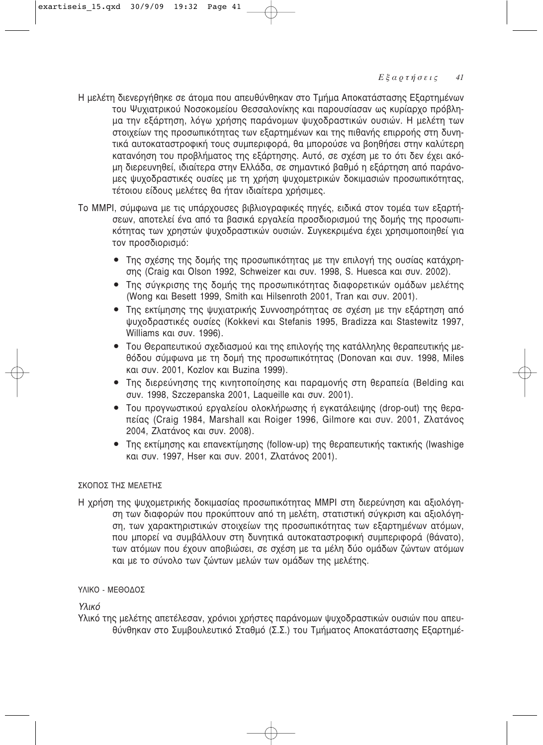- Η μελέτη διενεργήθηκε σε άτομα που απευθύνθηκαν στο Τμήμα Αποκατάστασης Εξαρτημένων του Ψυχιατρικού Νοσοκομείου Θεσσαλονίκης και παρουσίασαν ως κυρίαρχο πρόβλημα την εξάρτηση, λόγω χρήσης παράνομων ψυχοδραστικών ουσιών. Η μελέτη των στοιχείων της προσωπικότητας των εξαρτημένων και της πιθανής επιρροής στη δυνητικά αυτοκαταστροφική τους συμπεριφορά. Θα μπορούσε να βοηθήσει στην καλύτερη κατανόηση του προβλήματος της εξάρτησης. Αυτό, σε σχέση με το ότι δεν έχει ακόμη διερευνηθεί, ιδιαίτερα στην Ελλάδα, σε σημαντικό βαθμό η εξάρτηση από παράνομες ψυχοδραστικές ουσίες με τη χρήση ψυχομετρικών δοκιμασιών προσωπικότητας, τέτοιου είδους μελέτες θα ήταν ιδιαίτερα χρήσιμες.
- Το ΜΜΡΙ, σύμφωνα με τις υπάρχουσες βιβλιογραφικές πηγές, ειδικά στον τομέα των εξαρτήσεων, αποτελεί ένα από τα βασικά εργαλεία προσδιορισμού της δομής της προσωπικότητας των χρηστών ψυχοδραστικών ουσιών. Συγκεκριμένα έχει χρησιμοποιηθεί για τον προσδιορισμό:
	- Tης σχέσης της δομής της προσωπικότητας με την επιλογή της ουσίας κατάχρησης (Craig και Olson 1992, Schweizer και συν. 1998, S. Huesca και συν. 2002).
	- Tης σύγκρισης της δομής της προσωπικότητας διαφορετικών ομάδων μελέτης (Wong kat Besett 1999, Smith kat Hilsenroth 2001, Tran kat ouv. 2001).
	- Tης εκτίμησης της ψυχιατρικής Συννοσηρότητας σε σχέση με την εξάρτηση από ψυχοδραστικές ουσίες (Kokkevi και Stefanis 1995, Bradizza και Stastewitz 1997, Williams kat ouv. 1996).
	- Του Θεραπευτικού σχεδιασμού και της επιλογής της κατάλληλης θεραπευτικής μεθόδου σύμφωνα με τη δομή της προσωπικότητας (Donovan και συν. 1998, Miles Kal ouv. 2001, Kozlov kal Buzina 1999).
	- Tης διερεύνησης της κινητοποίησης και παραμονής στη θεραπεία (Belding και συν. 1998, Szczepanska 2001, Laqueille και συν. 2001).
	- Του προγνωστικού εργαλείου ολοκλήρωσης ή εγκατάλειψης (drop-out) της θεραπείας (Craig 1984, Marshall και Roiger 1996, Gilmore και συν. 2001, Ζλατάνος 2004, Ζλατάνος και συν. 2008).
	- Της εκτίμησης και επανεκτίμησης (follow-up) της θεραπευτικής τακτικής (Iwashige Kαι συν. 1997, Hser και συν. 2001, Ζλατάνος 2001).

# ΣΚΟΠΟΣ ΤΗΣ ΜΕΛΕΤΗΣ

Η χρήση της ψυχομετρικής δοκιμασίας προσωπικότητας MMPI στη διερεύνηση και αξιολόγηση των διαφορών που προκύπτουν από τη μελέτη, στατιστική σύγκριση και αξιολόγηση, των χαρακτηριστικών στοιχείων της προσωπικότητας των εξαρτημένων ατόμων, που μπορεί να συμβάλλουν στη δυνητικά αυτοκαταστροφική συμπεριφορά (θάνατο), των ατόμων που έχουν αποβιώσει, σε σχέση με τα μέλη δύο ομάδων ζώντων ατόμων και με το σύνολο των ζώντων μελών των ομάδων της μελέτης.

# ΥΛΙΚΟ - ΜΕΘΩΛΟΣ

# **Υλικό**

<u>Υλικό της μελέτης απετέλεσαν, χρόνιοι χρήστες παράνομων ψυχοδραστικών ουσιών που απευ-</u> θύνθηκαν στο Συμβουλευτικό Σταθμό (Σ.Σ.) του Τμήματος Αποκατάστασης Εξαρτημέ-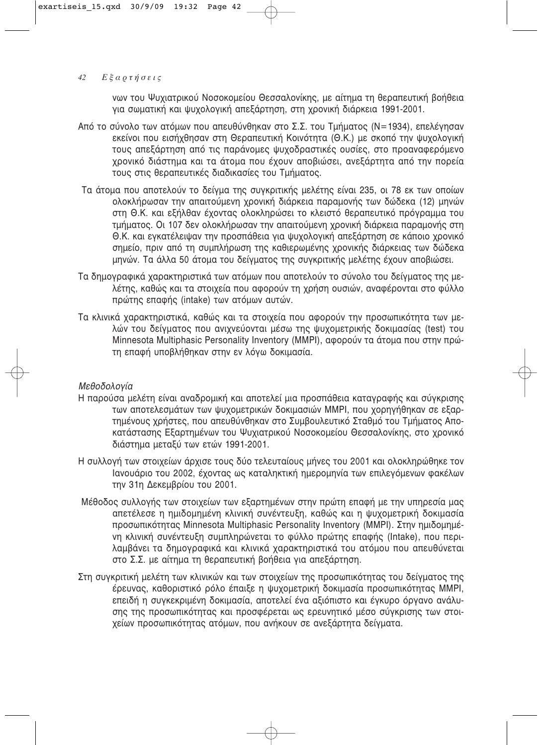νων του Ψυχιατρικού Νοσοκομείου Θεσσαλονίκης, με αίτημα τη θεραπευτική βοήθεια για σωματική και ψυχολογική απεξάρτηση, στη χρονική διάρκεια 1991-2001.

- Aπό το σύνολο των ατόμων που απευθύνθηκαν στο Σ.Σ. του Τμήματος (N=1934), επελέγησαν εκείνοι που εισήχθησαν στη Θεραπευτική Κοινότητα (Θ.Κ.) με σκοπό την ψυχολογική τους απεξάρτηση από τις παράνομες ψυχοδραστικές ουσίες, στο προαναφερόμενο χρονικό διάστημα και τα άτομα που έχουν αποβιώσει, ανεξάρτητα από την πορεία τους στις θεραπευτικές διαδικασίες του Τμήματος.
- Τα άτομα που αποτελούν το δείνμα της συγκριτικής μελέτης είναι 235, οι 78 εκ των οποίων ολοκλήρωσαν την απαιτούμενη χρονική διάρκεια παραμονής των δώδεκα (12) μηνών στη Θ.Κ. και εξήλθαν έχοντας ολοκληρώσει το κλειστό θεραπευτικό πρόγραμμα του τμήματος. Οι 107 δεν ολοκλήρωσαν την απαιτούμενη χρονική διάρκεια παραμονής στη Θ.Κ. και εγκατέλειψαν την προσπάθεια για ψυχολογική απεξάρτηση σε κάποιο χρονικό σημείο, πριν από τη συμπλήρωση της καθιερωμένης χρονικής διάρκειας των δώδεκα μηνών. Τα άλλα 50 άτομα του δείνματος της συνκριτικής μελέτης έχουν αποβιώσει.
- Τα δημογραφικά χαρακτηριστικά των ατόμων που αποτελούν το σύνολο του δείγματος της μελέτης, καθώς και τα στοιχεία που αφορούν τη χρήση ουσιών, αναφέρονται στο φύλλο πρώτης επαφής (intake) των ατόμων αυτών.
- Τα κλινικά χαρακτηριστικά, καθώς και τα στοιχεία που αφορούν την προσωπικότητα των μελών του δείγματος που ανιχνεύονται μέσω της ψυχομετρικής δοκιμασίας (test) του Minnesota Multiphasic Personality Inventory (ΜΜΡΙ), αφορούν τα άτομα που στην πρώτη επαφή υποβλήθηκαν στην εν λόγω δοκιμασία.

# *Μεθοδολονία*

- Η παρούσα μελέτη είναι αναδρομική και αποτελεί μια προσπάθεια καταγραφής και σύγκρισης των αποτελεσμάτων των ψυχομετρικών δοκιμασιών ΜΜΡΙ, που χορηγήθηκαν σε εξαρτημένους χρήστες, που απευθύνθηκαν στο Συμβουλευτικό Σταθμό του Τμήματος Αποκατάστασης Εξαρτημένων του Ψυχιατρικού Νοσοκομείου Θεσσαλονίκης, στο χρονικό διάστημα μεταξύ των ετών 1991-2001.
- Η συλλογή των στοιχείων άρχισε τους δύο τελευταίους μήνες του 2001 και ολοκληρώθηκε τον Ιανουάριο του 2002, έχοντας ως καταληκτική ημερομηνία των επιλεγόμενων φακέλων την 31η Δεκεμβρίου του 2001.
- Μέθοδος συλλογής των στοιχείων των εξαρτημένων στην πρώτη επαφή με την υπηρεσία μας απετέλεσε η ημιδομημένη κλινική συνέντευξη, καθώς και η ψυχομετρική δοκιμασία προσωπικότητας Minnesota Multiphasic Personality Inventory (ΜΜΡΙ). Στην ημιδομημέ-Vη κλινική συνέντευξη συμπληρώνεται το φύλλο πρώτης επαφής (Intake), που περιλαμβάνει τα δημογραφικά και κλινικά χαρακτηριστικά του ατόμου που απευθύνεται στο Σ.Σ. με αίτημα τη θεραπευτική βοήθεια για απεξάρτηση.
- Στη συγκριτική μελέτη των κλινικών και των στοιχείων της προσωπικότητας του δείγματος της έρευνας, καθοριστικό ρόλο έπαιξε η ψυχομετρική δοκιμασία προσωπικότητας ΜΜΡΙ, επειδή η συγκεκριμένη δοκιμασία, αποτελεί ένα αξιόπιστο και έγκυρο όργανο ανάλυσης της προσωπικότητας και προσφέρεται ως ερευνητικό μέσο σύγκρισης των στοιχείων προσωπικότητας ατόμων, που ανήκουν σε ανεξάρτητα δείγματα.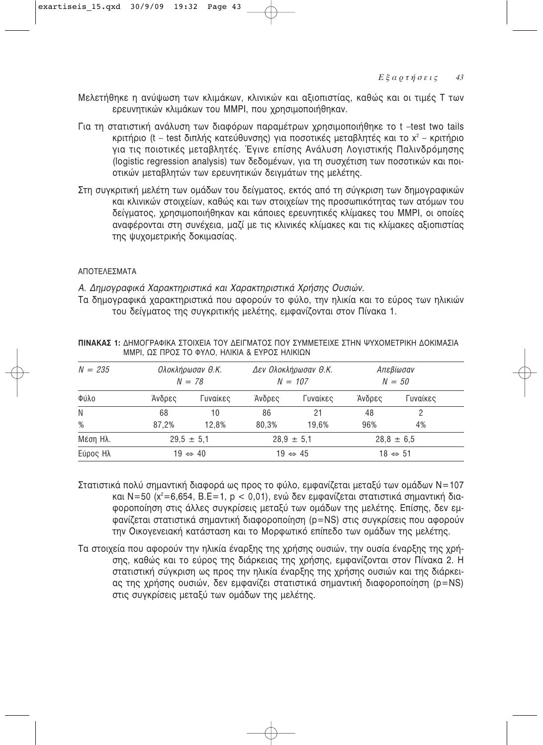- Μελετήθηκε η ανύψωση των κλιμάκων, κλινικών και αξιοπιστίας, καθώς και οι τιμές Τ των ερευνητικών κλιμάκων του ΜΜΡΙ, που χρησιμοποιήθηκαν.
- Για τη στατιστική ανάλυση των διαφόρων παραμέτρων χρησιμοποιήθηκε το t-test two tails κριτήριο (t - test διπλής κατεύθυνσης) για ποσοτικές μεταβλητές και το  $x^2$  - κριτήριο για τις ποιοτικές μεταβλητές. Έγινε επίσης Ανάλυση Λογιστικής Παλινδρόμησης (logistic regression analysis) των δεδομένων, για τη συσχέτιση των ποσοτικών και ποιοτικών μεταβλητών των ερευνητικών δεινμάτων της μελέτης.
- Στη συγκριτική μελέτη των ομάδων του δείγματος, εκτός από τη σύγκριση των δημογραφικών και κλινικών στοιχείων, καθώς και των στοιχείων της προσωπικότητας των ατόμων του δείγματος, χρησιμοποιήθηκαν και κάποιες ερευνητικές κλίμακες του ΜΜΡΙ, οι οποίες αναφέρονται στη συνέχεια, μαζί με τις κλινικές κλίμακες και τις κλίμακες αξιοπιστίας της ψυχομετρικής δοκιμασίας.

# ΑΠΟΤΕΛΕΣΜΑΤΑ

Α. Δημογραφικά Χαρακτηριστικά και Χαρακτηριστικά Χρήσης Ουσιών.

Τα δημογραφικά χαρακτηριστικά που αφορούν το φύλο, την ηλικία και το εύρος των ηλικιών του δείγματος της συγκριτικής μελέτης, εμφανίζονται στον Πίνακα 1.

| $N = 235$ |        | Ολοκλήρωσαν Θ.Κ.<br>$N = 78$ |        | Δεν Ολοκλήρωσαν Θ.Κ.<br>$N = 107$ |        | Απεβίωσαν<br>$N = 50$   |
|-----------|--------|------------------------------|--------|-----------------------------------|--------|-------------------------|
| Φύλο      | Άνδρες | Γυναίκες                     | Άνδρες | Γυναίκες                          | Άνδρες | Γυναίκες                |
| N         | 68     | 10                           | 86     | 21                                | 48     | 2                       |
| %         | 87.2%  | 12.8%                        | 80.3%  | 19.6%                             | 96%    | 4%                      |
| Μέση Ηλ.  |        | $29.5 \pm 5.1$               |        | $28.9 \pm 5.1$                    |        | $28.8 \pm 6.5$          |
| Εύρος Ηλ  |        | $19 \Leftrightarrow 40$      |        | $19 \Leftrightarrow 45$           |        | $18 \Leftrightarrow 51$ |

ΠΙΝΑΚΑΣ 1: ΔΗΜΟΓΡΑΦΙΚΑ ΣΤΟΙΧΕΙΑ ΤΟΥ ΔΕΙΓΜΑΤΟΣ ΠΟΥ ΣΥΜΜΕΤΕΙΧΕ ΣΤΗΝ ΨΥΧΟΜΕΤΡΙΚΗ ΔΟΚΙΜΑΣΙΑ ΜΜΡΙ, ΩΣ ΠΡΟΣ ΤΟ ΦΥΛΟ, ΗΛΙΚΙΑ & ΕΥΡΟΣ ΗΛΙΚΙΩΝ

- Στατιστικά πολύ σημαντική διαφορά ως προς το φύλο, εμφανίζεται μεταξύ των ομάδων N=107 και N=50 (x<sup>2</sup>=6,654, B.E=1, p < 0,01), ενώ δεν εμφανίζεται στατιστικά σημαντική διαφοροποίηση στις άλλες συγκρίσεις μεταξύ των ομάδων της μελέτης. Επίσης, δεν εμφανίζεται στατιστικά σημαντική διαφοροποίηση (p=NS) στις συγκρίσεις που αφορούν την Οικογενειακή κατάσταση και το Μορφωτικό επίπεδο των ομάδων της μελέτης.
- Τα στοιχεία που αφορούν την ηλικία έναρξης της χρήσης ουσιών, την ουσία έναρξης της χρήσης, καθώς και το εύρος της διάρκειας της χρήσης, εμφανίζονται στον Πίνακα 2. Η στατιστική σύγκριση ως προς την ηλικία έναρξης της χρήσης ουσιών και της διάρκειας της χρήσης ουσιών, δεν εμφανίζει στατιστικά σημαντική διαφοροποίηση (p=NS) στις συγκρίσεις μεταξύ των ομάδων της μελέτης.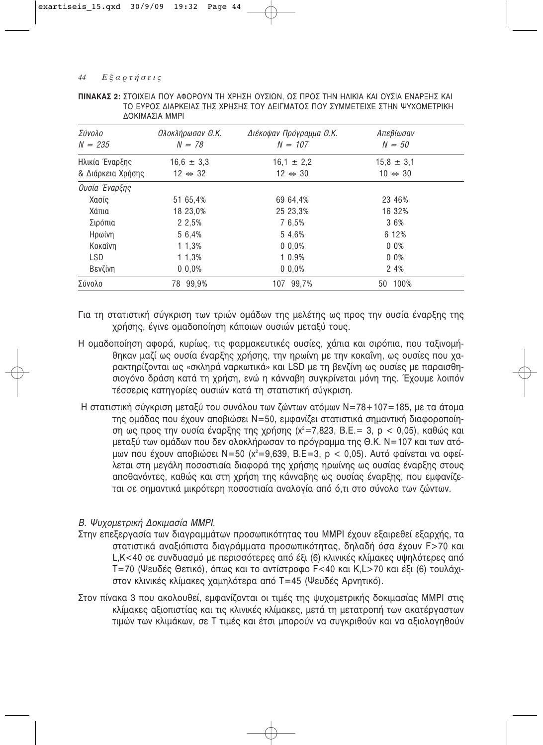ΠΙΝΑΚΑΣ 2: ΣΤΟΙΧΕΙΑ ΠΟΥ ΑΦΟΡΟΥΝ ΤΗ ΧΡΗΣΗ ΟΥΣΙΩΝ, ΩΣ ΠΡΟΣ ΤΗΝ ΗΛΙΚΙΑ ΚΑΙ ΟΥΣΙΑ ΕΝΑΡΞΗΣ ΚΑΙ ΤΟ ΕΥΡΟΣ ΔΙΑΡΚΕΙΑΣ ΤΗΣ ΧΡΗΣΗΣ ΤΟΥ ΔΕΙΓΜΑΤΟΣ ΠΟΥ ΣΥΜΜΕΤΕΙΧΕ ΣΤΗΝ ΨΥΧΟΜΕΤΡΙΚΗ ΔΟΚΙΜΑΣΙΑ ΜΜΡΙ

| Σύνολο            | Ολοκλήρωσαν Θ.Κ.        | Διέκοψαν Πρόγραμμα Θ.Κ. | Απεβίωσαν               |
|-------------------|-------------------------|-------------------------|-------------------------|
| $N = 235$         | $N = 78$                | $N = 107$               | $N = 50$                |
| Ηλικία Έναρξης    | $16.6 \pm 3.3$          | $16.1 \pm 2.2$          | $15.8 \pm 3.1$          |
| & Διάρκεια Χρήσης | $12 \Leftrightarrow 32$ | $12 \Leftrightarrow 30$ | $10 \Leftrightarrow 30$ |
| Ουσία Έναρξης     |                         |                         |                         |
| Χασίς             | 51 65,4%                | 69 64,4%                | 23 46%                  |
| Χάπια             | 18 23.0%                | 25 23.3%                | 16 32%                  |
| Σιρόπια           | 2 2.5%                  | 7 6,5%                  | 36%                     |
| Ηρωίνη            | 5 6,4%                  | 54.6%                   | 6 12%                   |
| Κοκαΐνη           | 1 1,3%                  | 0.0%                    | 0.0%                    |
| <b>LSD</b>        | 1 1,3%                  | 1 0.9%                  | 0.0%                    |
| Βενζίνη           | 0.0%                    | 0.0%                    | 2 4%                    |
| Σύνολο            | 78 99,9%                | 107 99.7%               | 50 100%                 |

Για τη στατιστική σύγκριση των τριών ομάδων της μελέτης ως προς την ουσία έναρξης της χρήσης, έγινε ομαδοποίηση κάποιων ουσιών μεταξύ τους.

Η ομαδοποίηση αφορά, κυρίως, τις φαρμακευτικές ουσίες, χάπια και σιρόπια, που ταξινομήθηκαν μαζί ως ουσία έναρξης χρήσης, την ηρωίνη με την κοκαΐνη, ως ουσίες που χαρακτηρίζονται ως «σκληρά ναρκωτικά» και LSD με τη βενζίνη ως ουσίες με παραισθησιογόνο δράση κατά τη χρήση, ενώ η κάνναβη συγκρίνεται μόνη της. Έχουμε λοιπόν τέσσερις κατηγορίες ουσιών κατά τη στατιστική σύγκριση.

Η στατιστική σύνκριση μεταξύ του συνόλου των ζώντων ατόμων N=78+107=185, με τα άτομα της ομάδας που έχουν αποβιώσει N=50, εμφανίζει στατιστικά σημαντική διαφοροποίηση ως προς την ουσία έναρξης της χρήσης (x²=7,823, B.E.= 3, p < 0,05), καθώς και μεταξύ των ομάδων που δεν ολοκλήρωσαν το πρόνραμμα της Θ.Κ. Ν=107 και των ατόμων που έχουν αποβιώσει N=50 (x²=9,639, B.E=3, p < 0,05). Αυτό φαίνεται να οφείλεται στη μεγάλη ποσοστιαία διαφορά της χρήσης ηρωίνης ως ουσίας έναρξης στους αποθανόντες, καθώς και στη χρήση της κάνναβης ως ουσίας έναρξης, που εμφανίζεται σε σημαντικά μικρότερη ποσοστιαία αναλογία από ό,τι στο σύνολο των ζώντων.

# **Β. Ψυχομετρική Δοκιμασία ΜΜΡΙ.**

- Στην επεξεργασία των διαγραμμάτων προσωπικότητας του ΜΜΡΙ έχουν εξαιρεθεί εξαρχής, τα στατιστικά αναξιόπιστα διαγράμματα προσωπικότητας, δηλαδή όσα έχουν F>70 και L, K<40 σε συνδυασμό με περισσότερες από έξι (6) κλινικές κλίμακες υψηλότερες από T=70 (Ψευδές Θετικό), όπως και το αντίστροφο F<40 και Κ,L>70 και έξι (6) τουλάχιστον κλινικές κλίμακες χαμηλότερα από T=45 (Ψευδές Αρνητικό).
- Στον πίνακα 3 που ακολουθεί, εμφανίζονται οι τιμές της ψυχομετρικής δοκιμασίας MMPI στις κλίμακες αξιοπιστίας και τις κλινικές κλίμακες, μετά τη μετατροπή των ακατέργαστων τιμών των κλιμάκων, σε T τιμές και έτσι μπορούν να συγκριθούν και να αξιολογηθούν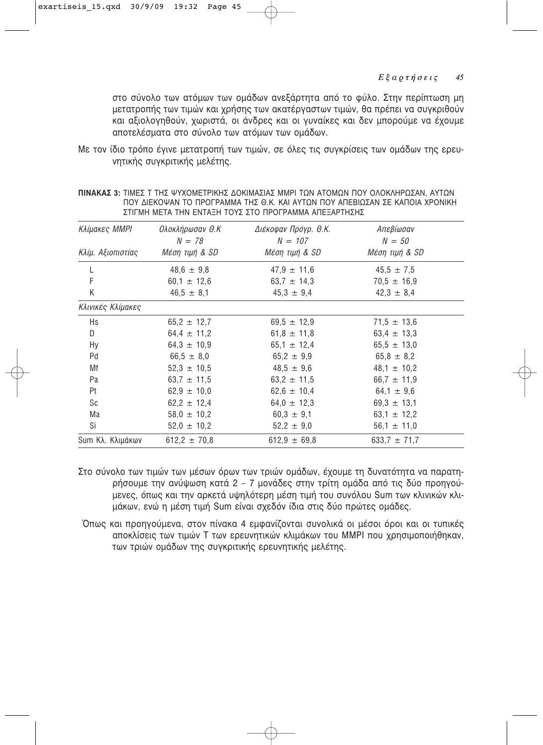στο σύνολο των ατόμων των ομάδων ανεξάρτητα από το φύλο. Στην περίπτωση μη μετατροπής των τιμών και χρήσης των ακατέργαστων τιμών, θα πρέπει να συγκριθούν και αξιολογηθούν, χωριστά, οι άνδρες και οι γυναίκες και δεν μπορούμε να έχουμε αποτελέσματα στο σύνολο των ατόμων των ομάδων.

Με τον ίδιο τρόπο έγινε μετατροπή των τιμών, σε όλες τις συγκρίσεις των ομάδων της ερευ-**VITIKÚC συγκριτικής μελέτης.** 

exartiseis\_15.qxd 30/9/09 19:32 Page 45

| Κλίμακες MMPI     | Ολοκλήρωσαν Θ.Κ  | Διέκοψαν Πρόγρ. Θ.Κ. | Απεβίωσαν        |
|-------------------|------------------|----------------------|------------------|
|                   | $N = 78$         | $N = 107$            | $N = 50$         |
| Κλίμ. Αξιοπιστίας | Μέση τιμή & SD   | Μέση τιμή & SD       | Μέση τιμή & SD   |
| L                 | $48.6 \pm 9.8$   | $47.9 \pm 11.6$      | $45.5 \pm 7.5$   |
| F                 | $60,1 \pm 12,6$  | $63.7 \pm 14.3$      | $70.5 \pm 16.9$  |
| K                 | $46.5 \pm 8.1$   | $45.3 \pm 9.4$       | $42.3 \pm 8.4$   |
| Κλινικές Κλίμακες |                  |                      |                  |
| Hs                | $65.2 \pm 12.7$  | $69.5 \pm 12.9$      | $71.5 \pm 13.6$  |
| D                 | $64.4 \pm 11.2$  | $61.8 \pm 11.8$      | $63.4 \pm 13.3$  |
| Hy                | $64.3 \pm 10.9$  | $65.1 \pm 12.4$      | $65.5 \pm 13.0$  |
| Pd                | $66.5 \pm 8.0$   | $65.2 \pm 9.9$       | $65,8 \pm 8,2$   |
| Mf                | $52.3 \pm 10.5$  | $48.5 \pm 9.6$       | $48.1 \pm 10.2$  |
| Pa                | $63.7 \pm 11.5$  | $63.2 \pm 11.5$      | $66.7 \pm 11.9$  |
| Pt                | $62.9 \pm 10.0$  | $62.6 \pm 10.4$      | $64.1 \pm 9.6$   |
| Sc                | $62.2 \pm 12.4$  | $64.0 \pm 12.3$      | $69.3 \pm 13.1$  |
| Ma                | $58.0 \pm 10.2$  | $60.3 \pm 9.1$       | $63.1 \pm 12.2$  |
| Si                | $52.0 \pm 10.2$  | $52.2 \pm 9.0$       | $56.1 \pm 11.0$  |
| Sum Κλ. Κλιμάκων  | $612.2 \pm 70.8$ | $612.9 \pm 69.8$     | 633.7 $\pm$ 71.7 |

| <b>ΠΙΝΑΚΑΣ 3:</b> ΤΙΜΕΣ Τ ΤΗΣ ΨΥΧΟΜΕΤΡΙΚΗΣ ΔΟΚΙΜΑΣΙΑΣ ΜΜΡΙ ΤΩΝ ΑΤΟΜΩΝ ΠΟΥ ΟΛΟΚΛΗΡΩΣΑΝ. ΑΥΤΩΝ |                                                                              |  |  |  |  |
|----------------------------------------------------------------------------------------------|------------------------------------------------------------------------------|--|--|--|--|
|                                                                                              | ΠΟΥ ΔΙΕΚΟΨΑΝ ΤΟ ΠΡΟΓΡΑΜΜΑ ΤΗΣ Θ.Κ. ΚΑΙ ΑΥΤΩΝ ΠΟΥ ΑΠΕΒΙΩΣΑΝ ΣΕ ΚΑΠΟΙΑ ΧΡΟΝΙΚΗ |  |  |  |  |
|                                                                                              | ΣΤΙΓΜΗ ΜΕΤΑ ΤΗΝ ΕΝΤΑΞΗ ΤΟΥΣ ΣΤΟ ΠΡΟΓΡΑΜΜΑ ΑΠΕΞΑΡΤΗΣΗΣ                        |  |  |  |  |

Στο σύνολο των τιμών των μέσων όρων των τριών ομάδων, έχουμε τη δυνατότητα να παρατηρήσουμε την ανύψωση κατά 2 – 7 μονάδες στην τρίτη ομάδα από τις δύο προηγούμενες, όπως και την αρκετά υψηλότερη μέση τιμή του συνόλου Sum των κλινικών κλιμάκων, ενώ η μέση τιμή Sum είναι σχεδόν ίδια στις δύο πρώτες ομάδες.

Όπως και προηγούμενα, στον πίνακα 4 εμφανίζονται συνολικά οι μέσοι όροι και οι τυπικές αποκλίσεις των τιμών T των ερευνητικών κλιμάκων του MMPI που χρησιμοποιήθηκαν, των τριών ομάδων της συγκριτικής ερευνητικής μελέτης.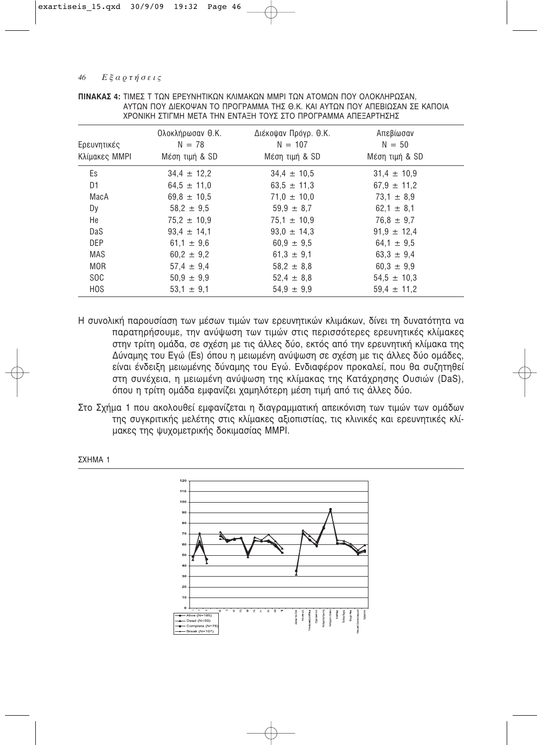| Ερευνητικές<br>Κλίμακες ΜΜΡΙ | Ολοκλήρωσαν Θ.Κ.<br>$N = 78$<br>Μέση τιμή & SD | Διέκοψαν Πρόγρ. Θ.Κ.<br>$N = 107$<br>Μέση τιμή & SD | Απεβίωσαν<br>$N = 50$<br>Mέση τιμή & SD |  |
|------------------------------|------------------------------------------------|-----------------------------------------------------|-----------------------------------------|--|
| Es                           | $34.4 \pm 12.2$                                | $34.4 \pm 10.5$                                     | $31.4 \pm 10.9$                         |  |
| D <sub>1</sub>               | $64.5 \pm 11.0$                                | $63.5 \pm 11.3$                                     | $67.9 \pm 11.2$                         |  |
| MacA                         | $69.8 \pm 10.5$                                | $71.0 \pm 10.0$                                     | $73.1 \pm 8.9$                          |  |
| Dy                           | $58.2 \pm 9.5$                                 | $59.9 \pm 8.7$                                      | $62.1 \pm 8.1$                          |  |
| He                           | $75.2 \pm 10.9$                                | $75.1 \pm 10.9$                                     | $76,8 \pm 9,7$                          |  |
| DaS                          | $93.4 \pm 14.1$                                | $93.0 \pm 14.3$                                     | $91.9 \pm 12.4$                         |  |
| <b>DEP</b>                   | $61.1 \pm 9.6$                                 | $60.9 \pm 9.5$                                      | $64.1 \pm 9.5$                          |  |
| <b>MAS</b>                   | $60.2 \pm 9.2$                                 | $61.3 \pm 9.1$                                      | $63.3 \pm 9.4$                          |  |
| <b>MOR</b>                   | $57.4 \pm 9.4$                                 | $58,2 \pm 8,8$                                      | $60.3 \pm 9.9$                          |  |
| <b>SOC</b>                   | $50.9 \pm 9.9$                                 | $52.4 \pm 8.8$                                      | $54.5 \pm 10.3$                         |  |
| <b>HOS</b>                   | $53.1 \pm 9.1$                                 | $54.9 \pm 9.9$                                      | $59.4 \pm 11.2$                         |  |
|                              |                                                |                                                     |                                         |  |

ΠΙΝΑΚΑΣ 4: ΤΙΜΕΣ Τ ΤΩΝ ΕΡΕΥΝΗΤΙΚΩΝ ΚΛΙΜΑΚΩΝ ΜΜΡΙ ΤΩΝ ΑΤΟΜΩΝ ΠΟΥ ΟΛΟΚΛΗΡΩΣΑΝ. ΑΥΤΩΝ ΠΟΥ ΔΙΕΚΟΨΑΝ ΤΟ ΠΡΟΓΡΑΜΜΑ ΤΗΣ Θ.Κ. ΚΑΙ ΑΥΤΩΝ ΠΟΥ ΑΠΕΒΙΩΣΑΝ ΣΕ ΚΑΠΟΙΑ ΧΡΟΝΙΚΗ ΣΤΙΓΜΗ ΜΕΤΑ ΤΗΝ ΕΝΤΑΞΗ ΤΟΥΣ ΣΤΟ ΠΡΟΓΡΑΜΜΑ ΑΠΕΞΑΡΤΗΣΗΣ

- Η συνολική παρουσίαση των μέσων τιμών των ερευνητικών κλιμάκων, δίνει τη δυνατότητα να παρατηρήσουμε, την ανύψωση των τιμών στις περισσότερες ερευνητικές κλίμακες στην τρίτη ομάδα, σε σχέση με τις άλλες δύο, εκτός από την ερευνητική κλίμακα της Δύναμης του Εγώ (Es) όπου η μειωμένη ανύψωση σε σχέση με τις άλλες δύο ομάδες, είναι ένδειξη μειωμένης δύναμης του Εγώ. Ενδιαφέρον προκαλεί, που θα συζητηθεί στη συνέχεια, η μειωμένη ανύψωση της κλίμακας της Κατάχρησης Ουσιών (DaS), όπου η τρίτη ομάδα εμφανίζει χαμηλότερη μέση τιμή από τις άλλες δύο.
- Στο Σχήμα 1 που ακολουθεί εμφανίζεται η διαγραμματική απεικόνιση των τιμών των ομάδων της συγκριτικής μελέτης στις κλίμακες αξιοπιστίας, τις κλινικές και ερευνητικές κλίμακες της ψυχομετρικής δοκιμασίας ΜΜΡΙ.



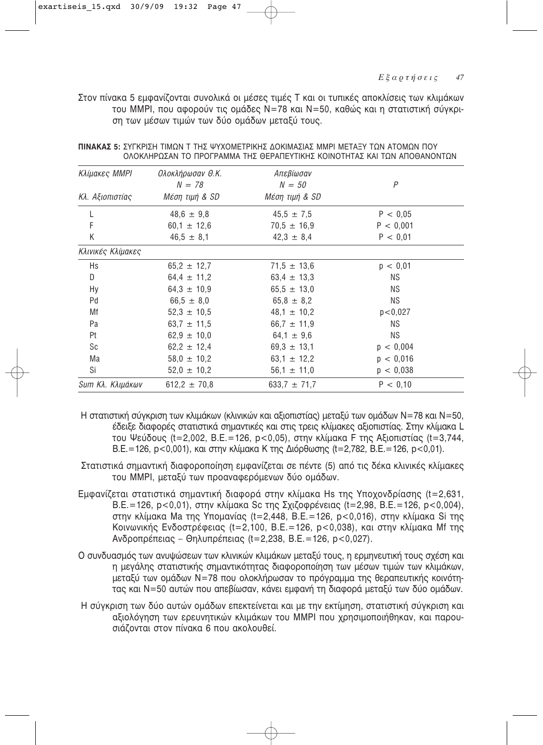# Στον πίνακα 5 εμφανίζονται συνολικά οι μέσες τιμές Τ και οι τυπικές αποκλίσεις των κλιμάκων του ΜΜΡΙ, που αφορούν τις ομάδες N=78 και N=50, καθώς και η στατιστική σύγκριση των μέσων τιμών των δύο ομάδων μεταξύ τους.

| Κλίμακες MMPI     | Ολοκλήρωσαν Θ.Κ.<br>$N = 78$ | Απεβίωσαν<br>$N = 50$ | P         |  |  |
|-------------------|------------------------------|-----------------------|-----------|--|--|
| Κλ. Αξιοπιστίας   | Μέση τιμή & SD               | Μέση τιμή & SD        |           |  |  |
|                   | $48.6 \pm 9.8$               | $45.5 \pm 7.5$        | P < 0.05  |  |  |
| F                 | $60.1 \pm 12.6$              | $70.5 \pm 16.9$       | P < 0.001 |  |  |
| K                 | $46.5 \pm 8.1$               | $42.3 \pm 8.4$        | P < 0.01  |  |  |
| Κλινικές Κλίμακες |                              |                       |           |  |  |
| <b>Hs</b>         | $65.2 \pm 12.7$              | $71.5 \pm 13.6$       | p < 0.01  |  |  |
| D                 | $64.4 \pm 11.2$              | $63.4 \pm 13.3$       | <b>NS</b> |  |  |
| Hy                | $64.3 \pm 10.9$              | $65.5 \pm 13.0$       | <b>NS</b> |  |  |
| Pd                | $66.5 \pm 8.0$               | $65.8 \pm 8.2$        | <b>NS</b> |  |  |
| Mf                | $52.3 \pm 10.5$              | $48.1 \pm 10.2$       | p < 0.027 |  |  |

Pa 63,7 ± 11,5 66,7 ± 11,9 NS Pt 62.9  $\pm$  10.0 64.1  $\pm$  9.6 NS Sc 62,2  $\pm$  12,4 69,3  $\pm$  13,1 p < 0,004 Ma  $58.0 \pm 10.2$   $63.1 \pm 12.2$   $p < 0.016$ Si  $52.0 \pm 10.2$   $56.1 \pm 11.0$   $p < 0.038$ *Sum Κλ. Κλιμάκων* 612,2 ± 70,8 633,7 ± 71,7 P < 0,10

**ΠΙΝΑΚΑΣ 5:** ΣΥΓΚΡΙΣΗ ΤΙΜΩΝ Τ ΤΗΣ ΨΥΧΟΜΕΤΡΙΚΗΣ ΔΟΚΙΜΑΣΙΑΣ ΜΜΡΙ ΜΕΤΑΞΥ ΤΩΝ ΑΤΟΜΩΝ ΠΟΥ ΟΛΟΚΛΗΡΩΣΑΝ ΤΟ ΠΡΟΓΡΑΜΜΑ ΤΗΣ ΘΕΡΑΠΕΥΤΙΚΗΣ ΚΟΙΝΟΤΗΤΑΣ ΚΑΙ ΤΩΝ ΑΠΟΘΑΝΟΝΤΩΝ

- Η στατιστική σύγκριση των κλιμάκων (κλινικών και αξιοπιστίας) μεταξύ των ομάδων N=78 και N=50, έδειξε διαφορές στατιστικά σημαντικές και στις τρεις κλίμακες αξιοπιστίας. Στην κλίμακα L του Ψεύδους (t=2,002, B.E.=126, p<0,05), στην κλίμακα F της Αξιοπιστίας (t=3,744,  $B.E. = 126$ , p<0,001), και στην κλίμακα Κ της Διόρθωσης (t=2,782, B.E.=126, p<0,01).
- Στατιστικά σημαντική διαφοροποίηση εμφανίζεται σε πέντε (5) από τις δέκα κλινικές κλίμακες του ΜΜΡΙ, μεταξύ των προαναφερόμενων δύο ομάδων.
- Εμφανίζεται στατιστικά σημαντική διαφορά στην κλίμακα Hs της Υποχονδρίασης (t=2,631,  $B.E. = 126$ , p<0,01), στην κλίμακα Sc της Σχιζοφρένειας (t=2,98, B.E.=126, p<0,004), στην κλίμακα Ma της Υπομανίας (t=2,448, B.E.=126, p<0,016), στην κλίμακα Si της Κοινωνικής Ενδοστρέφειας (t=2,100, B.E.=126, p<0,038), και στην κλίμακα Μf της Aνδροπρέπειας – Θηλυπρέπειας (t=2,238, B.E.=126, p<0,027).
- Ο συνδυασμός των ανυψώσεων των κλινικών κλιμάκων μεταξύ τους, η ερμηνευτική τους σχέση και η μεγάλης στατιστικής σημαντικότητας διαφοροποίηση των μέσων τιμών των κλιμάκων, μεταξύ των ομάδων N=78 που ολοκλήρωσαν το πρόγραμμα της θεραπευτικής κοινότητας και N=50 αυτών που απεβίωσαν, κάνει εμφανή τη διαφορά μεταξύ των δύο ομάδων.
- Η σύγκριση των δύο αυτών ομάδων επεκτείνεται και με την εκτίμηση, στατιστική σύγκριση και αξιολόγηση των ερευνητικών κλιμάκων του ΜΜΡΙ που χρησιμοποιήθηκαν, και παρουσιάζονται στον πίνακα 6 που ακολουθεί.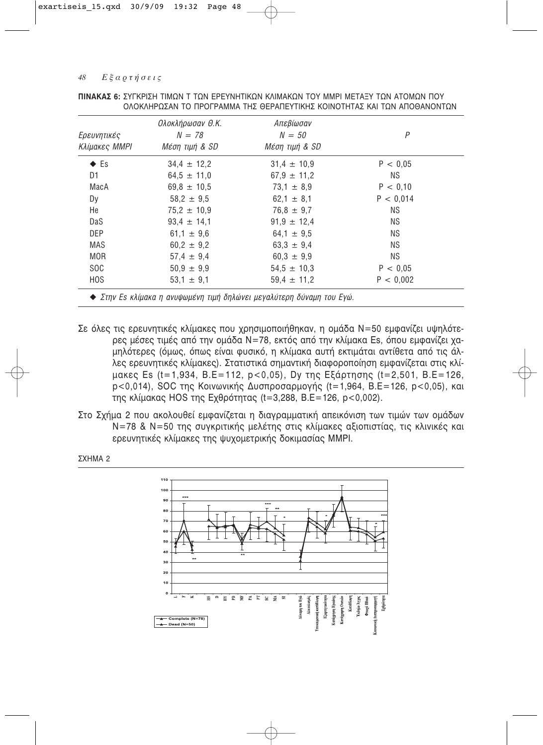| Ερευνητικές<br>Κλίμακες MMPI | Ολοκλήρωσαν Θ.Κ.<br>$N = 78$<br>Μέση τιμή & SD | Απεβίωσαν<br>$N = 50$<br>Μέση τιμή & SD | P         |
|------------------------------|------------------------------------------------|-----------------------------------------|-----------|
| $\triangle$ Es               | $34.4 \pm 12.2$                                | $31.4 \pm 10.9$                         | P < 0.05  |
| D <sub>1</sub>               | $64.5 \pm 11.0$                                | $67.9 \pm 11.2$                         | NS.       |
| MacA                         | $69.8 \pm 10.5$                                | $73.1 \pm 8.9$                          | P < 0.10  |
| Dy                           | $58.2 \pm 9.5$                                 | $62.1 \pm 8.1$                          | P < 0.014 |
| He                           | $75.2 \pm 10.9$                                | $76.8 \pm 9.7$                          | <b>NS</b> |
| DaS                          | $93.4 \pm 14.1$                                | $91.9 \pm 12.4$                         | <b>NS</b> |
| <b>DEP</b>                   | $61.1 \pm 9.6$                                 | $64.1 \pm 9.5$                          | ΝS        |
| <b>MAS</b>                   | $60.2 \pm 9.2$                                 | $63.3 \pm 9.4$                          | <b>NS</b> |
| <b>MOR</b>                   | $57.4 \pm 9.4$                                 | $60,3 \pm 9,9$                          | <b>NS</b> |
| <b>SOC</b>                   | $50.9 \pm 9.9$                                 | $54.5 \pm 10.3$                         | P < 0.05  |
| H <sub>O</sub> S             | $53.1 \pm 9.1$                                 | $59.4 \pm 11.2$                         | P < 0.002 |

ΠΙΝΑΚΑΣ 6: ΣΥΓΚΡΙΣΗ ΤΙΜΩΝ Τ ΤΩΝ ΕΡΕΥΝΗΤΙΚΩΝ ΚΛΙΜΑΚΩΝ ΤΟΥ ΜΜΡΙ ΜΕΤΑΞΥ ΤΩΝ ΑΤΟΜΩΝ ΠΟΥ ΟΛΟΚΛΗΡΩΣΑΝ ΤΟ ΠΡΟΓΡΑΜΜΑ ΤΗΣ ΘΕΡΑΠΕΥΤΙΚΗΣ ΚΟΙΝΟΤΗΤΑΣ ΚΑΙ ΤΩΝ ΑΠΟΘΑΝΟΝΤΩΝ

- Σε όλες τις ερευνητικές κλίμακες που χρησιμοποιήθηκαν, η ομάδα N=50 εμφανίζει υψηλότερες μέσες τιμές από την ομάδα N=78, εκτός από την κλίμακα Es, όπου εμφανίζει χαμηλότερες (όμως, όπως είναι φυσικό, η κλίμακα αυτή εκτιμάται αντίθετα από τις άλλες ερευνητικές κλίμακες). Στατιστικά σημαντική διαφοροποίηση εμφανίζεται στις κλίμακες Es (t=1,934, B.E=112, p<0,05), Dy της Εξάρτησης (t=2,501, B.E=126, p<0,014), SOC της Κοινωνικής Δυσπροσαρμογής (t=1,964, B.E=126, p<0,05), και της κλίμακας HOS της Εχθρότητας (t=3,288, B.E=126, p<0,002).
- Στο Σχήμα 2 που ακολουθεί εμφανίζεται η διαγραμματική απεικόνιση των τιμών των ομάδων N=78 & N=50 της συγκριτικής μελέτης στις κλίμακες αξιοπιστίας, τις κλινικές και ερευνητικές κλίμακες της ψυχομετρικής δοκιμασίας ΜΜΡΙ.



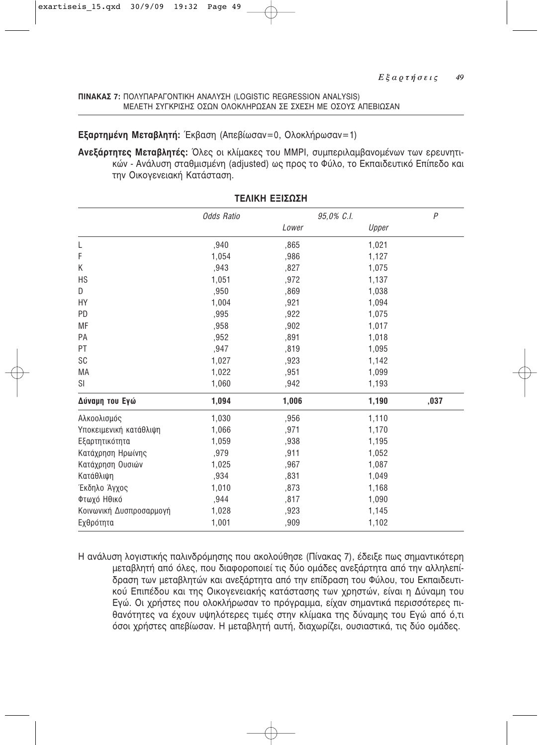exartiseis 15.qxd 30/9/09 19:32 Page 49

> **ΠΙΝΑΚΑΣ 7: ΠΟΛΥΠΑΡΑΓΟΝΤΙΚΗ ΑΝΑΛΥΣΗ (LOGISTIC REGRESSION ANALYSIS)** ΜΕΛΕΤΗ ΣΥΓΚΡΙΣΗΣ ΟΣΩΝ ΟΛΟΚΛΗΡΩΣΑΝ ΣΕ ΣΧΕΣΗ ΜΕ ΟΣΟΥΣ ΑΠΕΒΙΩΣΑΝ

Εξαρτημένη Μεταβλητή: Έκβαση (Απεβίωσαν=0, Ολοκλήρωσαν=1)

Ανεξάρτητες Μεταβλητές: Όλες οι κλίμακες του ΜΜΡΙ, συμπεριλαμβανομένων των ερευνητικών - Ανάλυση σταθμισμένη (adjusted) ως προς το Φύλο, το Εκπαιδευτικό Επίπεδο και την Οικογενειακή Κατάσταση.

|                         | <b>Odds Ratio</b> |       | 95,0% C.I. | P    |
|-------------------------|-------------------|-------|------------|------|
|                         |                   | Lower | Upper      |      |
| L                       | ,940              | ,865  | 1,021      |      |
| F                       | 1,054             | ,986  | 1,127      |      |
| K                       | .943              | ,827  | 1,075      |      |
| <b>HS</b>               | 1,051             | ,972  | 1,137      |      |
| D                       | .950              | ,869  | 1,038      |      |
| <b>HY</b>               | 1,004             | ,921  | 1,094      |      |
| <b>PD</b>               | ,995              | ,922  | 1,075      |      |
| <b>MF</b>               | ,958              | ,902  | 1,017      |      |
| PA                      | ,952              | ,891  | 1,018      |      |
| PT                      | ,947              | ,819  | 1,095      |      |
| SC                      | 1,027             | ,923  | 1,142      |      |
| MA                      | 1,022             | ,951  | 1,099      |      |
| SI                      | 1,060             | ,942  | 1,193      |      |
| Δύναμη του Εγώ          | 1,094             | 1,006 | 1,190      | ,037 |
| Αλκοολισμός             | 1,030             | ,956  | 1,110      |      |
| Υποκειμενική κατάθλιψη  | 1,066             | ,971  | 1,170      |      |
| Εξαρτητικότητα          | 1,059             | ,938  | 1,195      |      |
| Κατάχρηση Ηρωίνης       | ,979              | ,911  | 1,052      |      |
| Κατάχρηση Ουσιών        | 1,025             | ,967  | 1,087      |      |
| Κατάθλιψη               | ,934              | ,831  | 1,049      |      |
| Έκδηλο Άγχος            | 1,010             | ,873  | 1,168      |      |
| Φτωχό Ηθικό             | .944              | ,817  | 1,090      |      |
| Κοινωνική Δυσπροσαρμογή | 1,028             | ,923  | 1,145      |      |
| Εχθρότητα               | 1,001             | ,909  | 1,102      |      |

**ΤΕΛΙΚΗ ΕΞΙΣΩΣΗ** 

Η ανάλυση λογιστικής παλινδρόμησης που ακολούθησε (Πίνακας 7), έδειξε πως σημαντικότερη μεταβλητή από όλες, που διαφοροποιεί τις δύο ομάδες ανεξάρτητα από την αλληλεπίδραση των μεταβλητών και ανεξάρτητα από την επίδραση του Φύλου, του Εκπαιδευτικού Επιπέδου και της Οικογενειακής κατάστασης των χρηστών, είναι η Δύναμη του Εγώ. Οι χρήστες που ολοκλήρωσαν το πρόγραμμα, είχαν σημαντικά περισσότερες πιθανότητες να έχουν υψηλότερες τιμές στην κλίμακα της δύναμης του Εγώ από ό,τι όσοι χρήστες απεβίωσαν. Η μεταβλητή αυτή, διαχωρίζει, ουσιαστικά, τις δύο ομάδες.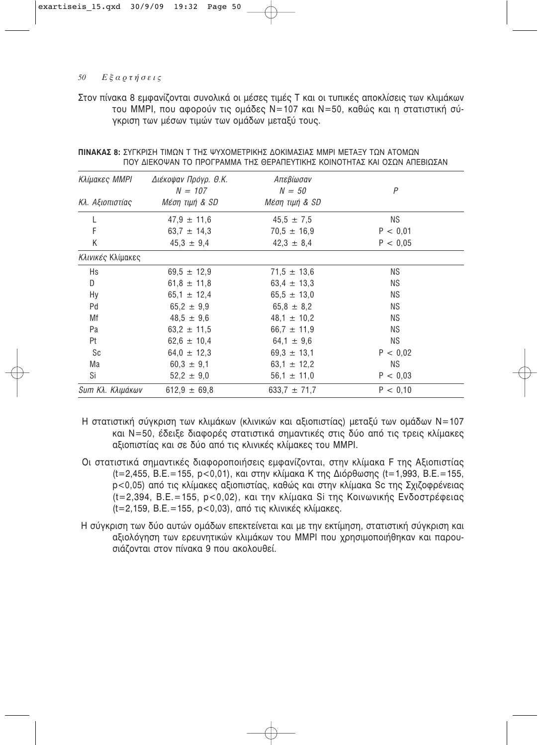Στον πίνακα 8 εμφανίζονται συνολικά οι μέσες τιμές Τ και οι τυπικές αποκλίσεις των κλιμάκων του ΜΜΡΙ, που αφορούν τις ομάδες N=107 και N=50, καθώς και η στατιστική σύγκριση των μέσων τιμών των ομάδων μεταξύ τους.

| Κλίμακες MMPI     | Διέκοψαν Πρόγρ. Θ.Κ. | Απεβίωσαν        |                |  |
|-------------------|----------------------|------------------|----------------|--|
|                   | $N = 107$            | $N = 50$         | $\overline{P}$ |  |
| Κλ. Αξιοπιστίας   | Μέση τιμή & SD       | Μέση τιμή & SD   |                |  |
| L                 | $47.9 \pm 11.6$      | $45.5 \pm 7.5$   | <b>NS</b>      |  |
| F                 | $63.7 \pm 14.3$      | $70.5 \pm 16.9$  | P < 0.01       |  |
| K                 | $45.3 \pm 9.4$       | $42.3 \pm 8.4$   | P < 0.05       |  |
| Κλινικές Κλίμακες |                      |                  |                |  |
| Hs                | $69.5 \pm 12.9$      | $71.5 \pm 13.6$  | <b>NS</b>      |  |
| D                 | $61.8 \pm 11.8$      | $63.4 \pm 13.3$  | <b>NS</b>      |  |
| Hy                | $65.1 \pm 12.4$      | $65.5 \pm 13.0$  | ΝS             |  |
| Pd                | $65.2 \pm 9.9$       | $65.8 \pm 8.2$   | <b>NS</b>      |  |
| Mf                | $48.5 \pm 9.6$       | $48.1 \pm 10.2$  | <b>NS</b>      |  |
| Pa                | $63.2 \pm 11.5$      | $66.7 \pm 11.9$  | <b>NS</b>      |  |
| Pt                | $62.6 \pm 10.4$      | $64.1 \pm 9.6$   | <b>NS</b>      |  |
| Sc                | $64.0 \pm 12.3$      | $69.3 \pm 13.1$  | P < 0.02       |  |
| Ma                | $60.3 \pm 9.1$       | $63.1 \pm 12.2$  | <b>NS</b>      |  |
| Si                | $52.2 \pm 9.0$       | $56.1 \pm 11.0$  | P < 0.03       |  |
| Sum Kλ. Κλιμάκων  | $612.9 \pm 69.8$     | $633.7 \pm 71.7$ | P < 0.10       |  |

| ΠΙΝΑΚΑΣ 8: ΣΥΓΚΡΙΣΗ ΤΙΜΩΝ Τ ΤΗΣ ΨΥΧΟΜΕΤΡΙΚΗΣ ΔΟΚΙΜΑΣΙΑΣ ΜΜΡΙ ΜΕΤΑΞΥ ΤΩΝ ΑΤΟΜΩΝ |                                                                          |
|--------------------------------------------------------------------------------|--------------------------------------------------------------------------|
|                                                                                | ΠΟΥ ΔΙΕΚΟΨΑΝ ΤΟ ΠΡΟΓΡΑΜΜΑ ΤΗΣ ΘΕΡΑΠΕΥΤΙΚΗΣ ΚΟΙΝΟΤΗΤΑΣ ΚΑΙ ΟΣΩΝ ΑΠΕΒΙΩΣΑΝ |

- Η στατιστική σύγκριση των κλιμάκων (κλινικών και αξιοπιστίας) μεταξύ των ομάδων N=107 και Ν=50, έδειξε διαφορές στατιστικά σημαντικές στις δύο από τις τρεις κλίμακες αξιοπιστίας και σε δύο από τις κλινικές κλίμακες του ΜΜΡΙ.
- Οι στατιστικά σημαντικές διαφοροποιήσεις εμφανίζονται, στην κλίμακα F της Αξιοπιστίας  $(t=2.455, B.E. = 155, p < 0.01)$ , και στην κλίμακα K της Διόρθωσης  $(t=1.993, B.E. = 155,$ p<0,05) από τις κλίμακες αξιοπιστίας, καθώς και στην κλίμακα Sc της Σχιζοφρένειας (t=2,394, B.E.=155, p<0,02), και την κλίμακα Si της Κοινωνικής Ενδοστρέφειας (t=2,159, Β.Ε. = 155, p<0,03), από τις κλινικές κλίμακες.
- Η σύγκριση των δύο αυτών ομάδων επεκτείνεται και με την εκτίμηση, στατιστική σύγκριση και αξιολόγηση των ερευνητικών κλιμάκων του ΜΜΡΙ που χρησιμοποιήθηκαν και παρουσιάζονται στον πίνακα 9 που ακολουθεί.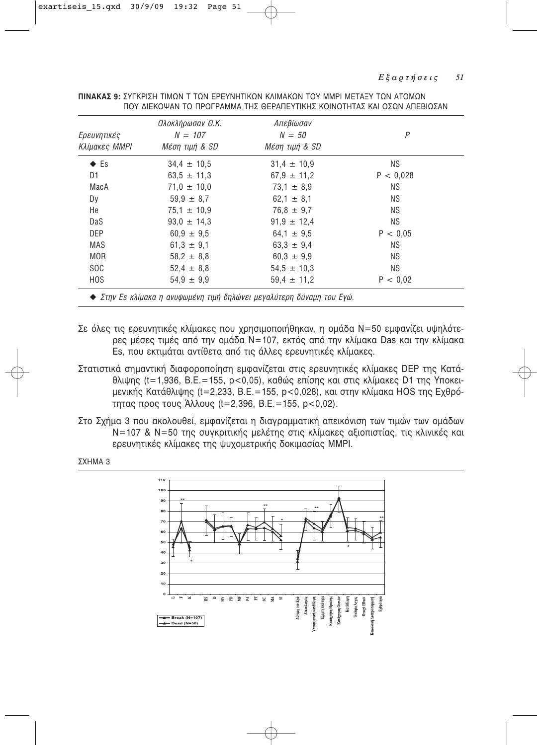| Ερευνητικές<br>Κλίμακες ΜΜΡΙ | Ολοκλήρωσαν Θ.Κ.<br>$N = 107$<br>Μέση τιμή & SD | Απεβίωσαν<br>$N = 50$<br>Μέση τιμή & SD | P         |
|------------------------------|-------------------------------------------------|-----------------------------------------|-----------|
| $\triangle$ Es               | $34.4 \pm 10.5$                                 | $31.4 \pm 10.9$                         | NS.       |
| D1                           | $63.5 \pm 11.3$                                 | $67.9 \pm 11.2$                         | P < 0.028 |
| MacA                         | $71.0 \pm 10.0$                                 | $73.1 \pm 8.9$                          | <b>NS</b> |
| Dy                           | $59.9 \pm 8.7$                                  | $62.1 \pm 8.1$                          | ΝS        |
| He                           | $75.1 \pm 10.9$                                 | $76.8 \pm 9.7$                          | ΝS        |
| DaS                          | $93.0 \pm 14.3$                                 | $91.9 \pm 12.4$                         | NS.       |
| <b>DEP</b>                   | $60.9 \pm 9.5$                                  | $64.1 \pm 9.5$                          | P < 0.05  |
| <b>MAS</b>                   | $61.3 \pm 9.1$                                  | $63.3 \pm 9.4$                          | <b>NS</b> |
| <b>MOR</b>                   | $58.2 \pm 8.8$                                  | $60.3 \pm 9.9$                          | <b>NS</b> |
| SO <sub>C</sub>              | $52.4 \pm 8.8$                                  | $54.5 \pm 10.3$                         | ΝS        |
| <b>HOS</b>                   | $54.9 \pm 9.9$                                  | $59.4 \pm 11.2$                         | P < 0.02  |

ΠΙΝΑΚΑΣ 9: ΣΥΓΚΡΙΣΗ ΤΙΜΩΝ Τ ΤΩΝ ΕΡΕΥΝΗΤΙΚΩΝ ΚΛΙΜΑΚΩΝ ΤΟΥ ΜΜΡΙ ΜΕΤΑΞΥ ΤΩΝ ΑΤΟΜΩΝ ΠΟΥ ΔΙΕΚΟΨΑΝ ΤΟ ΠΡΟΓΡΑΜΜΑ ΤΗΣ ΘΕΡΑΠΕΥΤΙΚΗΣ ΚΟΙΝΟΤΗΤΑΣ ΚΑΙ ΟΣΩΝ ΑΠΕΒΙΩΣΑΝ

- Σε όλες τις ερευνητικές κλίμακες που χρησιμοποιήθηκαν, η ομάδα N=50 εμφανίζει υψηλότερες μέσες τιμές από την ομάδα N=107, εκτός από την κλίμακα Das και την κλίμακα Es, που εκτιμάται αντίθετα από τις άλλες ερευνητικές κλίμακες.
- Στατιστικά σημαντική διαφοροποίηση εμφανίζεται στις ερευνητικές κλίμακες DEP της Κατάθλιψης (t=1,936, B.E.=155, p<0,05), καθώς επίσης και στις κλίμακες D1 της Υποκειμενικής Κατάθλιψης (t=2,233, B.E.=155, p<0,028), και στην κλίμακα HOS της Εχθρότητας προς τους Άλλους (t=2,396, B.E.=155, p<0,02).
- Στο Σχήμα 3 που ακολουθεί, εμφανίζεται η διαγραμματική απεικόνιση των τιμών των ομάδων N=107 & N=50 της συγκριτικής μελέτης στις κλίμακες αξιοπιστίας, τις κλινικές και ερευνητικές κλίμακες της ψυχομετρικής δοκιμασίας ΜΜΡΙ.



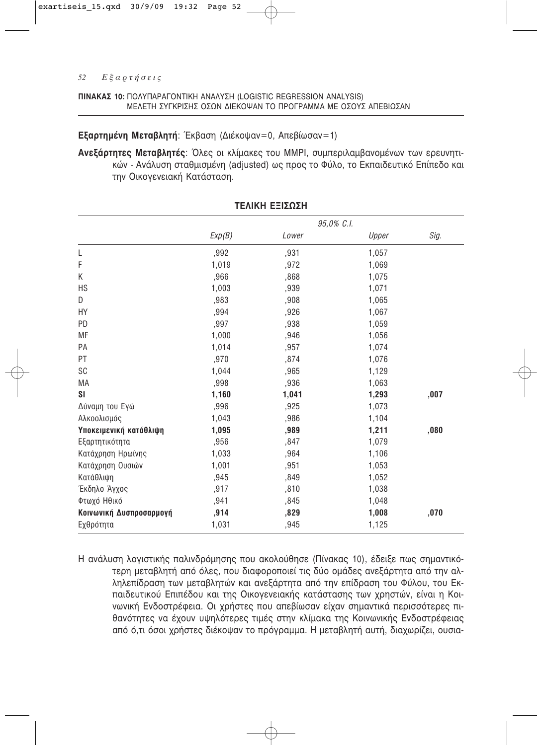TINAKAΣ 10: ΠΟΛΥΠΑΡΑΓΟΝΤΙΚΗ ΑΝΑΛΥΣΗ (LOGISTIC REGRESSION ANALYSIS) ΜΕΛΕΤΗ ΣΥΓΚΡΙΣΗΣ ΟΣΩΝ ΔΙΕΚΟΨΑΝ ΤΟ ΠΡΟΓΡΑΜΜΑ ΜΕ ΟΣΟΥΣ ΑΠΕΒΙΩΣΑΝ

**Εξαρτημένη Μεταβλητή**: Έκβαση (Διέκοψαν=0, Απεβίωσαν=1)

**Ανεξάρτητες Μεταβλητές**: Όλες οι κλίμακες του ΜΜΡΙ, συμπεριλαμβανομένων των ερευνητικών - Ανάλυση σταθμισμένη (adjusted) ως προς το Φύλο, το Εκπαιδευτικό Επίπεδο και την Οικογενειακή Κατάσταση.

|                         |        |       | 95.0% C.I. |      |
|-------------------------|--------|-------|------------|------|
|                         | Exp(B) | Lower | Upper      | Sig. |
| L                       | ,992   | ,931  | 1,057      |      |
| F                       | 1,019  | ,972  | 1,069      |      |
| Κ                       | .966   | ,868  | 1,075      |      |
| <b>HS</b>               | 1,003  | ,939  | 1,071      |      |
| D                       | ,983   | ,908  | 1,065      |      |
| <b>HY</b>               | ,994   | ,926  | 1,067      |      |
| <b>PD</b>               | .997   | ,938  | 1,059      |      |
| MF                      | 1,000  | .946  | 1,056      |      |
| PA                      | 1,014  | ,957  | 1,074      |      |
| PT                      | ,970   | ,874  | 1,076      |      |
| SC                      | 1,044  | ,965  | 1,129      |      |
| MA                      | .998   | ,936  | 1,063      |      |
| <b>SI</b>               | 1,160  | 1,041 | 1,293      | ,007 |
| Δύναμη του Εγώ          | ,996   | ,925  | 1,073      |      |
| Αλκοολισμός             | 1,043  | .986  | 1,104      |      |
| Υποκειμενική κατάθλιψη  | 1,095  | ,989  | 1,211      | ,080 |
| Εξαρτητικότητα          | ,956   | .847  | 1,079      |      |
| Κατάχρηση Ηρωίνης       | 1,033  | ,964  | 1,106      |      |
| Κατάχρηση Ουσιών        | 1,001  | ,951  | 1,053      |      |
| Κατάθλιψη               | ,945   | ,849  | 1,052      |      |
| Έκδηλο Άγχος            | ,917   | ,810  | 1,038      |      |
| Φτωχό Ηθικό             | ,941   | ,845  | 1,048      |      |
| Κοινωνική Δυσπροσαρμογή | ,914   | ,829  | 1,008      | ,070 |
| Εχθρότητα               | 1,031  | ,945  | 1,125      |      |

**ΤΕΛΙΚΗ ΕΞΙΣΩΣΗ** 

Η ανάλυση λογιστικής παλινδρόμησης που ακολούθησε (Πίνακας 10), έδειξε πως σημαντικότερη μεταβλητή από όλες, που διαφοροποιεί τις δύο ομάδες ανεξάρτητα από την αλληλεπίδραση των μεταβλητών και ανεξάρτητα από την επίδραση του Φύλου, του Εκπαιδευτικού Επιπέδου και της Οικογενειακής κατάστασης των χρηστών, είναι η Κοινωνική Ενδοστρέφεια. Οι χρήστες που απεβίωσαν είχαν σημαντικά περισσότερες πιθανότητες να έχουν υψηλότερες τιμές στην κλίμακα της Κοινωνικής Ενδοστρέφειας από ό,τι όσοι χρήστες διέκοψαν το πρόγραμμα. Η μεταβλητή αυτή, διαχωρίζει, ουσια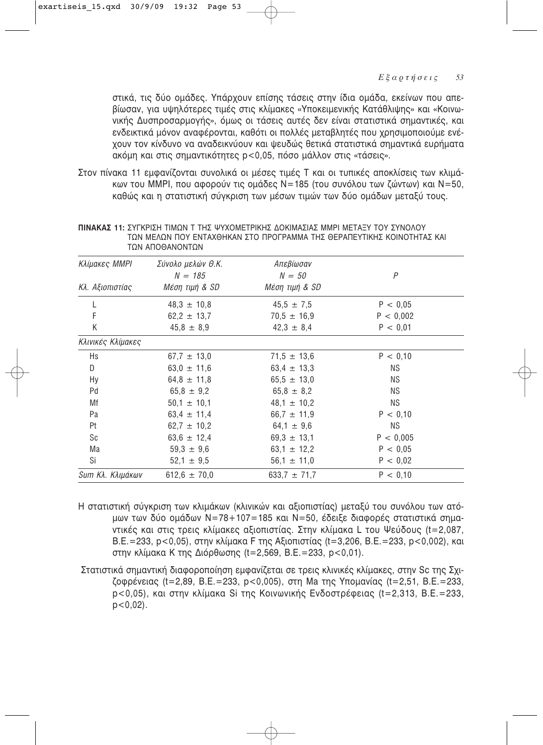στικά, τις δύο ομάδες. Υπάρχουν επίσης τάσεις στην ίδια ομάδα, εκείνων που απεβίωσαν, για υψηλότερες τιμές στις κλίμακες «Υποκειμενικής Κατάθλιψης» και «Κοινωvικής Δυσπροσαρμογής», όμως οι τάσεις αυτές δεν είναι στατιστικά σημαντικές, και ενδεικτικά μόνον αναφέρονται, καθότι οι πολλές μεταβλητές που χρησιμοποιούμε ενέχουν τον κίνδυνο να αναδεικνύουν και ψευδώς θετικά στατιστικά σημαντικά ευρήματα ακόμη και στις σημαντικότητες p<0,05, πόσο μάλλον στις «τάσεις».

Στον πίνακα 11 εμφανίζονται συνολικά οι μέσες τιμές Τ και οι τυπικές αποκλίσεις των κλιμά-Kων του ΜΜΡΙ, που αφορούν τις ομάδες N=185 (του συνόλου των ζώντων) και N=50, καθώς και η στατιστική σύγκριση των μέσων τιμών των δύο ομάδων μεταξύ τους.

exartiseis\_15.qxd 30/9/09 19:32 Page 53

| Κλίμακες MMPI<br>Κλ. Αξιοπιστίας | Σύνολο μελών Θ.Κ.<br>$N = 185$<br>Μέση τιμή & SD | Απεβίωσαν<br>$N = 50$<br>Μέση τιμή & SD | $\overline{P}$ |  |  |
|----------------------------------|--------------------------------------------------|-----------------------------------------|----------------|--|--|
|                                  | $48.3 \pm 10.8$                                  | $45.5 \pm 7.5$                          | P < 0.05       |  |  |
| F                                | $62.2 \pm 13.7$                                  | $70.5 \pm 16.9$                         | P < 0.002      |  |  |
| Κ                                | $45.8 \pm 8.9$                                   | $42.3 \pm 8.4$                          | P < 0.01       |  |  |
| Κλινικές Κλίμακες                |                                                  |                                         |                |  |  |
| Hs                               | $67.7 \pm 13.0$                                  | $71.5 \pm 13.6$                         | P < 0.10       |  |  |
| D                                | $63.0 \pm 11.6$                                  | $63.4 \pm 13.3$                         | ΝS             |  |  |
| Hy                               | $64.8 \pm 11.8$                                  | $65.5 \pm 13.0$                         | <b>NS</b>      |  |  |
| Pd                               | $65.8 \pm 9.2$                                   | $65.8 \pm 8.2$                          | ΝS             |  |  |
| Mf                               | $50.1 \pm 10.1$                                  | $48.1 \pm 10.2$                         | ΝS             |  |  |
| Pa                               | $63.4 \pm 11.4$                                  | $66.7 \pm 11.9$                         | P < 0.10       |  |  |
| Pt                               | $62.7 \pm 10.2$                                  | $64.1 \pm 9.6$                          | <b>NS</b>      |  |  |
| Sc                               | $63.6 \pm 12.4$                                  | $69.3 \pm 13.1$                         | P < 0.005      |  |  |
| Ma                               | $59.3 \pm 9.6$                                   | $63.1 \pm 12.2$                         | P < 0.05       |  |  |
| Si                               | $52,1 \pm 9,5$                                   | $56.1 \pm 11.0$                         | P < 0.02       |  |  |
| Sum Kλ. Κλιμάκων                 | $612.6 \pm 70.0$                                 | $633.7 \pm 71.7$                        | P < 0.10       |  |  |

ΠΙΝΑΚΑΣ 11: ΣΥΓΚΡΙΣΗ ΤΙΜΩΝ Τ ΤΗΣ ΨΥΧΟΜΕΤΡΙΚΗΣ ΔΟΚΙΜΑΣΙΑΣ ΜΜΡΙ ΜΕΤΑΞΥ ΤΟΥ ΣΥΝΟΛΟΥ ΤΩΝ ΜΕΛΩΝ ΠΟΥ ΕΝΤΑΧΘΗΚΑΝ ΣΤΟ ΠΡΟΓΡΑΜΜΑ ΤΗΣ ΘΕΡΑΠΕΥΤΙΚΗΣ ΚΟΙΝΟΤΗΤΑΣ ΚΑΙ ΤΟΝ ΑΠΟΘΑΝΟΝΤΟΝ

Η στατιστική σύγκριση των κλιμάκων (κλινικών και αξιοπιστίας) μεταξύ του συνόλου των ατόμων των δύο ομάδων N=78+107=185 και N=50, έδειξε διαφορές στατιστικά σημα-VΤΙΚές Και στις τρεις κλίμακες αξιοπιστίας. Στην κλίμακα L του Ψεύδους (t=2,087,  $B.E. = 233, p < 0.05$ ), στην κλίμακα F της Αξιοπιστίας (t=3,206, B.E. = 233, p < 0.002), και στην κλίμακα Κ της Διόρθωσης (t=2,569, B.E.=233, p<0,01).

Στατιστικά σημαντική διαφοροποίηση εμφανίζεται σε τρεις κλινικές κλίμακες, στην Sc της Σχιζοφρένειας (t=2,89, B.E.=233, p<0,005), στη Μα της Υπομανίας (t=2,51, B.E.=233, p<0,05), και στην κλίμακα Si της Κοινωνικής Ενδοστρέφειας (t=2,313, B.E.=233,  $p < 0.02$ ).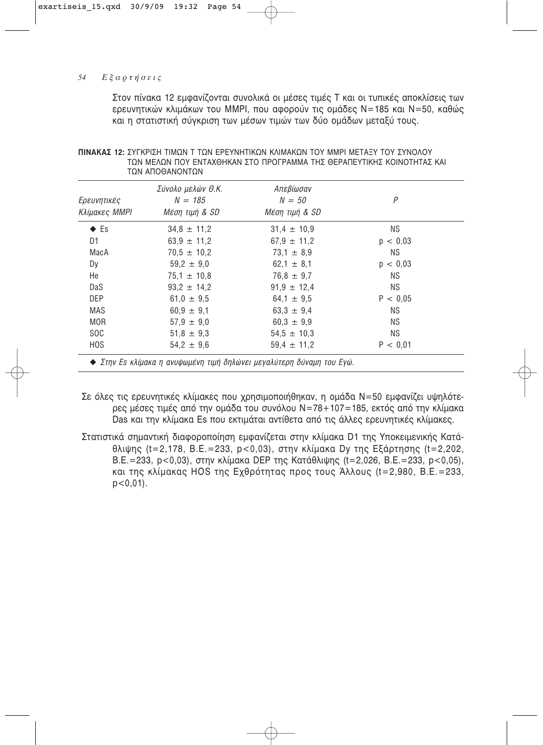Στον πίνακα 12 εμφανίζονται συνολικά οι μέσες τιμές Τ και οι τυπικές αποκλίσεις των ερευνητικών κλιμάκων του ΜΜΡΙ, που αφορούν τις ομάδες N=185 και N=50, καθώς και η στατιστική σύγκριση των μέσων τιμών των δύο ομάδων μεταξύ τους.

| ΠΙΝΑΚΑΣ 12: ΣΥΓΚΡΙΣΗ ΤΙΜΩΝ Τ ΤΩΝ ΕΡΕΥΝΗΤΙΚΩΝ ΚΛΙΜΑΚΩΝ ΤΟΥ ΜΜΡΙ ΜΕΤΑΞΥ ΤΟΥ ΣΥΝΟΛΟΥ |
|-----------------------------------------------------------------------------------|
| ΤΩΝ ΜΕΛΩΝ ΠΟΥ ΕΝΤΑΧΘΗΚΑΝ ΣΤΟ ΠΡΟΓΡΑΜΜΑ ΤΗΣ ΘΕΡΑΠΕΥΤΙΚΗΣ ΚΟΙΝΟΤΗΤΑΣ ΚΑΙ            |
| ΤΩΝ ΑΠΟΘΑΝΟΝΤΩΝ                                                                   |

| Ερευνητικές<br>Κλίμακες ΜΜΡΙ | Σύνολο μελών Θ.Κ.<br>$N = 185$<br>Μέση τιμή & SD | Απεβίωσαν<br>$N = 50$<br>Μέση τιμή & SD | P         |
|------------------------------|--------------------------------------------------|-----------------------------------------|-----------|
| $\triangle$ Es               | $34.8 \pm 11.2$                                  | $31.4 \pm 10.9$                         | NS.       |
| D <sub>1</sub>               | $63.9 \pm 11.2$                                  | $67.9 \pm 11.2$                         | p < 0.03  |
| MacA                         | $70.5 \pm 10.2$                                  | $73.1 \pm 8.9$                          | NS.       |
| Dy                           | $59.2 \pm 9.0$                                   | $62.1 \pm 8.1$                          | p < 0.03  |
| He                           | $75.1 \pm 10.8$                                  | $76.8 \pm 9.7$                          | <b>NS</b> |
| DaS                          | $93.2 \pm 14.2$                                  | $91.9 \pm 12.4$                         | NS.       |
| <b>DEP</b>                   | $61.0 \pm 9.5$                                   | $64.1 \pm 9.5$                          | P < 0.05  |
| <b>MAS</b>                   | $60.9 \pm 9.1$                                   | $63.3 \pm 9.4$                          | <b>NS</b> |
| <b>MOR</b>                   | $57.9 \pm 9.0$                                   | $60.3 \pm 9.9$                          | <b>NS</b> |
| SOC.                         | $51.8 \pm 9.3$                                   | $54.5 \pm 10.3$                         | NS.       |
| <b>HOS</b>                   | $54.2 \pm 9.6$                                   | $59.4 \pm 11.2$                         | P < 0.01  |

- Σε όλες τις ερευνητικές κλίμακες που χρησιμοποιήθηκαν, η ομάδα N=50 εμφανίζει υψηλότερες μέσες τιμές από την ομάδα του συνόλου N=78+107=185, εκτός από την κλίμακα Das και την κλίμακα Es που εκτιμάται αντίθετα από τις άλλες ερευνητικές κλίμακες.
- Στατιστικά σημαντική διαφοροποίηση εμφανίζεται στην κλίμακα D1 της Υποκειμενικής Κατάθλιψης (t=2,178, B.E.=233, p<0,03), στην κλίμακα Dy της Εξάρτησης (t=2,202, B.E.=233, p<0,03), στην κλίμακα DEP της Κατάθλιψης (t=2,026, B.E.=233, p<0,05), και της κλίμακας HOS της Εχθρότητας προς τους Άλλους (t=2,980, B.E.=233,  $p < 0,01$ ).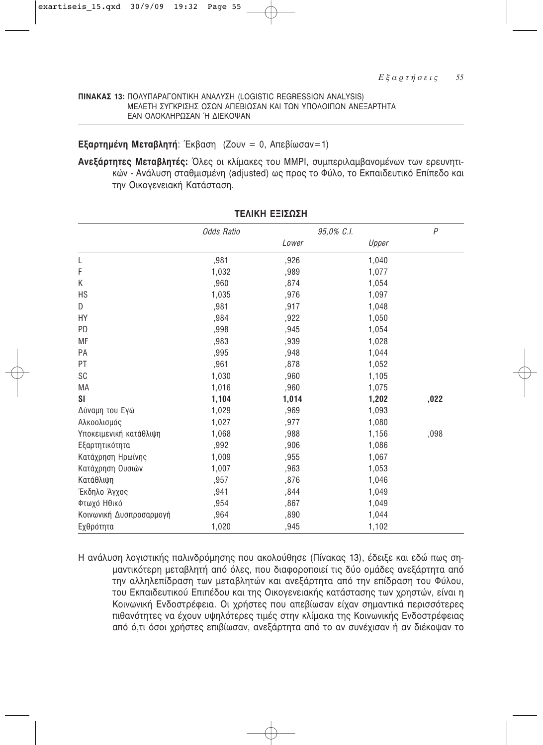exartiseis\_15.qxd 30/9/09 19:32 Page 55

TINAKAΣ 13: ΠΟΛΥΠΑΡΑΓΟΝΤΙΚΗ ΑΝΑΛΥΣΗ (LOGISTIC REGRESSION ANALYSIS) ΜΕΛΕΤΗ ΣΥΓΚΡΙΣΗΣ ΟΣΩΝ ΑΠΕΒΙΩΣΑΝ ΚΑΙ ΤΩΝ ΥΠΟΛΟΙΠΩΝ ΑΝΕΞΑΡΤΗΤΑ ΕΑΝ ΟΛΟΚΛΗΡΩΣΑΝ Ή ΔΙΕΚΟΨΑΝ

**Εξαρτημένη Μεταβλητή**: Έκβαση (Ζουν = 0, Απεβίωσαν=1)

Ανεξάρτητες Μεταβλητές: Όλες οι κλίμακες του ΜΜΡΙ, συμπεριλαμβανομένων των ερευνητι- $K$ ών - Ανάλυση σταθμισμένη (adjusted) ως προς το Φύλο, το Εκπαιδευτικό Επίπεδο και την Οικογενειακή Κατάσταση.

|                         | Odds Ratio | 95,0% C.I. |       | $\overline{P}$ |
|-------------------------|------------|------------|-------|----------------|
|                         |            | Lower      | Upper |                |
| L                       | ,981       | ,926       | 1,040 |                |
| F                       | 1,032      | ,989       | 1,077 |                |
| K                       | ,960       | ,874       | 1,054 |                |
| <b>HS</b>               | 1,035      | ,976       | 1,097 |                |
| D                       | ,981       | ,917       | 1,048 |                |
| <b>HY</b>               | .984       | ,922       | 1,050 |                |
| <b>PD</b>               | ,998       | ,945       | 1,054 |                |
| <b>MF</b>               | ,983       | ,939       | 1,028 |                |
| PA                      | ,995       | ,948       | 1,044 |                |
| PT                      | .961       | ,878       | 1,052 |                |
| SC                      | 1,030      | ,960       | 1,105 |                |
| MA                      | 1,016      | ,960       | 1,075 |                |
| <b>SI</b>               | 1,104      | 1,014      | 1,202 | ,022           |
| Δύναμη του Εγώ          | 1,029      | ,969       | 1,093 |                |
| Αλκοολισμός             | 1,027      | ,977       | 1,080 |                |
| Υποκειμενική κατάθλιψη  | 1,068      | ,988       | 1,156 | ,098           |
| Εξαρτητικότητα          | .992       | ,906       | 1,086 |                |
| Κατάχρηση Ηρωίνης       | 1,009      | ,955       | 1,067 |                |
| Κατάχρηση Ουσιών        | 1,007      | .963       | 1,053 |                |
| Κατάθλιψη               | ,957       | ,876       | 1,046 |                |
| Έκδηλο Άγχος            | ,941       | ,844       | 1,049 |                |
| Φτωχό Ηθικό             | ,954       | ,867       | 1,049 |                |
| Κοινωνική Δυσπροσαρμογή | ,964       | .890       | 1,044 |                |
| Εχθρότητα               | 1,020      | ,945       | 1,102 |                |

**ΤΕΛΙΚΗ ΕΞΙΣΩΣΗ** 

Η ανάλυση λογιστικής παλινδρόμησης που ακολούθησε (Πίνακας 13), έδειξε και εδώ πως σημαντικότερη μεταβλητή από όλες, που διαφοροποιεί τις δύο ομάδες ανεξάρτητα από την αλληλεπίδραση των μεταβλητών και ανεξάρτητα από την επίδραση του Φύλου, του Εκπαιδευτικού Επιπέδου και της Οικογενειακής κατάστασης των χρηστών, είναι η Κοινωνική Ενδοστρέφεια. Οι χρήστες που απεβίωσαν είχαν σημαντικά περισσότερες πιθανότητες να έχουν υψηλότερες τιμές στην κλίμακα της Κοινωνικής Ενδοστρέφειας από ό,τι όσοι χρήστες επιβίωσαν, ανεξάρτητα από το αν συνέχισαν ή αν διέκοψαν το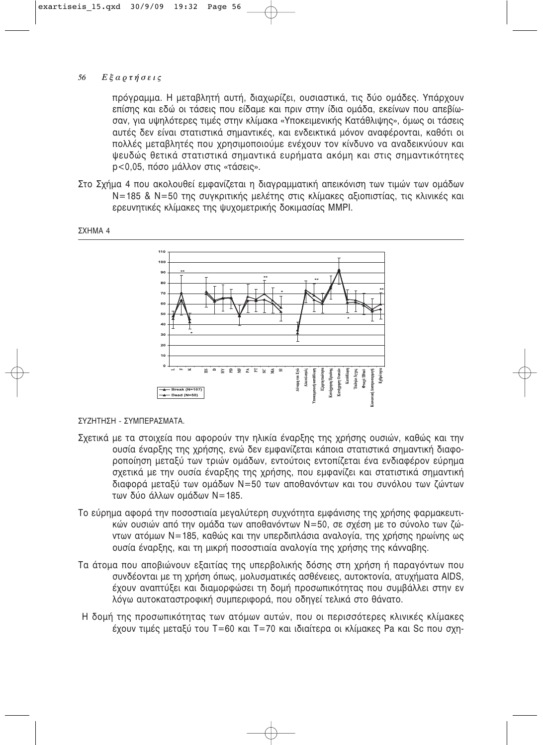ΣXHMA 4

πρόγραμμα. Η μεταβλητή αυτή, διαχωρίζει, ουσιαστικά, τις δύο ομάδες. Υπάρχουν επίσης και εδώ οι τάσεις που είδαμε και πριν στην ίδια ομάδα, εκείνων που απεβίωσαν, για υψηλότερες τιμές στην κλίμακα «Υποκειμενικής Κατάθλιψης», όμως οι τάσεις αυτές δεν είναι στατιστικά σημαντικές, και ενδεικτικά μόνον αναφέρονται, καθότι οι πολλές μεταβλητές που χρησιμοποιούμε ενέχουν τον κίνδυνο να αναδεικνύουν και ψευδώς θετικά στατιστικά σημαντικά ευρήματα ακόμη και στις σημαντικότητες p<0,05, πόσο μάλλον στις «τάσεις».

Στο Σχήμα 4 που ακολουθεί εμφανίζεται η διαγραμματική απεικόνιση των τιμών των ομάδων  $N=185$  &  $N=50$  της συγκριτικής μελέτης στις κλίμακες αξιοπιστίας, τις κλινικές και ερευνητικές κλίμακες της ψυχομετρικής δοκιμασίας ΜΜΡΙ.



# ΣΥΖΗΤΗΣΗ - ΣΥΜΠΕΡΑΣΜΑΤΑ.

- Σχετικά με τα στοιχεία που αφορούν την ηλικία έναρξης της χρήσης ουσιών, καθώς και την ουσία έναρξης της χρήσης, ενώ δεν εμφανίζεται κάποια στατιστικά σημαντική διαφοροποίηση μεταξύ των τριών ομάδων, εντούτοις εντοπίζεται ένα ενδιαφέρον εύρημα σχετικά με την ουσία έναρξης της χρήσης, που εμφανίζει και στατιστικά σημαντική διαφορά μεταξύ των ομάδων N=50 των αποθανόντων και του συνόλου των ζώντων των δύο άλλων ομάδων N=185.
- <u>Το εύρημα αφορά την ποσοστιαία μεγαλύτερη συχνότητα εμφάνισης της χρήσης φαρμακευτι-</u> κών ουσιών από την ομάδα των αποθανόντων N=50, σε σχέση με το σύνολο των ζώντων ατόμων N=185, καθώς και την υπερδιπλάσια αναλογία, της χρήσης ηρωίνης ως ουσία έναρξης, και τη μικρή ποσοστιαία αναλογία της χρήσης της κάνναβης.
- Τα άτομα που αποβιώνουν εξαιτίας της υπερβολικής δόσης στη χρήση ή παραγόντων που συνδέονται με τη χρήση όπως, μολυσματικές ασθένειες, αυτοκτονία, ατυχήματα AIDS, έχουν αναπτύξει και διαμορφώσει τη δομή προσωπικότητας που συμβάλλει στην εν λόγω αυτοκαταστροφική συμπεριφορά, που οδηγεί τελικά στο θάνατο.
- Η δομή της προσωπικότητας των ατόμων αυτών, που οι περισσότερες κλινικές κλίμακες έχουν τιμές μεταξύ του T=60 και T=70 και ιδιαίτερα οι κλίμακες Pa και Sc που σχη-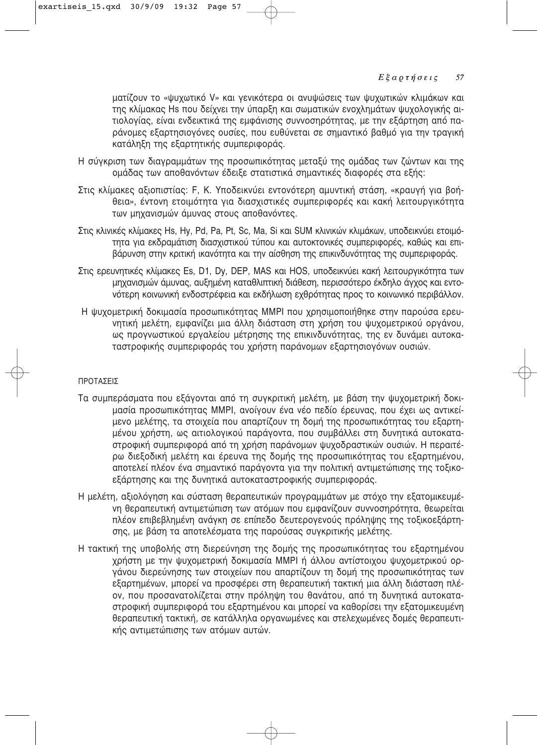exartiseis 15.qxd 30/9/09 19:32 Page 57

> ματίζουν το «ψυχωτικό V» και γενικότερα οι ανυψώσεις των ψυχωτικών κλιμάκων και της κλίμακας Hs που δείχνει την ύπαρξη και σωματικών ενοχλημάτων ψυχολογικής αιτιολογίας, είναι ενδεικτικά της εμφάνισης συννοσηρότητας, με την εξάρτηση από παράνομες εξαρτησιογόνες ουσίες, που ευθύνεται σε σημαντικό βαθμό για την τραγική κατάληξη της εξαρτητικής συμπεριφοράς.

- Η σύγκριση των διαγραμμάτων της προσωπικότητας μεταξύ της ομάδας των ζώντων και της ομάδας των αποθανόντων έδειξε στατιστικά σημαντικές διαφορές στα εξής:
- Στις κλίμακες αξιοπιστίας: F, K. Υποδεικνύει εντονότερη αμυντική στάση, «κραυγή για βοήθεια», έντονη ετοιμότητα για διασχιστικές συμπεριφορές και κακή λειτουργικότητα των μηχανισμών άμυνας στους αποθανόντες.
- Στις κλινικές κλίμακες Hs, Hy, Pd, Pa, Pt, Sc, Ma, Si και SUM κλινικών κλιμάκων, υποδεικνύει ετοιμότητα για εκδραμάτιση διασχιστικού τύπου και αυτοκτονικές συμπεριφορές, καθώς και επιβάρυνση στην κριτική ικανότητα και την αίσθηση της επικινδυνότητας της συμπεριφοράς.
- Στις ερευνητικές κλίμακες Es, D1, Dy, DEP, MAS και HOS, υποδεικνύει κακή λειτουργικότητα των μηχανισμών άμυνας, αυξημένη καταθλιπτική διάθεση, περισσότερο έκδηλο άγχος και εντονότερη κοινωνική ενδοστρέφεια και εκδήλωση εχθρότητας προς το κοινωνικό περιβάλλον.
- Η ψυχομετρική δοκιμασία προσωπικότητας MMPI που χρησιμοποιήθηκε στην παρούσα ερευνητική μελέτη, εμφανίζει μια άλλη διάσταση στη χρήση του ψυχομετρικού οργάνου, ως προγνωστικού εργαλείου μέτρησης της επικινδυνότητας, της εν δυνάμει αυτοκαταστροφικής συμπεριφοράς του χρήστη παράνομων εξαρτησιογόνων ουσιών.

# ΠΡΟΤΑΣΕΙΣ

- Τα συμπεράσματα που εξάγονται από τη συγκριτική μελέτη, με βάση την ψυχομετρική δοκιμασία προσωπικότητας MMPI, ανοίγουν ένα νέο πεδίο έρευνας, που έχει ως αντικείμενο μελέτης, τα στοιχεία που απαρτίζουν τη δομή της προσωπικότητας του εξαρτημένου χρήστη, ως αιτιολογικού παράγοντα, που συμβάλλει στη δυνητικά αυτοκαταστροφική συμπεριφορά από τη χρήση παράνομων ψυχοδραστικών ουσιών. Η περαιτέρω διεξοδική μελέτη και έρευνα της δομής της προσωπικότητας του εξαρτημένου, αποτελεί πλέον ένα σημαντικό παράγοντα για την πολιτική αντιμετώπισης της τοξικοεξάρτησης και της δυνητικά αυτοκαταστροφικής συμπεριφοράς.
- Η μελέτη, αξιολόγηση και σύσταση θεραπευτικών προγραμμάτων με στόχο την εξατομικευμένη θεραπευτική αντιμετώπιση των ατόμων που εμφανίζουν συννοσηρότητα, θεωρείται πλέον επιβεβλημένη ανάγκη σε επίπεδο δευτερογενούς πρόληψης της τοξικοεξάρτησης, με βάση τα αποτελέσματα της παρούσας συγκριτικής μελέτης.
- Η τακτική της υποβολής στη διερεύνηση της δομής της προσωπικότητας του εξαρτημένου χρήστη με την ψυχομετρική δοκιμασία ΜΜΡΙ ή άλλου αντίστοιχου ψυχομετρικού οργάνου διερεύνησης των στοιχείων που απαρτίζουν τη δομή της προσωπικότητας των εξαρτημένων, μπορεί να προσφέρει στη θεραπευτική τακτική μια άλλη διάσταση πλέον, που προσανατολίζεται στην πρόληψη του θανάτου, από τη δυνητικά αυτοκαταστροφική συμπεριφορά του εξαρτημένου και μπορεί να καθορίσει την εξατομικευμένη θεραπευτική τακτική, σε κατάλληλα οργανωμένες και στελεχωμένες δομές θεραπευτικής αντιμετώπισης των ατόμων αυτών.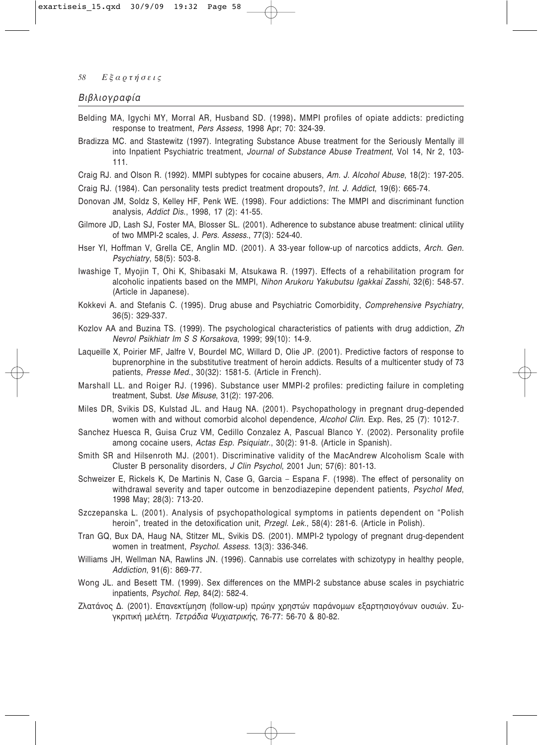## *Βιβλιο*γραφία

- Belding MA, Igychi MY, Morral AR, Husband SD. (1998)**.** MMPI profiles of opiate addicts: predicting response to treatment, *Pers Assess*, 1998 Apr; 70: 324-39.
- Bradizza MC. and Stastewitz (1997). Integrating Substance Abuse treatment for the Seriously Mentally ill into Inpatient Psychiatric treatment, *Journal of Substance Abuse Treatment*, Vol 14, Nr 2, 103- 111.
- Craig RJ. and Olson R. (1992). MMPI subtypes for cocaine abusers, *Am. J. Alcohol Abuse*, 18(2): 197-205.
- Craig RJ. (1984). Can personality tests predict treatment dropouts?, *Int. J. Addict*, 19(6): 665-74.
- Donovan JM, Soldz S, Kelley HF, Penk WE. (1998). Four addictions: The MMPI and discriminant function analysis, *Addict Dis*., 1998, 17 (2): 41-55.
- Gilmore JD, Lash SJ, Foster MA, Blosser SL. (2001). Adherence to substance abuse treatment: clinical utility of two MMPI-2 scales, J. *Pers. Assess*., 77(3): 524-40.
- Hser YI, Hoffman V, Grella CE, Anglin MD. (2001). A 33-year follow-up of narcotics addicts, *Arch. Gen. Psychiatry*, 58(5): 503-8.
- Iwashige T, Myojin T, Ohi K, Shibasaki M, Atsukawa R. (1997). Effects of a rehabilitation program for alcoholic inpatients based on the MMPI, *Nihon Arukoru Yakubutsu Igakkai Zasshi*, 32(6): 548-57. (Article in Japanese).
- Kokkevi A. and Stefanis C. (1995). Drug abuse and Psychiatric Comorbidity, *Comprehensive Psychiatry*, 36(5): 329-337.
- Kozlov AA and Buzina TS. (1999). The psychological characteristics of patients with drug addiction, *Zh Nevrol Psikhiatr Im S S Korsakova*, 1999; 99(10): 14-9.
- Laqueille X, Poirier MF, Jalfre V, Bourdel MC, Willard D, Olie JP. (2001). Predictive factors of response to buprenorphine in the substitutive treatment of heroin addicts. Results of a multicenter study of 73 patients, *Presse Med*., 30(32): 1581-5. (Article in French).
- Marshall LL. and Roiger RJ. (1996). Substance user MMPI-2 profiles: predicting failure in completing treatment, Subst. *Use Misuse*, 31(2): 197-206.
- Miles DR, Svikis DS, Kulstad JL. and Haug NA. (2001). Psychopathology in pregnant drug-depended women with and without comorbid alcohol dependence, *Alcohol Clin*. Exp. Res, 25 (7): 1012-7.
- Sanchez Huesca R, Guisa Cruz VM, Cedillo Conzalez A, Pascual Blanco Y. (2002). Personality profile among cocaine users, *Actas Esp. Psiquiatr*., 30(2): 91-8. (Article in Spanish).
- Smith SR and Hilsenroth MJ. (2001). Discriminative validity of the MacAndrew Alcoholism Scale with Cluster B personality disorders, *J Clin Psychol*, 2001 Jun; 57(6): 801-13.
- Schweizer E, Rickels K, De Martinis N, Case G, Garcia Espana F. (1998). The effect of personality on withdrawal severity and taper outcome in benzodiazepine dependent patients, *Psychol Med*, 1998 May; 28(3): 713-20.
- Szczepanska L. (2001). Analysis of psychopathological symptoms in patients dependent on "Polish heroin", treated in the detoxification unit, *Przegl. Lek*., 58(4): 281-6. (Article in Polish).
- Tran GQ, Bux DA, Haug NA, Stitzer ML, Svikis DS. (2001). MMPI-2 typology of pregnant drug-dependent women in treatment, *Psychol. Assess*. 13(3): 336-346.
- Williams JH, Wellman NA, Rawlins JN. (1996). Cannabis use correlates with schizotypy in healthy people, *Addiction*, 91(6): 869-77.
- Wong JL. and Besett TM. (1999). Sex differences on the MMPI-2 substance abuse scales in psychiatric inpatients, *Psychol. Rep*, 84(2): 582-4.
- Ζλατάνος Δ. (2001). Επανεκτίμηση (follow-up) πρώην χρηστών παράνομων εξαρτησιογόνων ουσιών. Συγκριτική μελέτη. *Τετράδια Ψυχιατρικής*, 76-77: 56-70 & 80-82.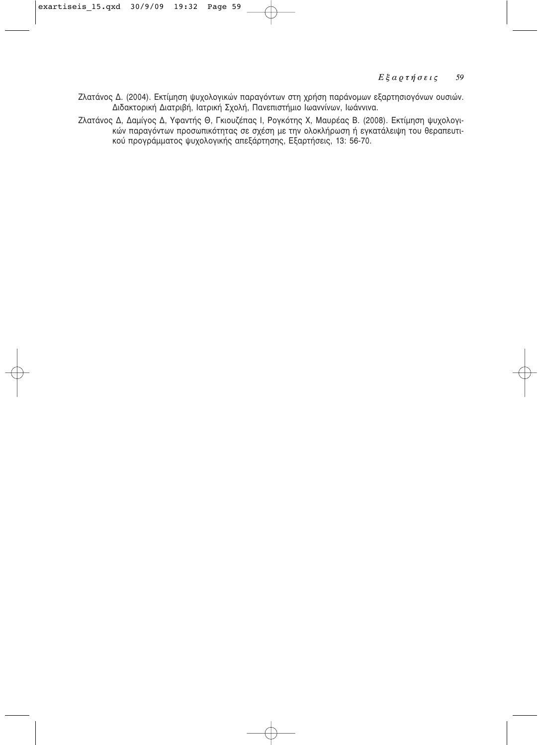Ζλατάνος Δ. (2004). Εκτίμηση ψυχολογικών παραγόντων στη χρήση παράνομων εξαρτησιογόνων ουσιών. .<br>Διδακτορική Διατριβή, Ιατρική Σχολή, Πανεπιστήμιο Ιωαννίνων, Ιωάννινα.

Ζλατάνος Δ, Δαμίγος Δ, Υφαντής Θ, Γκιουζέπας Ι, Ρογκότης Χ, Μαυρέας Β. (2008). Εκτίμηση ψυχολογικών παραγόντων προσωπικότητας σε σχέση με την ολοκλήρωση ή εγκατάλειψη του θεραπευτικού προγράμματος ψυχολογικής απεξάρτησης, Εξαρτήσεις, 13: 56-70.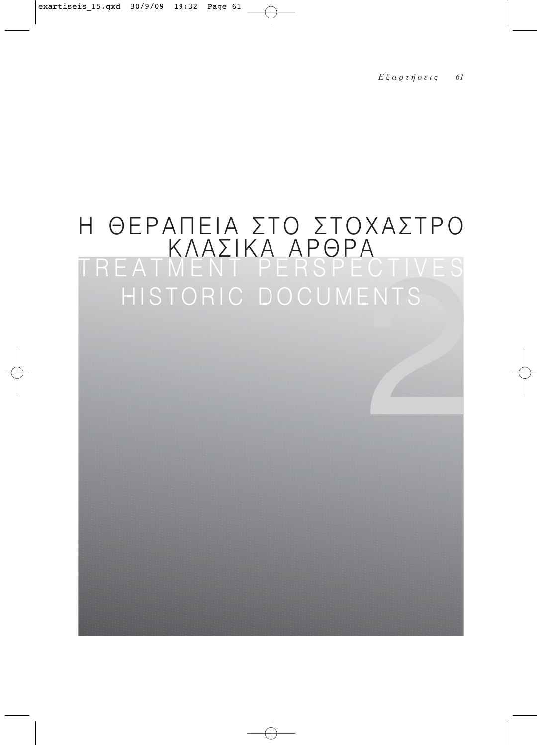# CITYES<br>ENTS<br>Control ΚΛΑΣΙΚΑ ΑΡΘΡΑ Η ΘΕΡΑΠΕΙΑ ΣΤΟ ΣΤΟΧΑΣΤΡΟ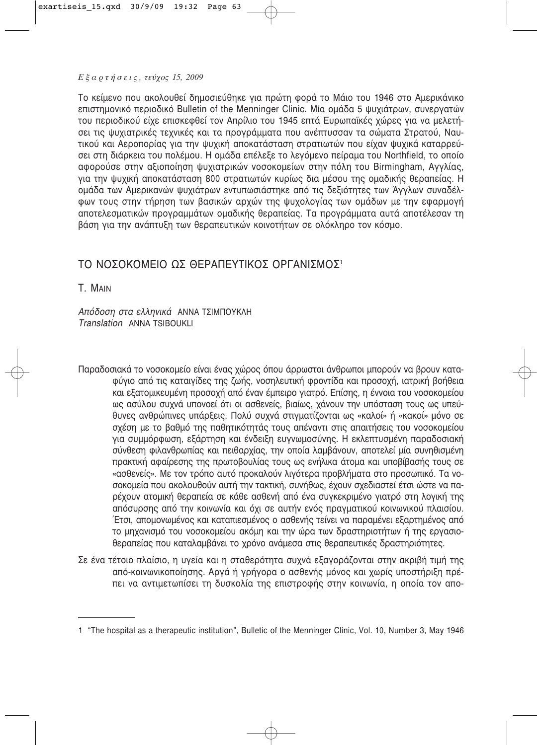*Ε ξ α ρ τ ή σ ε ι ς , τεύχος 15, 2009*

Το κείμενο που ακολουθεί δημοσιεύθηκε για πρώτη φορά το Μάιο του 1946 στο Αμερικάνικο επιστημονικό περιοδικό Bulletin of the Menninger Clinic. Μία ομάδα 5 ψυχιάτρων, συνεργατών του περιοδικού είχε επισκεφθεί τον Απρίλιο του 1945 επτά Ευρωπαϊκές χώρες για να μελετήσει τις ψυχιατρικές τεχνικές και τα προγράμματα που ανέπτυσσαν τα σώματα Στρατού. Ναυτικού και Αεροπορίας για την ψυχική αποκατάσταση στρατιωτών που είχαν ψυχικά καταρρεύσει στη διάρκεια του πολέμου. Η ομάδα επέλεξε το λεγόμενο πείραμα του Northfield, το οποίο αφορούσε στην αξιοποίηση ψυχιατρικών νοσοκομείων στην πόλη του Birmingham, Αγγλίας, για την ψυχική αποκατάσταση 800 στρατιωτών κυρίως δια μέσου της ομαδικής θεραπείας. Η ομάδα των Αμερικανών ψυχιάτρων εντυπωσιάστηκε από τις δεξιότητες των Άγγλων συναδέλφων τους στην τήρηση των βασικών αρχών της ψυχολογίας των ομάδων με την εφαρμογή αποτελεσματικών προγραμμάτων ομαδικής θεραπείας. Τα προγράμματα αυτά αποτέλεσαν τη βάση για την ανάπτυξη των θεραπευτικών κοινοτήτων σε ολόκληρο τον κόσμο.

# ΤΟ ΝΟΣΟΚΟΜΕΙΟ ΩΣ ΘΕΡΑΠΕΥΤΙΚΟΣ ΟΡΓΑΝΙΣΜΟΣ<sup>1</sup>

T. MAIN

*Aπόδοση στα ελληνικά* ANNA ΤΣΙΜΠΟΥΚΛΗ *Translation* ANNA TSIBOUKLI

- Παραδοσιακά το νοσοκομείο είναι ένας χώρος όπου άρρωστοι άνθρωποι μπορούν να βρουν καταφύγιο από τις καταιγίδες της ζωής, νοσηλευτική φροντίδα και προσοχή, ιατρική βοήθεια και εξατομικευμένη προσοχή από έναν έμπειρο γιατρό. Επίσης, η έννοια του νοσοκομείου ως ασύλου συχνά υπονοεί ότι οι ασθενείς, βιαίως, χάνουν την υπόσταση τους ως υπεύθυνες ανθρώπινες υπάρξεις. Πολύ συχνά στιγματίζονται ως «καλοί» ή «κακοί» μόνο σε σχέση με το βαθμό της παθητικότητάς τους απέναντι στις απαιτήσεις του νοσοκομείου για συμμόρφωση, εξάρτηση και ένδειξη ευγνωμοσύνης. Η εκλεπτυσμένη παραδοσιακή σύνθεση φιλανθρωπίας και πειθαρχίας, την οποία λαμβάνουν, αποτελεί μία συνηθισμένη πρακτική αφαίρεσης της πρωτοβουλίας τους ως ενήλικα άτομα και υποβίβασής τους σε «ασθενείς». Με τον τρόπο αυτό προκαλούν λιγότερα προβλήματα στο προσωπικό. Τα νοσοκομεία που ακολουθούν αυτή την τακτική, συνήθως, έχουν σχεδιαστεί έτσι ώστε να παρέχουν ατομική θεραπεία σε κάθε ασθενή από ένα συγκεκριμένο γιατρό στη λογική της απόσυρσης από την κοινωνία και όχι σε αυτήν ενός πραγματικού κοινωνικού πλαισίου. Έτσι, απομονωμένος και καταπιεσμένος ο ασθενής τείνει να παραμένει εξαρτημένος από το μηχανισμό του νοσοκομείου ακόμη και την ώρα των δραστηριοτήτων ή της εργασιοθεραπείας που καταλαμβάνει το χρόνο ανάμεσα στις θεραπευτικές δραστηριότητες.
- Σε ένα τέτοιο πλαίσιο, η υγεία και η σταθερότητα συχνά εξαγοράζονται στην ακριβή τιμή της από-κοινωνικοποίησης. Αργά ή γρήγορα ο ασθενής μόνος και χωρίς υποστήριξη πρέπει να αντιμετωπίσει τη δυσκολία της επιστροφής στην κοινωνία, η οποία τον απο-

<sup>1 &</sup>quot;The hospital as a therapeutic institution", Bulletic of the Menninger Clinic, Vol. 10, Number 3, May 1946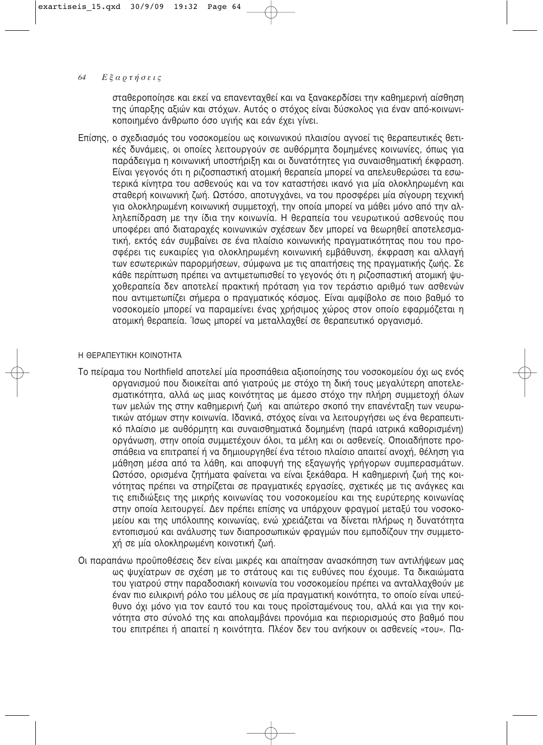σταθεροποίησε και εκεί να επανενταχθεί και να ξανακερδίσει την καθημερινή αίσθηση της ύπαρξης αξιών και στόχων. Αυτός ο στόχος είναι δύσκολος για έναν από-κοινωνικοποιημένο άνθρωπο όσο υγιής και εάν έχει γίνει.

Επίσης, ο σχεδιασμός του νοσοκομείου ως κοινωνικού πλαισίου αγνοεί τις θεραπευτικές θετι-Κές δυνάμεις, οι οποίες λειτουργούν σε αυθόρμητα δομημένες κοινωνίες, όπως για παράδειγμα η κοινωνική υποστήριξη και οι δυνατότητες για συναισθηματική έκφραση. Είναι γεγονός ότι η ριζοσπαστική ατομική θεραπεία μπορεί να απελευθερώσει τα εσωτερικά κίνητρα του ασθενούς και να τον καταστήσει ικανό για μία ολοκληρωμένη και σταθερή κοινωνική ζωή. Ωστόσο, αποτυγχάνει, να του προσφέρει μία σίγουρη τεχνική για ολοκληρωμένη κοινωνική συμμετοχή, την οποία μπορεί να μάθει μόνο από την αλληλεπίδραση με την ίδια την κοινωνία. Η θεραπεία του νευρωτικού ασθενούς που υποφέρει από διαταραχές κοινωνικών σχέσεων δεν μπορεί να θεωρηθεί αποτελεσματική, εκτός εάν συμβαίνει σε ένα πλαίσιο κοινωνικής πραγματικότητας που του προσφέρει τις ευκαιρίες για ολοκληρωμένη κοινωνική εμβάθυνση, έκφραση και αλλαγή των εσωτερικών παρορμήσεων, σύμφωνα με τις απαιτήσεις της πρανματικής ζωής, Σε κάθε περίπτωση πρέπει να αντιμετωπισθεί το γεγονός ότι η ριζοσπαστική ατομική ψυχοθεραπεία δεν αποτελεί πρακτική πρόταση για τον τεράστιο αριθμό των ασθενών που αντιμετωπίζει σήμερα ο πραγματικός κόσμος. Είναι αμφίβολο σε ποιο βαθμό το vοσοκομείο μπορεί να παραμείνει ένας χρήσιμος χώρος στον οποίο εφαρμόζεται η ατομική θεραπεία. Ίσως μπορεί να μεταλλαχθεί σε θεραπευτικό οργανισμό.

## Η ΘΕΡΑΠΕΥΤΙΚΗ ΚΟΙΝΟΤΗΤΑ

- <u>Το πείραμα του Northfield αποτελεί μία προσπάθεια αξιοποίησης του νοσοκομείου όχι ως ενός</u> οργανισμού που διοικείται από γιατρούς με στόχο τη δική τους μεγαλύτερη αποτελεσματικότητα, αλλά ως μιας κοινότητας με άμεσο στόχο την πλήρη συμμετοχή όλων των μελών της στην καθημερινή ζωή και απώτερο σκοπό την επανένταξη των νευρωτικών ατόμων στην κοινωνία. Ιδανικά, στόχος είναι να λειτουργήσει ως ένα θεραπευτι-Κό πλαίσιο με αυθόρμητη και συναισθηματικά δομημένη (παρά ιατρικά καθορισμένη) οργάνωση, στην οποία συμμετέχουν όλοι, τα μέλη και οι ασθενείς. Οποιαδήποτε προσπάθεια να επιτραπεί ή να δημιουργηθεί ένα τέτοιο πλαίσιο απαιτεί ανοχή, θέληση για μάθηση μέσα από τα λάθη, και αποφυγή της εξαγωγής γρήγορων συμπερασμάτων. Ωστόσο, ορισμένα ζητήματα φαίνεται να είναι ξεκάθαρα. Η καθημερινή ζωή της κοινότητας πρέπει να στηρίζεται σε πραγματικές εργασίες, σχετικές με τις ανάγκες και τις επιδιώξεις της μικρής κοινωνίας του νοσοκομείου και της ευρύτερης κοινωνίας στην οποία λειτουργεί. Δεν πρέπει επίσης να υπάρχουν φραγμοί μεταξύ του νοσοκομείου και της υπόλοιπης κοινωνίας, ενώ χρειάζεται να δίνεται πλήρως η δυνατότητα εντοπισμού και ανάλυσης των διαπροσωπικών φραγμών που εμποδίζουν την συμμετοχή σε μία ολοκληρωμένη κοινοτική ζωή.
- Οι παραπάνω προϋποθέσεις δεν είναι μικρές και απαίτησαν ανασκόπηση των αντιλήψεων μας ως ψυχίατρων σε σχέση με το στάτους και τις ευθύνες που έχουμε. Τα δικαιώματα του γιατρού στην παραδοσιακή κοινωνία του νοσοκομείου πρέπει να ανταλλαχθούν με έναν πιο ειλικρινή ρόλο του μέλους σε μία πραγματική κοινότητα, το οποίο είναι υπεύθυνο όχι μόνο για τον εαυτό του και τους προϊσταμένους του, αλλά και για την κοινότητα στο σύνολό της και απολαμβάνει προνόμια και περιορισμούς στο βαθμό που του επιτρέπει ή απαιτεί η κοινότητα. Πλέον δεν του ανήκουν οι ασθενείς «του». Πα-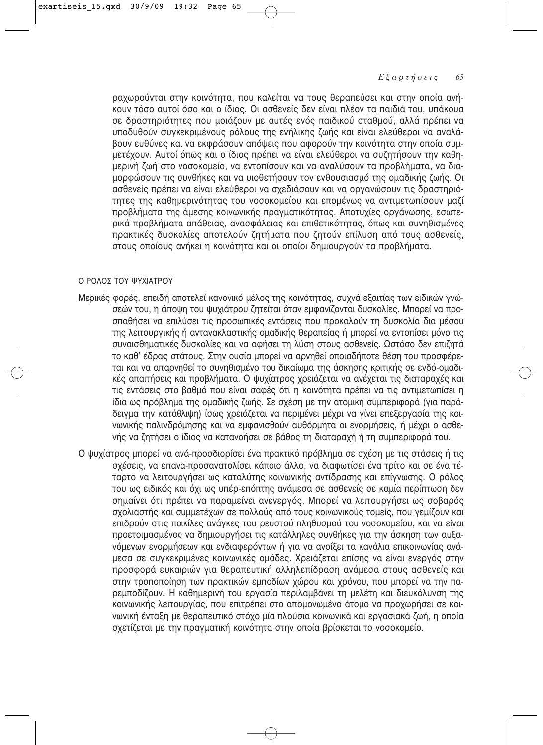ραχωρούνται στην κοινότητα, που καλείται να τους θεραπεύσει και στην οποία ανή-Κουν τόσο αυτοί όσο και ο ίδιος. Οι ασθενείς δεν είναι πλέον τα παιδιά του, υπάκουα σε δραστηριότητες που μοιάζουν με αυτές ενός παιδικού σταθμού, αλλά πρέπει να υποδυθούν συγκεκριμένους ρόλους της ενήλικης ζωής και είναι ελεύθεροι να αναλάβουν ευθύνες και να εκφράσουν απόψεις που αφορούν την κοινότητα στην οποία συμμετέχουν. Αυτοί όπως και ο ίδιος πρέπει να είναι ελεύθεροι να συζητήσουν την καθημερινή ζωή στο νοσοκομείο, να εντοπίσουν και να αναλύσουν τα προβλήματα, να διαμορφώσουν τις συνθήκες και να υιοθετήσουν τον ενθουσιασμό της ομαδικής ζωής. Οι ασθενείς πρέπει να είναι ελεύθεροι να σχεδιάσουν και να οργανώσουν τις δραστηριότητες της καθημερινότητας του νοσοκομείου και επομένως να αντιμετωπίσουν μαζί προβλήματα της άμεσης κοινωνικής πραγματικότητας. Αποτυχίες οργάνωσης, εσωτερικά προβλήματα απάθειας, ανασφάλειας και επιθετικότητας, όπως και συνηθισμένες πρακτικές δυσκολίες αποτελούν ζητήματα που ζητούν επίλυση από τους ασθενείς, στους οποίους ανήκει η κοινότητα και οι οποίοι δημιουργούν τα προβλήματα.

# Ο ΡΟΛΟΣ ΤΟΥ ΨΥΧΙΑΤΡΟΥ

- Μερικές φορές, επειδή αποτελεί κανονικό μέλος της κοινότητας, συχνά εξαιτίας των ειδικών γνώσεών του, η άποψη του ψυχιάτρου ζητείται όταν εμφανίζονται δυσκολίες. Μπορεί να προσπαθήσει να επιλύσει τις προσωπικές εντάσεις που προκαλούν τη δυσκολία δια μέσου της λειτουργικής ή αντανακλαστικής ομαδικής θεραπείας ή μπορεί να εντοπίσει μόνο τις συναισθηματικές δυσκολίες και να αφήσει τη λύση στους ασθενείς. Ωστόσο δεν επιζητά το καθ' έδρας στάτους. Στην ουσία μπορεί να αρνηθεί οποιαδήποτε θέση του προσφέρεται και να απαρνηθεί το συνηθισμένο του δικαίωμα της άσκησης κριτικής σε ενδό-ομαδικές απαιτήσεις και προβλήματα. Ο ψυχίατρος χρειάζεται να ανέχεται τις διαταραχές και τις εντάσεις στο βαθμό που είναι σαφές ότι η κοινότητα πρέπει να τις αντιμετωπίσει η ίδια ως πρόβλημα της ομαδικής ζωής. Σε σχέση με την ατομική συμπεριφορά (για παράδειγμα την κατάθλιψη) ίσως χρειάζεται να περιμένει μέχρι να γίνει επεξεργασία της κοινωνικής παλινδρόμησης και να εμφανισθούν αυθόρμητα οι ενορμήσεις, ή μέχρι ο ασθενής να ζητήσει ο ίδιος να κατανοήσει σε βάθος τη διαταραχή ή τη συμπεριφορά του.
- Ο ψυχίατρος μπορεί να ανά-προσδιορίσει ένα πρακτικό πρόβλημα σε σχέση με τις στάσεις ή τις σχέσεις, να επανα-προσανατολίσει κάποιο άλλο, να διαφωτίσει ένα τρίτο και σε ένα τέταρτο να λειτουργήσει ως καταλύτης κοινωνικής αντίδρασης και επίγνωσης. Ο ρόλος του ως ειδικός και όχι ως υπέρ-επόπτης ανάμεσα σε ασθενείς σε καμία περίπτωση δεν σημαίνει ότι πρέπει να παραμείνει ανενεργός. Μπορεί να λειτουργήσει ως σοβαρός σχολιαστής και συμμετέχων σε πολλούς από τους κοινωνικούς τομείς, που γεμίζουν και επιδρούν στις ποικίλες ανάνκες του ρευστού πληθυσμού του νοσοκομείου, και να είναι προετοιμασμένος να δημιουργήσει τις κατάλληλες συνθήκες για την άσκηση των αυξανόμενων ενορμήσεων και ενδιαφερόντων ή για να ανοίξει τα κανάλια επικοινωνίας ανάιιεσα σε συνκεκριμένες κοινωνικές ομάδες. Χρειάζεται επίσης να είναι ενεργός στην προσφορά ευκαιριών για θεραπευτική αλληλεπίδραση ανάμεσα στους ασθενείς και στην τροποποίηση των πρακτικών εμποδίων χώρου και χρόνου, που μπορεί να την παρεμποδίζουν. Η καθημερινή του εργασία περιλαμβάνει τη μελέτη και διευκόλυνση της ΚΟΙνωνικής λειτουργίας, που επιτρέπει στο απομονωμένο άτομο να προχωρήσει σε κοινωνική ένταξη με θεραπευτικό στόχο μία πλούσια κοινωνικά και εργασιακά ζωή, η οποία σχετίζεται με την πραγματική κοινότητα στην οποία βρίσκεται το νοσοκομείο.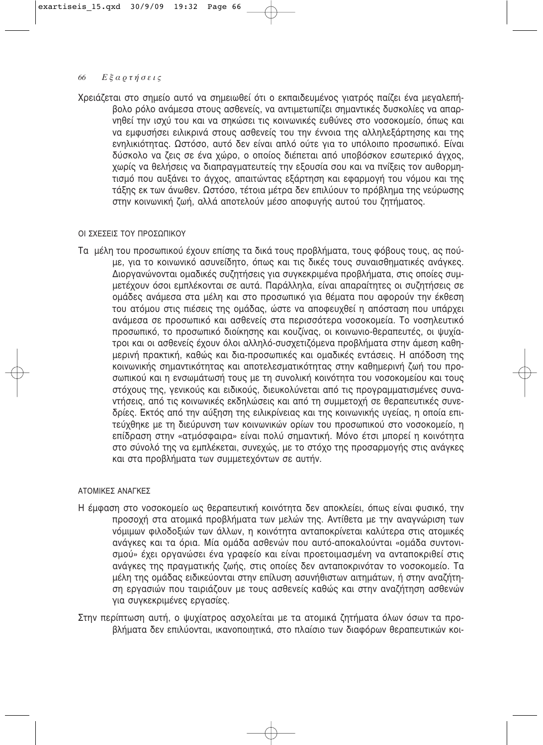Χρειάζεται στο σημείο αυτό να σημειωθεί ότι ο εκπαιδευμένος γιατρός παίζει ένα μεγαλεπήβολο ρόλο ανάμεσα στους ασθενείς, να αντιμετωπίζει σημαντικές δυσκολίες να απαρνηθεί την ισχύ του και να σηκώσει τις κοινωνικές ευθύνες στο νοσοκομείο, όπως και να εμφυσήσει ειλικρινά στους ασθενείς του την έννοια της αλληλεξάρτησης και της ενηλικιότητας. Ωστόσο, αυτό δεν είναι απλό ούτε για το υπόλοιπο προσωπικό. Είναι δύσκολο να ζεις σε ένα χώρο, ο οποίος διέπεται από υποβόσκον εσωτερικό άγχος, χωρίς να θελήσεις να διαπραγματευτείς την εξουσία σου και να πνίξεις τον αυθορμητισμό που αυξάνει το άγχος, απαιτώντας εξάρτηση και εφαρμογή του νόμου και της τάξης εκ των άνωθεν. Ωστόσο, τέτοια μέτρα δεν επιλύουν το πρόβλημα της νεύρωσης στην κοινωνική ζωή, αλλά αποτελούν μέσο αποφυγής αυτού του ζητήματος.

# ΟΙ ΣΧΕΣΕΙΣ ΤΟΥ ΠΡΟΣΩΠΙΚΟΥ

Τα μέλη του προσωπικού έχουν επίσης τα δικά τους προβλήματα, τους φόβους τους, ας πούμε, για το κοινωνικό ασυνείδητο, όπως και τις δικές τους συναισθηματικές ανάγκες. Διοργανώνονται ομαδικές συζητήσεις για συγκεκριμένα προβλήματα, στις οποίες συμμετέχουν όσοι εμπλέκονται σε αυτά. Παράλληλα, είναι απαραίτητες οι συζητήσεις σε ομάδες ανάμεσα στα μέλη και στο προσωπικό για θέματα που αφορούν την έκθεση του ατόμου στις πιέσεις της ομάδας, ώστε να αποφευχθεί η απόσταση που υπάρχει ανάμεσα σε προσωπικό και ασθενείς στα περισσότερα νοσοκομεία. Το νοσηλευτικό προσωπικό, το προσωπικό διοίκησης και κουζίνας, οι κοινωνιο-θεραπευτές, οι ψυχίατροι και οι ασθενείς έχουν όλοι αλληλό-συσχετιζόμενα προβλήματα στην άμεση καθηιμερινή πρακτική, καθώς και δια-προσωπικές και ομαδικές εντάσεις. Η απόδοση της ΚΟΙΥωνικής σημαντικότητας και αποτελεσματικότητας στην καθημερινή ζωή του προσωπικού και η ενσωμάτωσή τους με τη συνολική κοινότητα του νοσοκομείου και τους στόχους της, γενικούς και ειδικούς, διευκολύνεται από τις προγραμματισμένες συνα-Vτήσεις, από τις κοινωνικές εκδηλώσεις και από τη συμμετοχή σε θεραπευτικές συνεδρίες. Εκτός από την αύξηση της ειλικρίνειας και της κοινωνικής υγείας, η οποία επιτεύχθηκε με τη διεύρυνση των κοινωνικών ορίων του προσωπικού στο νοσοκομείο, η επίδραση στην «ατμόσφαιρα» είναι πολύ σημαντική. Μόνο έτσι μπορεί η κοινότητα στο σύνολό της να εμπλέκεται, συνεχώς, με το στόχο της προσαρμογής στις ανάγκες και στα προβλήματα των συμμετεχόντων σε αυτήν.

# ΑΤΟΜΙΚΕΣ ΑΝΑΓΚΕΣ

- Η έμφαση στο νοσοκομείο ως θεραπευτική κοινότητα δεν αποκλείει, όπως είναι φυσικό, την προσοχή στα ατομικά προβλήματα των μελών της. Αντίθετα με την αναγνώριση των νόμιμων φιλοδοξιών των άλλων, η κοινότητα ανταποκρίνεται καλύτερα στις ατομικές ανάγκες και τα όρια. Μία ομάδα ασθενών που αυτό-αποκαλούνται «ομάδα συντονισμού» έχει οργανώσει ένα γραφείο και είναι προετοιμασμένη να ανταποκριθεί στις ανάγκες της πραγματικής ζωής, στις οποίες δεν ανταποκρινόταν το νοσοκομείο. Τα μέλη της ομάδας ειδικεύονται στην επίλυση ασυνήθιστων αιτημάτων, ή στην αναζήτηση εργασιών που ταιριάζουν με τους ασθενείς καθώς και στην αναζήτηση ασθενών για συγκεκριμένες εργασίες.
- Στην περίπτωση αυτή, ο ψυχίατρος ασχολείται με τα ατομικά ζητήματα όλων όσων τα προβλήματα δεν επιλύονται, ικανοποιητικά, στο πλαίσιο των διαφόρων θεραπευτικών κοι-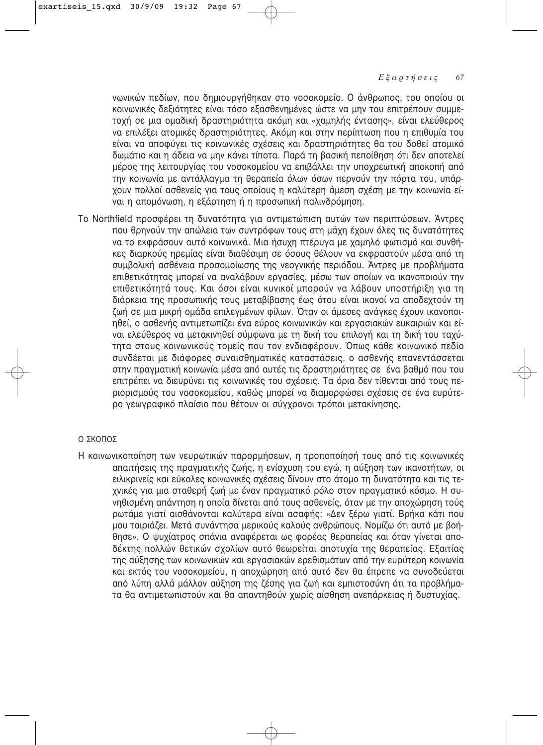νωνικών πεδίων, που δημιουργήθηκαν στο νοσοκομείο. Ο άνθρωπος, του οποίου οι ΚΟΙνωνικές δεξιότητες είναι τόσο εξασθενημένες ώστε να μην του επιτρέπουν συμμετοχή σε μια ομαδική δραστηριότητα ακόμη και «χαμηλής έντασης», είναι ελεύθερος να επιλέξει ατομικές δραστηριότητες. Ακόμη και στην περίπτωση που η επιθυμία του είναι να αποφύγει τις κοινωνικές σχέσεις και δραστηριότητες θα του δοθεί ατομικό δωμάτιο και η άδεια να μην κάνει τίποτα. Παρά τη βασική πεποίθηση ότι δεν αποτελεί μέρος της λειτουργίας του νοσοκομείου να επιβάλλει την υποχρεωτική αποκοπή από την κοινωνία με αντάλλαγμα τη θεραπεία όλων όσων περνούν την πόρτα του, υπάρχουν πολλοί ασθενείς για τους οποίους η καλύτερη άμεση σχέση με την κοινωνία είναι η απομόνωση, η εξάρτηση ή η προσωπική παλινδρόμηση.

Το Northfield προσφέρει τη δυνατότητα για αντιμετώπιση αυτών των περιπτώσεων. Άντρες που θρηνούν την απώλεια των συντρόφων τους στη μάχη έχουν όλες τις δυνατότητες να το εκφράσουν αυτό κοινωνικά. Μια ήσυχη πτέρυγα με χαμηλό φωτισμό και συνθήκες διαρκούς ηρεμίας είναι διαθέσιμη σε όσους θέλουν να εκφραστούν μέσα από τη συμβολική ασθένεια προσομοίωσης της νεογνικής περιόδου. Άντρες με προβλήματα επιθετικότητας μπορεί να αναλάβουν ερνασίες, μέσω των οποίων να ικανοποιούν την επιθετικότητά τους. Και όσοι είναι κυνικοί μπορούν να λάβουν υποστήριξη για τη διάρκεια της προσωπικής τους μεταβίβασης έως ότου είναι ικανοί να αποδεχτούν τη ζωή σε μια μικρή ομάδα επιλεγμένων φίλων. Όταν οι άμεσες ανάγκες έχουν ικανοποιηθεί, ο ασθενής αντιμετωπίζει ένα εύρος κοινωνικών και εργασιακών ευκαιριών και είναι ελεύθερος να μετακινηθεί σύμφωνα με τη δική του επιλογή και τη δική του ταχύτητα στους κοινωνικούς τομείς που τον ενδιαφέρουν. Όπως κάθε κοινωνικό πεδίο συνδέεται με διάφορες συναισθηματικές καταστάσεις, ο ασθενής επανεντάσσεται στην πραγματική κοινωνία μέσα από αυτές τις δραστηριότητες σε ένα βαθμό που του επιτρέπει να διευρύνει τις κοινωνικές του σχέσεις. Τα όρια δεν τίθενται από τους περιορισμούς του νοσοκομείου, καθώς μπορεί να διαμορφώσει σχέσεις σε ένα ευρύτερο γεωγραφικό πλαίσιο που θέτουν οι σύγχρονοι τρόποι μετακίνησης.

#### Ο ΣΚΟΠΟΣ

Η κοινωνικοποίηση των νευρωτικών παρορμήσεων, η τροποποίησή τους από τις κοινωνικές απαιτήσεις της πραγματικής ζωής, η ενίσχυση του εγώ, η αύξηση των ικανοτήτων, οι ειλικρινείς και εύκολες κοινωνικές σχέσεις δίνουν στο άτομο τη δυνατότητα και τις τεχνικές για μια σταθερή ζωή με έναν πραγματικό ρόλο στον πραγματικό κόσμο. Η συvηθισμένη απάντηση η οποία δίνεται από τους ασθενείς, όταν με την αποχώρηση τούς ρωτάμε γιατί αισθάνονται καλύτερα είναι ασαφής: «Δεν ξέρω γιατί. Βρήκα κάτι που μου ταιριάζει. Μετά συνάντησα μερικούς καλούς ανθρώπους. Νομίζω ότι αυτό με βοήθησε». Ο ψυχίατρος σπάνια αναφέρεται ως φορέας θεραπείας και όταν γίνεται αποδέκτης πολλών θετικών σχολίων αυτό θεωρείται αποτυχία της θεραπείας. Εξαιτίας της αύξησης των κοινωνικών και εργασιακών ερεθισμάτων από την ευρύτερη κοινωνία και εκτός του νοσοκομείου, η αποχώρηση από αυτό δεν θα έπρεπε να συνοδεύεται από λύπη αλλά μάλλον αύξηση της ζέσης για ζωή και εμπιστοσύνη ότι τα προβλήματα θα αντιμετωπιστούν και θα απαντηθούν χωρίς αίσθηση ανεπάρκειας ή δυστυχίας.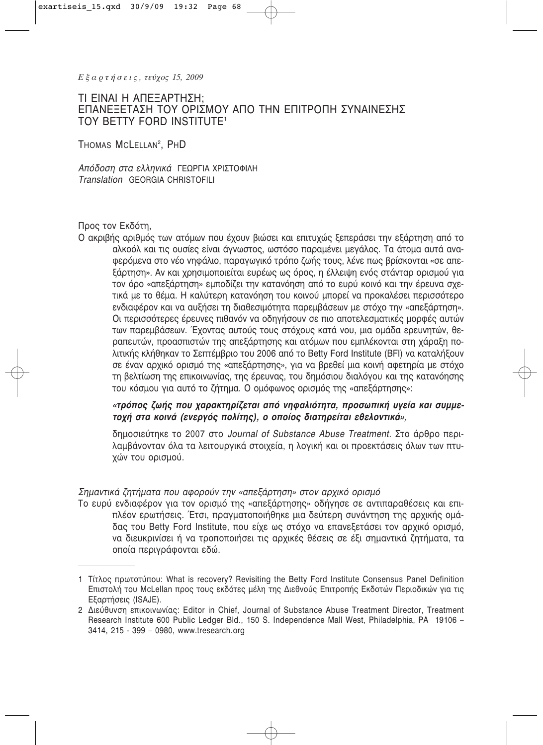Εξαρτήσεις, τεύγος 15, 2009

# ΤΙ ΕΙΝΑΙ Η ΑΠΕΞΑΡΤΗΣΗ: ΕΠΑΝΕΞΕΤΑΣΗ ΤΟΥ ΟΡΙΣΜΟΥ ΑΠΟ ΤΗΝ ΕΠΙΤΡΟΠΗ ΣΥΝΑΙΝΕΣΗΣ TOY BETTY FORD INSTITUTE<sup>1</sup>

THOMAS MCLELLAN<sup>2</sup>, PHD

Απόδοση στα ελληνικά ΓΕΩΡΓΙΑ ΧΡΙΣΤΟΦΙΛΗ Translation GEORGIA CHRISTOFILI

Προς τον Εκδότη,

Ο ακριβής αριθμός των ατόμων που έχουν βιώσει και επιτυχώς ξεπεράσει την εξάρτηση από το αλκοόλ και τις ουσίες είναι άγνωστος, ωστόσο παραμένει μεγάλος. Τα άτομα αυτά αναφερόμενα στο νέο νηφάλιο, παραγωγικό τρόπο ζωής τους, λένε πως βρίσκονται «σε απεξάρτηση». Αν και χρησιμοποιείται ευρέως ως όρος, η έλλειψη ενός στάνταρ ορισμού για τον όρο «απεξάρτηση» εμποδίζει την κατανόηση από το ευρύ κοινό και την έρευνα σχετικά με το θέμα. Η καλύτερη κατανόηση του κοινού μπορεί να προκαλέσει περισσότερο ενδιαφέρον και να αυξήσει τη διαθεσιμότητα παρεμβάσεων με στόχο την «απεξάρτηση». Οι περισσότερες έρευνες πιθανόν να οδηγήσουν σε πιο αποτελεσματικές μορφές αυτών των παρεμβάσεων. Έχοντας αυτούς τους στόχους κατά νου, μια ομάδα ερευνητών, θεραπευτών, προασπιστών της απεξάρτησης και ατόμων που εμπλέκονται στη χάραξη πολιτικής κλήθηκαν το Σεπτέμβριο του 2006 από το Betty Ford Institute (BFI) να καταλήξουν σε έναν αρχικό ορισμό της «απεξάρτησης», για να βρεθεί μια κοινή αφετηρία με στόχο τη βελτίωση της επικοινωνίας, της έρευνας, του δημόσιου διαλόγου και της κατανόησης του κόσμου για αυτό το ζήτημα. Ο ομόφωνος ορισμός της «απεξάρτησης»:

«τρόπος ζωής που χαρακτηρίζεται από νηφαλιότητα, προσωπική υγεία και συμμετοχή στα κοινά (ενεργός πολίτης), ο οποίος διατηρείται εθελοντικά»,

δημοσιεύτηκε το 2007 στο Journal of Substance Abuse Treatment. Στο άρθρο περιλαμβάνονταν όλα τα λειτουργικά στοιχεία, η λογική και οι προεκτάσεις όλων των πτυχών του ορισμού.

Σημαντικά ζητήματα που αφορούν την «απεξάρτηση» στον αρχικό ορισμό

Το ευρύ ενδιαφέρον για τον ορισμό της «απεξάρτησης» οδήγησε σε αντιπαραθέσεις και επιπλέον ερωτήσεις. Έτσι, πραγματοποιήθηκε μια δεύτερη συνάντηση της αρχικής ομάδας του Betty Ford Institute, που είχε ως στόχο να επανεξετάσει τον αρχικό ορισμό, να διευκρινίσει ή να τροποποιήσει τις αρχικές θέσεις σε έξι σημαντικά ζητήματα, τα οποία περιγράφονται εδώ.

<sup>1</sup> Τίτλος πρωτοτύπου: What is recovery? Revisiting the Betty Ford Institute Consensus Panel Definition Επιστολή του McLellan προς τους εκδότες μέλη της Διεθνούς Επιτροπής Εκδοτών Περιοδικών για τις Εξαρτήσεις (ISAJE).

<sup>2</sup> Διεύθυνση επικοινωνίας: Editor in Chief, Journal of Substance Abuse Treatment Director, Treatment Research Institute 600 Public Ledger Bld., 150 S. Independence Mall West, Philadelphia, PA 19106 -3414, 215 - 399 - 0980, www.tresearch.org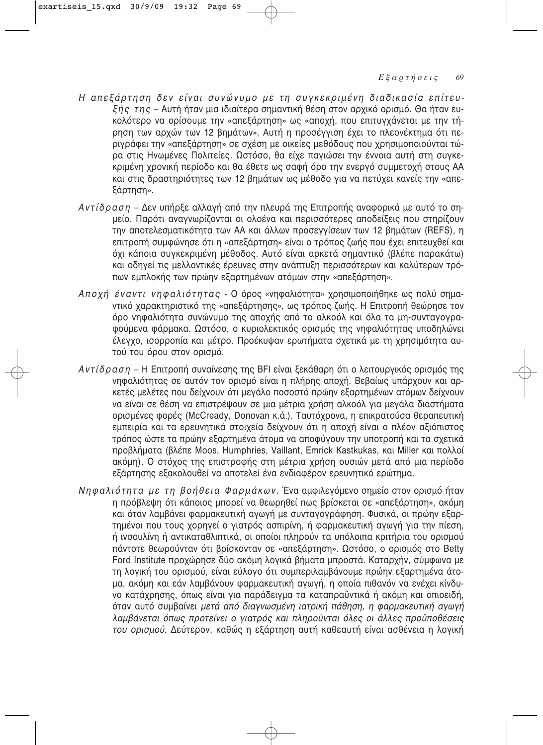- Η απεξάρτηση δεν είναι συνώνυμο με τη συγκεκριμένη διαδικασία επίτευ*ξής της – Αυτή ήταν μια ιδιαίτερα σημαντική θέση στον αρχικό ορισμό. Θα ήταν ευ*κολότερο να ορίσουμε την «απεξάρτηση» ως «αποχή, που επιτυγχάνεται με την τήρηση των αρχών των 12 βημάτων». Αυτή η προσέγγιση έχει το πλεονέκτημα ότι περιγράφει την «απεξάρτηση» σε σχέση με οικείες μεθόδους που χρησιμοποιούνται τώρα στις Ηνωμένες Πολιτείες. Ωστόσο, θα είχε παγιώσει την έννοια αυτή στη συγκεκριμένη χρονική περίοδο και θα έθετε ως σαφή όρο την ενεργό συμμετοχή στους ΑΑ και στις δραστηριότητες των 12 βημάτων ως μέθοδο για να πετύχει κανείς την «απεξάρτηση».
- Αντίδραση Δεν υπήρξε αλλαγή από την πλευρά της Επιτροπής αναφορικά με αυτό το σημείο. Παρότι αναγνωρίζονται οι ολοένα και περισσότερες αποδείξεις που στηρίζουν την αποτελεσματικότητα των ΑΑ και άλλων προσεγγίσεων των 12 βημάτων (REFS), η επιτροπή συμφώνησε ότι η «απεξάρτηση» είναι ο τρόπος ζωής που έχει επιτευχθεί και όχι κάποια συγκεκριμένη μέθοδος. Αυτό είναι αρκετά σημαντικό (βλέπε παρακάτω) και οδηγεί τις μελλοντικές έρευνες στην ανάπτυξη περισσότερων και καλύτερων τρόπων εμπλοκής των πρώην εξαρτημένων ατόμων στην «απεξάρτηση».
- Αποχή έναντι νηφαλιότητας Ο όρος «νηφαλιότητα» χρησιμοποιήθηκε ως πολύ σημαντικό χαρακτηριστικό της «απεξάρτησης», ως τρόπος ζωής. Η Επιτροπή θεώρησε τον όρο νηφαλιότητα συνώνυμο της αποχής από το αλκοόλ και όλα τα μη-συνταγογραφούμενα φάρμακα. Ωστόσο, ο κυριολεκτικός ορισμός της νηφαλιότητας υποδηλώνει έλεγχο, ισορροπία και μέτρο. Προέκυψαν ερωτήματα σχετικά με τη χρησιμότητα αυτού του όρου στον ορισμό.
- Αντίδραση Η Επιτροπή συναίνεσης της BFI είναι ξεκάθαρη ότι ο λειτουργικός ορισμός της νηφαλιότητας σε αυτόν τον ορισμό είναι η πλήρης αποχή. Βεβαίως υπάρχουν και αρκετές μελέτες που δείχνουν ότι μεγάλο ποσοστό πρώην εξαρτημένων ατόμων δείχνουν να είναι σε θέση να επιστρέψουν σε μια μέτρια χρήση αλκοόλ για μεγάλα διαστήματα ορισμένες φορές (McCready, Donovan κ.ά.). Ταυτόχρονα, η επικρατούσα θεραπευτική εμπειρία και τα ερευνητικά στοιχεία δείχνουν ότι η αποχή είναι ο πλέον αξιόπιστος τρόπος ώστε τα πρώην εξαρτημένα άτομα να αποφύγουν την υποτροπή και τα σχετικά προβλήματα (βλέπε Moos, Humphries, Vaillant, Emrick Kastkukas, και Miller και πολλοί ακόμη). Ο στόχος της επιστροφής στη μέτρια χρήση ουσιών μετά από μια περίοδο εξάρτησης εξακολουθεί να αποτελεί ένα ενδιαφέρον ερευνητικό ερώτημα.
- Νηφαλιότητα με τη βοήθεια Φαρμάκων. Ένα αμφιλεγόμενο σημείο στον ορισμό ήταν η πρόβλεψη ότι κάποιος μπορεί να θεωρηθεί πως βρίσκεται σε «απεξάρτηση», ακόμη και όταν λαμβάνει φαρμακευτική αγωγή με συνταγογράφηση. Φυσικά, οι πρώην εξαρτημένοι που τους χορηγεί ο γιατρός ασπιρίνη, ή φαρμακευτική αγωγή για την πίεση, ή ινσουλίνη ή αντικαταθλιπτικά, οι οποίοι πληρούν τα υπόλοιπα κριτήρια του ορισμού πάντοτε θεωρούνταν ότι βρίσκονταν σε «απεξάρτηση». Ωστόσο, ο ορισμός στο Betty Ford Institute προχώρησε δύο ακόμη λογικά βήματα μπροστά. Καταρχήν, σύμφωνα με τη λογική του ορισμού, είναι εύλογο ότι συμπεριλαμβάνουμε πρώην εξαρτημένα άτομα, ακόμη και εάν λαμβάνουν φαρμακευτική αγωγή, η οποία πιθανόν να ενέχει κίνδυνο κατάχρησης, όπως είναι για παράδειγμα τα καταπραϋντικά ή ακόμη και οπιοειδή, όταν αυτό συμβαίνει μετά από διαγνωσμένη ιατρική πάθηση, η φαρμακευτική αγωγή λαμβάνεται όπως προτείνει ο γιατρός και πληρούνται όλες οι άλλες προϋποθέσεις του ορισμού. Δεύτερον, καθώς η εξάρτηση αυτή καθεαυτή είναι ασθένεια η λογική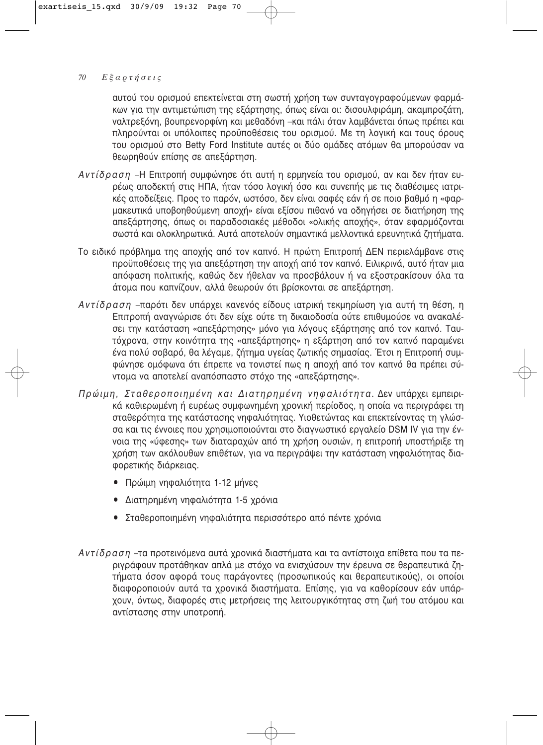αυτού του ορισμού επεκτείνεται στη σωστή χρήση των συνταγογραφούμενων φαρμάκων για την αντιμετώπιση της εξάρτησης, όπως είναι οι: δισουλφιράμη, ακαμπροζάτη, ναλτρεξόνη, βουπρενορφίνη και μεθαδόνη –και πάλι όταν λαμβάνεται όπως πρέπει και πληρούνται οι υπόλοιπες προϋποθέσεις του ορισμού. Με τη λογική και τους όρους του ορισμού στο Betty Ford Institute αυτές οι δύο ομάδες ατόμων θα μπορούσαν να θεωρηθούν επίσης σε απεξάρτηση.

- Αντίδραση -Η Επιτροπή συμφώνησε ότι αυτή η ερμηνεία του ορισμού, αν και δεν ήταν ευρέως αποδεκτή στις ΗΠΑ, ήταν τόσο λογική όσο και συνεπής με τις διαθέσιμες ιατρικές αποδείξεις. Προς το παρόν, ωστόσο, δεν είναι σαφές εάν ή σε ποιο βαθμό η «φαρμακευτικά υποβοηθούμενη αποχή» είναι εξίσου πιθανό να οδηγήσει σε διατήρηση της απεξάρτησης, όπως οι παραδοσιακές μέθοδοι «ολικής αποχής», όταν εφαρμόζονται σωστά και ολοκληρωτικά. Αυτά αποτελούν σημαντικά μελλοντικά ερευνητικά ζητήματα.
- Το ειδικό πρόβλημα της αποχής από τον καπνό. Η πρώτη Επιτροπή ΔΕΝ περιελάμβανε στις προϋποθέσεις της για απεξάρτηση την αποχή από τον καπνό. Ειλικρινά, αυτό ήταν μια απόφαση πολιτικής, καθώς δεν ήθελαν να προσβάλουν ή να εξοστρακίσουν όλα τα άτομα που καπνίζουν, αλλά θεωρούν ότι βρίσκονται σε απεξάρτηση.
- Αντίδραση -παρότι δεν υπάρχει κανενός είδους ιατρική τεκμηρίωση για αυτή τη θέση, η Επιτροπή αναγνώρισε ότι δεν είχε ούτε τη δικαιοδοσία ούτε επιθυμούσε να ανακαλέσει την κατάσταση «απεξάρτησης» μόνο για λόγους εξάρτησης από τον καπνό. Ταυτόχρονα, στην κοινότητα της «απεξάρτησης» η εξάρτηση από τον καπνό παραμένει ένα πολύ σοβαρό, θα λέγαμε, ζήτημα υγείας ζωτικής σημασίας. Έτσι η Επιτροπή συμφώνησε ομόφωνα ότι έπρεπε να τονιστεί πως η αποχή από τον καπνό θα πρέπει σύντομα να αποτελεί αναπόσπαστο στόχο της «απεξάρτησης».
- Πρώιμη, Σταθεροποιημένη και Διατηρημένη νηφαλιότητα. Δεν υπάρχει εμπειρικά καθιερωμένη ή ευρέως συμφωνημένη χρονική περίοδος, η οποία να περιγράφει τη σταθερότητα της κατάστασης νηφαλιότητας. Υιοθετώντας και επεκτείνοντας τη γλώσσα και τις έννοιες που χρησιμοποιούνται στο διαγνωστικό εργαλείο DSM IV για την έννοια της «ύφεσης» των διαταραχών από τη χρήση ουσιών, η επιτροπή υποστήριξε τη χρήση των ακόλουθων επιθέτων, για να περιγράψει την κατάσταση νηφαλιότητας διαφορετικής διάρκειας.
	- Πρώιμη νηφαλιότητα 1-12 μήνες
	- · Διατηρημένη νηφαλιότητα 1-5 χρόνια
	- Σταθεροποιημένη νηφαλιότητα περισσότερο από πέντε χρόνια
- Αντίδραση -τα προτεινόμενα αυτά χρονικά διαστήματα και τα αντίστοιχα επίθετα που τα περιγράφουν προτάθηκαν απλά με στόχο να ενισχύσουν την έρευνα σε θεραπευτικά ζητήματα όσον αφορά τους παράγοντες (προσωπικούς και θεραπευτικούς), οι οποίοι διαφοροποιούν αυτά τα χρονικά διαστήματα. Επίσης, για να καθορίσουν εάν υπάρχουν, όντως, διαφορές στις μετρήσεις της λειτουργικότητας στη ζωή του ατόμου και αντίστασης στην υποτροπή.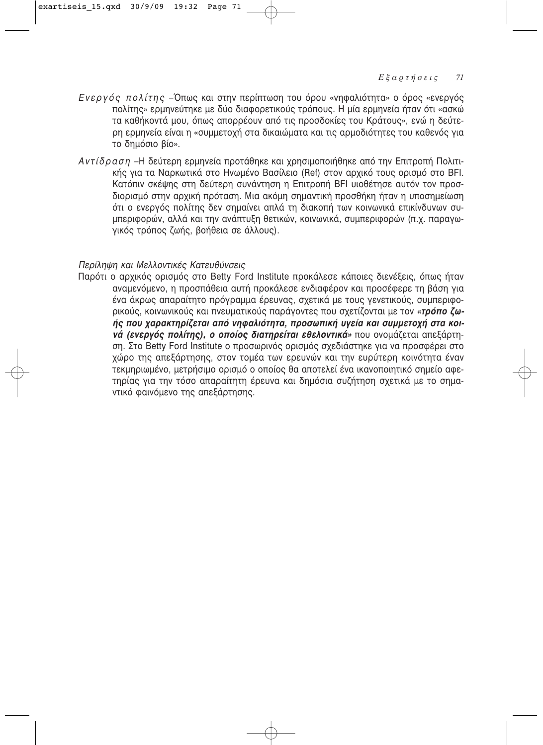exartiseis\_15.qxd 30/9/09 19:32 Page 71

- *Eνεργός πολίτης –*Όπως και στην περίπτωση του όρου «νηφαλιότητα» ο όρος «ενεργός πολίτης» ερμηνεύτηκε με δύο διαφορετικούς τρόπους. Η μία ερμηνεία ήταν ότι «ασκώ τα καθήκοντά μου, όπως απορρέουν από τις προσδοκίες του Κράτους», ενώ η δεύτεon ερμηνεία είναι η «συμμετοχή στα δικαιώματα και τις αρμοδιότητες του καθενός για το δημόσιο βίο».
- *Aντίδραση* –Η δεύτερη ερμηνεία προτάθηκε και χρησιμοποιήθηκε από την Επιτροπή Πολιτικής για τα Ναρκωτικά στο Ηνωμένο Βασίλειο (Ref) στον αρχικό τους ορισμό στο BFI. Κατόπιν σκέψης στη δεύτερη συνάντηση η Επιτροπή BFI υιοθέτησε αυτόν τον προσδιορισμό στην αρχική πρόταση. Μια ακόμη σημαντική προσθήκη ήταν η υποσημείωση ότι ο ενεργός πολίτης δεν σημαίνει απλά τη διακοπή των κοινωνικά επικίνδυνων συμπεριφορών, αλλά και την ανάπτυξη θετικών, κοινωνικά, συμπεριφορών (π.χ. παραγωγικός τρόπος ζωής, βοήθεια σε άλλους).

# *Περίληψη και Μελλοντικές Κατευθύνσεις*

Παρότι ο αρχικός ορισμός στο Betty Ford Institute προκάλεσε κάποιες διενέξεις, όπως ήταν αναμενόμενο, η προσπάθεια αυτή προκάλεσε ενδιαφέρον και προσέφερε τη βάση για ένα άκρως απαραίτητο πρόγραμμα έρευνας, σχετικά με τους γενετικούς, συμπεριφορικούς, κοινωνικούς και πνευματικούς παράγοντες που σχετίζονται με τον «τρόπο ζω*ής που χαρακτηρίζεται από γηφαλιότητα, προσωπική υνεία και συμμετοχή στα κοι***νά (ενεργός πολίτης), ο οποίος διατηρείται εθελοντικά»** που ονομάζεται απεξάρτηση. Στο Betty Ford Institute ο προσωρινός ορισμός σχεδιάστηκε για να προσφέρει στο χώρο της απεξάρτησης, στον τομέα των ερευνών και την ευρύτερη κοινότητα έναν τεκμηριωμένο, μετρήσιμο ορισμό ο οποίος θα αποτελεί ένα ικανοποιητικό σημείο αφετηρίας για την τόσο απαραίτητη έρευνα και δημόσια συζήτηση σχετικά με το σημαντικό φαινόμενο της απεξάρτησης.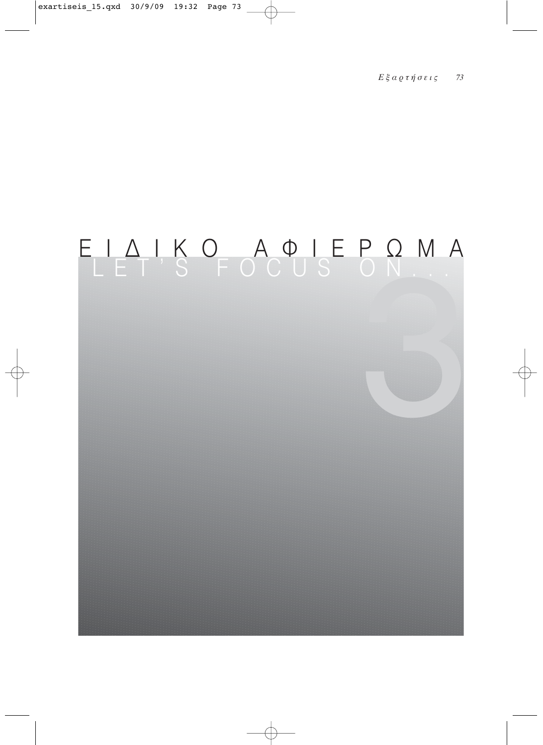# E | A | K O | A O | E P O M A<br>L E | S F O C U S O N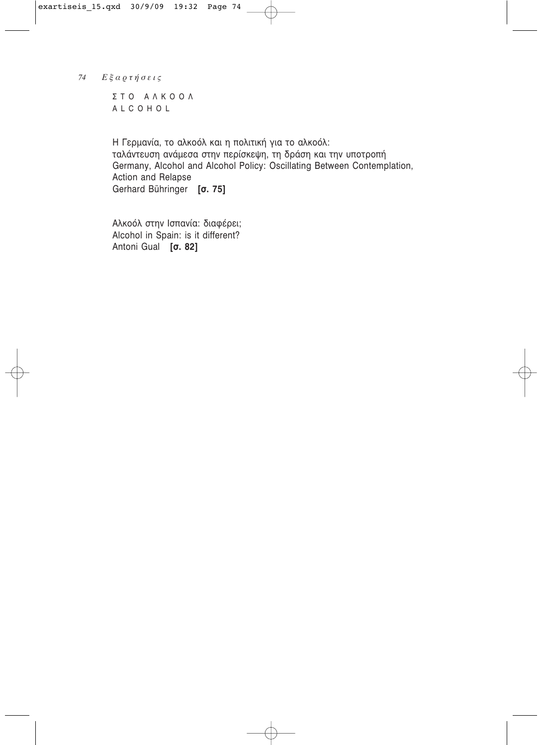$E$ ξαρτήσεις 74

> ΣΤΟ ΑΛΚΟΟΛ ALCOHOL

Η Γερμανία, το αλκοόλ και η πολιτική για το αλκοόλ: ταλάντευση ανάμεσα στην περίσκεψη, τη δράση και την υποτροπή Germany, Alcohol and Alcohol Policy: Oscillating Between Contemplation, Action and Relapse Gerhard Bühringer [o. 75]

Αλκοόλ στην Ισπανία: διαφέρει; Alcohol in Spain: is it different? Antoni Gual [o. 82]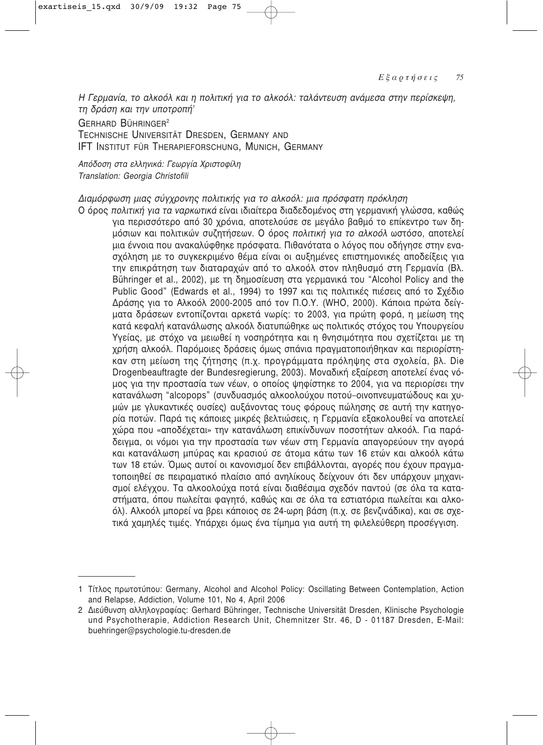exartiseis 15.qxd 30/9/09

*Η Γερμανία, το αλκοόλ και η πολιτική για το αλκοόλ: ταλάντευση ανάμεσα στην περίσκεψη. τη δράση και την υποτροπή<sup>1</sup>* 

GERHARD BÜHRINGER<sup>2</sup> TECHNISCHE UNIVERSITÄT DRESDEN, GERMANY AND IFT INSTITUT FÜR THERAPIEFORSCHUNG, MUNICH, GERMANY

*Απόδοση στα ελληνικά: Γεωργία Χριστοφίλη Translation: Georgia Christofili*

### *Διαμόρφωση μιας σύγχρονης πολιτικής για το αλκοόλ: μια πρόσφατη πρόκληση*

Ο όρος *πολιτική για τα ναρκωτικά* είναι ιδιαίτερα διαδεδομένος στη γερμανική γλώσσα, καθώς για περισσότερο από 30 χρόνια, αποτελούσε σε μεγάλο βαθμό το επίκεντρο των δημόσιων και πολιτικών συζητήσεων. Ο όρος *πολιτική για το αλκοόλ* ωστόσο, αποτελεί μια έννοια που ανακαλύφθηκε πρόσφατα. Πιθανότατα ο λόγος που οδήγησε στην ενασχόληση με το συγκεκριμένο θέμα είναι οι αυξημένες επιστημονικές αποδείξεις για την επικράτηση των διαταραχών από το αλκοόλ στον πληθυσμό στη Γερμανία (Βλ. Bühringer et al., 2002), με τη δημοσίευση στα γερμανικά του "Alcohol Policy and the Public Good" (Edwards et al., 1994) το 1997 και τις πολιτικές πιέσεις από το Σχέδιο Δράσης για το Αλκοόλ 2000-2005 από τον Π.Ο.Υ. (WHO, 2000). Κάποια πρώτα δείγματα δράσεων εντοπίζονται αρκετά νωρίς: το 2003, για πρώτη φορά, η μείωση της κατά κεφαλή κατανάλωσης αλκοόλ διατυπώθηκε ως πολιτικός στόχος του Υπουργείου Υγείας, με στόχο να μειωθεί η νοσηρότητα και η θνησιμότητα που σχετίζεται με τη χρήση αλκοόλ. Παρόμοιες δράσεις όμως σπάνια πραγματοποιήθηκαν και περιορίστηκαν στη μείωση της ζήτησης (π.χ. προγράμματα πρόληψης στα σχολεία, βλ. Die Drogenbeauftragte der Bundesregierung, 2003). Μοναδική εξαίρεση αποτελεί ένας νόμος για την προστασία των νέων, ο οποίος ψηφίστηκε το 2004, για να περιορίσει την κατανάλωση "alcopops" (συνδυασμός αλκοολούχου ποτού-οινοπνευματώδους και χυμών με γλυκαντικές ουσίες) αυξάνοντας τους φόρους πώλησης σε αυτή την κατηγορία ποτών. Παρά τις κάποιες μικρές βελτιώσεις, η Γερμανία εξακολουθεί να αποτελεί χώρα που «αποδέχεται» την κατανάλωση επικίνδυνων ποσοτήτων αλκοόλ. Για παράδειγμα, οι νόμοι για την προστασία των νέων στη Γερμανία απαγορεύουν την αγορά και κατανάλωση μπύρας και κρασιού σε άτομα κάτω των 16 ετών και αλκοόλ κάτω των 18 ετών. Όμως αυτοί οι κανονισμοί δεν επιβάλλονται, αγορές που έχουν πραγματοποιηθεί σε πειραματικό πλαίσιο από ανηλίκους δείχνουν ότι δεν υπάρχουν μηχανισμοί ελέγχου. Τα αλκοολούχα ποτά είναι διαθέσιμα σχεδόν παντού (σε όλα τα καταστήματα, όπου πωλείται φαγητό, καθώς και σε όλα τα εστιατόρια πωλείται και αλκοόλ). Αλκοόλ μπορεί να βρει κάποιος σε 24-ωρη βάση (π.χ. σε βενζινάδικα), και σε σχετικά χαμηλές τιμές. Υπάρχει όμως ένα τίμημα για αυτή τη φιλελεύθερη προσέγγιση.

<sup>1</sup> Τίτλος πρωτοτύπου: Germany, Alcohol and Alcohol Policy: Oscillating Between Contemplation, Action and Relapse, Addiction, Volume 101, No 4, April 2006

<sup>2</sup> Διεύθυνση αλληλογραφίας: Gerhard Bühringer, Technische Universität Dresden, Klinische Psychologie und Psychotherapie, Addiction Research Unit, Chemnitzer Str. 46, D - 01187 Dresden, E-Mail: buehringer@psychologie.tu-dresden.de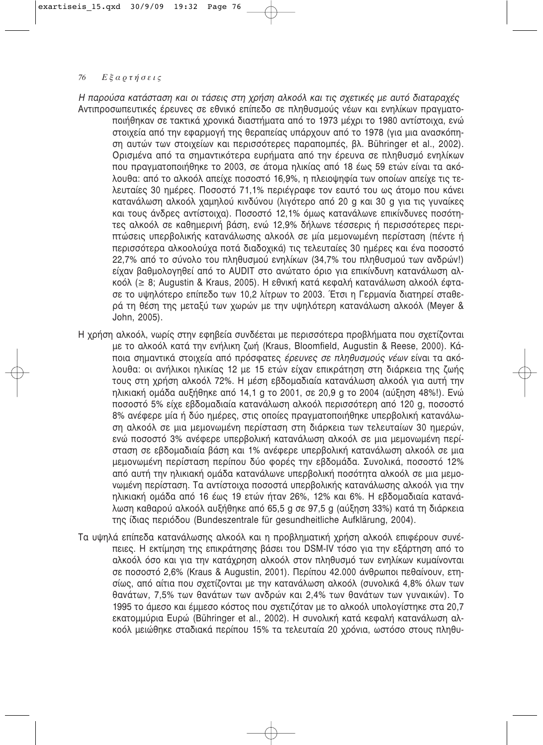*Η παρούσα κατάσταση και οι τάσεις στη χρήση αλκοόλ και τις σχετικές με αυτό διαταραχές* Αντιπροσωπευτικές έρευνες σε εθνικό επίπεδο σε πληθυσμούς νέων και ενηλίκων πραγματο-

ποιήθηκαν σε τακτικά χρονικά διαστήματα από το 1973 μέχρι το 1980 αντίστοιχα, ενώ στοιχεία από την εφαρμογή της θεραπείας υπάρχουν από το 1978 (για μια ανασκόπηση αυτών των στοιχείων και περισσότερες παραπομπές, βλ. Bühringer et al., 2002). Ορισμένα από τα σημαντικότερα ευρήματα από την έρευνα σε πληθυσμό ενηλίκων που πραγματοποιήθηκε το 2003, σε άτομα ηλικίας από 18 έως 59 ετών είναι τα ακόλουθα: από το αλκοόλ απείχε ποσοστό 16,9%, η πλειοψηφία των οποίων απείχε τις τελευταίες 30 ημέρες. Ποσοστό 71,1% περιέγραφε τον εαυτό του ως άτομο που κάνει κατανάλωση αλκοόλ χαμηλού κινδύνου (λιγότερο από 20 g και 30 g για τις γυναίκες και τους άνδρες αντίστοιχα). Ποσοστό 12,1% όμως κατανάλωνε επικίνδυνες ποσότητες αλκοόλ σε καθημερινή βάση, ενώ 12,9% δήλωνε τέσσερις ή περισσότερες περιπτώσεις υπερβολικής κατανάλωσης αλκοόλ σε μία μεμονωμένη περίσταση (πέντε ή περισσότερα αλκοολούχα ποτά διαδοχικά) τις τελευταίες 30 ημέρες και ένα ποσοστό 22,7% από το σύνολο του πληθυσμού ενηλίκων (34,7% του πληθυσμού των ανδρών!) είχαν βαθμολογηθεί από το AUDIT στο ανώτατο όριο για επικίνδυνη κατανάλωση αλ- $K$ οόλ (≥ 8; Augustin & Kraus, 2005). Η εθνική κατά κεφαλή κατανάλωση αλκοόλ έφτασε το υψηλότερο επίπεδο των 10,2 λίτρων το 2003. Έτσι η Γερμανία διατηρεί σταθερά τη θέση της μεταξύ των χωρών με την υψηλότερη κατανάλωση αλκοόλ (Meyer & John, 2005).

- Η χρήση αλκοόλ, νωρίς στην εφηβεία συνδέεται με περισσότερα προβλήματα που σχετίζονται με το αλκοόλ κατά την ενήλικη ζωή (Kraus, Bloomfield, Augustin & Reese, 2000). Κάποια σημαντικά στοιχεία από πρόσφατες *έρευνες σε πληθυσμούς νέων* είναι τα ακόλουθα: οι ανήλικοι ηλικίας 12 με 15 ετών είχαν επικράτηση στη διάρκεια της ζωής τους στη χρήση αλκοόλ 72%. Η μέση εβδομαδιαία κατανάλωση αλκοόλ για αυτή την ηλικιακή ομάδα αυξήθηκε από 14,1 g το 2001, σε 20,9 g το 2004 (αύξηση 48%!). Ενώ ποσοστό 5% είχε εβδομαδιαία κατανάλωση αλκοόλ περισσότερη από 120 g, ποσοστό 8% ανέφερε μία ή δύο ημέρες, στις οποίες πραγματοποιήθηκε υπερβολική κατανάλωση αλκοόλ σε μια μεμονωμένη περίσταση στη διάρκεια των τελευταίων 30 ημερών, ενώ ποσοστό 3% ανέφερε υπερβολική κατανάλωση αλκοόλ σε μια μεμονωμένη περίσταση σε εβδομαδιαία βάση και 1% ανέφερε υπερβολική κατανάλωση αλκοόλ σε μια μεμονωμένη περίσταση περίπου δύο φορές την εβδομάδα. Συνολικά, ποσοστό 12% από αυτή την ηλικιακή ομάδα κατανάλωνε υπερβολική ποσότητα αλκοόλ σε μια μεμονωμένη περίσταση. Τα αντίστοιχα ποσοστά υπερβολικής κατανάλωσης αλκοόλ για την ηλικιακή ομάδα από 16 έως 19 ετών ήταν 26%, 12% και 6%. Η εβδομαδιαία κατανάλωση καθαρού αλκοόλ αυξήθηκε από 65,5 g σε 97,5 g (αύξηση 33%) κατά τη διάρκεια της ίδιας περιόδου (Bundeszentrale für gesundheitliche Aufklärung, 2004).
- Τα υψηλά επίπεδα κατανάλωσης αλκοόλ και η προβληματική χρήση αλκοόλ επιφέρουν συνέπειες. Η εκτίμηση της επικράτησης βάσει του DSM-IV τόσο για την εξάρτηση από το αλκοόλ όσο και για την κατάχρηση αλκοόλ στον πληθυσμό των ενηλίκων κυμαίνονται σε ποσοστό 2,6% (Kraus & Augustin, 2001). Περίπου 42.000 άνθρωποι πεθαίνουν, ετησίως, από αίτια που σχετίζονται με την κατανάλωση αλκοόλ (συνολικά 4,8% όλων των θανάτων, 7,5% των θανάτων των ανδρών και 2,4% των θανάτων των γυναικών). Το 1995 το άμεσο και έμμεσο κόστος που σχετιζόταν με το αλκοόλ υπολογίστηκε στα 20,7 εκατομμύρια Ευρώ (Bühringer et al., 2002). Η συνολική κατά κεφαλή κατανάλωση αλκοόλ μειώθηκε σταδιακά περίπου 15% τα τελευταία 20 χρόνια, ωστόσο στους πληθυ-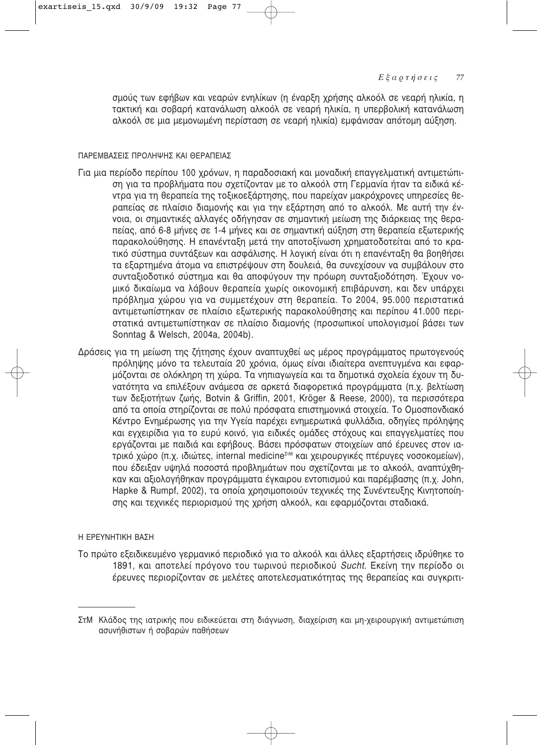σμούς των εφήβων και νεαρών ενηλίκων (η έναρξη χρήσης αλκοόλ σε νεαρή ηλικία, η τακτική και σοβαρή κατανάλωση αλκοόλ σε νεαρή ηλικία, η υπερβολική κατανάλωση αλκοόλ σε μια μεμονωμένη περίσταση σε νεαρή ηλικία) εμφάνισαν απότομη αύξηση.

### ΠΑΡΕΜΒΑΣΕΙΣ ΠΡΟΛΗΨΗΣ ΚΑΙ ΘΕΡΑΠΕΙΑΣ

 $19:32$ 

Page  $7'$ 

exartiseis 15.qxd 30/9/09

- Για μια περίοδο περίπου 100 χρόνων, η παραδοσιακή και μοναδική επαγγελματική αντιμετώπιση για τα προβλήματα που σχετίζονταν με το αλκοόλ στη Γερμανία ήταν τα ειδικά κέντρα για τη θεραπεία της τοξικοεξάρτησης, που παρείχαν μακρόχρονες υπηρεσίες θεραπείας σε πλαίσιο διαμονής και για την εξάρτηση από το αλκοόλ. Με αυτή την έννοια, οι σημαντικές αλλαγές οδήγησαν σε σημαντική μείωση της διάρκειας της θεραπείας, από 6-8 μήνες σε 1-4 μήνες και σε σημαντική αύξηση στη θεραπεία εξωτερικής παρακολούθησης. Η επανένταξη μετά την αποτοξίνωση χρηματοδοτείται από το κρατικό σύστημα συντάξεων και ασφάλισης. Η λογική είναι ότι η επανένταξη θα βοηθήσει τα εξαρτημένα άτομα να επιστρέψουν στη δουλειά, θα συνεχίσουν να συμβάλουν στο συνταξιοδοτικό σύστημα και θα αποφύγουν την πρόωρη συνταξιοδότηση. Έχουν νομικό δικαίωμα να λάβουν θεραπεία χωρίς οικονομική επιβάρυνση, και δεν υπάρχει πρόβλημα χώρου για να συμμετέχουν στη θεραπεία. Το 2004, 95.000 περιστατικά αντιμετωπίστηκαν σε πλαίσιο εξωτερικής παρακολούθησης και περίπου 41.000 περιστατικά αντιμετωπίστηκαν σε πλαίσιο διαμονής (προσωπικοί υπολογισμοί βάσει των Sonntag & Welsch, 2004a, 2004b).
- Δράσεις για τη μείωση της ζήτησης έχουν αναπτυχθεί ως μέρος προγράμματος πρωτογενούς πρόληψης μόνο τα τελευταία 20 χρόνια, όμως είναι ιδιαίτερα ανεπτυγμένα και εφαρμόζονται σε ολόκληρη τη χώρα. Τα νηπιαγωγεία και τα δημοτικά σχολεία έχουν τη δυνατότητα να επιλέξουν ανάμεσα σε αρκετά διαφορετικά προγράμματα (π.χ. βελτίωση των δεξιοτήτων ζωής, Botvin & Griffin, 2001, Kröger & Reese, 2000), τα περισσότερα από τα οποία στηρίζονται σε πολύ πρόσφατα επιστημονικά στοιχεία. Το Ομοσπονδιακό Κέντρο Ενημέρωσης για την Υγεία παρέχει ενημερωτικά φυλλάδια, οδηγίες πρόληψης και εγχειρίδια για το ευρύ κοινό, για ειδικές ομάδες στόχους και επαγγελματίες που εργάζονται με παιδιά και εφήβους. Βάσει πρόσφατων στοιχείων από έρευνες στον ιατρικό χώρο (π.χ. ιδιώτες, internal medicine<sup>ΣτΜ</sup> και χειρουργικές πτέρυγες νοσοκομείων), που έδειξαν υψηλά ποσοστά προβλημάτων που σχετίζονται με το αλκοόλ, αναπτύχθηκαν και αξιολογήθηκαν προγράμματα έγκαιρου εντοπισμού και παρέμβασης (π.χ. John, Hapke & Rumpf, 2002), τα οποία χρησιμοποιούν τεχνικές της Συνέντευξης Κινητοποίησης και τεχνικές περιορισμού της χρήση αλκοόλ, και εφαρμόζονται σταδιακά.

### Н ЕРЕҮМНТІКН ВАΣН

Το πρώτο εξειδικευμένο γερμανικό περιοδικό για το αλκοόλ και άλλες εξαρτήσεις ιδρύθηκε το 1891, και αποτελεί πρόνονο του τωρινού περιοδικού Sucht. Εκείνη την περίοδο οι έρευνες περιορίζονταν σε μελέτες αποτελεσματικότητας της θεραπείας και συγκριτι-

ΣτΜ Κλάδος της ιατρικής που ειδικεύεται στη διάγνωση, διαχείριση και μη-χειρουργική αντιμετώπιση ασυνήθιστων ή σοβαρών παθήσεων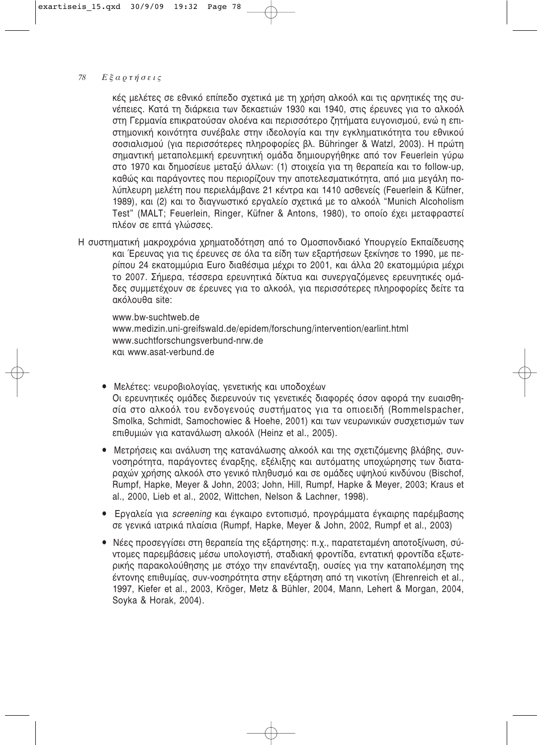κές μελέτες σε εθνικό επίπεδο σχετικά με τη χρήση αλκοόλ και τις αρνητικές της συνέπειες. Κατά τη διάρκεια των δεκαετιών 1930 και 1940, στις έρευνες για το αλκοόλ στη Γερμανία επικρατούσαν ολοένα και περισσότερο ζητήματα ευγονισμού, ενώ η επιστημονική κοινότητα συνέβαλε στην ιδεολογία και την εγκληματικότητα του εθνικού σοσιαλισμού (για περισσότερες πληροφορίες βλ. Bühringer & Watzl, 2003). Η πρώτη σημαντική μεταπολεμική ερευνητική ομάδα δημιουργήθηκε από τον Feuerlein γύρω στο 1970 και δημοσίευε μεταξύ άλλων: (1) στοιχεία για τη θεραπεία και το follow-up, καθώς και παράγοντες που περιορίζουν την αποτελεσματικότητα, από μια μεγάλη πολύπλευρη μελέτη που περιελάμβανε 21 κέντρα και 1410 ασθενείς (Feuerlein & Küfner, 1989), και (2) και το διαγνωστικό εργαλείο σχετικά με το αλκοόλ "Munich Alcoholism Test" (MALT; Feuerlein, Ringer, Küfner & Antons, 1980), το οποίο έχει μεταφραστεί πλέον σε επτά νλώσσες.

Η συστηματική μακροχρόνια χρηματοδότηση από το Ομοσπονδιακό Υπουργείο Εκπαίδευσης και Έρευνας για τις έρευνες σε όλα τα είδη των εξαρτήσεων ξεκίνησε το 1990, με περίπου 24 εκατομμύρια Euro διαθέσιμα μέχρι το 2001, και άλλα 20 εκατομμύρια μέχρι το 2007. Σήμερα, τέσσερα ερευνητικά δίκτυα και συνεργαζόμενες ερευνητικές ομάδες συμμετέχουν σε έρευνες για το αλκοόλ, για περισσότερες πληροφορίες δείτε τα ακόλουθα site:

www.bw-suchtweb.de www.medizin.uni-greifswald.de/epidem/forschung/intervention/earlint.html www.suchtforschungsverbund-nrw.de Kal www.asat-verbund.de

- **•** Μελέτες: νευροβιολογίας, γενετικής και υποδοχέων Οι ερευνητικές ομάδες διερευνούν τις γενετικές διαφορές όσον αφορά την ευαισθησία στο αλκοόλ του ενδογενούς συστήματος για τα οπιοειδή (Rommelspacher, Smolka, Schmidt, Samochowiec & Hoehe, 2001) και των νευρωνικών συσχετισμών των επιθυμιών για κατανάλωση αλκοόλ (Heinz et al., 2005).
- Μετρήσεις και ανάλυση της κατανάλωσης αλκοόλ και της σχετιζόμενης βλάβης, συννοσηρότητα, παράγοντες έναρξης, εξέλιξης και αυτόματης υποχώρησης των διαταραχών χρήσης αλκοόλ στο γενικό πληθυσμό και σε ομάδες υψηλού κινδύνου (Bischof, Rumpf, Hapke, Meyer & John, 2003; John, Hill, Rumpf, Hapke & Meyer, 2003; Kraus et al., 2000, Lieb et al., 2002, Wittchen, Nelson & Lachner, 1998).
- Εργαλεία για *screening* και έγκαιρο εντοπισμό, προγράμματα έγκαιρης παρέμβασης σε γενικά ιατρικά πλαίσια (Rumpf, Hapke, Meyer & John, 2002, Rumpf et al., 2003)
- Νέες προσεγγίσει στη θεραπεία της εξάρτησης: π.χ., παρατεταμένη αποτοξίνωση, σύντομες παρεμβάσεις μέσω υπολογιστή, σταδιακή φροντίδα, εντατική φροντίδα εξωτεοικής παρακολούθησης με στόχο την επανένταξη, ουσίες για την καταπολέμηση της έντονης επιθυμίας, συν-νοσηρότητα στην εξάρτηση από τη νικοτίνη (Ehrenreich et al., 1997, Kiefer et al., 2003, Kröger, Metz & Bühler, 2004, Mann, Lehert & Morgan, 2004, Soyka & Horak, 2004).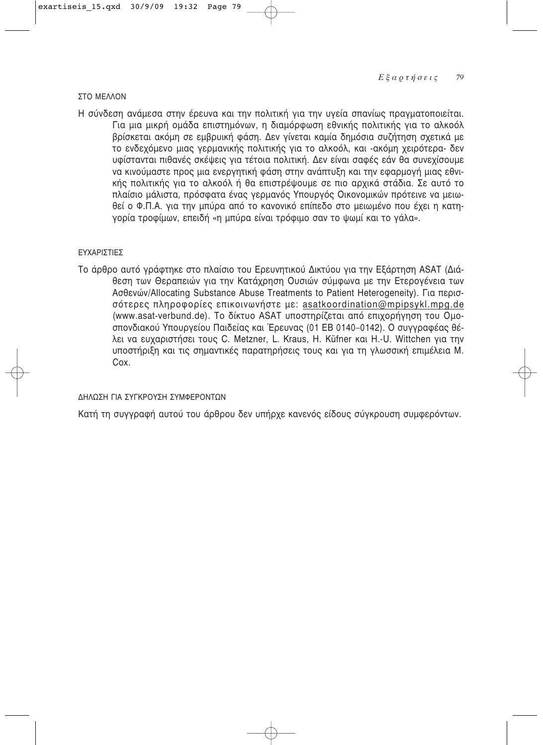### ΣΤΟ ΜΕΛΛΟΝ

Η σύνδεση ανάμεσα στην έρευνα και την πολιτική για την υγεία σπανίως πραγματοποιείται. Για μια μικρή ομάδα επιστημόνων, η διαμόρφωση εθνικής πολιτικής για το αλκοόλ βρίσκεται ακόμη σε εμβρυική φάση. Δεν γίνεται καμία δημόσια συζήτηση σχετικά με το ενδεχόμενο μιας γερμανικής πολιτικής για το αλκοόλ, και -ακόμη χειρότερα- δεν υφίστανται πιθανές σκέψεις για τέτοια πολιτική. Δεν είναι σαφές εάν θα συνεχίσουμε να κινούμαστε προς μια ενεργητική φάση στην ανάπτυξη και την εφαρμογή μιας εθνικής πολιτικής για το αλκοόλ ή θα επιστρέψουμε σε πιο αρχικά στάδια. Σε αυτό το πλαίσιο μάλιστα, πρόσφατα ένας γερμανός Υπουργός Οικονομικών πρότεινε να μειωθεί ο Φ.Π.Α. για την μπύρα από το κανονικό επίπεδο στο μειωμένο που έχει η κατηγορία τροφίμων, επειδή «η μπύρα είναι τρόφιμο σαν το ψωμί και το γάλα».

### ΕΥΧΑΡΙΣΤΙΕΣ

Το άρθρο αυτό γράφτηκε στο πλαίσιο του Ερευνητικού Δικτύου για την Εξάρτηση ASAT (Διάθεση των Θεραπειών για την Κατάχρηση Ουσιών σύμφωνα με την Ετερογένεια των Aσθενών/Allocating Substance Abuse Treatments to Patient Heterogeneity). Για περισσότερες πληροφορίες επικοινωνήστε με: asatkoordination@mpipsykl.mpg.de (www.asat-verbund.de). Το δίκτυο ASAT υποστηρίζεται από επιχορήγηση του Ομοσπονδιακού Υπουργείου Παιδείας και Έρευνας (01 EB 0140-0142). Ο συγγραφέας θέλει να ευχαριστήσει τους C. Metzner, L. Kraus, H. Küfner και H.-U. Wittchen για την υποστήριξη και τις σημαντικές παρατηρήσεις τους και για τη γλωσσική επιμέλεια Μ. Cox.

### ΔΗΛΩΣΗ ΓΙΑ ΣΥΓΚΡΟΥΣΗ ΣΥΜΦΕΡΟΝΤΩΝ

Κατή τη συγγραφή αυτού του άρθρου δεν υπήρχε κανενός είδους σύγκρουση συμφερόντων.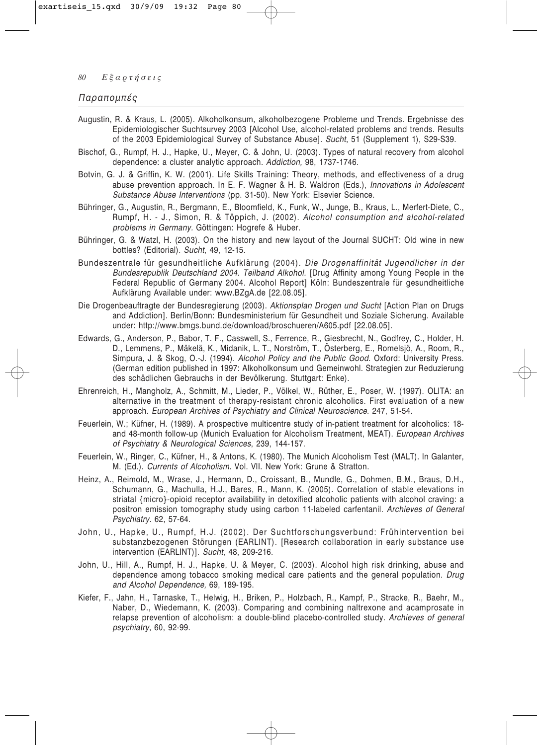### *Παραπομπές*

- Augustin, R. & Kraus, L. (2005). Alkoholkonsum, alkoholbezogene Probleme und Trends. Ergebnisse des Epidemiologischer Suchtsurvey 2003 [Alcohol Use, alcohol-related problems and trends. Results of the 2003 Epidemiological Survey of Substance Abuse]. *Sucht*, 51 (Supplement 1), S29-S39.
- Bischof, G., Rumpf, H. J., Hapke, U., Meyer, C. & John, U. (2003). Types of natural recovery from alcohol dependence: a cluster analytic approach. *Addiction,* 98, 1737-1746.
- Botvin, G. J. & Griffin, K. W. (2001). Life Skills Training: Theory, methods, and effectiveness of a drug abuse prevention approach. In E. F. Wagner & H. B. Waldron (Eds.), *Innovations in Adolescent Substance Abuse Interventions* (pp. 31-50). New York: Elsevier Science.
- Bühringer, G., Augustin, R., Bergmann, E., Bloomfield, K., Funk, W., Junge, B., Kraus, L., Merfert-Diete, C., Rumpf, H. - J., Simon, R. & Töppich, J. (2002). *Alcohol consumption and alcohol-related problems in Germany.* Göttingen: Hogrefe & Huber.
- Bühringer, G. & Watzl, H. (2003). On the history and new layout of the Journal SUCHT: Old wine in new bottles? (Editorial). *Sucht*, 49, 12-15.
- Bundeszentrale für gesundheitliche Aufklärung (2004). *Die Drogenaffinität Jugendlicher in der Bundesrepublik Deutschland 2004. Teilband Alkohol.* [Drug Affinity among Young People in the Federal Republic of Germany 2004. Alcohol Report] Köln: Bundeszentrale für gesundheitliche Aufklärung Available under: www.BZgA.de [22.08.05].
- Die Drogenbeauftragte der Bundesregierung (2003). *Aktionsplan Drogen und Sucht* [Action Plan on Drugs and Addiction]. Berlin/Bonn: Bundesministerium für Gesundheit und Soziale Sicherung. Available under: http://www.bmgs.bund.de/download/broschueren/A605.pdf [22.08.05].
- Edwards, G., Anderson, P., Babor, T. F., Casswell, S., Ferrence, R., Giesbrecht, N., Godfrey, C., Holder, H. D., Lemmens, P., Mäkelä, K., Midanik, L. T., Norström, T., Österberg, E., Romelsjö, A., Room, R., Simpura, J. & Skog, O.-J. (1994). *Alcohol Policy and the Public Good.* Oxford: University Press. (German edition published in 1997: Alkoholkonsum und Gemeinwohl. Strategien zur Reduzierung des schädlichen Gebrauchs in der Bevölkerung. Stuttgart: Enke).
- Ehrenreich, H., Mangholz, A., Schmitt, M., Lieder, P., Völkel, W., Rüther, E., Poser, W. (1997). OLITA: an alternative in the treatment of therapy-resistant chronic alcoholics. First evaluation of a new approach. *European Archives of Psychiatry and Clinical Neuroscience*. 247, 51-54.
- Feuerlein, W.; Küfner, H. (1989). A prospective multicentre study of in-patient treatment for alcoholics: 18 and 48-month follow-up (Munich Evaluation for Alcoholism Treatment, MEAT). *European Archives of Psychiatry & Neurological Sciences*, 239, 144-157.
- Feuerlein, W., Ringer, C., Küfner, H., & Antons, K. (1980). The Munich Alcoholism Test (MALT). In Galanter, M. (Ed.). *Currents of Alcoholism*. Vol. VII. New York: Grune & Stratton.
- Heinz, A., Reimold, M., Wrase, J., Hermann, D., Croissant, B., Mundle, G., Dohmen, B.M., Braus, D.H., Schumann, G., Machulla, H.J., Bares, R., Mann, K. (2005). Correlation of stable elevations in striatal {micro}-opioid receptor availability in detoxified alcoholic patients with alcohol craving: a positron emission tomography study using carbon 11-labeled carfentanil. *Archieves of General Psychiatry*. 62, 57-64.
- John, U., Hapke, U., Rumpf, H.J. (2002). Der Suchtforschungsverbund: Frühintervention bei substanzbezogenen Störungen (EARLINT). [Research collaboration in early substance use intervention (EARLINT)]. *Sucht*, 48, 209-216.
- John, U., Hill, A., Rumpf, H. J., Hapke, U. & Meyer, C. (2003). Alcohol high risk drinking, abuse and dependence among tobacco smoking medical care patients and the general population. *Drug and Alcohol Dependence,* 69, 189-195.
- Kiefer, F., Jahn, H., Tarnaske, T., Helwig, H., Briken, P., Holzbach, R., Kampf, P., Stracke, R., Baehr, M., Naber, D., Wiedemann, K. (2003). Comparing and combining naltrexone and acamprosate in relapse prevention of alcoholism: a double-blind placebo-controlled study. *Archieves of general psychiatry*, 60, 92-99.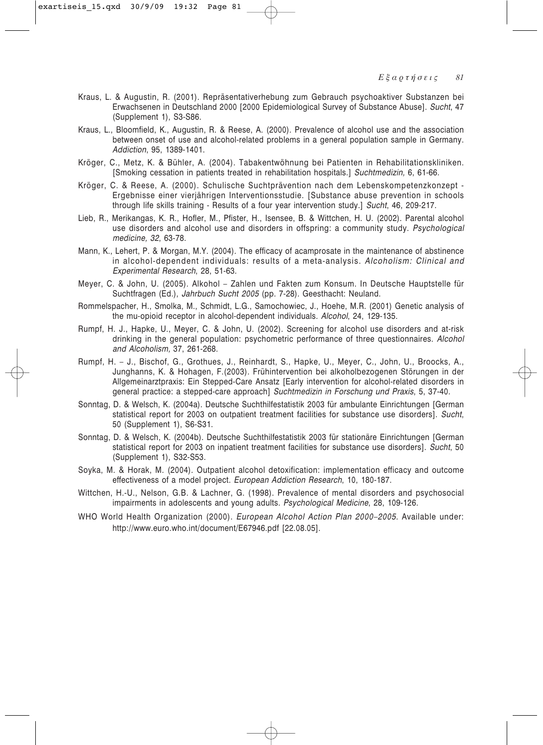exartiseis\_15.qxd 30/9/09 19:32 Page 81

- Kraus, L. & Augustin, R. (2001). Repräsentativerhebung zum Gebrauch psychoaktiver Substanzen bei Erwachsenen in Deutschland 2000 [2000 Epidemiological Survey of Substance Abuse]. *Sucht*, 47 (Supplement 1), S3-S86.
- Kraus, L., Bloomfield, K., Augustin, R. & Reese, A. (2000). Prevalence of alcohol use and the association between onset of use and alcohol-related problems in a general population sample in Germany. *Addiction*, 95, 1389-1401.
- Kröger, C., Metz, K. & Bühler, A. (2004). Tabakentwöhnung bei Patienten in Rehabilitationskliniken. [Smoking cessation in patients treated in rehabilitation hospitals.] *Suchtmedizin,* 6, 61-66.
- Kröger, C. & Reese, A. (2000). Schulische Suchtprävention nach dem Lebenskompetenzkonzept Ergebnisse einer vierjährigen Interventionsstudie. [Substance abuse prevention in schools through life skills training - Results of a four year intervention study.] *Sucht*, 46, 209-217.
- Lieb, R., Merikangas, K. R., Hofler, M., Pfister, H., Isensee, B. & Wittchen, H. U. (2002). Parental alcohol use disorders and alcohol use and disorders in offspring: a community study. *Psychological medicine, 32*, 63-78.
- Mann, K., Lehert, P. & Morgan, M.Y. (2004). The efficacy of acamprosate in the maintenance of abstinence in alcohol-dependent individuals: results of a meta-analysis. *Alcoholism: Clinical and Experimental Research*, 28, 51-63.
- Meyer, C. & John, U. (2005). Alkohol Zahlen und Fakten zum Konsum. In Deutsche Hauptstelle für Suchtfragen (Ed.), *Jahrbuch Sucht 2005* (pp. 7-28). Geesthacht: Neuland.
- Rommelspacher, H., Smolka, M., Schmidt, L.G., Samochowiec, J., Hoehe, M.R. (2001) Genetic analysis of the mu-opioid receptor in alcohol-dependent individuals. *Alcohol*, 24, 129-135.
- Rumpf, H. J., Hapke, U., Meyer, C. & John, U. (2002). Screening for alcohol use disorders and at-risk drinking in the general population: psychometric performance of three questionnaires. *Alcohol and Alcoholism,* 37, 261-268.
- Rumpf, H. J., Bischof, G., Grothues, J., Reinhardt, S., Hapke, U., Meyer, C., John, U., Broocks, A., Junghanns, K. & Hohagen, F.(2003). Frühintervention bei alkoholbezogenen Störungen in der Allgemeinarztpraxis: Ein Stepped-Care Ansatz [Early intervention for alcohol-related disorders in general practice: a stepped-care approach] *Suchtmedizin in Forschung und Praxis*, 5, 37-40.
- Sonntag, D. & Welsch, K. (2004a). Deutsche Suchthilfestatistik 2003 für ambulante Einrichtungen [German statistical report for 2003 on outpatient treatment facilities for substance use disorders]. *Sucht*, 50 (Supplement 1), S6-S31.
- Sonntag, D. & Welsch, K. (2004b). Deutsche Suchthilfestatistik 2003 für stationäre Einrichtungen [German statistical report for 2003 on inpatient treatment facilities for substance use disorders]. *Sucht*, 50 (Supplement 1), S32-S53.
- Soyka, M. & Horak, M. (2004). Outpatient alcohol detoxification: implementation efficacy and outcome effectiveness of a model project. *European Addiction Research*, 10, 180-187.
- Wittchen, H.-U., Nelson, G.B. & Lachner, G. (1998). Prevalence of mental disorders and psychosocial impairments in adolescents and young adults. *Psychological Medicine*, 28, 109-126.
- WHO World Health Organization (2000). *European Alcohol Action Plan 2000–2005*. Available under: http://www.euro.who.int/document/E67946.pdf [22.08.05].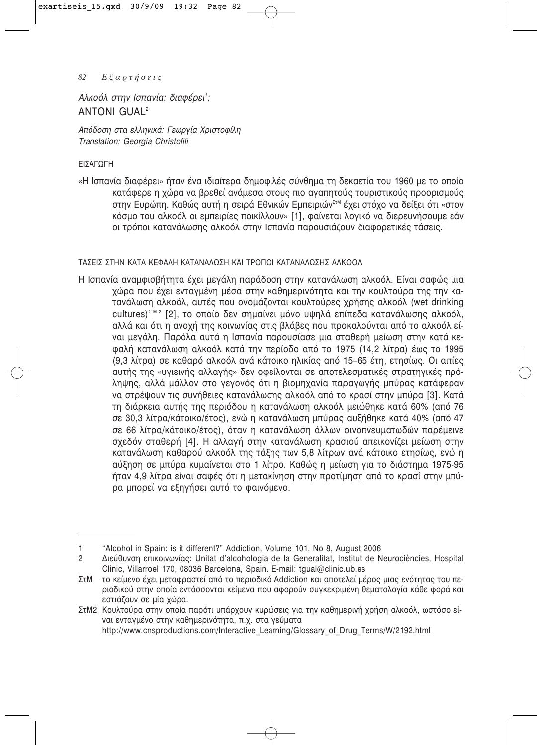*Aλκοόλ στην Ισπανία: διαφέρει';* **ANTONI GUAL<sup>2</sup>** 

*Απόδοση στα ελληνικά: Γεωργία Χριστοφίλη Translation: Georgia Christofili*

### ΕΙΣΑΓΩΓΗ

«Η Ισπανία διαφέρει» ήταν ένα ιδιαίτερα δημοφιλές σύνθημα τη δεκαετία του 1960 με το οποίο κατάφερε η χώρα να βρεθεί ανάμεσα στους πιο αγαπητούς τουριστικούς προορισμούς στην Ευρώπη. Καθώς αυτή η σειρά Εθνικών Εμπειριών<sup>ΣτΜ</sup> έχει στόχο να δείξει ότι «στον κόσμο του αλκοόλ οι εμπειρίες ποικίλλουν» [1], φαίνεται λογικό να διερευνήσουμε εάν οι τρόποι κατανάλωσης αλκοόλ στην Ισπανία παρουσιάζουν διαφορετικές τάσεις.

### ΤΑΣΕΙΣ ΣΤΗΝ ΚΑΤΑ ΚΕΦΑΛΗ ΚΑΤΑΝΑΛΩΣΗ ΚΑΙ ΤΡΟΠΟΙ ΚΑΤΑΝΑΛΩΣΗΣ ΑΛΚΟΟΛ

Η Ισπανία αναμφισβήτητα έχει μεγάλη παράδοση στην κατανάλωση αλκοόλ. Είναι σαφώς μια χώρα που έχει ενταγμένη μέσα στην καθημερινότητα και την κουλτούρα της την κατανάλωση αλκοόλ, αυτές που ονομάζονται κουλτούρες χρήσης αλκοόλ (wet drinking cultures)<sup>ΣτΜ2</sup> [2], το οποίο δεν σημαίνει μόνο υψηλά επίπεδα κατανάλωσης αλκοόλ, αλλά και ότι η ανοχή της κοινωνίας στις βλάβες που προκαλούνται από το αλκοόλ είναι μενάλη. Παρόλα αυτά η Ισπανία παρουσίασε μια σταθερή μείωση στην κατά κε-Φαλή κατανάλωση αλκοόλ κατά την περίοδο από το 1975 (14,2 λίτρα) έως το 1995 (9,3 λίτρα) σε καθαρό αλκοόλ ανά κάτοικο ηλικίας από 15–65 έτη, ετησίως. Οι αιτίες αυτής της «υγιεινής αλλαγής» δεν οφείλονται σε αποτελεσματικές στρατηγικές πρόληψης, αλλά μάλλον στο γεγονός ότι η βιομηχανία παραγωγής μπύρας κατάφεραν να στρέψουν τις συνήθειες κατανάλωσης αλκοόλ από το κρασί στην μπύρα [3]. Κατά τη διάρκεια αυτής της περιόδου η κατανάλωση αλκοόλ μειώθηκε κατά 60% (από 76 σε 30,3 λίτρα/κάτοικο/έτος), ενώ η κατανάλωση μπύρας αυξήθηκε κατά 40% (από 47 σε 66 λίτρα/κάτοικο/έτος), όταν η κατανάλωση άλλων οινοπνευματωδών παρέμεινε σχεδόν σταθερή [4]. Η αλλαγή στην κατανάλωση κρασιού απεικονίζει μείωση στην κατανάλωση καθαρού αλκοόλ της τάξης των 5,8 λίτρων ανά κάτοικο ετησίως, ενώ η αύξηση σε μπύρα κυμαίνεται στο 1 λίτρο. Καθώς η μείωση για το διάστημα 1975-95 ήταν 4,9 λίτρα είναι σαφές ότι η μετακίνηση στην προτίμηση από το κρασί στην μπύρα μπορεί να εξηγήσει αυτό το φαινόμενο.

ΣτΜ2 Κουλτούρα στην οποία παρότι υπάρχουν κυρώσεις για την καθημερινή χρήση αλκοόλ, ωστόσο είναι ενταγμένο στην καθημερινότητα, π.χ. στα γεύματα http://www.cnsproductions.com/Interactive\_Learning/Glossary\_of\_Drug\_Terms/W/2192.html

<sup>1 &</sup>quot;Alcohol in Spain: is it different?" Addiction, Volume 101, No 8, August 2006

 $2$  Διεύθυνση επικοινωνίας: Unitat d'alcohologia de la Generalitat, Institut de Neurociències, Hospital Clinic, Villarroel 170, 08036 Barcelona, Spain. E-mail: tgual@clinic.ub.es

ΣτΜ το κείμενο έχει μεταφραστεί από το περιοδικό Addiction και αποτελεί μέρος μιας ενότητας του περιοδικού στην οποία εντάσσονται κείμενα που αφορούν συγκεκριμένη θεματολογία κάθε φορά και εστιάζουν σε μία χώρα.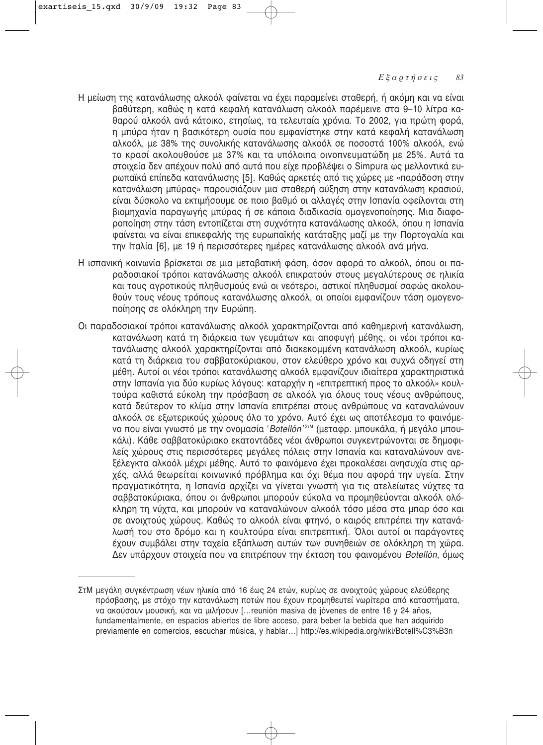### Εξαρτήσεις  $\overline{83}$

Η μείωση της κατανάλωσης αλκοόλ φαίνεται να έχει παραμείνει σταθερή, ή ακόμη και να είναι βαθύτερη, καθώς η κατά κεφαλή κατανάλωση αλκοόλ παρέμεινε στα 9-10 λίτρα καθαρού αλκοόλ ανά κάτοικο, ετησίως, τα τελευταία χρόνια. Το 2002, για πρώτη φορά, η μπύρα ήταν η βασικότερη ουσία που εμφανίστηκε στην κατά κεφαλή κατανάλωση αλκοόλ, με 38% της συνολικής κατανάλωσης αλκοόλ σε ποσοστά 100% αλκοόλ, ενώ το κρασί ακολουθούσε με 37% και τα υπόλοιπα οινοπνευματώδη με 25%. Αυτά τα στοιχεία δεν απέχουν πολύ από αυτά που είχε προβλέψει ο Simpura ως μελλοντικά ευρωπαϊκά επίπεδα κατανάλωσης [5]. Καθώς αρκετές από τις χώρες με «παράδοση στην κατανάλωση μπύρας» παρουσιάζουν μια σταθερή αύξηση στην κατανάλωση κρασιού, είναι δύσκολο να εκτιμήσουμε σε ποιο βαθμό οι αλλαγές στην Ισπανία οφείλονται στη βιομηχανία παραγωγής μπύρας ή σε κάποια διαδικασία ομογενοποίησης. Μια διαφοροποίηση στην τάση εντοπίζεται στη συχνότητα κατανάλωσης αλκοόλ, όπου η Ισπανία φαίνεται να είναι επικεφαλής της ευρωπαϊκής κατάταξης μαζί με την Πορτογαλία και την Ιταλία [6], με 19 ή περισσότερες ημέρες κατανάλωσης αλκοόλ ανά μήνα.

exartiseis 15.qxd

 $30/9/09$ 

Page 83

- Η ισπανική κοινωνία βρίσκεται σε μια μεταβατική φάση, όσον αφορά το αλκοόλ, όπου οι παραδοσιακοί τρόποι κατανάλωσης αλκοόλ επικρατούν στους μεγαλύτερους σε ηλικία και τους αγροτικούς πληθυσμούς ενώ οι νεότεροι, αστικοί πληθυσμοί σαφώς ακολουθούν τους νέους τρόπους κατανάλωσης αλκοόλ, οι οποίοι εμφανίζουν τάση ομογενοποίησης σε ολόκληρη την Ευρώπη.
- Οι παραδοσιακοί τρόποι κατανάλωσης αλκοόλ χαρακτηρίζονται από καθημερινή κατανάλωση, κατανάλωση κατά τη διάρκεια των νευμάτων και αποφυνή μέθης, οι νέοι τρόποι κατανάλωσης αλκοόλ χαρακτηρίζονται από διακεκομμένη κατανάλωση αλκοόλ, κυρίως κατά τη διάρκεια του σαββατοκύριακου, στον ελεύθερο χρόνο και συχνά οδηγεί στη μέθη. Αυτοί οι νέοι τρόποι κατανάλωσης αλκοόλ εμφανίζουν ιδιαίτερα χαρακτηριστικά στην Ισπανία για δύο κυρίως λόγους: καταρχήν η «επιτρεπτική προς το αλκοόλ» κουλτούρα καθιστά εύκολη την πρόσβαση σε αλκοόλ για όλους τους νέους ανθρώπους, κατά δεύτερον το κλίμα στην Ισπανία επιτρέπει στους ανθρώπους να καταναλώνουν αλκοόλ σε εξωτερικούς χώρους όλο το χρόνο. Αυτό έχει ως αποτέλεσμα το φαινόμενο που είναι γνωστό με την ονομασία *'Botellón'*<sup>ΣτΜ</sup> (μεταφρ. μπουκάλα, ή μεγάλο μπουκάλι). Κάθε σαββατοκύριακο εκατοντάδες νέοι άνθρωποι συγκεντρώνονται σε δημοφιλείς χώρους στις περισσότερες μεγάλες πόλεις στην Ισπανία και καταναλώνουν ανεξέλεγκτα αλκοόλ μέχρι μέθης. Αυτό το φαινόμενο έχει προκαλέσει ανησυχία στις αρχές, αλλά θεωρείται κοινωνικό πρόβλημα και όχι θέμα που αφορά την υγεία. Στην πραγματικότητα, η Ισπανία αρχίζει να γίνεται γνωστή για τις ατελείωτες νύχτες τα σαββατοκύριακα, όπου οι άνθρωποι μπορούν εύκολα να προμηθεύονται αλκοόλ ολόκληρη τη νύχτα, και μπορούν να καταναλώνουν αλκοόλ τόσο μέσα στα μπαρ όσο και σε ανοιχτούς χώρους. Καθώς το αλκοόλ είναι φτηνό, ο καιρός επιτρέπει την κατανάλωσή του στο δρόμο και η κουλτούρα είναι επιτρεπτική. Όλοι αυτοί οι παράγοντες έχουν συμβάλει στην ταχεία εξάπλωση αυτών των συνηθειών σε ολόκληρη τη χώρα. Δεν υπάρχουν στοιχεία που να επιτρέπουν την έκταση του φαινομένου Botellón, όμως

ΣτΜ μεγάλη συγκέντρωση νέων ηλικία από 16 έως 24 ετών, κυρίως σε ανοιχτούς χώρους ελεύθερης πρόσβασης, με στόχο την κατανάλωση ποτών που έχουν προμηθευτεί νωρίτερα από καταστήματα, να ακούσουν μουσική, και να μιλήσουν [...reunión masiva de jóvenes de entre 16 y 24 años, fundamentalmente, en espacios abiertos de libre acceso, para beber la bebida que han adquirido previamente en comercios, escuchar música, y hablar...] http://es.wikipedia.org/wiki/Botell%C3%B3n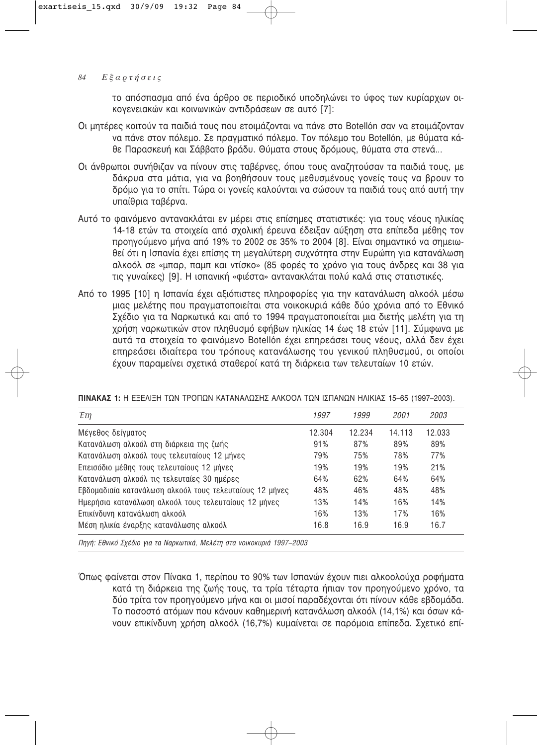το απόσπασμα από ένα άρθρο σε περιοδικό υποδηλώνει το ύφος των κυρίαρχων οι- $K$ ογενειακών και κοινωνικών αντιδράσεων σε αυτό [7]:

- Οι μητέρες κοιτούν τα παιδιά τους που ετοιμάζονται να πάνε στο Botellón σαν να ετοιμάζονταν να πάνε στον πόλεμο. Σε πραγματικό πόλεμο. Τον πόλεμο του Botellón, με θύματα κάθε Παρασκευή και Σάββατο βράδυ. Θύματα στους δρόμους, θύματα στα στενά...
- Οι άνθρωποι συνήθιζαν να πίνουν στις ταβέρνες, όπου τους αναζητούσαν τα παιδιά τους, με δάκρυα στα μάτια, για να βοηθήσουν τους μεθυσμένους γονείς τους να βρουν το δρόμο για το σπίτι. Τώρα οι γονείς καλούνται να σώσουν τα παιδιά τους από αυτή την υπαίθρια ταβέρνα.
- Aυτό το φαινόμενο αντανακλάται εν μέρει στις επίσημες στατιστικές: για τους νέους ηλικίας 14-18 ετών τα στοιχεία από σχολική έρευνα έδειξαν αύξηση στα επίπεδα μέθης τον προηγούμενο μήνα από 19% το 2002 σε 35% το 2004 [8]. Είναι σημαντικό να σημειωθεί ότι η Ισπανία έχει επίσης τη μεναλύτερη συχνότητα στην Ευρώπη νια κατανάλωση αλκοόλ σε «μπαρ, παμπ και ντίσκο» (85 φορές το χρόνο για τους άνδρες και 38 για τις γυναίκες) [9]. Η ισπανική «φιέστα» αντανακλάται πολύ καλά στις στατιστικές.
- Aπό το 1995 [10] η Ισπανία έχει αξιόπιστες πληροφορίες για την κατανάλωση αλκοόλ μέσω μιας μελέτης που πραγματοποιείται στα νοικοκυριά κάθε δύο χρόνια από το Εθνικό Σχέδιο για τα Ναρκωτικά και από το 1994 πραγματοποιείται μια διετής μελέτη για τη χρήση ναρκωτικών στον πληθυσμό εφήβων ηλικίας 14 έως 18 ετών [11]. Σύμφωνα με αυτά τα στοιχεία το φαινόμενο Botellón έχει επηρεάσει τους νέους, αλλά δεν έχει επηρεάσει ιδιαίτερα του τρόπους κατανάλωσης του γενικού πληθυσμού, οι οποίοι έχουν παραμείνει σχετικά σταθεροί κατά τη διάρκεια των τελευταίων 10 ετών.

ΠΙΝΑΚΑΣ 1: Η ΕΞΕΛΙΞΗ ΤΩΝ ΤΡΟΠΩΝ ΚΑΤΑΝΑΛΩΣΗΣ ΑΛΚΟΟΛ ΤΩΝ ΙΣΠΑΝΩΝ ΗΛΙΚΙΑΣ 15-65 (1997-2003).

| Έτη                                                                   | 1997   | 1999   | 2001   | 2003   |  |
|-----------------------------------------------------------------------|--------|--------|--------|--------|--|
| Μέγεθος δείγματος                                                     | 12.304 | 12.234 | 14.113 | 12.033 |  |
| Κατανάλωση αλκοόλ στη διάρκεια της ζωής                               | 91%    | 87%    | 89%    | 89%    |  |
| Κατανάλωση αλκοόλ τους τελευταίους 12 μήνες                           | 79%    | 75%    | 78%    | 77%    |  |
| Επεισόδιο μέθης τους τελευταίους 12 μήνες                             | 19%    | 19%    | 19%    | 21%    |  |
| Κατανάλωση αλκοόλ τις τελευταίες 30 ημέρες                            | 64%    | 62%    | 64%    | 64%    |  |
| Εβδομαδιαία κατανάλωση αλκοόλ τους τελευταίους 12 μήνες               | 48%    | 46%    | 48%    | 48%    |  |
| Ημερήσια κατανάλωση αλκοόλ τους τελευταίους 12 μήνες                  | 13%    | 14%    | 16%    | 14%    |  |
| Επικίνδυνη κατανάλωση αλκοόλ                                          | 16%    | 13%    | 17%    | 16%    |  |
| Μέση ηλικία έναρξης κατανάλωσης αλκοόλ                                | 16.8   | 16.9   | 16.9   | 16.7   |  |
| Πηγή: Εθνικό Σχέδιο για τα Ναρκωτικά, Μελέτη στα νοικοκυριά 1997–2003 |        |        |        |        |  |

Όπως φαίνεται στον Πίνακα 1, περίπου το 90% των Ισπανών έχουν πιει αλκοολούχα ροφήματα κατά τη διάρκεια της ζωής τους, τα τρία τέταρτα ήπιαν τον προηγούμενο χρόνο, τα δύο τρίτα τον προηγούμενο μήνα και οι μισοί παραδέχονται ότι πίνουν κάθε εβδομάδα. Το ποσοστό ατόμων που κάνουν καθημερινή κατανάλωση αλκοόλ (14,1%) και όσων κάvouv επικίνδυνη χρήση αλκοόλ (16,7%) κυμαίνεται σε παρόμοια επίπεδα. Σχετικό επί-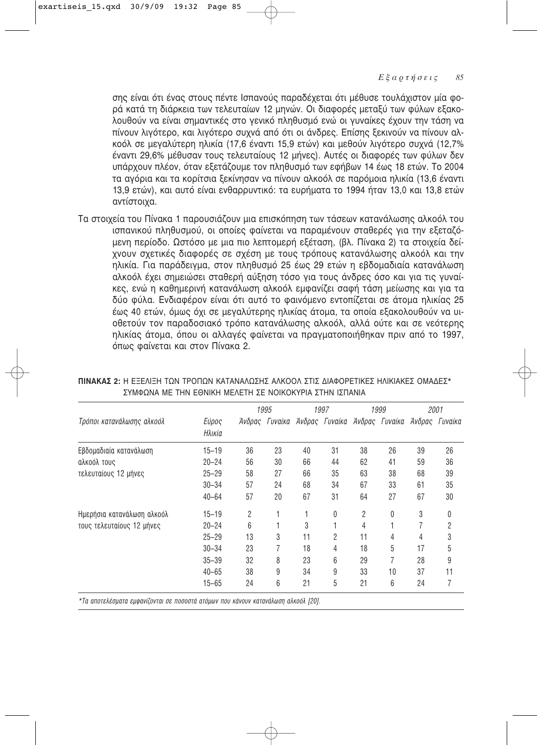σης είναι ότι ένας στους πέντε Ισπανούς παραδέχεται ότι μέθυσε τουλάχιστον μία φορά κατά τη διάρκεια των τελευταίων 12 μηνών. Οι διαφορές μεταξύ των φύλων εξακολουθούν να είναι σημαντικές στο γενικό πληθυσμό ενώ οι γυναίκες έχουν την τάση να πίνουν λιγότερο, και λιγότερο συχνά από ότι οι άνδρες. Επίσης ξεκινούν να πίνουν αλ-ΚΟόλ σε μεγαλύτερη ηλικία (17,6 έναντι 15,9 ετών) και μεθούν λιγότερο συχνά (12,7% έναντι 29,6% μέθυσαν τους τελευταίους 12 μήνες). Αυτές οι διαφορές των φύλων δεν υπάρχουν πλέον, όταν εξετάζουμε τον πληθυσμό των εφήβων 14 έως 18 ετών. Το 2004 τα αγόρια και τα κορίτσια ξεκίνησαν να πίνουν αλκοόλ σε παρόμοια ηλικία (13,6 έναντι 13,9 ετών), και αυτό είναι ενθαρρυντικό: τα ευρήματα το 1994 ήταν 13,0 και 13,8 ετών αντίστοιχα.

Τα στοιχεία του Πίνακα 1 παρουσιάζουν μια επισκόπηση των τάσεων κατανάλωσης αλκοόλ του ισπανικού πληθυσμού, οι οποίες φαίνεται να παραμένουν σταθερές για την εξεταζόμενη περίοδο. Ωστόσο με μια πιο λεπτομερή εξέταση, (βλ. Πίνακα 2) τα στοιχεία δείχνουν σχετικές διαφορές σε σχέση με τους τρόπους κατανάλωσης αλκοόλ και την ηλικία. Για παράδειγμα, στον πληθυσμό 25 έως 29 ετών η εβδομαδιαία κατανάλωση αλκοόλ έχει σημειώσει σταθερή αύξηση τόσο για τους άνδρες όσο και για τις γυναίκες, ενώ η καθημερινή κατανάλωση αλκοόλ εμφανίζει σαφή τάση μείωσης και για τα δύο φύλα. Ενδιαφέρον είναι ότι αυτό το φαινόμενο εντοπίζεται σε άτομα ηλικίας 25 έως 40 ετών, όμως όχι σε μεγαλύτερης ηλικίας άτομα, τα οποία εξακολουθούν να υιοθετούν τον παραδοσιακό τρόπο κατανάλωσης αλκοόλ, αλλά ούτε και σε νεότερης ηλικίας άτομα, όπου οι αλλαγές φαίνεται να πραγματοποιήθηκαν πριν από το 1997, όπως φαίνεται και στον Πίνακα 2.

|                            | Εύρος<br>Ηλικία | 1995           |                                                             | 1997 |                | 1999           |          | 2001 |    |
|----------------------------|-----------------|----------------|-------------------------------------------------------------|------|----------------|----------------|----------|------|----|
| Τρόποι κατανάλωσης αλκοόλ  |                 |                | Άνδρας Γυναίκα Άνδρας Γυναίκα Άνδρας Γυναίκα Άνδρας Γυναίκα |      |                |                |          |      |    |
| Εβδομαδιαία κατανάλωση     | $15 - 19$       | 36             | 23                                                          | 40   | 31             | 38             | 26       | 39   | 26 |
| αλκοόλ τους                | $20 - 24$       | 56             | 30                                                          | 66   | 44             | 62             | 41       | 59   | 36 |
| τελευταίους 12 μήνες       | $25 - 29$       | 58             | 27                                                          | 66   | 35             | 63             | 38       | 68   | 39 |
|                            | $30 - 34$       | 57             | 24                                                          | 68   | 34             | 67             | 33       | 61   | 35 |
|                            | $40 - 64$       | 57             | 20                                                          | 67   | 31             | 64             | 27       | 67   | 30 |
| Ημερήσια κατανάλωση αλκοόλ | $15 - 19$       | $\overline{2}$ |                                                             |      | 0              | $\overline{2}$ | $\theta$ | 3    | 0  |
| τους τελευταίους 12 μήνες  | $20 - 24$       | 6              |                                                             | 3    |                | 4              |          | 7    | 2  |
|                            | $25 - 29$       | 13             | 3                                                           | 11   | $\overline{2}$ | 11             | 4        | 4    | 3  |
|                            | $30 - 34$       | 23             |                                                             | 18   | 4              | 18             | 5        | 17   | 5  |
|                            | $35 - 39$       | 32             | 8                                                           | 23   | 6              | 29             |          | 28   | 9  |
|                            | $40 - 65$       | 38             | 9                                                           | 34   | 9              | 33             | 10       | 37   | 11 |
|                            | $15 - 65$       | 24             | 6                                                           | 21   | 5              | 21             | 6        | 24   | 7  |

### ΠΙΝΑΚΑΣ 2: Η ΕΞΕΛΙΞΗ ΤΩΝ ΤΡΟΠΩΝ ΚΑΤΑΝΑΛΩΣΗΣ ΑΛΚΟΟΛ ΣΤΙΣ ΔΙΑΦΟΡΕΤΙΚΕΣ ΗΛΙΚΙΑΚΕΣ ΟΜΑΔΕΣ\* ΣΥΜΦΩΝΑ ΜΕ ΤΗΝ ΕΘΝΙΚΗ ΜΕΛΕΤΗ ΣΕ ΝΟΙΚΟΚΥΡΙΑ ΣΤΗΝ ΙΣΠΑΝΙΑ

*\*Δ· ·ÔÙÂϤÛÌ·Ù· ÂÌÊ·Ó›˙ÔÓÙ·È Û ÔÛÔÛÙ¿ ·ÙfiÌˆÓ Ô˘ οÓÔ˘Ó Î·Ù·Ó¿ÏˆÛË ·ÏÎÔfiÏ [20].*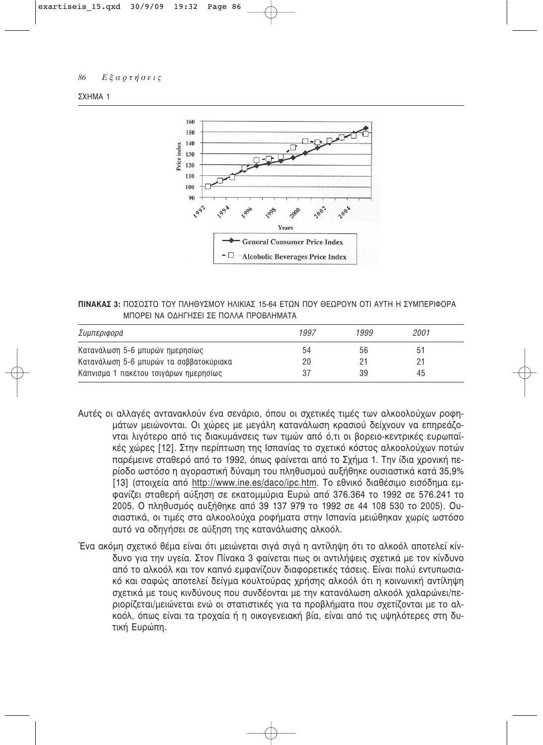



### **ΠΙΝΑΚΑΣ 3: ΠΟΣΟΣΤΟ ΤΟΥ ΠΛΗΘΥΣΜΟΥ ΗΛΙΚΙΑΣ 15-64 ΕΤΟΝ ΠΟΥ ΘΕΟΡΟΥΝ ΟΤΙ ΑΥΤΗ Η ΣΥΜΠΕΡΙΦΟΡΑ** ΜΠΟΡΕΙ ΝΑ ΟΔΗΓΗΣΕΙ ΣΕ ΠΟΛΛΑ ΠΡΟΒΛΗΜΑΤΑ

| Συμπεριφορά                             | 1997 | 1999 | 2001 |  |
|-----------------------------------------|------|------|------|--|
| Κατανάλωση 5-6 μπυρών ημερησίως         | 54   | 56   | 5.   |  |
| Κατανάλωση 5-6 μπυρών τα σαββατοκύριακα | 20   | 21   | 21   |  |
| Κάπνισμα 1 πακέτου τσιγάρων ημερησίως   | 37   | 39   | 45   |  |

- Aυτές οι αλλαγές αντανακλούν ένα σενάριο, όπου οι σχετικές τιμές των αλκοολούχων ροφημάτων μειώνονται. Οι χώρες με μεγάλη κατανάλωση κρασιού δείχνουν να επηρεάζο-Vται λιγότερο από τις διακυμάνσεις των τιμών από ό,τι οι βορειο-κεντρικές ευρωπαϊκές χώρες [12]. Στην περίπτωση της Ισπανίας το σχετικό κόστος αλκοολούχων ποτών παρέμεινε σταθερό από το 1992, όπως φαίνεται από το Σχήμα 1. Την ίδια χρονική περίοδο ωστόσο η αγοραστική δύναμη του πληθυσμού αυξήθηκε ουσιαστικά κατά 35,9% [13] (στοιχεία από http://www.ine.es/daco/ipc.htm. Το εθνικό διαθέσιμο εισόδημα εμφανίζει σταθερή αύξηση σε εκατομμύρια Ευρώ από 376.364 το 1992 σε 576.241 το 2005. Ο πληθυσμός αυξήθηκε από 39 137 979 το 1992 σε 44 108 530 το 2005). Ουσιαστικά, οι τιμές στα αλκοολούχα ροφήματα στην Ισπανία μειώθηκαν χωρίς ωστόσο αυτό να οδηγήσει σε αύξηση της κατανάλωσης αλκοόλ.
- Ένα ακόμη σχετικό θέμα είναι ότι μειώνεται σιγά σιγά η αντίληψη ότι το αλκοόλ αποτελεί κίνδυνο για την υγεία. Στον Πίνακα 3 φαίνεται πως οι αντιλήψεις σχετικά με τον κίνδυνο από το αλκοόλ και τον καπνό εμφανίζουν διαφορετικές τάσεις. Είναι πολύ εντυπωσια-Κό και σαφώς αποτελεί δείγμα κουλτούρας χρήσης αλκοόλ ότι η κοινωνική αντίληψη σχετικά με τους κινδύνους που συνδέονται με την κατανάλωση αλκοόλ χαλαρώνει/περιορίζεται/μειώνεται ενώ οι στατιστικές για τα προβλήματα που σχετίζονται με το αλ-Κοόλ, όπως είναι τα τροχαία ή η οικογενειακή βία, είναι από τις υψηλότερες στη δυτική Ευρώπη.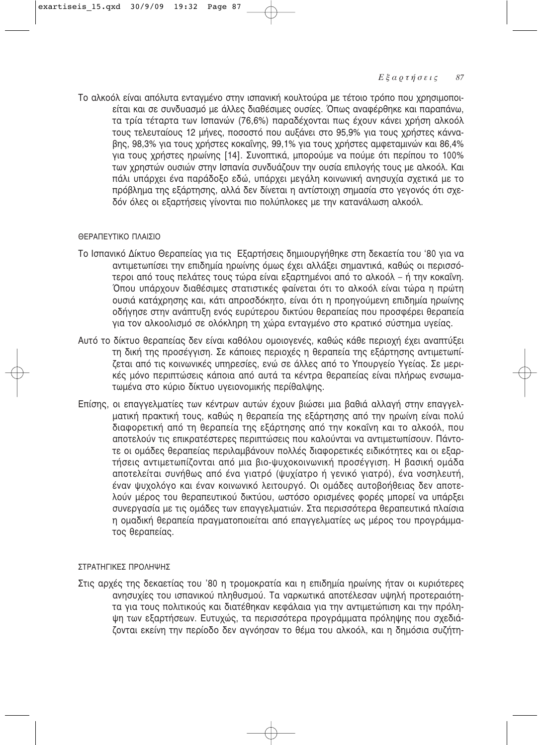Το αλκοόλ είναι απόλυτα ενταγμένο στην ισπανική κουλτούρα με τέτοιο τρόπο που χρησιμοποιείται και σε συνδυασμό με άλλες διαθέσιμες ουσίες. Όπως αναφέρθηκε και παραπάνω, τα τρία τέταρτα των Ισπανών (76,6%) παραδέχονται πως έχουν κάνει χρήση αλκοόλ τους τελευταίους 12 μήνες, ποσοστό που αυξάνει στο 95,9% για τους χρήστες κάνναβης, 98,3% για τους χρήστες κοκαΐνης, 99,1% για τους χρήστες αμφεταμινών και 86,4% για τους χρήστες ηρωίνης [14]. Συνοπτικά, μπορούμε να πούμε ότι περίπου το 100% των χρηστών ουσιών στην Ισπανία συνδυάζουν την ουσία επιλογής τους με αλκοόλ. Και πάλι υπάρχει ένα παράδοξο εδώ, υπάρχει μενάλη κοινωνική ανησυχία σχετικά με το πρόβλημα της εξάρτησης, αλλά δεν δίνεται η αντίστοιχη σημασία στο γεγονός ότι σχεδόν όλες οι εξαρτήσεις γίνονται πιο πολύπλοκες με την κατανάλωση αλκοόλ.

## ΘΕΡΑΠΕΥΤΙΚΟ ΠΛΑΙΣΙΟ

- Το Ισπανικό Δίκτυο Θεραπείας για τις Εξαρτήσεις δημιουργήθηκε στη δεκαετία του '80 για να αντιμετωπίσει την επιδημία ηρωίνης όμως έχει αλλάξει σημαντικά, καθώς οι περισσότεροι από τους πελάτες τους τώρα είναι εξαρτημένοι από το αλκοόλ – ή την κοκαΐνη. Όπου υπάρχουν διαθέσιμες στατιστικές φαίνεται ότι το αλκοόλ είναι τώρα η πρώτη ουσιά κατάχρησης και, κάτι απροσδόκητο, είναι ότι η προηνούμενη επιδημία ηρωίνης οδήγησε στην ανάπτυξη ενός ευρύτερου δικτύου θεραπείας που προσφέρει θεραπεία για τον αλκοολισμό σε ολόκληρη τη χώρα ενταγμένο στο κρατικό σύστημα υγείας.
- Aυτό το δίκτυο θεραπείας δεν είναι καθόλου ομοιογενές, καθώς κάθε περιοχή έχει αναπτύξει τη δική της προσέγγιση. Σε κάποιες περιοχές η θεραπεία της εξάρτησης αντιμετωπίζεται από τις κοινωνικές υπηρεσίες, ενώ σε άλλες από το Υπουργείο Υγείας. Σε μερικές μόνο περιπτώσεις κάποια από αυτά τα κέντρα θεραπείας είναι πλήρως ενσωματωμένα στο κύριο δίκτυο υγειονομικής περίθαλψης.
- Επίσης, οι επαγγελματίες των κέντρων αυτών έχουν βιώσει μια βαθιά αλλαγή στην επαγγελματική πρακτική τους, καθώς η θεραπεία της εξάρτησης από την ηρωίνη είναι πολύ διαφορετική από τη θεραπεία της εξάρτησης από την κοκαΐνη και το αλκοόλ, που αποτελούν τις επικρατέστερες περιπτώσεις που καλούνται να αντιμετωπίσουν. Πάντοτε οι ομάδες θεραπείας περιλαμβάνουν πολλές διαφορετικές ειδικότητες και οι εξαρτήσεις αντιμετωπίζονται από μια βιο-ψυχοκοινωνική προσέγγιση. Η βασική ομάδα αποτελείται συνήθως από ένα νιατρό (ψυχίατρο ή νενικό νιατρό), ένα νοσηλευτή, έναν ψυχολόγο και έναν κοινωνικό λειτουργό. Οι ομάδες αυτοβοήθειας δεν αποτελούν μέρος του θεραπευτικού δικτύου, ωστόσο ορισμένες φορές μπορεί να υπάρξει συνεργασία με τις ομάδες των επαγγελματιών. Στα περισσότερα θεραπευτικά πλαίσια η ομαδική θεραπεία πραγματοποιείται από επαγγελματίες ως μέρος του προγράμματος θεραπείας.

### ΣΤΡΑΤΗΓΙΚΕΣ ΠΡΟΛΗΨΗΣ

Στις αρχές της δεκαετίας του '80 η τρομοκρατία και η επιδημία ηρωίνης ήταν οι κυριότερες ανησυχίες του ισπανικού πληθυσμού. Τα ναρκωτικά αποτέλεσαν υψηλή προτεραιότητα για τους πολιτικούς και διατέθηκαν κεφάλαια για την αντιμετώπιση και την πρόληψη των εξαρτήσεων. Ευτυχώς, τα περισσότερα προγράμματα πρόληψης που σχεδιάζονται εκείνη την περίοδο δεν αγνόησαν το θέμα του αλκοόλ, και η δημόσια συζήτη-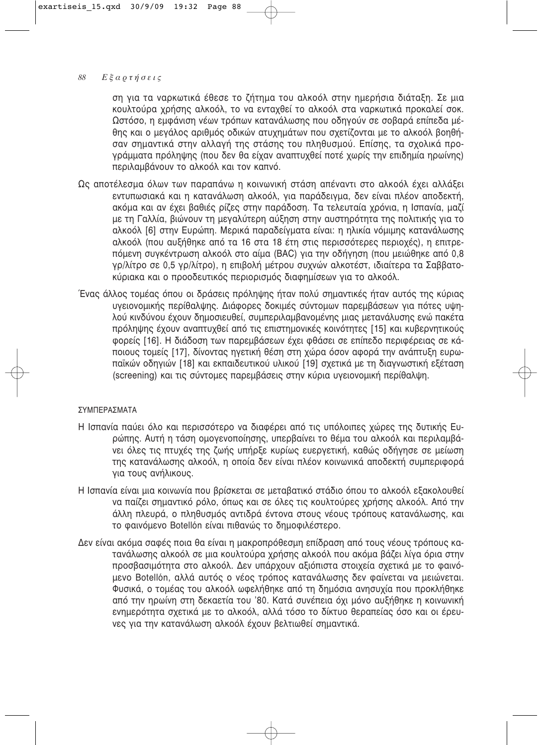ση για τα ναρκωτικά έθεσε το ζήτημα του αλκοόλ στην ημερήσια διάταξη. Σε μια ΚΟυλτούρα χρήσης αλκοόλ, το να ενταχθεί το αλκοόλ στα ναρκωτικά προκαλεί σοκ. Ωστόσο, η εμφάνιση νέων τρόπων κατανάλωσης που οδηγούν σε σοβαρά επίπεδα μέθης και ο μεγάλος αριθμός οδικών ατυχημάτων που σχετίζονται με το αλκοόλ βοηθήσαν σημαντικά στην αλλαγή της στάσης του πληθυσμού. Επίσης, τα σχολικά προγράμματα πρόληψης (που δεν θα είχαν αναπτυχθεί ποτέ χωρίς την επιδημία ηρωίνης) περιλαμβάνουν το αλκοόλ και τον καπνό.

- Ως αποτέλεσμα όλων των παραπάνω η κοινωνική στάση απέναντι στο αλκοόλ έχει αλλάξει εντυπωσιακά και η κατανάλωση αλκοόλ, για παράδειγμα, δεν είναι πλέον αποδεκτή, ακόμα και αν έχει βαθιές ρίζες στην παράδοση. Τα τελευταία χρόνια, η Ισπανία, μαζί με τη Γαλλία, βιώνουν τη μεγαλύτερη αύξηση στην αυστηρότητα της πολιτικής για το αλκοόλ [6] στην Ευρώπη. Μερικά παραδείγματα είναι: η ηλικία νόμιμης κατανάλωσης αλκοόλ (που αυξήθηκε από τα 16 στα 18 έτη στις περισσότερες περιοχές), η επιτρεπόμενη συγκέντρωση αλκοόλ στο αίμα (BAC) για την οδήγηση (που μειώθηκε από 0,8 γρ/λίτρο σε 0,5 γρ/λίτρο), η επιβολή μέτρου συχνών αλκοτέστ, ιδιαίτερα τα Σαββατοκύριακα και ο προοδευτικός περιορισμός διαφημίσεων για το αλκοόλ.
- Ένας άλλος τομέας όπου οι δράσεις πρόληψης ήταν πολύ σημαντικές ήταν αυτός της κύριας υγειονομικής περίθαλψης. Διάφορες δοκιμές σύντομων παρεμβάσεων για πότες υψηλού κινδύνου έχουν δημοσιευθεί, συμπεριλαμβανομένης μιας μετανάλυσης ενώ πακέτα πρόληψης έχουν αναπτυχθεί από τις επιστημονικές κοινότητες [15] και κυβερνητικούς φορείς [16]. Η διάδοση των παρεμβάσεων έχει φθάσει σε επίπεδο περιφέρειας σε κάποιους τομείς [17], δίνοντας ηγετική θέση στη χώρα όσον αφορά την ανάπτυξη ευρωπαϊκών οδηγιών [18] και εκπαιδευτικού υλικού [19] σχετικά με τη διαγνωστική εξέταση (screening) και τις σύντομες παρεμβάσεις στην κύρια υγειονομική περίθαλψη.

### ΣΥΜΠΕΡΑΣΜΑΤΑ

- Η Ισπανία παύει όλο και περισσότερο να διαφέρει από τις υπόλοιπες χώρες της δυτικής Eυρώπης. Αυτή η τάση ομογενοποίησης, υπερβαίνει το θέμα του αλκοόλ και περιλαμβάνει όλες τις πτυχές της ζωής υπήρξε κυρίως ευεργετική, καθώς οδήγησε σε μείωση της κατανάλωσης αλκοόλ, η οποία δεν είναι πλέον κοινωνικά αποδεκτή συμπεριφορά για τους ανήλικους.
- Η Ισπανία είναι μια κοινωνία που βρίσκεται σε μεταβατικό στάδιο όπου το αλκοόλ εξακολουθεί να παίζει σημαντικό ρόλο, όπως και σε όλες τις κουλτούρες χρήσης αλκοόλ. Από την άλλη πλευρά, ο πληθυσμός αντιδρά έντονα στους νέους τρόπους κατανάλωσης, και το φαινόμενο Botellón είναι πιθανώς το δημοφιλέστερο.
- Δεν είναι ακόμα σαφές ποια θα είναι η μακροπρόθεσμη επίδραση από τους νέους τρόπους κατανάλωσης αλκοόλ σε μια κουλτούρα χρήσης αλκοόλ που ακόμα βάζει λίγα όρια στην προσβασιμότητα στο αλκοόλ. Δεν υπάρχουν αξιόπιστα στοιχεία σχετικά με το φαινόμενο Botellón, αλλά αυτός ο νέος τρόπος κατανάλωσης δεν φαίνεται να μειώνεται. Φυσικά, ο τομέας του αλκοόλ ωφελήθηκε από τη δημόσια ανησυχία που προκλήθηκε από την ηρωίνη στη δεκαετία του '80. Κατά συνέπεια όχι μόνο αυξήθηκε η κοινωνική ενημερότητα σχετικά με το αλκοόλ, αλλά τόσο το δίκτυο θεραπείας όσο και οι έρευνες για την κατανάλωση αλκοόλ έχουν βελτιωθεί σημαντικά.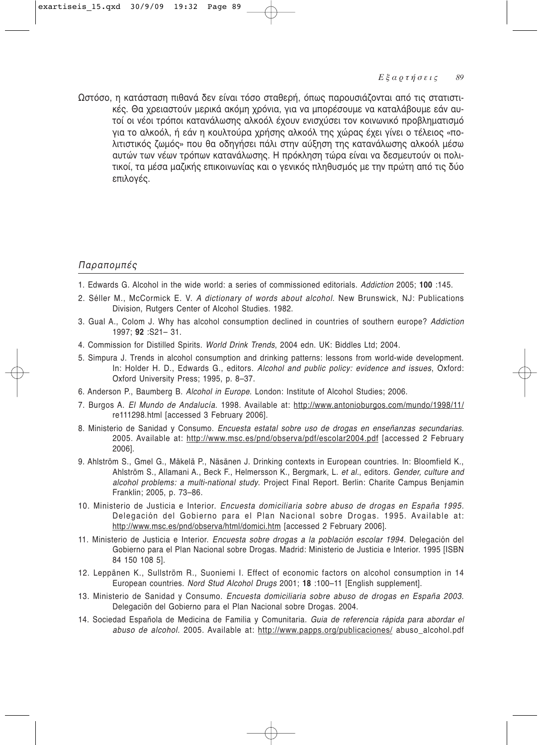Ωστόσο, η κατάσταση πιθανά δεν είναι τόσο σταθερή, όπως παρουσιάζονται από τις στατιστικές. Θα χρειαστούν μερικά ακόμη χρόνια, για να μπορέσουμε να καταλάβουμε εάν αυτοί οι νέοι τρόποι κατανάλωσης αλκοόλ έχουν ενισχύσει τον κοινωνικό προβληματισμό για το αλκοόλ, ή εάν η κουλτούρα χρήσης αλκοόλ της χώρας έχει γίνει ο τέλειος «πολιτιστικός ζωμός» που θα οδηγήσει πάλι στην αύξηση της κατανάλωσης αλκοόλ μέσω αυτών των νέων τρόπων κατανάλωσης. Η πρόκληση τώρα είναι να δεσμευτούν οι πολιτικοί, τα μέσα μαζικής επικοινωνίας και ο γενικός πληθυσμός με την πρώτη από τις δύο επιλογές.

### Παραπομπές

- 1. Edwards G. Alcohol in the wide world: a series of commissioned editorials. Addiction 2005; 100 :145.
- 2. Séller M., McCormick E. V. A dictionary of words about alcohol. New Brunswick, NJ: Publications Division, Rutgers Center of Alcohol Studies. 1982.
- 3. Gual A., Colom J. Why has alcohol consumption declined in countries of southern europe? Addiction 1997; 92 :S21-31.
- 4. Commission for Distilled Spirits. World Drink Trends, 2004 edn. UK: Biddles Ltd; 2004.
- 5. Simpura J. Trends in alcohol consumption and drinking patterns: lessons from world-wide development. In: Holder H. D., Edwards G., editors. Alcohol and public policy: evidence and issues, Oxford: Oxford University Press; 1995, p. 8-37.
- 6. Anderson P., Baumberg B. Alcohol in Europe. London: Institute of Alcohol Studies; 2006.
- 7. Burgos A. El Mundo de Andalucía. 1998. Available at: http://www.antonioburgos.com/mundo/1998/11/ re111298.html [accessed 3 February 2006].
- 8. Ministerio de Sanidad y Consumo. Encuesta estatal sobre uso de drogas en enseñanzas secundarias. 2005. Available at: http://www.msc.es/pnd/observa/pdf/escolar2004.pdf [accessed 2 February 2006].
- 9. Ahlström S., Gmel G., Mäkelä P., Näsänen J. Drinking contexts in European countries. In: Bloomfield K., Ahlström S., Allamani A., Beck F., Helmersson K., Bergmark, L. et al., editors. Gender, culture and alcohol problems: a multi-national study. Project Final Report. Berlin: Charite Campus Benjamin Franklin; 2005, p. 73-86.
- 10. Ministerio de Justicia e Interior. Encuesta domiciliaria sobre abuso de drogas en España 1995. Delegación del Gobierno para el Plan Nacional sobre Drogas. 1995. Available at: http://www.msc.es/pnd/observa/html/domici.htm [accessed 2 February 2006].
- 11. Ministerio de Justicia e Interior. Encuesta sobre drogas a la población escolar 1994. Delegación del Gobierno para el Plan Nacional sobre Drogas. Madrid: Ministerio de Justicia e Interior. 1995 [ISBN 84 150 108 5].
- 12. Leppänen K., Sullström R., Suoniemi I. Effect of economic factors on alcohol consumption in 14 European countries. Nord Stud Alcohol Drugs 2001; 18 :100-11 [English supplement].
- 13. Ministerio de Sanidad y Consumo. Encuesta domiciliaria sobre abuso de drogas en España 2003. Delegación del Gobierno para el Plan Nacional sobre Drogas. 2004.
- 14. Sociedad Española de Medicina de Familia y Comunitaria. Guia de referencia rápida para abordar el abuso de alcohol. 2005. Available at: http://www.papps.org/publicaciones/ abuso\_alcohol.pdf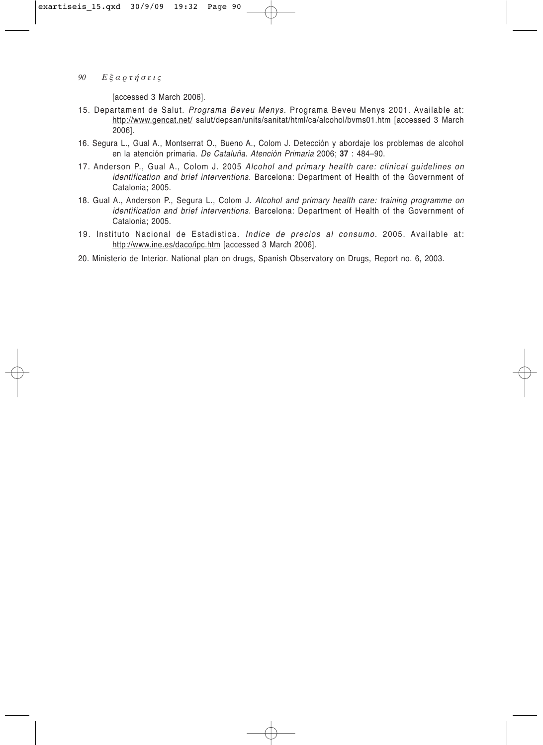[accessed 3 March 2006].

- 15. Departament de Salut. Programa Beveu Menys. Programa Beveu Menys 2001. Available at: http://www.gencat.net/ salut/depsan/units/sanitat/html/ca/alcohol/bvms01.htm [accessed 3 March 2006].
- 16. Segura L., Gual A., Montserrat O., Bueno A., Colom J. Detección y abordaje los problemas de alcohol en la atención primaria. De Cataluña. Atención Primaria 2006; **37** : 484–90.
- 17. Anderson P., Gual A., Colom J. 2005 Alcohol and primary health care: clinical guidelines on identification and brief interventions. Barcelona: Department of Health of the Government of Catalonia; 2005.
- 18. Gual A., Anderson P., Segura L., Colom J. Alcohol and primary health care: training programme on identification and brief interventions. Barcelona: Department of Health of the Government of Catalonia; 2005.
- 19. Instituto Nacional de Estadistica. Indice de precios al consumo. 2005. Available at: http://www.ine.es/daco/ipc.htm [accessed 3 March 2006].
- 20. Ministerio de Interior. National plan on drugs, Spanish Observatory on Drugs, Report no. 6, 2003.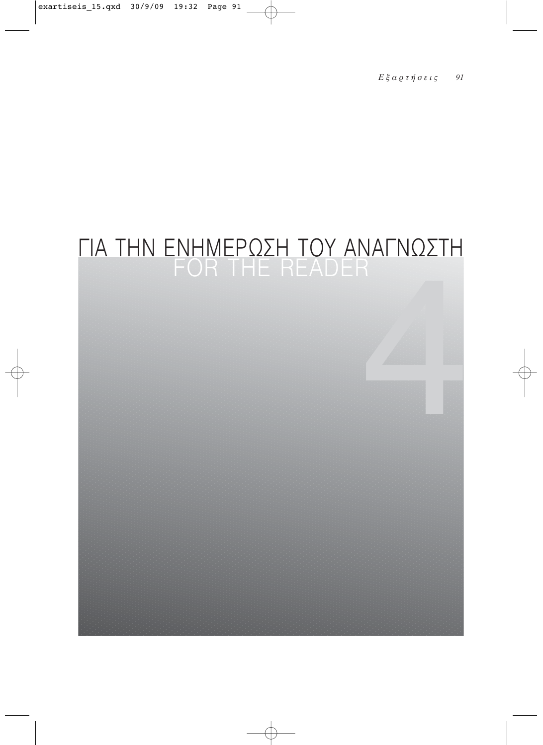$E$ ξαρτήσεις 91

# ΓΙΑ ΤΗΝ ΕΝΗΜΕΡΩΣΗ ΤΟΥ ΑΝΑΓΝΩΣΤΗ<br>FOR THE READER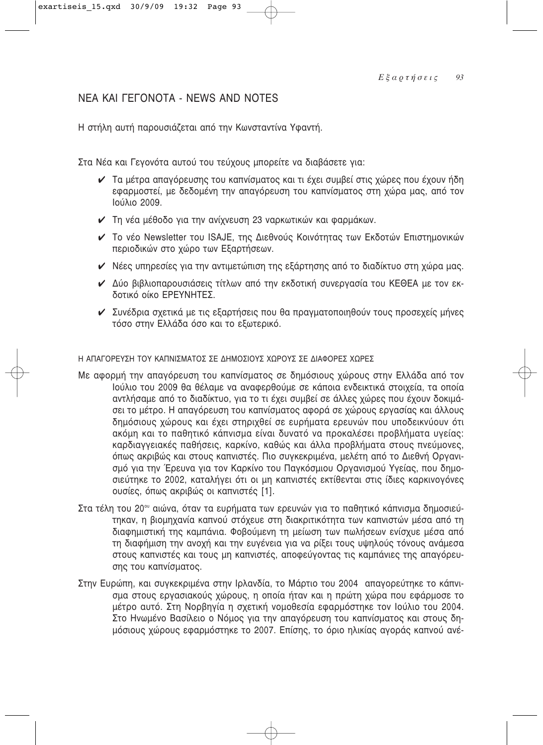### exartiseis\_15.qxd 30/9/09 19:32 Page 93

# NEA KAI FEFONOTA - NEWS AND NOTES

Η στήλη αυτή παρουσιάζεται από την Κωνσταντίνα Υφαντή.

Στα Νέα και Γεγονότα αυτού του τεύχους μπορείτε να διαβάσετε για:

- ✔ Τα μέτρα απαγόρευσης του καπνίσματος και τι έχει συμβεί στις χώρες που έχουν ήδη εφαρμοστεί, με δεδομένη την απαγόρευση του καπνίσματος στη χώρα μας, από τον Ιούλιο 2009.
- v Τη νέα μέθοδο για την ανίχνευση 23 ναρκωτικών και φαρμάκων.
- V Το νέο Newsletter του ISAJE, της Διεθνούς Κοινότητας των Εκδοτών Επιστημονικών περιοδικών στο χώρο των Εξαρτήσεων.
- $\checkmark$  Νέες υπηρεσίες για την αντιμετώπιση της εξάρτησης από το διαδίκτυο στη χώρα μας.
- V Δύο βιβλιοπαρουσιάσεις τίτλων από την εκδοτική συνεργασία του ΚΕΘΕΑ με τον εκδοτικό οίκο ΕΡΕΥΝΗΤΕΣ.
- $V$  Συνέδρια σχετικά με τις εξαρτήσεις που θα πραγματοποιηθούν τους προσεχείς μήνες τόσο στην Ελλάδα όσο και το εξωτερικό.

### Η ΑΠΑΓΟΡΕΥΣΗ ΤΟΥ ΚΑΠΝΙΣΜΑΤΟΣ ΣΕ ΔΗΜΟΣΙΟΥΣ ΧΩΡΟΥΣ ΣΕ ΔΙΑΦΟΡΕΣ ΧΩΡΕΣ

- Με αφορμή την απαγόρευση του καπνίσματος σε δημόσιους χώρους στην Ελλάδα από τον Ιούλιο του 2009 θα θέλαμε να αναφερθούμε σε κάποια ενδεικτικά στοιχεία, τα οποία αντλήσαμε από το διαδίκτυο, για το τι έχει συμβεί σε άλλες χώρες που έχουν δοκιμάσει το μέτρο. Η απαγόρευση του καπνίσματος αφορά σε χώρους εργασίας και άλλους δημόσιους χώρους και έχει στηριχθεί σε ευρήματα ερευνών που υποδεικνύουν ότι ακόμη και το παθητικό κάπνισμα είναι δυνατό να προκαλέσει προβλήματα υγείας: καρδιαγγειακές παθήσεις, καρκίνο, καθώς και άλλα προβλήματα στους πνεύμονες, όπως ακριβώς και στους καπνιστές. Πιο συγκεκριμένα, μελέτη από το Διεθνή Οργανισμό για την Έρευνα για τον Καρκίνο του Παγκόσμιου Οργανισμού Υγείας, που δημοσιεύτηκε το 2002, καταλήγει ότι οι μη καπνιστές εκτίθενται στις ίδιες καρκινογόνες ουσίες, όπως ακριβώς οι καπνιστές [1].
- Στα τέλη του 20<sup>°</sup> αιώνα, όταν τα ευρήματα των ερευνών για το παθητικό κάπνισμα δημοσιεύτηκαν, η βιομηχανία καπνού στόχευε στη διακριτικότητα των καπνιστών μέσα από τη διαφημιστική της καμπάνια. Φοβούμενη τη μείωση των πωλήσεων ενίσχυε μέσα από τη διαφήμιση την ανοχή και την ευγένεια για να ρίξει τους υψηλούς τόνους ανάμεσα στους καπνιστές και τους μη καπνιστές, αποφεύγοντας τις καμπάνιες της απαγόρευσης του καπνίσματος.
- Στην Ευρώπη, και συγκεκριμένα στην Ιρλανδία, το Μάρτιο του 2004 απαγορεύτηκε το κάπνισμα στους εργασιακούς χώρους, η οποία ήταν και η πρώτη χώρα που εφάρμοσε το μέτρο αυτό. Στη Νορβηγία η σχετική νομοθεσία εφαρμόστηκε τον Ιούλιο του 2004. Στο Ηνωμένο Βασίλειο ο Νόμος για την απαγόρευση του καπνίσματος και στους δημόσιους χώρους εφαρμόστηκε το 2007. Επίσης, το όριο ηλικίας αγοράς καπνού ανέ-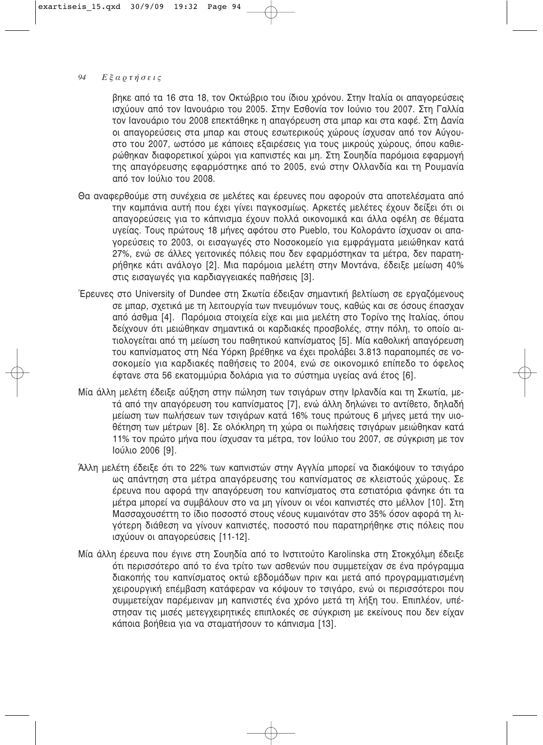βηκε από τα 16 στα 18, τον Οκτώβριο του ίδιου χρόνου. Στην Ιταλία οι απαγορεύσεις ισχύουν από τον Ιανουάριο του 2005. Στην Εσθονία τον Ιούνιο του 2007. Στη Γαλλία τον Ιανουάριο του 2008 επεκτάθηκε η απαγόρευση στα μπαρ και στα καφέ. Στη Δανία οι απαγορεύσεις στα μπαρ και στους εσωτερικούς χώρους ίσχυσαν από τον Αύγουστο του 2007, ωστόσο με κάποιες εξαιρέσεις για τους μικρούς χώρους, όπου καθιερώθηκαν διαφορετικοί χώροι για καπνιστές και μη. Στη Σουηδία παρόμοια εφαρμογή της απαγόρευσης εφαρμόστηκε από το 2005, ενώ στην Ολλανδία και τη Ρουμανία από τον Ιούλιο του 2008.

- Θα αναφερθούμε στη συνέχεια σε μελέτες και έρευνες που αφορούν στα αποτελέσματα από την καμπάνια αυτή που έχει γίνει παγκοσμίως. Αρκετές μελέτες έχουν δείξει ότι οι απαγορεύσεις για το κάπνισμα έχουν πολλά οικονομικά και άλλα οφέλη σε θέματα υγείας. Τους πρώτους 18 μήνες αφότου στο Pueblo, του Κολοράντο ίσχυσαν οι απαγορεύσεις το 2003, οι εισαγωγές στο Νοσοκομείο για εμφράγματα μειώθηκαν κατά 27%, ενώ σε άλλες γειτονικές πόλεις που δεν εφαρμόστηκαν τα μέτρα, δεν παρατηρήθηκε κάτι ανάλογο [2]. Μια παρόμοια μελέτη στην Μοντάνα, έδειξε μείωση 40% στις εισαγωγές για καρδιαγγειακές παθήσεις [3].
- Έρευνες στο University of Dundee στη Σκωτία έδειξαν σημαντική βελτίωση σε εργαζόμενους σε μπαρ, σχετικά με τη λειτουργία των πνευμόνων τους, καθώς και σε όσους έπασχαν από άσθμα [4]. Παρόμοια στοιχεία είχε και μια μελέτη στο Τορίνο της Ιταλίας, όπου δείχνουν ότι μειώθηκαν σημαντικά οι καρδιακές προσβολές, στην πόλη, το οποίο αιτιολογείται από τη μείωση του παθητικού καπνίσματος [5]. Μία καθολική απαγόρευση του καπνίσματος στη Νέα Υόρκη βρέθηκε να έχει προλάβει 3.813 παραπομπές σε νοσοκομείο για καρδιακές παθήσεις το 2004, ενώ σε οικονομικό επίπεδο το όφελος έφτανε στα 56 εκατομμύρια δολάρια για το σύστημα υγείας ανά έτος [6].
- Μία άλλη μελέτη έδειξε αύξηση στην πώληση των τσιγάρων στην Ιρλανδία και τη Σκωτία, μετά από την απαγόρευση του καπνίσματος [7], ενώ άλλη δηλώνει το αντίθετο, δηλαδή μείωση των πωλήσεων των τσιγάρων κατά 16% τους πρώτους 6 μήνες μετά την υιοθέτηση των μέτρων [8]. Σε ολόκληρη τη χώρα οι πωλήσεις τσιγάρων μειώθηκαν κατά 11% τον πρώτο μήνα που ίσχυσαν τα μέτρα, τον Ιούλιο του 2007, σε σύγκριση με τον Ιούλιο 2006 [9].
- Άλλη μελέτη έδειξε ότι το 22% των καπνιστών στην Αγγλία μπορεί να διακόψουν το τσιγάρο ως απάντηση στα μέτρα απαγόρευσης του καπνίσματος σε κλειστούς χώρους. Σε έρευνα που αφορά την απαγόρευση του καπνίσματος στα εστιατόρια φάνηκε ότι τα μέτρα μπορεί να συμβάλουν στο να μη γίνουν οι νέοι καπνιστές στο μέλλον [10]. Στη Μασσαχουσέττη το ίδιο ποσοστό στους νέους κυμαινόταν στο 35% όσον αφορά τη λιγότερη διάθεση να γίνουν καπνιστές, ποσοστό που παρατηρήθηκε στις πόλεις που ισχύουν οι απαγορεύσεις [11-12].
- Μία άλλη έρευνα που έγινε στη Σουηδία από το Ινστιτούτο Karolinska στη Στοκχόλμη έδειξε ότι περισσότερο από το ένα τρίτο των ασθενών που συμμετείχαν σε ένα πρόνραμμα διακοπής του καπνίσματος οκτώ εβδομάδων πριν και μετά από προγραμματισμένη χειρουργική επέμβαση κατάφεραν να κόψουν το τσιγάρο, ενώ οι περισσότεροι που συμμετείχαν παρέμειναν μη καπνιστές ένα χρόνο μετά τη λήξη του. Επιπλέον, υπέστησαν τις μισές μετεγχειρητικές επιπλοκές σε σύγκριση με εκείνους που δεν είχαν κάποια βοήθεια για να σταματήσουν το κάπνισμα [13].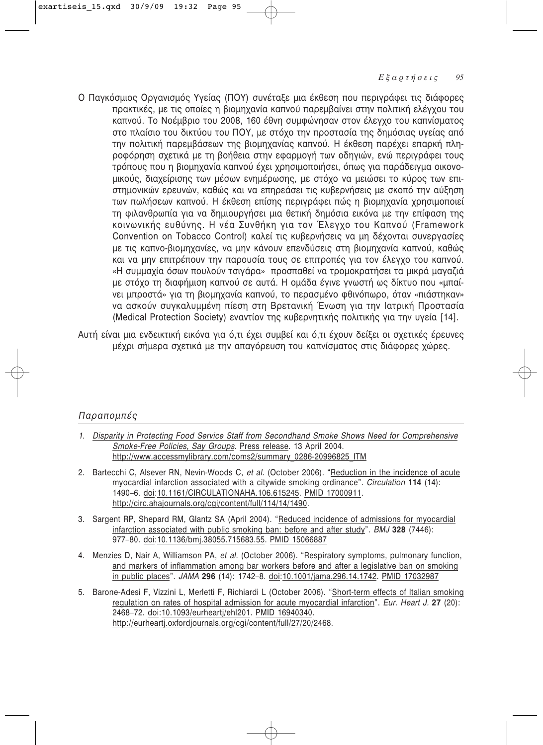- Ο Παγκόσμιος Οργανισμός Υγείας (ΠΟΥ) συνέταξε μια έκθεση που περιγράφει τις διάφορες πρακτικές, με τις οποίες η βιομηχανία καπνού παρεμβαίνει στην πολιτική ελέγχου του καπνού. Το Νοέμβριο του 2008, 160 έθνη συμφώνησαν στον έλεγχο του καπνίσματος στο πλαίσιο του δικτύου του ΠΟΥ, με στόχο την προστασία της δημόσιας υγείας από την πολιτική παρεμβάσεων της βιομηχανίας καπνού. Η έκθεση παρέχει επαρκή πληροφόρηση σχετικά με τη βοήθεια στην εφαρμογή των οδηγιών, ενώ περιγράφει τους τρόπους που η βιομηχανία καπνού έχει χρησιμοποιήσει, όπως για παράδειγμα οικονομικούς, διαχείρισης των μέσων ενημέρωσης, με στόχο να μειώσει το κύρος των επιστημονικών ερευνών, καθώς και να επηρεάσει τις κυβερνήσεις με σκοπό την αύξηση των πωλήσεων καπνού. Η έκθεση επίσης περιγράφει πώς η βιομηχανία χρησιμοποιεί τη φιλανθρωπία για να δημιουργήσει μια θετική δημόσια εικόνα με την επίφαση της κοινωνικής ευθύνης. Η νέα Συνθήκη για τον Έλεγχο του Καπνού (Framework Convention on Tobacco Control) καλεί τις κυβερνήσεις να μη δέχονται συνεργασίες με τις καπνο-βιομηχανίες, να μην κάνουν επενδύσεις στη βιομηχανία καπνού, καθώς και να μην επιτρέπουν την παρουσία τους σε επιτροπές για τον έλεγχο του καπνού. «Η συμμαχία όσων πουλούν τσιγάρα» προσπαθεί να τρομοκρατήσει τα μικρά μαγαζιά με στόχο τη διαφήμιση καπνού σε αυτά. Η ομάδα έγινε γνωστή ως δίκτυο που «μπαίνει μπροστά» για τη βιομηχανία καπνού, το περασμένο φθινόπωρο, όταν «πιάστηκαν» να ασκούν συγκαλυμμένη πίεση στη Βρετανική Ένωση για την Ιατρική Προστασία (Medical Protection Society) εναντίον της κυβερνητικής πολιτικής για την υγεία [14].
- Aυτή είναι μια ενδεικτική εικόνα για ό,τι έχει συμβεί και ό,τι έχουν δείξει οι σχετικές έρευνες μέχρι σήμερα σχετικά με την απαγόρευση του καπνίσματος στις διάφορες χώρες.

### $\Pi$ αραπομπές

exartiseis\_15.qxd 30/9/09 19:32 Page 95

- *1. Disparity in Protecting Food Service Staff from Secondhand Smoke Shows Need for Comprehensive Smoke-Free Policies, Say Groups*. Press release. 13 April 2004. http://www.accessmylibrary.com/coms2/summary\_0286-20996825\_ITM
- 2. Bartecchi C, Alsever RN, Nevin-Woods C, *et al.* (October 2006). "Reduction in the incidence of acute myocardial infarction associated with a citywide smoking ordinance". *Circulation* **114** (14): 1490–6. doi:10.1161/CIRCULATIONAHA.106.615245. PMID 17000911. http://circ.ahajournals.org/cgi/content/full/114/14/1490.
- 3. Sargent RP, Shepard RM, Glantz SA (April 2004). "Reduced incidence of admissions for myocardial infarction associated with public smoking ban: before and after study". *BMJ* **328** (7446): 977–80. doi:10.1136/bmj.38055.715683.55. PMID 15066887
- 4. Menzies D, Nair A, Williamson PA, *et al.* (October 2006). "Respiratory symptoms, pulmonary function, and markers of inflammation among bar workers before and after a legislative ban on smoking in public places". *JAMA* **296** (14): 1742–8. doi:10.1001/jama.296.14.1742. PMID 17032987
- 5. Barone-Adesi F, Vizzini L, Merletti F, Richiardi L (October 2006). "Short-term effects of Italian smoking regulation on rates of hospital admission for acute myocardial infarction". *Eur. Heart J.* **27** (20): 2468–72. doi:10.1093/eurheartj/ehl201. PMID 16940340. http://eurheartj.oxfordjournals.org/cgi/content/full/27/20/2468.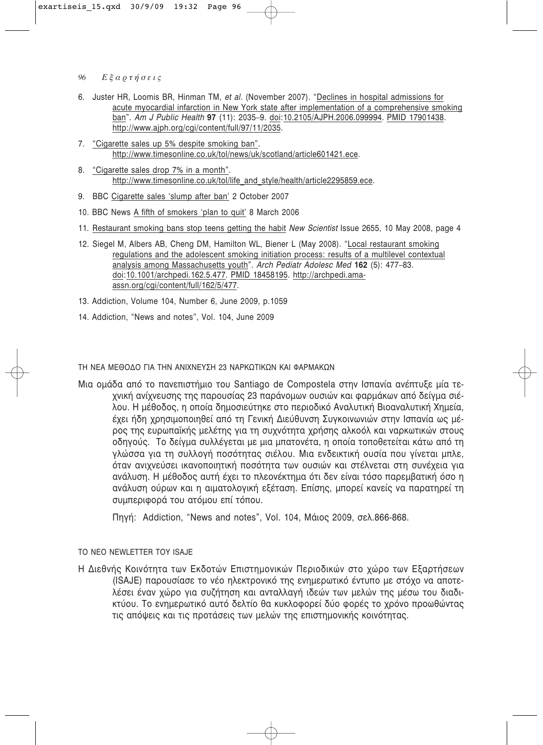- 96 Εξαρτήσεις
- 6. Juster HR, Loomis BR, Hinman TM, et al. (November 2007). "Declines in hospital admissions for acute myocardial infarction in New York state after implementation of a comprehensive smoking ban". Am J Public Health 97 (11): 2035-9. doi:10.2105/AJPH.2006.099994. PMID 17901438. http://www.ajph.org/cgi/content/full/97/11/2035.
- 7. "Cigarette sales up 5% despite smoking ban". http://www.timesonline.co.uk/tol/news/uk/scotland/article601421.ece.
- 8. "Cigarette sales drop 7% in a month". http://www.timesonline.co.uk/tol/life and style/health/article2295859.ece.
- 9. BBC Cigarette sales 'slump after ban' 2 October 2007
- 10. BBC News A fifth of smokers 'plan to quit' 8 March 2006
- 11. Restaurant smoking bans stop teens getting the habit New Scientist Issue 2655, 10 May 2008, page 4
- 12. Siegel M, Albers AB, Cheng DM, Hamilton WL, Biener L (May 2008). "Local restaurant smoking regulations and the adolescent smoking initiation process: results of a multilevel contextual analysis among Massachusetts youth". Arch Pediatr Adolesc Med 162 (5): 477-83. doi:10.1001/archpedi.162.5.477. PMID 18458195. http://archpedi.amaassn.org/cqi/content/full/162/5/477.
- 13. Addiction, Volume 104, Number 6, June 2009, p.1059
- 14. Addiction, "News and notes", Vol. 104, June 2009

### ΤΗ ΝΕΑ ΜΕΘΟΔΟ ΓΙΑ ΤΗΝ ΑΝΙΧΝΕΥΣΗ 23 ΝΑΡΚΩΤΙΚΩΝ ΚΑΙ ΦΑΡΜΑΚΩΝ

Μια ομάδα από το πανεπιστήμιο του Santiago de Compostela στην Ισπανία ανέπτυξε μία τεχνική ανίχνευσης της παρουσίας 23 παράνομων ουσιών και φαρμάκων από δείγμα σιέλου. Η μέθοδος, η οποία δημοσιεύτηκε στο περιοδικό Αναλυτική Βιοαναλυτική Χημεία, έχει ήδη χρησιμοποιηθεί από τη Γενική Διεύθυνση Συγκοινωνιών στην Ισπανία ως μέρος της ευρωπαϊκής μελέτης για τη συχνότητα χρήσης αλκοόλ και ναρκωτικών στους οδηγούς. Το δείγμα συλλέγεται με μια μπατονέτα, η οποία τοποθετείται κάτω από τη γλώσσα για τη συλλογή ποσότητας σιέλου. Μια ενδεικτική ουσία που γίνεται μπλε, όταν ανιχνεύσει ικανοποιητική ποσότητα των ουσιών και στέλνεται στη συνέχεια για ανάλυση. Η μέθοδος αυτή έχει το πλεονέκτημα ότι δεν είναι τόσο παρεμβατική όσο η ανάλυση ούρων και η αιματολογική εξέταση. Επίσης, μπορεί κανείς να παρατηρεί τη συμπεριφορά του ατόμου επί τόπου.

Πηγή: Addiction, "News and notes", Vol. 104, Μάιος 2009, σελ.866-868.

### TO NEO NEWLETTER TOY ISAJE

Η Διεθνής Κοινότητα των Εκδοτών Επιστημονικών Περιοδικών στο χώρο των Εξαρτήσεων (ISAJE) παρουσίασε το νέο ηλεκτρονικό της ενημερωτικό έντυπο με στόχο να αποτελέσει έναν χώρο για συζήτηση και ανταλλαγή ιδεών των μελών της μέσω του διαδικτύου. Το ενημερωτικό αυτό δελτίο θα κυκλοφορεί δύο φορές το χρόνο προωθώντας τις απόψεις και τις προτάσεις των μελών της επιστημονικής κοινότητας.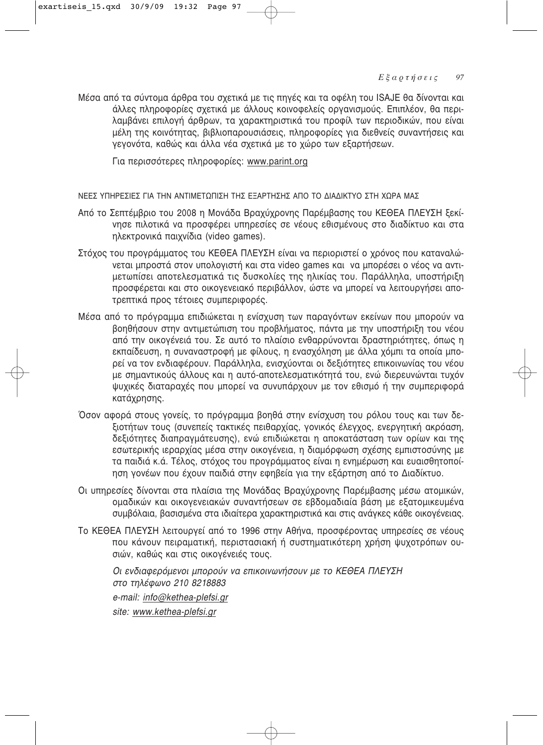exartiseis\_15.qxd 30/9/09 19:32 Page 97

Μέσα από τα σύντομα άρθρα του σχετικά με τις πηγές και τα οφέλη του ISAJE θα δίνονται και άλλες πληροφορίες σχετικά με άλλους κοινοφελείς οργανισμούς. Επιπλέον, θα περιλαμβάνει επιλογή άρθρων, τα χαρακτηριστικά του προφίλ των περιοδικών, που είναι μέλη της κοινότητας, βιβλιοπαρουσιάσεις, πληροφορίες για διεθνείς συναντήσεις και γεγονότα, καθώς και άλλα νέα σχετικά με το χώρο των εξαρτήσεων.

Για περισσότερες πληροφορίες: www.parint.org

ΝΈΕΣ ΥΠΗΡΈΣΙΕΣ ΓΙΑ ΤΗΝ ΑΝΤΙΜΕΤΩΠΙΣΗ ΤΗΣ ΕΞΑΡΤΗΣΗΣ ΑΠΟ ΤΟ ΔΙΑΔΙΚΤΥΌ ΣΤΗ ΧΩΡΑ ΜΑΣ

- Aπό το Σεπτέμβριο του 2008 η Μονάδα Βραχύχρονης Παρέμβασης του ΚΕΘΕΑ ΠΛΕΥΣΗ ξεκίνησε πιλοτικά να προσφέρει υπηρεσίες σε νέους εθισμένους στο διαδίκτυο και στα ηλεκτρονικά παιχνίδια (video games).
- Στόχος του προγράμματος του ΚΕΘΕΑ ΠΛΕΥΣΗ είναι να περιοριστεί ο χρόνος που καταναλώvεται μπροστά στον υπολογιστή και στα video games και να μπορέσει ο νέος να αντιμετωπίσει αποτελεσματικά τις δυσκολίες της ηλικίας του. Παράλληλα, υποστήριξη προσφέρεται και στο οικονενειακό περιβάλλον, ώστε να μπορεί να λειτουρνήσει αποτρεπτικά προς τέτοιες συμπεριφορές.
- Μέσα από το πρόγραμμα επιδιώκεται η ενίσχυση των παραγόντων εκείνων που μπορούν να βοηθήσουν στην αντιμετώπιση του προβλήματος, πάντα με την υποστήριξη του νέου από την οικογένειά του. Σε αυτό το πλαίσιο ενθαρρύνονται δραστηριότητες, όπως η εκπαίδευση, η συναναστροφή με φίλους, η ενασχόληση με άλλα χόμπι τα οποία μπορεί να τον ενδιαφέρουν. Παράλληλα, ενισχύονται οι δεξιότητες επικοινωνίας του νέου με σημαντικούς άλλους και η αυτό-αποτελεσματικότητά του, ενώ διερευνώνται τυχόν ψυχικές διαταραχές που μπορεί να συνυπάρχουν με τον εθισμό ή την συμπεριφορά κατάχρησης.
- Όσον αφορά στους γονείς, το πρόγραμμα βοηθά στην ενίσχυση του ρόλου τους και των δεξιοτήτων τους (συνεπείς τακτικές πειθαρχίας, γονικός έλεγχος, ενεργητική ακρόαση, δεξιότητες διαπραγμάτευσης), ενώ επιδιώκεται η αποκατάσταση των ορίων και της εσωτερικής ιεραρχίας μέσα στην οικογένεια, η διαμόρφωση σχέσης εμπιστοσύνης με τα παιδιά κ.ά. Τέλος, στόχος του προγράμματος είναι η ενημέρωση και ευαισθητοποίηση γονέων που έχουν παιδιά στην εφηβεία για την εξάρτηση από το Διαδίκτυο.
- Οι υπηρεσίες δίνονται στα πλαίσια της Μονάδας Βραχύχρονης Παρέμβασης μέσω ατομικών, ομαδικών και οικογενειακών συναντήσεων σε εβδομαδιαία βάση με εξατομικευμένα συμβόλαια, βασισμένα στα ιδιαίτερα χαρακτηριστικά και στις ανάγκες κάθε οικογένειας.
- Το ΚΕΘΕΑ ΠΛΕΥΣΗ λειτουργεί από το 1996 στην Αθήνα, προσφέροντας υπηρεσίες σε νέους που κάνουν πειραματική, περιστασιακή ή συστηματικότερη χρήση ψυχοτρόπων ουσιών, καθώς και στις οικογένειές τους.

Οι ενδιαφερόμενοι μπορούν να επικοινωνήσουν με το ΚΕΘΕΑ ΠΛΕΥΣΗ *ÛÙÔ ÙËϤʈÓÔ 210 8218883 e-mail: info@kethea-plefsi.gr site: www.kethea-plefsi.gr*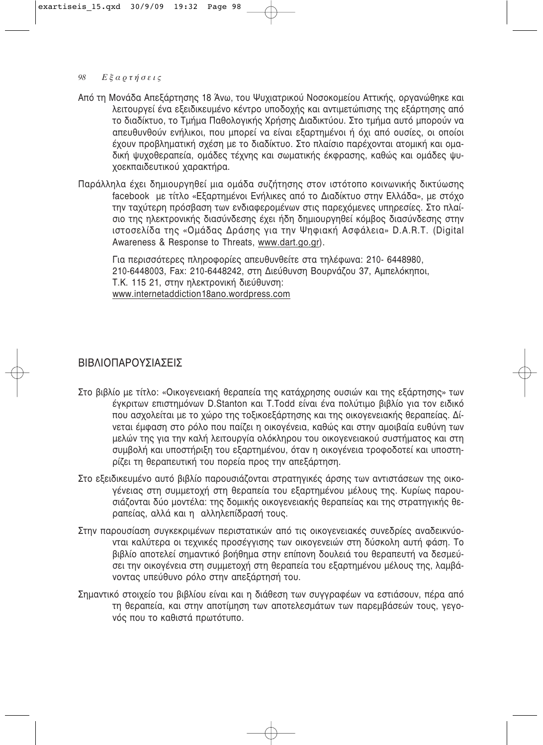- Aπό τη Μονάδα Απεξάρτησης 18 Άνω, του Ψυχιατρικού Νοσοκομείου Αττικής, οργανώθηκε και λειτουργεί ένα εξειδικευμένο κέντρο υποδοχής και αντιμετώπισης της εξάρτησης από το διαδίκτυο, το Τμήμα Παθολογικής Χρήσης Διαδικτύου. Στο τμήμα αυτό μπορούν να απευθυνθούν ενήλικοι, που μπορεί να είναι εξαρτημένοι ή όχι από ουσίες, οι οποίοι έχουν προβληματική σχέση με το διαδίκτυο. Στο πλαίσιο παρέχονται ατομική και ομαδική ψυχοθεραπεία, ομάδες τέχνης και σωματικής έκφρασης, καθώς και ομάδες ψυχοεκπαιδευτικού χαρακτήρα.
- Παράλληλα έχει δημιουργηθεί μια ομάδα συζήτησης στον ιστότοπο κοινωνικής δικτύωσης facebook με τίτλο «Εξαρτημένοι Ενήλικες από το Διαδίκτυο στην Ελλάδα», με στόχο την ταχύτερη πρόσβαση των ενδιαφερομένων στις παρεχόμενες υπηρεσίες. Στο πλαίσιο της ηλεκτρονικής διασύνδεσης έχει ήδη δημιουργηθεί κόμβος διασύνδεσης στην ιστοσελίδα της «Ομάδας Δράσης για την Ψηφιακή Ασφάλεια» D.A.R.T. (Digital Awareness & Response to Threats, www.dart.go.gr).

Για περισσότερες πληροφορίες απευθυνθείτε στα τηλέφωνα: 210- 6448980, 210-6448003, Fax: 210-6448242, στη Διεύθυνση Βουρνάζου 37, Αμπελόκηποι, Τ.Κ. 115 21, στην ηλεκτρονική διεύθυνση: www.internetaddiction18ano.wordpress.com

# BIBAIOΠΑΡΟΥΣΙΑΣΕΙΣ

- Στο βιβλίο με τίτλο: «Οικογενειακή θεραπεία της κατάχρησης ουσιών και της εξάρτησης» των έγκριτων επιστημόνων D.Stanton και T.Todd είναι ένα πολύτιμο βιβλίο για τον ειδικό που ασχολείται με το χώρο της τοξικοεξάρτησης και της οικογενειακής θεραπείας. Δίνεται έμφαση στο ρόλο που παίζει η οικογένεια, καθώς και στην αμοιβαία ευθύνη των μελών της για την καλή λειτουργία ολόκληρου του οικογενειακού συστήματος και στη συμβολή και υποστήριξη του εξαρτημένου, όταν η οικογένεια τροφοδοτεί και υποστηρίζει τη θεραπευτική του πορεία προς την απεξάρτηση.
- Στο εξειδικευμένο αυτό βιβλίο παρουσιάζονται στρατηγικές άρσης των αντιστάσεων της οικογένειας στη συμμετοχή στη θεραπεία του εξαρτημένου μέλους της. Κυρίως παρουσιάζονται δύο μοντέλα: της δομικής οικογενειακής θεραπείας και της στρατηγικής θεραπείας, αλλά και η αλληλεπίδρασή τους.
- Στην παρουσίαση συγκεκριμένων περιστατικών από τις οικογενειακές συνεδρίες αναδεικνύο-Vται καλύτερα οι τεχνικές προσέγγισης των οικογενειών στη δύσκολη αυτή φάση. Το βιβλίο αποτελεί σημαντικό βοήθημα στην επίπονη δουλειά του θεραπευτή να δεσμεύσει την οικογένεια στη συμμετοχή στη θεραπεία του εξαρτημένου μέλους της, λαμβάνοντας υπεύθυνο ρόλο στην απεξάρτησή του.
- Σημαντικό στοιχείο του βιβλίου είναι και η διάθεση των συγγραφέων να εστιάσουν, πέρα από τη θεραπεία, και στην αποτίμηση των αποτελεσμάτων των παρεμβάσεών τους, γεγονός που το καθιστά πρωτότυπο.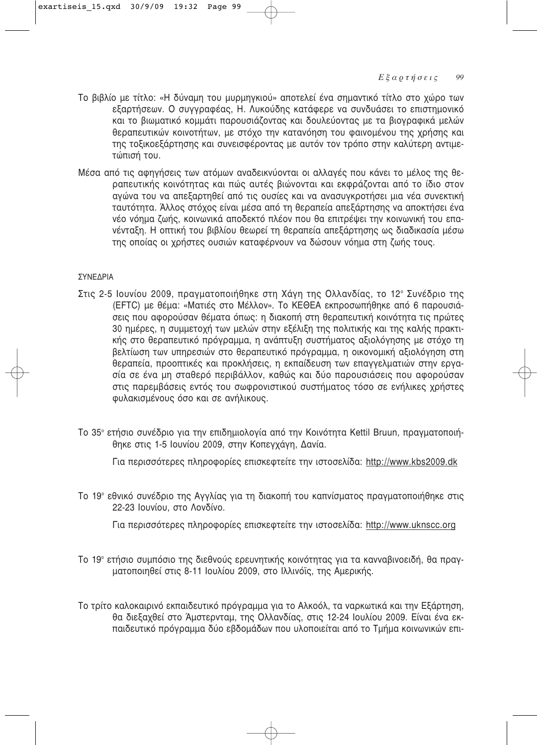Το βιβλίο με τίτλο: «Η δύναμη του μυρμηγκιού» αποτελεί ένα σημαντικό τίτλο στο χώρο των εξαρτήσεων. Ο συγγραφέας, Η. Λυκούδης κατάφερε να συνδυάσει το επιστημονικό και το βιωματικό κομμάτι παρουσιάζοντας και δουλεύοντας με τα βιογραφικά μελών θεραπευτικών κοινοτήτων, με στόχο την κατανόηση του φαινομένου της χρήσης και της τοξικοεξάρτησης και συνεισφέροντας με αυτόν τον τρόπο στην καλύτερη αντιμετώπισή του.

19:32 Page 99

Μέσα από τις αφηνήσεις των ατόμων αναδεικνύονται οι αλλανές που κάνει το μέλος της θεραπευτικής κοινότητας και πώς αυτές βιώνονται και εκφράζονται από το ίδιο στον αγώνα του να απεξαρτηθεί από τις ουσίες και να ανασυγκροτήσει μια νέα συνεκτική ταυτότητα. Άλλος στόχος είναι μέσα από τη θεραπεία απεξάρτησης να αποκτήσει ένα νέο νόημα ζωής, κοινωνικά αποδεκτό πλέον που θα επιτρέψει την κοινωνική του επανένταξη. Η οπτική του βιβλίου θεωρεί τη θεραπεία απεξάρτησης ως διαδικασία μέσω της οποίας οι χρήστες ουσιών καταφέρνουν να δώσουν νόημα στη ζωής τους.

### ΣΥΝΕΔΡΙΑ

exartiseis 15.qxd 30/9/09

- Στις 2-5 Ιουνίου 2009, πραγματοποιήθηκε στη Χάγη της Ολλανδίας, το 12° Συνέδριο της (EFTC) με θέμα: «Ματιές στο Μέλλον». Το ΚΕΘΕΑ εκπροσωπήθηκε από 6 παρουσιάσεις που αφορούσαν θέματα όπως: η διακοπή στη θεραπευτική κοινότητα τις πρώτες 30 ημέρες, η συμμετοχή των μελών στην εξέλιξη της πολιτικής και της καλής πρακτικής στο θεραπευτικό πρόνραμμα, η ανάπτυξη συστήματος αξιολόνησης με στόχο τη βελτίωση των υπηρεσιών στο θεραπευτικό πρόγραμμα, η οικονομική αξιολόγηση στη θεραπεία, προοπτικές και προκλήσεις, η εκπαίδευση των επαγγελματιών στην εργασία σε ένα μη σταθερό περιβάλλον, καθώς και δύο παρουσιάσεις που αφορούσαν στις παρεμβάσεις εντός του σωφρονιστικού συστήματος τόσο σε ενήλικες χρήστες φυλακισμένους όσο και σε ανήλικους.
- Το 35° ετήσιο συνέδριο για την επιδημιολογία από την Κοινότητα Kettil Bruun, πραγματοποιήθηκε στις 1-5 Ιουνίου 2009, στην Κοπεγχάγη, Δανία.

Για περισσότερες πληροφορίες επισκεφτείτε την ιστοσελίδα: http://www.kbs2009.dk

To 19° εθνικό συνέδριο της Αγγλίας για τη διακοπή του καπνίσματος πραγματοποιήθηκε στις 22-23 Ιουνίου, στο Λονδίνο.

Για περισσότερες πληροφορίες επισκεφτείτε την ιστοσελίδα: http://www.uknscc.org

- Το 19° ετήσιο συμπόσιο της διεθνούς ερευνητικής κοινότητας για τα κανναβινοειδή, θα πραγματοποιηθεί στις 8-11 Ιουλίου 2009, στο Ιλλινόϊς, της Αμερικής.
- Το τρίτο καλοκαιρινό εκπαιδευτικό πρόγραμμα για το Αλκοόλ, τα ναρκωτικά και την Εξάρτηση, θα διεξαχθεί στο Άμστερνταμ, της Ολλανδίας, στις 12-24 Ιουλίου 2009. Είναι ένα εκπαιδευτικό πρόγραμμα δύο εβδομάδων που υλοποιείται από το Τμήμα κοινωνικών επι-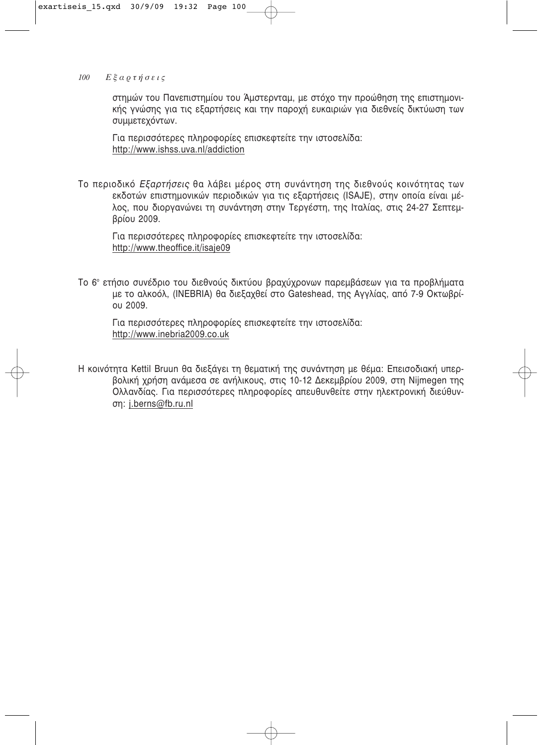στημών του Πανεπιστημίου του Άμστερνταμ, με στόχο την προώθηση της επιστημονικής γνώσης για τις εξαρτήσεις και την παροχή ευκαιριών για διεθνείς δικτύωση των συμμετεχόντων.

Για περισσότερες πληροφορίες επισκεφτείτε την ιστοσελίδα: http://www.ishss.uva.nl/addiction

Το περιοδικό *Εξαρτήσεις* θα λάβει μέρος στη συνάντηση της διεθνούς κοινότητας των εκδοτών επιστημονικών περιοδικών για τις εξαρτήσεις (ISAJE), στην οποία είναι μέλος, που διοργανώνει τη συνάντηση στην Τεργέστη, της Ιταλίας, στις 24-27 Σεπτεμβρίου 2009.

Για περισσότερες πληροφορίες επισκεφτείτε την ιστοσελίδα: http://www.theoffice.it/isaje09

Το 6° ετήσιο συνέδριο του διεθνούς δικτύου βραχύχρονων παρεμβάσεων για τα προβλήματα με το αλκοόλ, (INEBRIA) θα διεξαχθεί στο Gateshead, της Αγγλίας, από 7-9 Οκτωβρίou 2009.

Για περισσότερες πληροφορίες επισκεφτείτε την ιστοσελίδα: http://www.inebria2009.co.uk

H κοινότητα Kettil Bruun θα διεξάγει τη θεματική της συνάντηση με θέμα: Επεισοδιακή υπερβολική χρήση ανάμεσα σε ανήλικους, στις 10-12 Δεκεμβρίου 2009, στη Nijmegen της Ολλανδίας. Για περισσότερες πληροφορίες απευθυνθείτε στην ηλεκτρονική διεύθυν-ÛË: j.berns@fb.ru.nl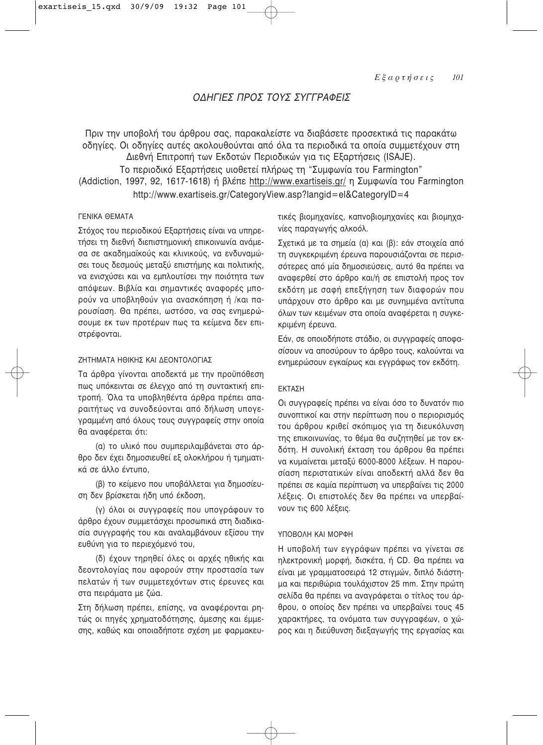### exartiseis 15.qxd  $30/9/09$ Page  $101$

ΟΛΗΓΙΕΣ ΠΡΟΣ ΤΟΥΣ ΣΥΓΓΡΑΦΕΙΣ

Πριν την υποβολή του άρθρου σας, παρακαλείστε να διαβάσετε προσεκτικά τις παρακάτω οδηγίες. Οι οδηγίες αυτές ακολουθούνται από όλα τα περιοδικά τα οποία συμμετέχουν στη Διεθνή Επιτροπή των Εκδοτών Περιοδικών για τις Εξαρτήσεις (ISAJE).

Το περιοδικό Εξαρτήσεις υιοθετεί πλήρως τη "Συμφωνία του Farmington" (Addiction, 1997, 92, 1617-1618) ή βλέπε http://www.exartiseis.gr/ η Συμφωνία του Farmington http://www.exartiseis.gr/CategoryView.asp?langid=el&CategoryID=4

### *ΓΕΝΙΚΑ ΘΕΜΑΤΑ*

Στόχος του περιοδικού Εξαρτήσεις είναι να υπηρετήσει τη διεθνή διεπιστημονική επικοινωνία ανάμεσα σε ακαδημαϊκούς και κλινικούς, να ενδυναμώσει τους δεσμούς μεταξύ επιστήμης και πολιτικής, να ενισχύσει και να εμπλουτίσει την ποιότητα των απόψεων. Βιβλία και σημαντικές αναφορές μπορούν να υποβληθούν για ανασκόπηση ή /και παρουσίαση. Θα πρέπει, ωστόσο, να σας ενημερώσουμε εκ των προτέρων πως τα κείμενα δεν επιστρέφονται.

### ΖΗΤΗΜΑΤΑ ΗΘΙΚΗΣ ΚΑΙ ΔΕΟΝΤΟΛΟΓΙΑΣ

Τα άρθρα γίνονται αποδεκτά με την προϋπόθεση πως υπόκεινται σε έλεγχο από τη συντακτική επιτροπή. Όλα τα υποβληθέντα άρθρα πρέπει απαραιτήτως να συνοδεύονται από δήλωση υπογεγραμμένη από όλους τους συγγραφείς στην οποία θα αναφέρεται ότι:

(α) το υλικό που συμπεριλαμβάνεται στο άρθρο δεν έχει δημοσιευθεί εξ ολοκλήρου ή τμηματικά σε άλλο έντυπο,

(β) το κείμενο που υποβάλλεται για δημοσίευση δεν βρίσκεται ήδη υπό έκδοση,

(γ) όλοι οι συγγραφείς που υπογράφουν το άρθρο έχουν συμμετάσχει προσωπικά στη διαδικασία συγγραφής του και αναλαμβάνουν εξίσου την ευθύνη για το περιεχόμενό του,

(δ) έχουν τηρηθεί όλες οι αρχές ηθικής και δεοντολογίας που αφορούν στην προστασία των πελατών ή των συμμετεχόντων στις έρευνες και στα πειράματα με ζώα.

Στη δήλωση πρέπει, επίσης, να αναφέρονται ρητώς οι πηγές χρηματοδότησης, άμεσης και έμμεσης, καθώς και οποιαδήποτε σχέση με φαρμακευτικές βιομηχανίες, καπνοβιομηχανίες και βιομηχανίες παραγωγής αλκοόλ.

Σχετικά με τα σημεία (α) και (β): εάν στοιχεία από τη συγκεκριμένη έρευνα παρουσιάζονται σε περισσότερες από μία δημοσιεύσεις, αυτό θα πρέπει να αναφερθεί στο άρθρο και/ή σε επιστολή προς τον εκδότη με σαφή επεξήγηση των διαφορών που υπάρχουν στο άρθρο και με συνημμένα αντίτυπα όλων των κειμένων στα οποία αναφέρεται η συγκεκριμένη έρευνα.

Εάν, σε οποιοδήποτε στάδιο, οι συγγραφείς αποφασίσουν να αποσύρουν το άρθρο τους, καλούνται να ενημερώσουν εγκαίρως και εγγράφως τον εκδότη.

### ΕΚΤΑΣΗ

Οι συγγραφείς πρέπει να είναι όσο το δυνατόν πιο συνοπτικοί και στην περίπτωση που ο περιορισμός του άρθρου κριθεί σκόπιμος για τη διευκόλυνση της επικοινωνίας, το θέμα θα συζητηθεί με τον εκδότη. Η συνολική έκταση του άρθρου θα πρέπει να κυμαίνεται μεταξύ 6000-8000 λέξεων. Η παρουσίαση περιστατικών είναι αποδεκτή αλλά δεν θα πρέπει σε καμία περίπτωση να υπερβαίνει τις 2000 λέξεις. Οι επιστολές δεν θα πρέπει να υπερβαίνουν τις 600 λέξεις.

### ҮПОВОЛН КАІ МОРФН

Η υποβολή των εγγράφων πρέπει να γίνεται σε ηλεκτρονική μορφή, δισκέτα, ή CD. Θα πρέπει να είναι με γραμματοσειρά 12 στιγμών, διπλό διάστημα και περιθώρια τουλάχιστον 25 mm. Στην πρώτη σελίδα θα πρέπει να αναγράφεται ο τίτλος του άρθρου, ο οποίος δεν πρέπει να υπερβαίνει τους 45 χαρακτήρες, τα ονόματα των συγγραφέων, ο χώρος και η διεύθυνση διεξαγωγής της εργασίας και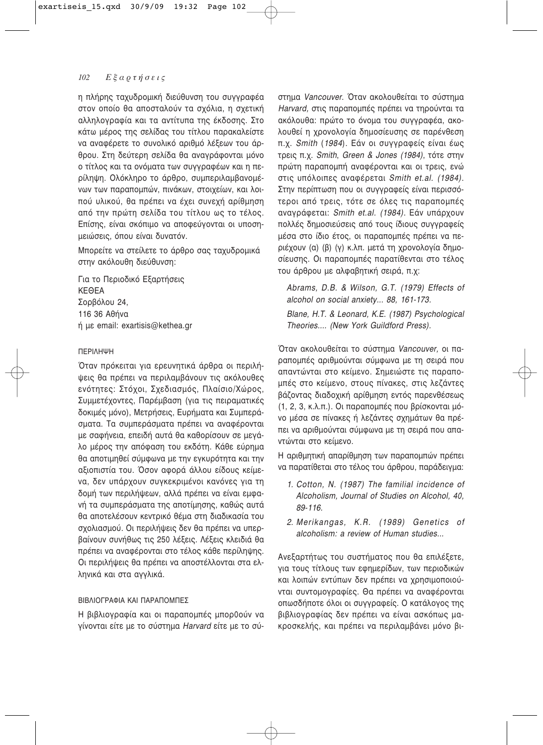η πλήρης ταχυδρομική διεύθυνση του συγγραφέα στον οποίο θα αποσταλούν τα σχόλια, η σχετική αλληλογραφία και τα αντίτυπα της έκδοσης. Στο κάτω μέρος της σελίδας του τίτλου παρακαλείστε να αναφέρετε το συνολικό αριθμό λέξεων του άρθρου. Στη δεύτερη σελίδα θα αναγράφονται μόνο ο τίτλος και τα ονόματα των συγγραφέων και η περίληψη. Ολόκληρο το άρθρο, συμπεριλαμβανομένων των παραπομπών, πινάκων, στοιχείων, και λοιπού υλικού, θα πρέπει να έχει συνεχή αρίθμηση από την πρώτη σελίδα του τίτλου ως το τέλος. Επίσης, είναι σκόπιμο να αποφεύγονται οι υποσημειώσεις, όπου είναι δυνατόν.

Μπορείτε να στείλετε το άρθρο σας ταχυδρομικά στην ακόλουθη διεύθυνση:

Για το Περιοδικό Εξαρτήσεις **KEOEA** Σορβόλου 24, 116 36 Αθήνα ή με email: exartisis@kethea.gr

### ПЕРІЛНШН

Όταν πρόκειται για ερευνητικά άρθρα οι περιλήψεις θα πρέπει να περιλαμβάνουν τις ακόλουθες ενότητες: Στόχοι, Σχεδιασμός, Πλαίσιο/Χώρος, Συμμετέχοντες, Παρέμβαση (για τις πειραματικές δοκιμές μόνο), Μετρήσεις, Ευρήματα και Συμπεράσματα. Τα συμπεράσματα πρέπει να αναφέρονται με σαφήνεια, επειδή αυτά θα καθορίσουν σε μεγάλο μέρος την απόφαση του εκδότη. Κάθε εύρημα θα αποτιμηθεί σύμφωνα με την εγκυρότητα και την αξιοπιστία του. Όσον αφορά άλλου είδους κείμενα, δεν υπάρχουν συγκεκριμένοι κανόνες για τη δομή των περιλήψεων, αλλά πρέπει να είναι εμφανή τα συμπεράσματα της αποτίμησης, καθώς αυτά θα αποτελέσουν κεντρικό θέμα στη διαδικασία του σχολιασμού. Οι περιλήψεις δεν θα πρέπει να υπερβαίνουν συνήθως τις 250 λέξεις. Λέξεις κλειδιά θα πρέπει να αναφέρονται στο τέλος κάθε περίληψης. Οι περιλήψεις θα πρέπει να αποστέλλονται στα ελληνικά και στα αγγλικά.

### ΒΙΒΛΙΟΓΡΑΦΙΑ ΚΑΙ ΠΑΡΑΠΟΜΠΕΣ

Η βιβλιογραφία και οι παραπομπές μπορθούν να γίνονται είτε με το σύστημα Harvard είτε με το σύ-

στημα Vancouver. Όταν ακολουθείται το σύστημα Harvard, στις παραπομπές πρέπει να τηρούνται τα ακόλουθα: πρώτο το όνομα του συγγραφέα, ακολουθεί η χρονολογία δημοσίευσης σε παρένθεση π.χ. Smith (1984). Εάν οι συγγραφείς είναι έως τρεις π.χ. Smith, Green & Jones (1984), τότε στην πρώτη παραπομπή αναφέρονται και οι τρεις, ενώ στις υπόλοιπες αναφέρεται Smith et.al. (1984). Στην περίπτωση που οι συγγραφείς είναι περισσότεροι από τρεις, τότε σε όλες τις παραπομπές αναγράφεται: Smith et.al. (1984). Εάν υπάρχουν πολλές δημοσιεύσεις από τους ίδιους συγγραφείς μέσα στο ίδιο έτος, οι παραπομπές πρέπει να περιέχουν (α) (β) (γ) κ.λπ. μετά τη χρονολογία δημοσίευσης. Οι παραπομπές παρατίθενται στο τέλος του άρθρου με αλφαβητική σειρά, π.χ:

Abrams, D.B. & Wilson, G.T. (1979) Effects of alcohol on social anxiety... 88, 161-173. Blane, H.T. & Leonard, K.E. (1987) Psychological Theories.... (New York Guildford Press).

Όταν ακολουθείται το σύστημα Vancouver, οι παραπομπές αριθμούνται σύμφωνα με τη σειρά που απαντώνται στο κείμενο. Σημειώστε τις παραπομπές στο κείμενο, στους πίνακες, στις λεζάντες βάζοντας διαδοχική αρίθμηση εντός παρενθέσεως (1, 2, 3, κ.λ.π.). Οι παραπομπές που βρίσκονται μόνο μέσα σε πίνακες ή λεζάντες σχημάτων θα πρέπει να αριθμούνται σύμφωνα με τη σειρά που απαντώνται στο κείμενο.

Η αριθμητική απαρίθμηση των παραπομπών πρέπει να παρατίθεται στο τέλος του άρθρου, παράδειγμα:

- 1. Cotton, N. (1987) The familial incidence of Alcoholism, Journal of Studies on Alcohol, 40, 89-116.
- 2. Merikangas, K.R. (1989) Genetics of alcoholism: a review of Human studies...

Ανεξαρτήτως του συστήματος που θα επιλέξετε, για τους τίτλους των εφημερίδων, των περιοδικών και λοιπών εντύπων δεν πρέπει να χρησιμοποιούνται συντομογραφίες. Θα πρέπει να αναφέρονται οπωσδήποτε όλοι οι συγγραφείς. Ο κατάλογος της βιβλιογραφίας δεν πρέπει να είναι ασκόπως μακροσκελής, και πρέπει να περιλαμβάνει μόνο βι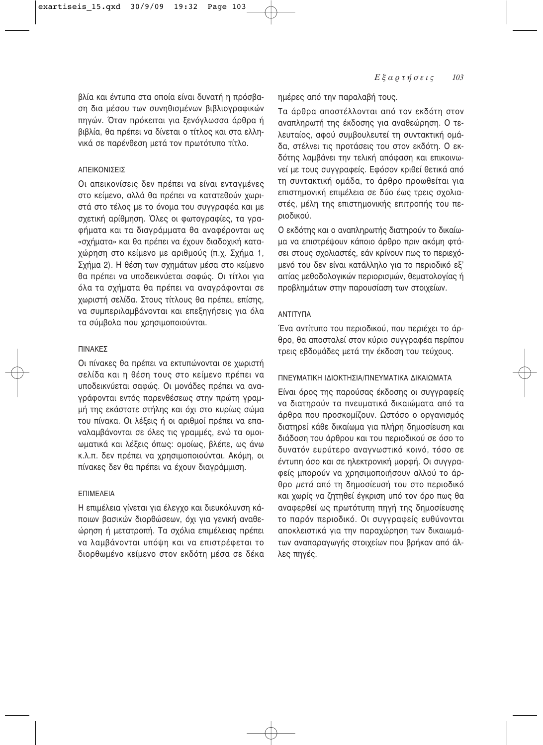βλία και έντυπα στα οποία είναι δυνατή η πρόσβαση δια μέσου των συνηθισμένων βιβλιογραφικών πηγών. Όταν πρόκειται για ξενόγλωσσα άρθρα ή βιβλία, θα πρέπει να δίνεται ο τίτλος και στα ελληνικά σε παρένθεση μετά τον πρωτότυπο τίτλο.

### ΑΠΕΙΚΟΝΙΣΕΙΣ

Οι απεικονίσεις δεν πρέπει να είναι ενταγμένες στο κείμενο, αλλά θα πρέπει να κατατεθούν χωριστά στο τέλος με το όνομα του συγγραφέα και με σχετική αρίθμηση. Όλες οι φωτογραφίες, τα γραφήματα και τα διαγράμματα θα αναφέρονται ως «σχήματα» και θα πρέπει να έχουν διαδοχική καταχώρηση στο κείμενο με αριθμούς (π.χ. Σχήμα 1, Σχήμα 2). Η θέση των σχημάτων μέσα στο κείμενο θα πρέπει να υποδεικνύεται σαφώς. Οι τίτλοι για όλα τα σχήματα θα πρέπει να αναγράφονται σε χωριστή σελίδα. Στους τίτλους θα πρέπει, επίσης, να συμπεριλαμβάνονται και επεξηγήσεις για όλα τα σύμβολα που χρησιμοποιούνται.

### ΠΙΝΑΚΕΣ

Οι πίνακες θα πρέπει να εκτυπώνονται σε χωριστή σελίδα και η θέση τους στο κείμενο πρέπει να υποδεικνύεται σαφώς. Οι μονάδες πρέπει να αναγράφονται εντός παρενθέσεως στην πρώτη γραμμή της εκάστοτε στήλης και όχι στο κυρίως σώμα του πίνακα. Οι λέξεις ή οι αριθμοί πρέπει να επαναλαμβάνονται σε όλες τις γραμμές, ενώ τα ομοιωματικά και λέξεις όπως: ομοίως, βλέπε, ως άνω κ.λ.π. δεν πρέπει να χρησιμοποιούνται. Ακόμη, οι πίνακες δεν θα πρέπει να έχουν διαγράμμιση.

### ΕΠΙΜΕΛΕΙΑ

Η επιμέλεια γίνεται για έλεγχο και διευκόλυνση κάποιων βασικών διορθώσεων, όχι για γενική αναθεώρηση ή μετατροπή. Τα σχόλια επιμέλειας πρέπει να λαμβάνονται υπόψη και να επιστρέφεται το διορθωμένο κείμενο στον εκδότη μέσα σε δέκα

### Εξαρτήσεις  $103$

ημέρες από την παραλαβή τους.

Τα άρθρα αποστέλλονται από τον εκδότη στον αναπληρωτή της έκδοσης για αναθεώρηση. Ο τελευταίος, αφού συμβουλευτεί τη συντακτική ομάδα, στέλνει τις προτάσεις του στον εκδότη. Ο εκδότης λαμβάνει την τελική απόφαση και επικοινωνεί με τους συγγραφείς. Εφόσον κριθεί θετικά από τη συντακτική ομάδα, το άρθρο προωθείται για επιστημονική επιμέλεια σε δύο έως τρεις σχολιαστές, μέλη της επιστημονικής επιτροπής του περιοδικού.

Ο εκδότης και ο αναπληρωτής διατηρούν το δικαίωμα να επιστρέψουν κάποιο άρθρο πριν ακόμη φτάσει στους σχολιαστές, εάν κρίνουν πως το περιεχόμενό του δεν είναι κατάλληλο για το περιοδικό εξ' αιτίας μεθοδολογικών περιορισμών, θεματολογίας ή προβλημάτων στην παρουσίαση των στοιχείων.

### **ANTITYNA**

Ένα αντίτυπο του περιοδικού, που περιέχει το άρθρο, θα αποσταλεί στον κύριο συγγραφέα περίπου τρεις εβδομάδες μετά την έκδοση του τεύχους.

### ΠΝΕΥΜΑΤΙΚΗ ΙΔΙΟΚΤΗΣΙΑ/ΠΝΕΥΜΑΤΙΚΑ ΔΙΚΑΙΩΜΑΤΑ

Είναι όρος της παρούσας έκδοσης οι συγγραφείς να διατηρούν τα πνευματικά δικαιώματα από τα άρθρα που προσκομίζουν. Ωστόσο ο οργανισμός διατηρεί κάθε δικαίωμα για πλήρη δημοσίευση και διάδοση του άρθρου και του περιοδικού σε όσο το δυνατόν ευρύτερο αναγνωστικό κοινό, τόσο σε έντυπη όσο και σε ηλεκτρονική μορφή. Οι συγγραφείς μπορούν να χρησιμοποιήσουν αλλού το άρθρο μετά από τη δημοσίευσή του στο περιοδικό και χωρίς να ζητηθεί έγκριση υπό τον όρο πως θα αναφερθεί ως πρωτότυπη πηγή της δημοσίευσης το παρόν περιοδικό. Οι συγγραφείς ευθύνονται αποκλειστικά για την παραχώρηση των δικαιωμάτων αναπαραγωγής στοιχείων που βρήκαν από άλλες πηγές.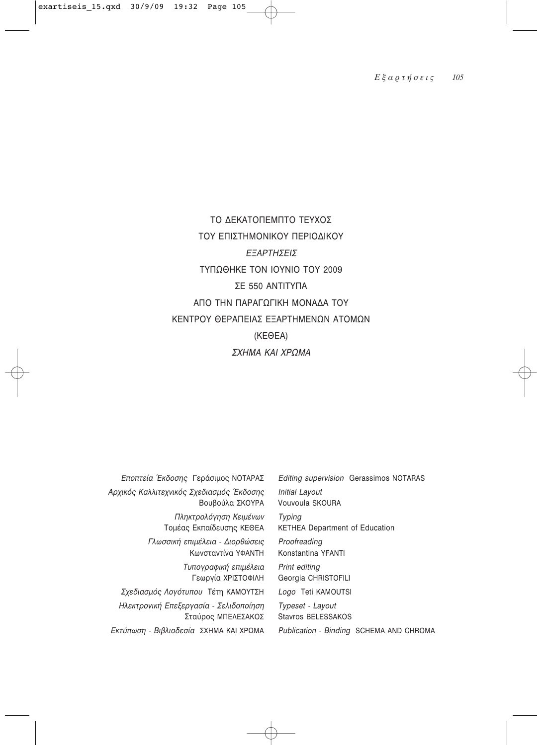exartiseis\_15.qxd 30/9/09 19:32 Page 105

ΤΟ ΔΕΚΑΤΟΠΕΜΠΤΟ ΤΕΥΧΟΣ ΤΟΥ ΕΠΙΣΤΗΜΟΝΙΚΟΥ ΠΕΡΙΟΔΙΚΟΥ *ΕΞΑΡΤΗΣΕΙΣ* ΤΥΠΩΘΗΚΕ ΤΟΝ ΙΟΥΝΙΟ ΤΟΥ 2009 ΣE 550 ANTITYΠA ΑΠΟ ΤΗΝ ΠΑΡΑΓΩΓΙΚΗ ΜΟΝΑΔΑ ΤΟΥ ΚΕΝΤΡΟΥ ΘΕΡΑΠΕΙΑΣ ΕΞΑΡΤΗΜΕΝΩΝ ΑΤΟΜΩΝ  $(KEOEA)$ ΣΧΗΜΑ ΚΑΙ ΧΡΩΜΑ

| Εποπτεία Έκδοσης Γεράσιμος ΝΟΤΑΡΑΣ       | <b>Editing supervision Gerassimos NOTARAS</b> |
|------------------------------------------|-----------------------------------------------|
| Αρχικός Καλλιτεχνικός Σχεδιασμός Έκδοσης | <b>Initial Layout</b>                         |
| Βουβούλα ΣΚΟΥΡΑ                          | Vouvoula SKOURA                               |
| Πληκτρολόγηση Κειμένων                   | Typing                                        |
| Τομέας Εκπαίδευσης ΚΕΘΕΑ                 | <b>KETHEA Department of Education</b>         |
| Γλωσσική επιμέλεια - Διορθώσεις          | Proofreading                                  |
| Κωνσταντίνα ΥΦΑΝΤΗ                       | Konstantina YFANTI                            |
| Τυπογραφική επιμέλεια                    | Print editing                                 |
| Γεωργία ΧΡΙΣΤΟΦΙΛΗ                       | Georgia CHRISTOFILI                           |
| Σχεδιασμός Λογότυπου Τέτη ΚΑΜΟΥΤΣΗ       | Logo Teti KAMOUTSI                            |
| Ηλεκτρονική Επεξεργασία - Σελιδοποίηση   | Typeset - Layout                              |
| Σταύρος ΜΠΕΛΕΣΑΚΟΣ                       | Stavros BELESSAKOS                            |
| Εκτύπωση - Βιβλιοδεσία ΣΧΗΜΑ ΚΑΙ ΧΡΩΜΑ   | Publication - Binding SCHEMA AND CHROMA       |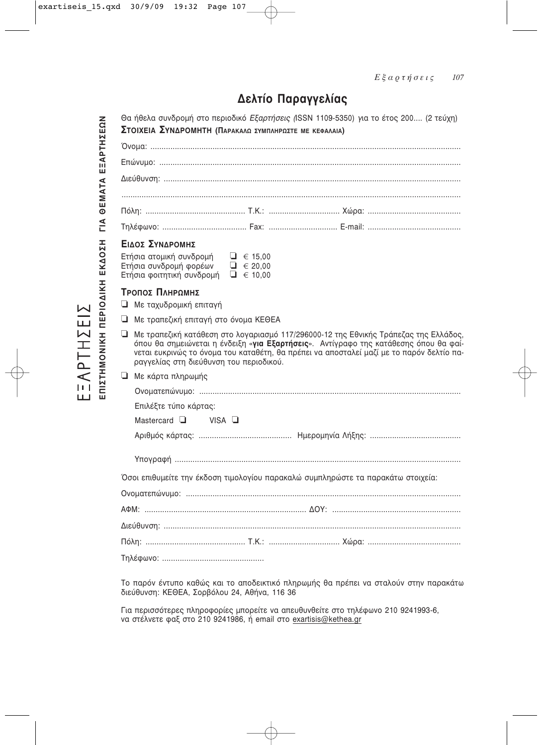# Δελτίο Παραγγελίας

ΕΠΙΣΤΗΜΟΝΙΚΗ ΠΕΡΙΟΔΙΚΗ ΕΚΔΟΣΗ ΓΙΑ ΘΕΜΑΤΑ ΕΞΑΡΤΗΣΕΩΝ EEAPTHZEIZ

|                                                           | Θα ήθελα συνδρομή στο περιοδικό Εξαρτήσεις (ISSN 1109-5350) για το έτος 200 (2 τεύχη)<br>ΣΤΟΙΧΕΙΑ ΣΥΝΔΡΟΜΗΤΗ (ΠΑΡΑΚΑΛΩ ΣΥΜΠΛΗΡΩΣΤΕ ΜΕ ΚΕΦΑΛΑΙΑ)                                                                                                                            |
|-----------------------------------------------------------|----------------------------------------------------------------------------------------------------------------------------------------------------------------------------------------------------------------------------------------------------------------------------|
|                                                           |                                                                                                                                                                                                                                                                            |
|                                                           |                                                                                                                                                                                                                                                                            |
|                                                           |                                                                                                                                                                                                                                                                            |
|                                                           |                                                                                                                                                                                                                                                                            |
|                                                           |                                                                                                                                                                                                                                                                            |
| ΕΙΔΟΣ ΣΥΝΔΡΟΜΗΣ                                           |                                                                                                                                                                                                                                                                            |
| <b>ΤΡΟΠΟΣ ΠΛΗΡΩΜΗΣ</b><br><b>Β</b> Με ταχυδρομική επιταγή |                                                                                                                                                                                                                                                                            |
| ■ Με τραπεζική επιταγή στο όνομα ΚΕΘΕΑ                    |                                                                                                                                                                                                                                                                            |
| ραγγελίας στη διεύθυνση του περιοδικού.                   | Δ Με τραπεζική κατάθεση στο λογαριασμό 117/296000-12 της Εθνικής Τράπεζας της Ελλάδος,<br>όπου θα σημειώνεται η ένδειξη «για Εξαρτήσεις». Αντίγραφο της κατάθεσης όπου θα φαί-<br>νεται ευκρινώς το όνομα του καταθέτη, θα πρέπει να αποσταλεί μαζί με το παρόν δελτίο πα- |
| <b>4</b> Με κάρτα πληρωμής                                |                                                                                                                                                                                                                                                                            |
|                                                           |                                                                                                                                                                                                                                                                            |
| Επιλέξτε τύπο κάρτας:                                     |                                                                                                                                                                                                                                                                            |
| Mastercard $\Box$ VISA $\Box$                             |                                                                                                                                                                                                                                                                            |
|                                                           |                                                                                                                                                                                                                                                                            |
|                                                           |                                                                                                                                                                                                                                                                            |
|                                                           | Όσοι επιθυμείτε την έκδοση τιμολογίου παρακαλώ συμπληρώστε τα παρακάτω στοιχεία:                                                                                                                                                                                           |
|                                                           |                                                                                                                                                                                                                                                                            |
|                                                           |                                                                                                                                                                                                                                                                            |
|                                                           |                                                                                                                                                                                                                                                                            |
|                                                           |                                                                                                                                                                                                                                                                            |
|                                                           |                                                                                                                                                                                                                                                                            |
|                                                           |                                                                                                                                                                                                                                                                            |

Το παρόν έντυπο καθώς και το αποδεικτικό πληρωμής θα πρέπει να σταλούν στην παρακάτω διεύθυνση: ΚΕΘΕΑ, Σορβόλου 24, Αθήνα, 116 36

Για περισσότερες πληροφορίες μπορείτε να απευθυνθείτε στο τηλέφωνο 210 9241993-6, να στέλνετε φαξ στο 210 9241986, ή email στο exartisis@kethea.gr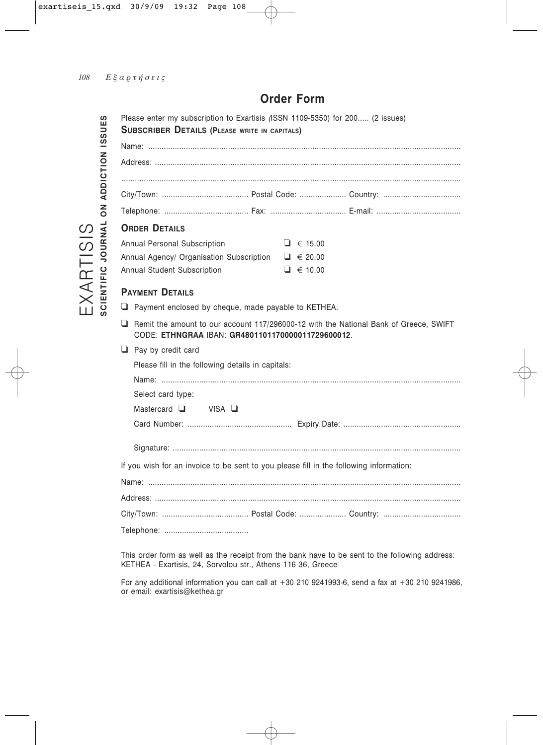# **Order Form**

| <b>SUBSCRIBER DETAILS (PLEASE WRITE IN CAPITALS)</b>                                                                                              |                    |  |
|---------------------------------------------------------------------------------------------------------------------------------------------------|--------------------|--|
|                                                                                                                                                   |                    |  |
|                                                                                                                                                   |                    |  |
|                                                                                                                                                   |                    |  |
| <b>ORDER DETAILS</b>                                                                                                                              |                    |  |
| Annual Personal Subscription                                                                                                                      | $\Box$ $\in$ 15.00 |  |
| Annual Agency/ Organisation Subscription $\Box \in 20.00$                                                                                         |                    |  |
| Annual Student Subscription                                                                                                                       | $\Box$ $\in$ 10.00 |  |
| <b>PAYMENT DETAILS</b>                                                                                                                            |                    |  |
| <b>E</b> Payment enclosed by cheque, made payable to KETHEA.                                                                                      |                    |  |
| $\Box$ Remit the amount to our account 117/296000-12 with the National Bank of Greece, SWIFT<br>CODE: ETHNGRAA IBAN: GR4801101170000011729600012. |                    |  |
| $\Box$ Pay by credit card                                                                                                                         |                    |  |
| Please fill in the following details in capitals:                                                                                                 |                    |  |
|                                                                                                                                                   |                    |  |
| Select card type:                                                                                                                                 |                    |  |
| Mastercard $\Box$ VISA $\Box$                                                                                                                     |                    |  |
|                                                                                                                                                   |                    |  |
|                                                                                                                                                   |                    |  |
|                                                                                                                                                   |                    |  |
| If you wish for an invoice to be sent to you please fill in the following information:                                                            |                    |  |
|                                                                                                                                                   |                    |  |
|                                                                                                                                                   |                    |  |
|                                                                                                                                                   |                    |  |
|                                                                                                                                                   |                    |  |

This order form as well as the receipt from the bank have to be sent to the following address: KETHEA - Exartisis, 24, Sorvolou str., Athens 116 36, Greece

For any additional information you can call at +30 210 9241993-6, send a fax at +30 210 9241986, or email: exartisis@kethea.gr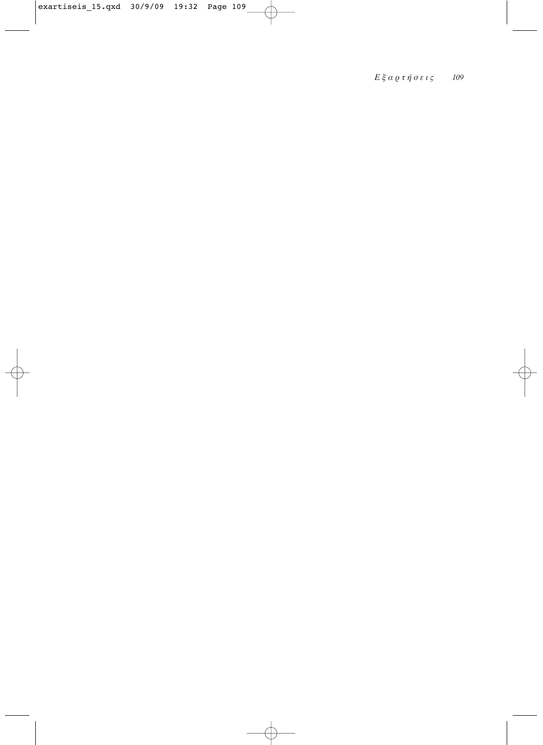Æ

*Εξαρτήσεις 109*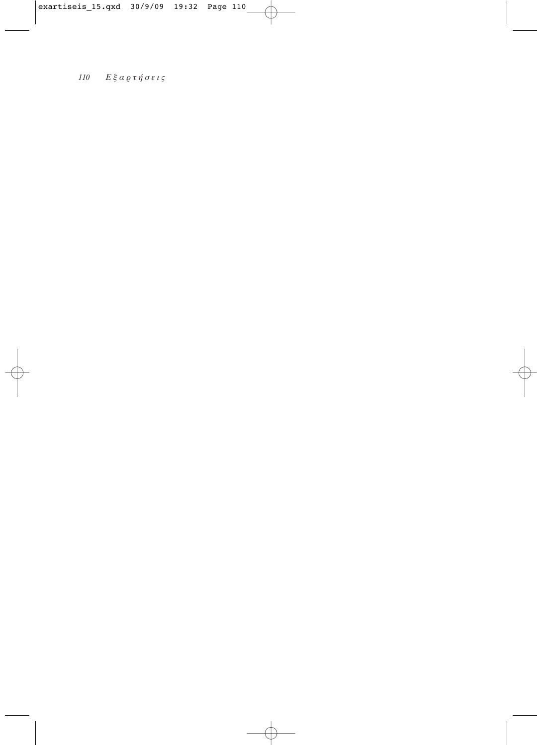*110 Εξαρτήσεις*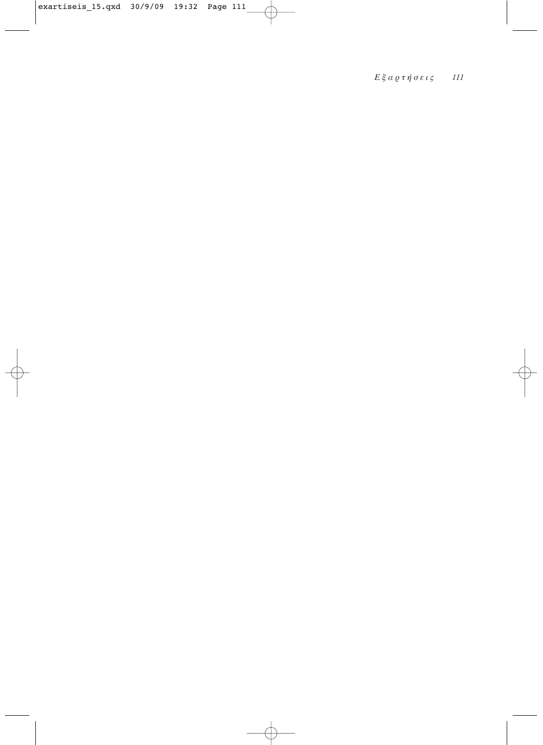$\Big\vert$ exartiseis\_15.qxd 30/9/09 19:32 Page 111\_ €

Æ

*Εξαρτήσεις 111*